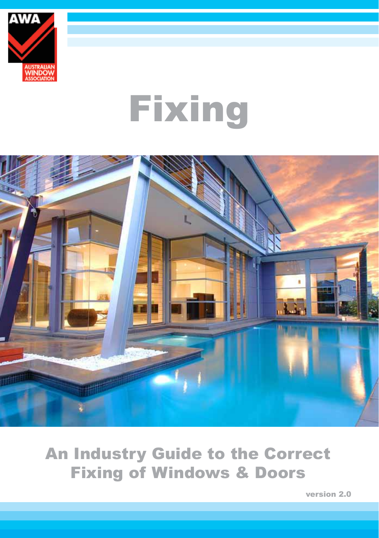

# Fixing



An Industry Guide to the Correct Fixing of Windows & Doors

version 2.0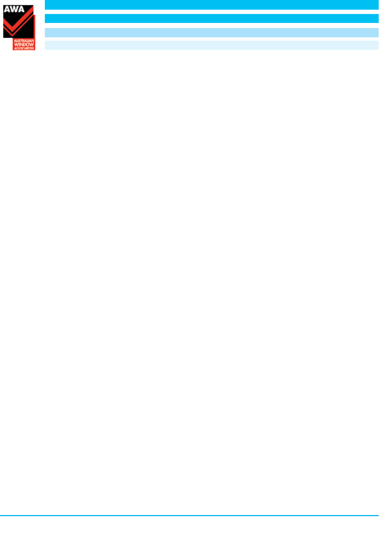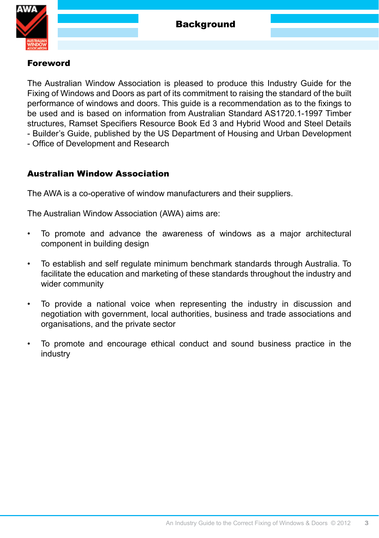

#### Foreword

The Australian Window Association is pleased to produce this Industry Guide for the Fixing of Windows and Doors as part of its commitment to raising the standard of the built performance of windows and doors. This guide is a recommendation as to the fixings to be used and is based on information from Australian Standard AS1720.1-1997 Timber structures, Ramset Specifiers Resource Book Ed 3 and Hybrid Wood and Steel Details - Builder's Guide, published by the US Department of Housing and Urban Development

- Office of Development and Research

#### Australian Window Association

The AWA is a co-operative of window manufacturers and their suppliers.

The Australian Window Association (AWA) aims are:

- To promote and advance the awareness of windows as a major architectural component in building design
- To establish and self regulate minimum benchmark standards through Australia. To facilitate the education and marketing of these standards throughout the industry and wider community
- To provide a national voice when representing the industry in discussion and negotiation with government, local authorities, business and trade associations and organisations, and the private sector
- To promote and encourage ethical conduct and sound business practice in the industry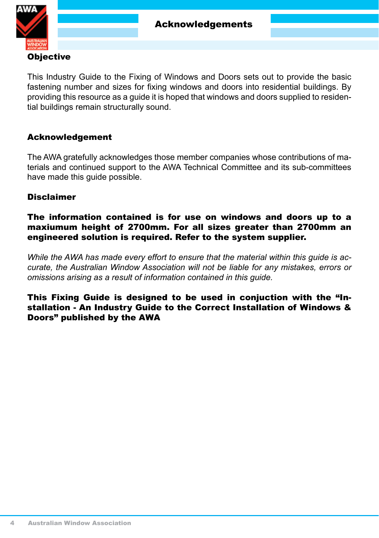

This Industry Guide to the Fixing of Windows and Doors sets out to provide the basic fastening number and sizes for fixing windows and doors into residential buildings. By providing this resource as a guide it is hoped that windows and doors supplied to residential buildings remain structurally sound.

#### Acknowledgement

The AWA gratefully acknowledges those member companies whose contributions of materials and continued support to the AWA Technical Committee and its sub-committees have made this guide possible.

#### **Disclaimer**

The information contained is for use on windows and doors up to a maxiumum height of 2700mm. For all sizes greater than 2700mm an engineered solution is required. Refer to the system supplier.

*While the AWA has made every effort to ensure that the material within this guide is accurate, the Australian Window Association will not be liable for any mistakes, errors or omissions arising as a result of information contained in this guide.*

This Fixing Guide is designed to be used in conjuction with the "Installation - An Industry Guide to the Correct Installation of Windows & Doors" published by the AWA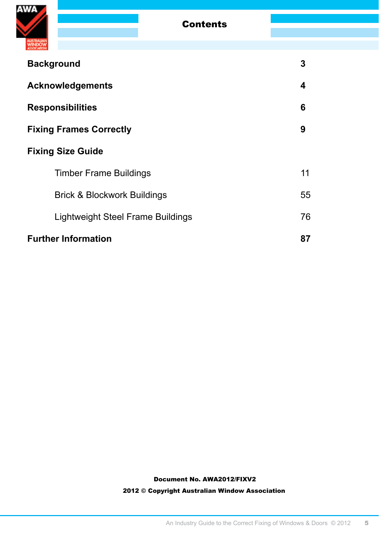| <b>Contents</b>                        |    |
|----------------------------------------|----|
| <b>Background</b>                      | 3  |
| <b>Acknowledgements</b>                | 4  |
| <b>Responsibilities</b>                | 6  |
| <b>Fixing Frames Correctly</b>         | 9  |
| <b>Fixing Size Guide</b>               |    |
| <b>Timber Frame Buildings</b>          | 11 |
| <b>Brick &amp; Blockwork Buildings</b> | 55 |
| Lightweight Steel Frame Buildings      | 76 |
| <b>Further Information</b>             | 87 |

2012 © Copyright Australian Window Association Document No. AWA2012/FIXV2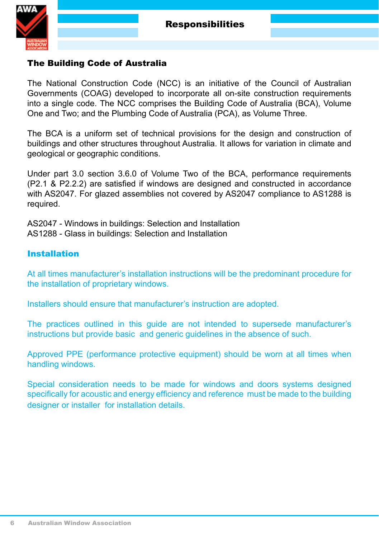

#### The Building Code of Australia

The National Construction Code (NCC) is an initiative of the Council of Australian Governments (COAG) developed to incorporate all on-site construction requirements into a single code. The NCC comprises the Building Code of Australia (BCA), Volume One and Two; and the Plumbing Code of Australia (PCA), as Volume Three.

The BCA is a uniform set of technical provisions for the design and construction of buildings and other structures throughout Australia. It allows for variation in climate and geological or geographic conditions.

Under part 3.0 section 3.6.0 of Volume Two of the BCA, performance requirements (P2.1 & P2.2.2) are satisfied if windows are designed and constructed in accordance with AS2047. For glazed assemblies not covered by AS2047 compliance to AS1288 is required.

AS2047 - Windows in buildings: Selection and Installation AS1288 - Glass in buildings: Selection and Installation

#### **Installation**

At all times manufacturer's installation instructions will be the predominant procedure for the installation of proprietary windows.

Installers should ensure that manufacturer's instruction are adopted.

The practices outlined in this guide are not intended to supersede manufacturer's instructions but provide basic and generic guidelines in the absence of such.

Approved PPE (performance protective equipment) should be worn at all times when handling windows.

Special consideration needs to be made for windows and doors systems designed specifically for acoustic and energy efficiency and reference must be made to the building designer or installer for installation details.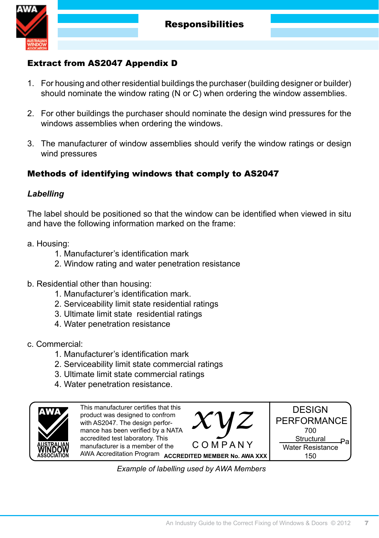

#### Extract from AS2047 Appendix D

- 1. For housing and other residential buildings the purchaser (building designer or builder) should nominate the window rating (N or C) when ordering the window assemblies.
- 2. For other buildings the purchaser should nominate the design wind pressures for the windows assemblies when ordering the windows.
- 3. The manufacturer of window assemblies should verify the window ratings or design wind pressures

#### Methods of identifying windows that comply to AS2047

#### *Labelling*

The label should be positioned so that the window can be identified when viewed in situ and have the following information marked on the frame:

- a. Housing:
	- 1. Manufacturer's identification mark
	- 2. Window rating and water penetration resistance
- b. Residential other than housing:
	- 1. Manufacturer's identification mark.
	- 2. Serviceability limit state residential ratings
	- 3. Ultimate limit state residential ratings
	- 4. Water penetration resistance
- c. Commercial:
	- 1. Manufacturer's identification mark
	- 2. Serviceability limit state commercial ratings
	- 3. Ultimate limit state commercial ratings
	- 4. Water penetration resistance.



This manufacturer certifies that this product was designed to confrom with AS2047. The design performance has been verified by a NATA accredited test laboratory. This manufacturer is a member of the AWA Accreditation Program **ACCREDITED MEMBER No. AWA XXX**





*Example of labelling used by AWA Members*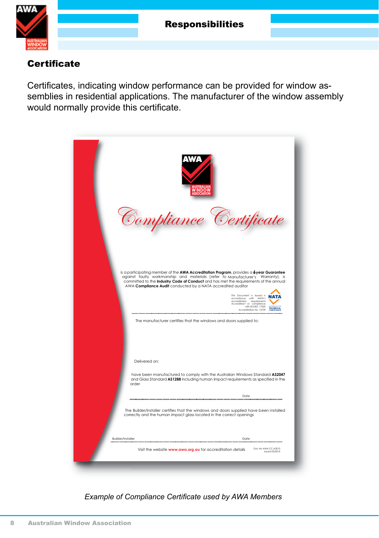

#### **Certificate**

Certificates, indicating window performance can be provided for window assemblies in residential applications. The manufacturer of the window assembly would normally provide this certificate.



*Example of Compliance Certificate used by AWA Members*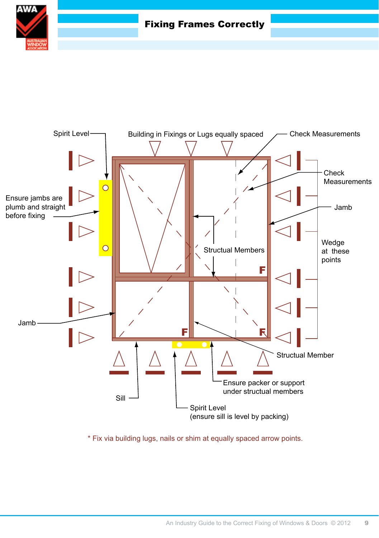



\* Fix via building lugs, nails or shim at equally spaced arrow points.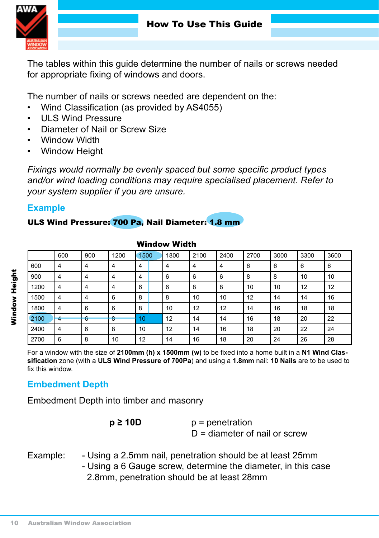

The tables within this guide determine the number of nails or screws needed for appropriate fixing of windows and doors.

The number of nails or screws needed are dependent on the:

- Wind Classification (as provided by AS4055)
- ULS Wind Pressure
- Diameter of Nail or Screw Size
- Window Width
- Window Height

*Fixings would normally be evenly spaced but some specific product types and/or wind loading conditions may require specialised placement. Refer to your system supplier if you are unsure.*

#### **Example**

#### ULS Wind Pressure: 700 Pa, Nail Diameter: 1.8 mm

|          | 600            | 900                                     | 1200                                                                                                                                                                     | 1500           | 1800           | 2100           | 2400              | 2700 | 3000                            | 3300 | 3600 |
|----------|----------------|-----------------------------------------|--------------------------------------------------------------------------------------------------------------------------------------------------------------------------|----------------|----------------|----------------|-------------------|------|---------------------------------|------|------|
| 600      | 4              | 4                                       | $\overline{4}$                                                                                                                                                           | $\overline{4}$ | $\overline{4}$ | $\overline{4}$ | $\overline{4}$    | 6    | 6                               | 6    | 6    |
| 900      | $\overline{4}$ | 4                                       | $\overline{4}$                                                                                                                                                           | $\overline{4}$ | 6              | 6              | 6                 | 8    | 8                               | 10   | 10   |
| 1200     | 4              | 4                                       | 4                                                                                                                                                                        | 6              | 6              | 8              | 8                 | 10   | 10                              | 12   | 12   |
| 1500     | $\overline{4}$ | 4                                       | 6                                                                                                                                                                        | 8              | 8              | 10             | 10                | 12   | 14                              | 14   | 16   |
| 1800     | $\overline{4}$ | 6                                       | 6                                                                                                                                                                        | 8              | 10             | 12             | 12                | 14   | 16                              | 18   | 18   |
| 2100     | $\overline{A}$ | 6                                       | 8                                                                                                                                                                        | 10             | 12             | 14             | 14                | 16   | 18                              | 20   | 22   |
| 2400     | 4              | 6                                       | 8                                                                                                                                                                        | 10             | 12             | 14             | 16                | 18   | 20                              | 22   | 24   |
| 2700     | 6              | 8                                       | 10                                                                                                                                                                       | 12             | 14             | 16             | 18                | 20   | 24                              | 26   | 28   |
|          |                | <b>Embedment Depth</b>                  |                                                                                                                                                                          |                |                |                |                   |      |                                 |      |      |
|          |                | Embedment Depth into timber and masonry |                                                                                                                                                                          |                |                |                |                   |      |                                 |      |      |
|          |                |                                         | $p \geq 10D$                                                                                                                                                             |                |                |                | $p =$ penetration |      | $D =$ diameter of nail or screw |      |      |
| Example: |                |                                         | - Using a 2.5mm nail, penetration should be at least 25mm<br>- Using a 6 Gauge screw, determine the diameter, in this case<br>2.8mm, penetration should be at least 28mm |                |                |                |                   |      |                                 |      |      |

#### Window Width

#### **Embedment Depth**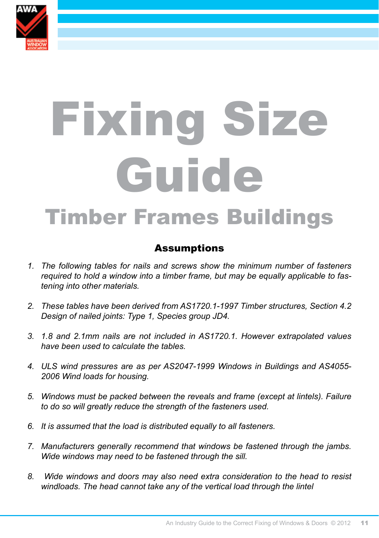

# Fixing Size Guide Timber Frames Buildings

#### Assumptions

- *1. The following tables for nails and screws show the minimum number of fasteners required to hold a window into a timber frame, but may be equally applicable to fastening into other materials.*
- *2. These tables have been derived from AS1720.1-1997 Timber structures, Section 4.2 Design of nailed joints: Type 1, Species group JD4.*
- *3. 1.8 and 2.1mm nails are not included in AS1720.1. However extrapolated values have been used to calculate the tables.*
- *4. ULS wind pressures are as per AS2047-1999 Windows in Buildings and AS4055- 2006 Wind loads for housing.*
- *5. Windows must be packed between the reveals and frame (except at lintels). Failure to do so will greatly reduce the strength of the fasteners used.*
- *6. It is assumed that the load is distributed equally to all fasteners.*
- *7. Manufacturers generally recommend that windows be fastened through the jambs. Wide windows may need to be fastened through the sill.*
- *8. Wide windows and doors may also need extra consideration to the head to resist windloads. The head cannot take any of the vertical load through the lintel*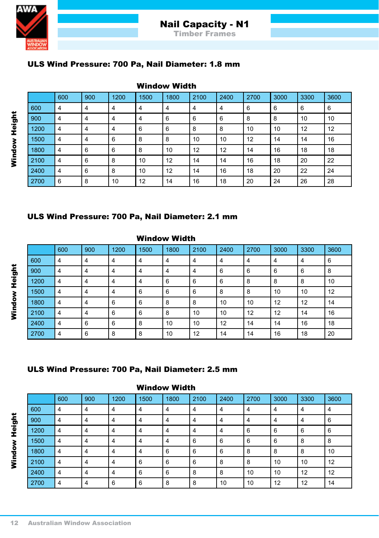

#### ULS Wind Pressure: 700 Pa, Nail Diameter: 1.8 mm

|      | Window Width   |     |      |                |      |                |      |      |      |      |      |
|------|----------------|-----|------|----------------|------|----------------|------|------|------|------|------|
|      | 600            | 900 | 1200 | 1500           | 1800 | 2100           | 2400 | 2700 | 3000 | 3300 | 3600 |
| 600  | $\overline{4}$ | 4   | 4    | $\overline{4}$ | 4    | $\overline{4}$ | 4    | 6    | 6    | 6    | 6    |
| 900  | $\overline{4}$ | 4   | 4    | 4              | 6    | 6              | 6    | 8    | 8    | 10   | 10   |
| 1200 | 4              | 4   | 4    | 6              | 6    | 8              | 8    | 10   | 10   | 12   | 12   |
| 1500 | $\overline{4}$ | 4   | 6    | 8              | 8    | 10             | 10   | 12   | 14   | 14   | 16   |
| 1800 | 4              | 6   | 6    | 8              | 10   | 12             | 12   | 14   | 16   | 18   | 18   |
| 2100 | 4              | 6   | 8    | 10             | 12   | 14             | 14   | 16   | 18   | 20   | 22   |
| 2400 | 4              | 6   | 8    | 10             | 12   | 14             | 16   | 18   | 20   | 22   | 24   |
| 2700 | 6              | 8   | 10   | 12             | 14   | 16             | 18   | 20   | 24   | 26   | 28   |

#### ULS Wind Pressure: 700 Pa, Nail Diameter: 2.1 mm

| 900  |                         |                                                  |                         |      |                     |                |      |                |      |      |                       |
|------|-------------------------|--------------------------------------------------|-------------------------|------|---------------------|----------------|------|----------------|------|------|-----------------------|
|      | $\overline{4}$          | 4                                                | $\overline{4}$          | 4    | 6                   | $\,6$          | 6    | 8              | 8    | 10   | 10                    |
| 1200 | 4                       | 4                                                | $\overline{4}$          | 6    | 6                   | 8              | 8    | 10             | 10   | 12   | 12                    |
| 1500 | 4                       | 4                                                | 6                       | 8    | 8                   | 10             | 10   | 12             | 14   | 14   | 16                    |
| 1800 | $\overline{\mathbf{4}}$ | 6                                                | 6                       | 8    | 10                  | 12             | 12   | 14             | 16   | 18   | 18                    |
| 2100 | $\overline{4}$          | 6                                                | 8                       | 10   | 12                  | 14             | 14   | 16             | 18   | 20   | 22                    |
| 2400 | $\overline{4}$          | 6                                                | 8                       | 10   | 12                  | 14             | 16   | 18             | 20   | 22   | 24                    |
| 2700 | 6                       | 8                                                | 10                      | 12   | 14                  | 16             | 18   | 20             | 24   | 26   | 28                    |
|      |                         | ULS Wind Pressure: 700 Pa, Nail Diameter: 2.1 mm |                         |      | <b>Window Width</b> |                |      |                |      |      |                       |
|      | 600                     | 900                                              | 1200                    | 1500 | 1800                | 2100           | 2400 | 2700           | 3000 | 3300 | 3600                  |
| 600  | $\overline{\mathbf{4}}$ | 4                                                | 4                       | 4    | 4                   | 4              | 4    | 4              | 4    | 4    | 6                     |
| 900  | $\overline{\mathbf{4}}$ | 4                                                | 4                       | 4    | $\overline{4}$      | $\overline{4}$ | 6    | 6              | 6    | 6    | 8                     |
|      |                         | 4                                                | 4                       | 4    | 6                   | 6              | 6    | 8              | 8    | 8    | 10                    |
| 1200 | $\overline{4}$          |                                                  |                         |      |                     | 6              | 8    | 8              | 10   | 10   | 12                    |
| 1500 | $\overline{4}$          | 4                                                | $\overline{4}$          | 6    | 6                   |                |      |                |      |      |                       |
| 1800 | 4                       | 4                                                | 6                       | 6    | 8                   | 8              | 10   | 10             | 12   | 12   |                       |
| 2100 | $\overline{\mathbf{4}}$ | 4                                                | 6                       | 6    | 8                   | 10             | 10   | 12             | 12   | 14   | 16                    |
| 2400 | $\overline{\mathbf{4}}$ | 6                                                | 6                       | 8    | 10                  | 10             | 12   | 14             | 14   | 16   |                       |
| 2700 | $\overline{4}$          | 6                                                | 8                       | 8    | 10                  | 12             | 14   | 14             | 16   | 18   |                       |
|      |                         | ULS Wind Pressure: 700 Pa, Nail Diameter: 2.5 mm |                         |      | <b>Window Width</b> |                |      |                |      |      |                       |
|      | 600                     | 900                                              | 1200                    | 1500 | 1800                | 2100           | 2400 | 2700           | 3000 | 3300 | 20                    |
| 600  | 4                       | 4                                                | 4                       | 4    | 4                   | 4              | 4    | 4              | 4    | 4    | 14<br>18<br>3600<br>4 |
| 900  | $\overline{4}$          | 4                                                | 4                       | 4    | 4                   | 4              | 4    | $\overline{4}$ | 4    | 4    | 6                     |
| 1200 | $\overline{4}$          | 4                                                | $\overline{\mathbf{4}}$ | 4    | $\overline{4}$      | $\overline{4}$ | 4    | $\,6\,$        | 6    | 6    | $6\phantom{1}$        |
| 1500 | $\overline{\mathbf{4}}$ | 4                                                | 4                       | 4    | 4                   | 6              | 6    | 6              | 6    | 8    | 8                     |
| 1800 | $\overline{4}$          | 4                                                | 4                       | 4    | 6                   | $\,6$          | 6    | 8              | 8    | 8    | 10                    |
| 2100 | $\overline{4}$          | 4                                                | $\overline{\mathbf{4}}$ | 6    | 6                   | 6              | 8    | 8              | 10   | 10   | 12                    |
| 2400 | $\overline{\mathbf{4}}$ | $\overline{\mathbf{4}}$                          | $\overline{\mathbf{4}}$ | 6    | 6                   | $\bf 8$        | 8    | 10             | 10   | 12   | 12                    |

#### ULS Wind Pressure: 700 Pa, Nail Diameter: 2.5 mm

| ,,,,,,,,,,,,,,,,,, |     |     |      |                |      |      |      |      |      |                |      |
|--------------------|-----|-----|------|----------------|------|------|------|------|------|----------------|------|
|                    | 600 | 900 | 1200 | 1500           | 1800 | 2100 | 2400 | 2700 | 3000 | 3300           | 3600 |
| 600                | 4   | 4   | 4    | $\overline{4}$ | 4    | 4    | 4    | 4    | 4    | 4              | 4    |
| 900                | 4   | 4   | 4    | 4              | 4    | 4    | 4    | 4    | 4    | $\overline{4}$ | 6    |
| 1200               | 4   | 4   | 4    | 4              | 4    | 4    | 4    | 6    | 6    | 6              | 6    |
| 1500               | 4   | 4   | 4    | 4              | 4    | 6    | 6    | 6    | 6    | 8              | 8    |
| 1800               | 4   | 4   | 4    | 4              | 6    | 6    | 6    | 8    | 8    | 8              | 10   |
| 2100               | 4   | 4   | 4    | 6              | 6    | 6    | 8    | 8    | 10   | 10             | 12   |
| 2400               | 4   | 4   | 4    | 6              | 6    | 8    | 8    | 10   | 10   | 12             | 12   |
| 2700               | 4   | 4   | 6    | 6              | 8    | 8    | 10   | 10   | 12   | 12             | 14   |

#### Window Width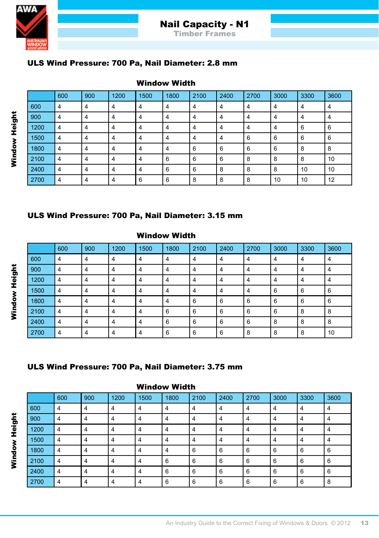

#### ULS Wind Pressure: 700 Pa, Nail Diameter: 2.8 mm

|      | 600            | 900 | 1200 | 1500 | 1800           | 2100 | 2400 | 2700 | 3000 | 3300 | 3600 |
|------|----------------|-----|------|------|----------------|------|------|------|------|------|------|
| 600  | 4              | 4   | 4    | 4    | 4              | 4    | 4    | 4    | 4    | 4    | 4    |
| 900  | $\overline{4}$ | 4   | 4    | 4    | 4              | 4    | 4    | 4    | 4    | 4    | 4    |
| 1200 | 4              | 4   | 4    | 4    | 4              | 4    | 4    | 4    | 4    | 6    | 6    |
| 1500 | 4              | 4   | 4    | 4    | $\overline{4}$ | 4    | 4    | 6    | 6    | 6    | 6    |
| 1800 | $\overline{4}$ | 4   | 4    | 4    | 4              | 6    | 6    | 6    | 6    | 8    | 8    |
| 2100 | $\overline{4}$ | 4   | 4    | 4    | 6              | 6    | 6    | 8    | 8    | 8    | 10   |
| 2400 | 4              | 4   | 4    | 4    | 6              | 6    | 8    | 8    | 8    | 10   | 10   |
| 2700 | 4              | 4   | 4    | 6    | 6              | 8    | 8    | 8    | 10   | 10   | 12   |

#### ULS Wind Pressure: 700 Pa, Nail Diameter: 3.15 mm

|        |      |     |     |      |      | <b>Window Width</b> |      |      |                |                |      |      |
|--------|------|-----|-----|------|------|---------------------|------|------|----------------|----------------|------|------|
|        |      | 600 | 900 | 1200 | 1500 | 1800                | 2100 | 2400 | 2700           | 3000           | 3300 | 3600 |
|        | 600  | 4   | 4   | 4    | 4    | 4                   | 4    | 4    | 4              | $\overline{4}$ | 4    | 4    |
| Height | 900  | 4   | 4   | 4    | 4    | 4                   | 4    | 4    | 4              | 4              | 4    | 4    |
|        | 1200 | 4   | 4   | 4    | 4    | 4                   | 4    | 4    | 4              | 4              | 4    | 4    |
|        | 1500 | 4   | 4   | 4    | 4    | 4                   | 4    | 4    | $\overline{4}$ | 6              | 6    | 6    |
| Window | 1800 | 4   | 4   | 4    | 4    | 4                   | 6    | 6    | 6              | 6              | 6    | 6    |
|        | 2100 | 4   | 4   | 4    | 4    | 6                   | 6    | 6    | 6              | 6              | 8    | 8    |
|        | 2400 | 4   | 4   | 4    | 4    | 6                   | 6    | 6    | 6              | 8              | 8    | 8    |
|        | 2700 | 4   | 4   | 4    | 4    | 6                   | 6    | 6    | 8              | 8              | 8    | 10   |

Window Width

#### ULS Wind Pressure: 700 Pa, Nail Diameter: 3.75 mm

|      | ,,,,,,,,,,,,,,,,, |     |      |      |      |      |      |      |      |      |      |  |
|------|-------------------|-----|------|------|------|------|------|------|------|------|------|--|
|      | 600               | 900 | 1200 | 1500 | 1800 | 2100 | 2400 | 2700 | 3000 | 3300 | 3600 |  |
| 600  | $\overline{4}$    | 4   | 4    | 4    | 4    | 4    | 4    | 4    | 4    | 4    | 4    |  |
| 900  | 4                 | 4   | 4    | 4    | 4    | 4    | 4    | 4    | 4    | 4    | 4    |  |
| 1200 | 4                 | 4   | 4    | 4    | 4    | 4    | 4    | 4    | 4    | 4    | 4    |  |
| 1500 | 4                 | 4   | 4    | 4    | 4    | 4    | 4    | 4    | 4    | 4    | 4    |  |
| 1800 | 4                 | 4   | 4    | 4    | 4    | 6    | 6    | 6    | 6    | 6    | 6    |  |
| 2100 | $\overline{4}$    | 4   | 4    | 4    | 6    | 6    | 6    | 6    | 6    | 6    | 6    |  |
| 2400 | $\overline{4}$    | 4   | 4    | 4    | 6    | 6    | 6    | 6    | 6    | 6    | 6    |  |
| 2700 | 4                 | 4   | 4    | 4    | 6    | 6    | 6    | 6    | 6    | 6    | 8    |  |

### Window Width

Window Height

**Window Height** 

Window Height

Window Height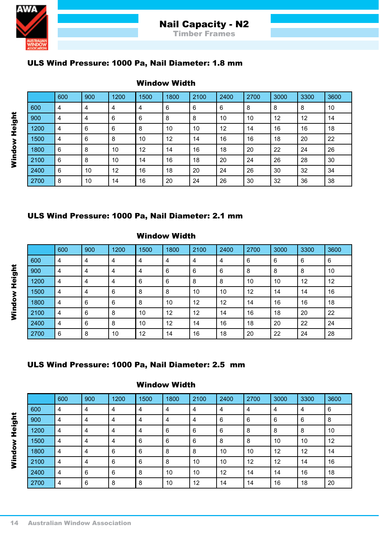

#### ULS Wind Pressure: 1000 Pa, Nail Diameter: 1.8 mm

|      | 600 | 900 | 1200 | 1500 | 1800 | 2100 | 2400 | 2700 | 3000 | 3300 | 3600 |
|------|-----|-----|------|------|------|------|------|------|------|------|------|
| 600  | 4   | 4   | 4    | 4    | 6    | 6    | 6    | 8    | 8    | 8    | 10   |
| 900  | 4   | 4   | 6    | 6    | 8    | 8    | 10   | 10   | 12   | 12   | 14   |
| 1200 | 4   | 6   | 6    | 8    | 10   | 10   | 12   | 14   | 16   | 16   | 18   |
| 1500 | 4   | 6   | 8    | 10   | 12   | 14   | 16   | 16   | 18   | 20   | 22   |
| 1800 | 6   | 8   | 10   | 12   | 14   | 16   | 18   | 20   | 22   | 24   | 26   |
| 2100 | 6   | 8   | 10   | 14   | 16   | 18   | 20   | 24   | 26   | 28   | 30   |
| 2400 | 6   | 10  | 12   | 16   | 18   | 20   | 24   | 26   | 30   | 32   | 34   |
| 2700 | 8   | 10  | 14   | 16   | 20   | 24   | 26   | 30   | 32   | 36   | 38   |

#### Window Width

#### ULS Wind Pressure: 1000 Pa, Nail Diameter: 2.1 mm

|      | 600            | 900 | 1200 | 1500 | 1800 | 2100 | 2400 | 2700 | 3000 | 3300 | 3600 |
|------|----------------|-----|------|------|------|------|------|------|------|------|------|
| 600  | 4              | 4   | 4    | 4    | 4    | 4    | 4    | 6    | 6    | 6    | 6    |
| 900  | 4              | 4   | 4    | 4    | 6    | 6    | 6    | 8    | 8    | 8    | 10   |
| 1200 | 4              | 4   | 4    | 6    | 6    | 8    | 8    | 10   | 10   | 12   | 12   |
| 1500 | 4              | 4   | 6    | 8    | 8    | 10   | 10   | 12   | 14   | 14   | 16   |
| 1800 | 4              | 6   | 6    | 8    | 10   | 12   | 12   | 14   | 16   | 16   | 18   |
| 2100 | 4              | 6   | 8    | 10   | 12   | 12   | 14   | 16   | 18   | 20   | 22   |
| 2400 | $\overline{4}$ | 6   | 8    | 10   | 12   | 14   | 16   | 18   | 20   | 22   | 24   |
| 2700 | 6              | 8   | 10   | 12   | 14   | 16   | 18   | 20   | 22   | 24   | 28   |

#### ULS Wind Pressure: 1000 Pa, Nail Diameter: 2.5 mm

|      | <b>Window Width</b> |        |
|------|---------------------|--------|
| 1500 | 1.1800              | 1.2100 |

|      | 600 | 900 | 1200 | 1500 | 1800 | 2100           | 2400 | 2700 | 3000 | 3300 | 3600 |
|------|-----|-----|------|------|------|----------------|------|------|------|------|------|
| 600  | 4   | 4   | 4    | 4    | 4    | $\overline{4}$ | 4    | 4    | 4    | 4    | 6    |
| 900  | 4   | 4   | 4    | 4    | 4    | 4              | 6    | 6    | 6    | 6    | 8    |
| 1200 | 4   | 4   | 4    | 4    | 6    | 6              | 6    | 8    | 8    | 8    | 10   |
| 1500 | 4   | 4   | 4    | 6    | 6    | 6              | 8    | 8    | 10   | 10   | 12   |
| 1800 | 4   | 4   | 6    | 6    | 8    | 8              | 10   | 10   | 12   | 12   | 14   |
| 2100 | 4   | 4   | 6    | 6    | 8    | 10             | 10   | 12   | 12   | 14   | 16   |
| 2400 | 4   | 6   | 6    | 8    | 10   | 10             | 12   | 14   | 14   | 16   | 18   |
| 2700 | 4   | 6   | 8    | 8    | 10   | 12             | 14   | 14   | 16   | 18   | 20   |

Window Height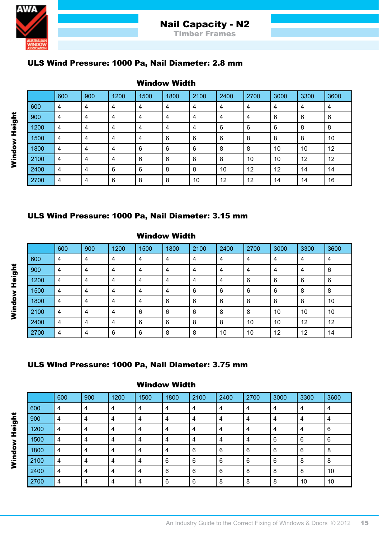

#### ULS Wind Pressure: 1000 Pa, Nail Diameter: 2.8 mm

|      | 600            | 900 | 1200           | 1500 | 1800 | 2100           | 2400 | 2700              | 3000 | 3300 | 3600 |
|------|----------------|-----|----------------|------|------|----------------|------|-------------------|------|------|------|
| 600  | $\overline{4}$ | 4   | 4              | 4    | 4    | $\overline{4}$ | 4    | $\overline{4}$    | 4    | 4    | 4    |
| 900  | $\overline{4}$ | 4   | 4              | 4    | 4    | 4              | 4    | $\overline{4}$    | 6    | 6    | 6    |
| 1200 | 4              | 4   | 4              | 4    | 4    | $\overline{4}$ | 6    | 6                 | 6    | 8    | 8    |
| 1500 | 4              | 4   | $\overline{4}$ | 4    | 6    | 6              | 6    | 8                 | 8    | 8    | 10   |
| 1800 | 4              | 4   | 4              | 6    | 6    | 6              | 8    | 8                 | 10   | 10   | 12   |
| 2100 | 4              | 4   | $\overline{4}$ | 6    | 6    | 8              | 8    | 10                | 10   | 12   | 12   |
| 2400 | 4              | 4   | 6              | 6    | 8    | 8              | 10   | 12                | 12   | 14   | 14   |
| 2700 | 4              | 4   | 6              | 8    | 8    | 10             | 12   | $12 \overline{ }$ | 14   | 14   | 16   |

#### Window Width

#### ULS Wind Pressure: 1000 Pa, Nail Diameter: 3.15 mm

|      | 600 | 900 | 1200 | 1500 | 1800           | 2100           | 2400 | 2700 | 3000 | 3300 | 3600 |
|------|-----|-----|------|------|----------------|----------------|------|------|------|------|------|
| 600  | 4   | 4   | 4    | 4    | 4              | 4              | 4    | 4    | 4    | 4    | 4    |
| 900  | 4   | 4   | 4    | 4    | 4              | 4              | 4    | 4    | 4    | 4    | 6    |
| 1200 | 4   | 4   | 4    | 4    | $\overline{4}$ | $\overline{4}$ | 4    | 6    | 6    | 6    | 6    |
| 1500 | 4   | 4   | 4    | 4    | 4              | 6              | 6    | 6    | 6    | 8    | 8    |
| 1800 | 4   | 4   | 4    | 4    | 6              | 6              | 6    | 8    | 8    | 8    | 10   |
| 2100 | 4   | 4   | 4    | 6    | 6              | 6              | 8    | 8    | 10   | 10   | 10   |
| 2400 | 4   | 4   | 4    | 6    | 6              | 8              | 8    | 10   | 10   | 12   | 12   |
| 2700 | 4   | 4   | 6    | 6    | 8              | 8              | 10   | 10   | 12   | 12   | 14   |

#### Window Width

#### ULS Wind Pressure: 1000 Pa, Nail Diameter: 3.75 mm

|      | 600 | 900 | 1200           | 1500 | 1800 | 2100 | 2400 | 2700 | 3000 | 3300 | 3600 |
|------|-----|-----|----------------|------|------|------|------|------|------|------|------|
| 600  | 4   | 4   | 4              | 4    | 4    | 4    | 4    | 4    | 4    | 4    | 4    |
| 900  | 4   | 4   | 4              | 4    | 4    | 4    | 4    | 4    | 4    | 4    | 4    |
| 1200 | 4   | 4   | $\overline{4}$ | 4    | 4    | 4    | 4    | 4    | 4    | 4    | 6    |
| 1500 | 4   | 4   | $\overline{4}$ | 4    | 4    | 4    | 4    | 4    | 6    | 6    | 6    |
| 1800 | 4   | 4   | 4              | 4    | 4    | 6    | 6    | 6    | 6    | 6    | 8    |
| 2100 | 4   | 4   | 4              | 4    | 6    | 6    | 6    | 6    | 6    | 8    | 8    |
| 2400 | 4   | 4   | 4              | 4    | 6    | 6    | 6    | 8    | 8    | 8    | 10   |
| 2700 | 4   | 4   | 4              | 4    | 6    | 6    | 8    | 8    | 8    | 10   | 10   |

#### Window Width

Window Height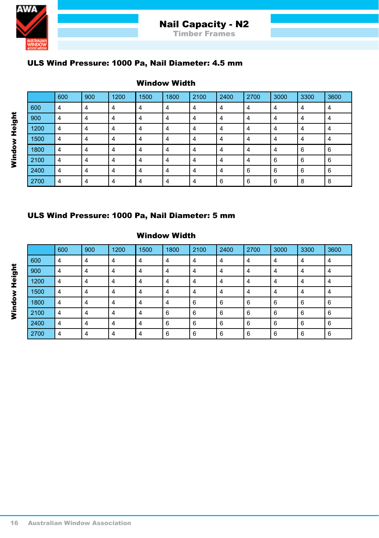

#### ULS Wind Pressure: 1000 Pa, Nail Diameter: 4.5 mm

|      | 600 | 900 | 1200 | 1500 | 1800           | 2100           | 2400 | 2700 | 3000 | 3300           | 3600           |
|------|-----|-----|------|------|----------------|----------------|------|------|------|----------------|----------------|
| 600  | 4   | 4   | 4    | 4    | $\overline{4}$ | 4              | 4    | 4    | 4    | 4              | 4              |
| 900  | 4   | 4   | 4    | 4    | 4              | 4              | 4    | 4    | 4    | $\overline{4}$ | 4              |
| 1200 | 4   | 4   | 4    | 4    | 4              | 4              | 4    | 4    | 4    | $\overline{4}$ | 4              |
| 1500 | 4   | 4   | 4    | 4    | 4              | $\overline{4}$ | 4    | 4    | 4    | $\overline{4}$ | $\overline{4}$ |
| 1800 | 4   | 4   | 4    | 4    | 4              | $\overline{4}$ | 4    | 4    | 4    | 6              | 6              |
| 2100 | 4   | 4   | 4    | 4    | $\overline{4}$ | $\overline{4}$ | 4    | 4    | 6    | 6              | 6              |
| 2400 | 4   | 4   | 4    | 4    | 4              | 4              | 4    | 6    | 6    | 6              | 6              |
| 2700 | 4   | 4   | 4    | 4    | 4              | $\overline{4}$ | 6    | 6    | 6    | 8              | 8              |

Window Width

## ULS Wind Pressure: 1000 Pa, Nail Diameter: 5 mm

|      | 600 | 900 | 1200 | 1500 | 1800 | 2100 | 2400 | 2700 | 3000 | 3300 | 3600 |
|------|-----|-----|------|------|------|------|------|------|------|------|------|
| 600  | 4   | 4   | 4    | 4    | 4    | 4    | 4    | 4    | 4    | 4    | 4    |
| 900  | 4   | 4   | 4    | 4    | 4    | 4    | 4    | 4    | 4    | 4    | 4    |
| 1200 | 4   | 4   | 4    | 4    | 4    | 4    | 4    | 4    | 4    | 4    | 4    |
| 1500 | 4   | 4   | 4    | 4    | 4    | 4    | 4    | 4    | 4    | 4    | 4    |
| 1800 | 4   | 4   | 4    | 4    | 4    | 6    | 6    | 6    | 6    | 6    | 6    |
| 2100 | 4   | 4   | 4    | 4    | 6    | 6    | 6    | 6    | 6    | 6    | 6    |
| 2400 | 4   | 4   | 4    | 4    | 6    | 6    | 6    | 6    | 6    | 6    | 6    |
| 2700 | 4   | 4   | 4    | 4    | 6    | 6    | 6    | 6    | 6    | 6    | 6    |

#### Window Width

Window Height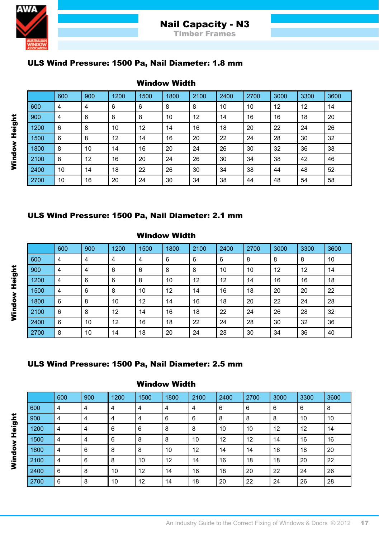

#### ULS Wind Pressure: 1500 Pa, Nail Diameter: 1.8 mm

|      | 600 | 900 | 1200 | 1500 | 1800 | 2100 | 2400 | 2700 | 3000 | 3300 | 3600 |
|------|-----|-----|------|------|------|------|------|------|------|------|------|
| 600  | 4   | 4   | 6    | 6    | 8    | 8    | 10   | 10   | 12   | 12   | 14   |
| 900  | 4   | 6   | 8    | 8    | 10   | 12   | 14   | 16   | 16   | 18   | 20   |
| 1200 | 6   | 8   | 10   | 12   | 14   | 16   | 18   | 20   | 22   | 24   | 26   |
| 1500 | 6   | 8   | 12   | 14   | 16   | 20   | 22   | 24   | 28   | 30   | 32   |
| 1800 | 8   | 10  | 14   | 16   | 20   | 24   | 26   | 30   | 32   | 36   | 38   |
| 2100 | 8   | 12  | 16   | 20   | 24   | 26   | 30   | 34   | 38   | 42   | 46   |
| 2400 | 10  | 14  | 18   | 22   | 26   | 30   | 34   | 38   | 44   | 48   | 52   |
| 2700 | 10  | 16  | 20   | 24   | 30   | 34   | 38   | 44   | 48   | 54   | 58   |

### ULS Wind Pressure: 1500 Pa, Nail Diameter: 2.1 mm

| <b>Window Width</b> |  |
|---------------------|--|
|                     |  |

Window Width

|      | 600 | 900 | 1200 | 1500 | 1800 | 2100 | 2400 | 2700 | 3000 | 3300 | 3600 |
|------|-----|-----|------|------|------|------|------|------|------|------|------|
| 600  | 4   | 4   | 4    | 4    | 6    | 6    | 6    | 8    | 8    | 8    | 10   |
| 900  | 4   | 4   | 6    | 6    | 8    | 8    | 10   | 10   | 12   | 12   | 14   |
| 1200 | 4   | 6   | 6    | 8    | 10   | 12   | 12   | 14   | 16   | 16   | 18   |
| 1500 | 4   | 6   | 8    | 10   | 12   | 14   | 16   | 18   | 20   | 20   | 22   |
| 1800 | 6   | 8   | 10   | 12   | 14   | 16   | 18   | 20   | 22   | 24   | 28   |
| 2100 | 6   | 8   | 12   | 14   | 16   | 18   | 22   | 24   | 26   | 28   | 32   |
| 2400 | 6   | 10  | 12   | 16   | 18   | 22   | 24   | 28   | 30   | 32   | 36   |
| 2700 | 8   | 10  | 14   | 18   | 20   | 24   | 28   | 30   | 34   | 36   | 40   |

#### ULS Wind Pressure: 1500 Pa, Nail Diameter: 2.5 mm

|      | <b>Window Width</b> |     |                |      |      |      |      |      |      |      |      |  |
|------|---------------------|-----|----------------|------|------|------|------|------|------|------|------|--|
|      | 600                 | 900 | 1200           | 1500 | 1800 | 2100 | 2400 | 2700 | 3000 | 3300 | 3600 |  |
| 600  | 4                   | 4   | $\overline{4}$ | 4    | 4    | 4    | 6    | 6    | 6    | 6    | 8    |  |
| 900  | 4                   | 4   | 4              | 4    | 6    | 6    | 8    | 8    | 8    | 10   | 10   |  |
| 1200 | 4                   | 4   | 6              | 6    | 8    | 8    | 10   | 10   | 12   | 12   | 14   |  |
| 1500 | 4                   | 4   | 6              | 8    | 8    | 10   | 12   | 12   | 14   | 16   | 16   |  |
| 1800 | 4                   | 6   | 8              | 8    | 10   | 12   | 14   | 14   | 16   | 18   | 20   |  |
| 2100 | $\overline{4}$      | 6   | 8              | 10   | 12   | 14   | 16   | 18   | 18   | 20   | 22   |  |
| 2400 | 6                   | 8   | 10             | 12   | 14   | 16   | 18   | 20   | 22   | 24   | 26   |  |
| 2700 | 6                   | 8   | 10             | 12   | 14   | 18   | 20   | 22   | 24   | 26   | 28   |  |
|      |                     |     |                |      |      |      |      |      |      |      |      |  |

Window Height

Window Height

Window Height

Window Height

Window Height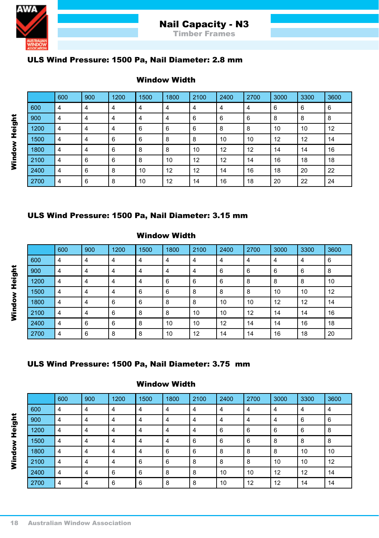

#### ULS Wind Pressure: 1500 Pa, Nail Diameter: 2.8 mm

|      | 600 | 900            | 1200           | 1500 | 1800 | 2100 | 2400 | 2700 | 3000 | 3300 | 3600 |
|------|-----|----------------|----------------|------|------|------|------|------|------|------|------|
| 600  | 4   | $\overline{4}$ | $\overline{4}$ | 4    | 4    | 4    | 4    | 4    | 6    | 6    | 6    |
| 900  | 4   | $\overline{4}$ | $\overline{4}$ | 4    | 4    | 6    | 6    | 6    | 8    | 8    | 8    |
| 1200 | 4   | $\overline{4}$ | $\overline{4}$ | 6    | 6    | 6    | 8    | 8    | 10   | 10   | 12   |
| 1500 | 4   | 4              | 6              | 6    | 8    | 8    | 10   | 10   | 12   | 12   | 14   |
| 1800 | 4   | 4              | 6              | 8    | 8    | 10   | 12   | 12   | 14   | 14   | 16   |
| 2100 | 4   | 6              | 6              | 8    | 10   | 12   | 12   | 14   | 16   | 18   | 18   |
| 2400 | 4   | 6              | 8              | 10   | 12   | 12   | 14   | 16   | 18   | 20   | 22   |
| 2700 | 4   | 6              | 8              | 10   | 12   | 14   | 16   | 18   | 20   | 22   | 24   |

#### Window Width

#### ULS Wind Pressure: 1500 Pa, Nail Diameter: 3.15 mm

| <b>Window Width</b> |  |
|---------------------|--|
|                     |  |

|      | 600 | 900 | 1200 | 1500 | 1800 | 2100 | 2400 | 2700 | 3000 | 3300 | 3600 |
|------|-----|-----|------|------|------|------|------|------|------|------|------|
| 600  | 4   | 4   | 4    | 4    | 4    | 4    | 4    | 4    | 4    | 4    | 6    |
| 900  | 4   | 4   | 4    | 4    | 4    | 4    | 6    | 6    | 6    | 6    | 8    |
| 1200 | 4   | 4   | 4    | 4    | 6    | 6    | 6    | 8    | 8    | 8    | 10   |
| 1500 | 4   | 4   | 4    | 6    | 6    | 8    | 8    | 8    | 10   | 10   | 12   |
| 1800 | 4   | 4   | 6    | 6    | 8    | 8    | 10   | 10   | 12   | 12   | 14   |
| 2100 | 4   | 4   | 6    | 8    | 8    | 10   | 10   | 12   | 14   | 14   | 16   |
| 2400 | 4   | 6   | 6    | 8    | 10   | 10   | 12   | 14   | 14   | 16   | 18   |
| 2700 | 4   | 6   | 8    | 8    | 10   | 12   | 14   | 14   | 16   | 18   | 20   |

#### ULS Wind Pressure: 1500 Pa, Nail Diameter: 3.75 mm

| <b>Window Width</b> |  |
|---------------------|--|
|                     |  |

|      | 600            | 900 | 1200 | 1500 | 1800           | 2100           | 2400 | 2700           | 3000 | 3300 | 3600 |
|------|----------------|-----|------|------|----------------|----------------|------|----------------|------|------|------|
| 600  | $\overline{4}$ | 4   | 4    | 4    | 4              | 4              | 4    | $\overline{4}$ | 4    | 4    | 4    |
| 900  | $\overline{4}$ | 4   | 4    | 4    | $\overline{4}$ | $\overline{4}$ | 4    | $\overline{4}$ | 4    | 6    | 6    |
| 1200 | 4              | 4   | 4    | 4    | $\overline{4}$ | 4              | 6    | 6              | 6    | 6    | 8    |
| 1500 | 4              | 4   | 4    | 4    | 4              | 6              | 6    | 6              | 8    | 8    | 8    |
| 1800 | 4              | 4   | 4    | 4    | 6              | 6              | 8    | 8              | 8    | 10   | 10   |
| 2100 | 4              | 4   | 4    | 6    | 6              | 8              | 8    | 8              | 10   | 10   | 12   |
| 2400 | 4              | 4   | 6    | 6    | 8              | 8              | 10   | 10             | 12   | 12   | 14   |
| 2700 | 4              | 4   | 6    | 6    | 8              | 8              | 10   | 12             | 12   | 14   | 14   |

Window Height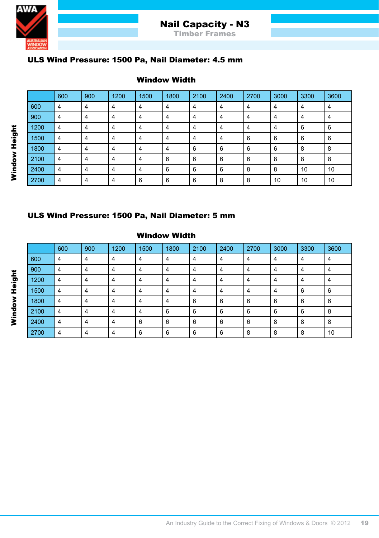

Timber Frames

#### ULS Wind Pressure: 1500 Pa, Nail Diameter: 4.5 mm

| <b>Window Width</b> |  |
|---------------------|--|
|                     |  |

|      | 600            | 900 | 1200           | 1500 | 1800 | 2100           | 2400 | 2700           | 3000 | 3300 | 3600 |
|------|----------------|-----|----------------|------|------|----------------|------|----------------|------|------|------|
| 600  | $\overline{4}$ | 4   | 4              | 4    | 4    | $\overline{4}$ | 4    | $\overline{4}$ | 4    | 4    | 4    |
| 900  | $\overline{4}$ | 4   | 4              | 4    | 4    | 4              | 4    | $\overline{4}$ | 4    | 4    | 4    |
| 1200 | 4              | 4   | 4              | 4    | 4    | 4              | 4    | $\overline{4}$ | 4    | 6    | 6    |
| 1500 | 4              | 4   | 4              | 4    | 4    | 4              | 4    | 6              | 6    | 6    | 6    |
| 1800 | 4              | 4   | 4              | 4    | 4    | 6              | 6    | 6              | 6    | 8    | 8    |
| 2100 | 4              | 4   | 4              | 4    | 6    | 6              | 6    | 6              | 8    | 8    | 8    |
| 2400 | 4              | 4   | $\overline{4}$ | 4    | 6    | 6              | 6    | 8              | 8    | 10   | 10   |
| 2700 | 4              | 4   | 4              | 6    | 6    | 6              | 8    | 8              | 10   | 10   | 10   |

#### ULS Wind Pressure: 1500 Pa, Nail Diameter: 5 mm

|      | 600 | 900 | 1200           | 1500 | 1800 | 2100 | 2400 | 2700 | 3000 | 3300 | 3600 |
|------|-----|-----|----------------|------|------|------|------|------|------|------|------|
| 600  | 4   | 4   | 4              | 4    | 4    | 4    | 4    | 4    | 4    | 4    | 4    |
| 900  | 4   | 4   | 4              | 4    | 4    | 4    | 4    | 4    | 4    | 4    | 4    |
| 1200 | 4   | 4   | $\overline{4}$ | 4    | 4    | 4    | 4    | 4    | 4    | 4    | 4    |
| 1500 | 4   | 4   | 4              | 4    | 4    | 4    | 4    | 4    | 4    | 6    | 6    |
| 1800 | 4   | 4   | 4              | 4    | 4    | 6    | 6    | 6    | 6    | 6    | 6    |
| 2100 | 4   | 4   | 4              | 4    | 6    | 6    | 6    | 6    | 6    | 6    | 8    |
| 2400 | 4   | 4   | 4              | 6    | 6    | 6    | 6    | 6    | 8    | 8    | 8    |
| 2700 | 4   | 4   | 4              | 6    | 6    | 6    | 6    | 8    | 8    | 8    | 10   |

#### Window Width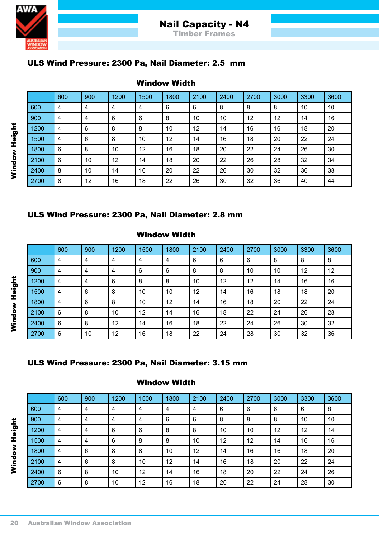

#### ULS Wind Pressure: 2300 Pa, Nail Diameter: 2.5 mm

|      | 600 | 900 | 1200 | 1500 | 1800 | 2100 | 2400 | 2700 | 3000 | 3300 | 3600 |
|------|-----|-----|------|------|------|------|------|------|------|------|------|
| 600  | 4   | 4   | 4    | 4    | 6    | 6    | 8    | 8    | 8    | 10   | 10   |
| 900  | 4   | 4   | 6    | 6    | 8    | 10   | 10   | 12   | 12   | 14   | 16   |
| 1200 | 4   | 6   | 8    | 8    | 10   | 12   | 14   | 16   | 16   | 18   | 20   |
| 1500 | 4   | 6   | 8    | 10   | 12   | 14   | 16   | 18   | 20   | 22   | 24   |
| 1800 | 6   | 8   | 10   | 12   | 16   | 18   | 20   | 22   | 24   | 26   | 30   |
| 2100 | 6   | 10  | 12   | 14   | 18   | 20   | 22   | 26   | 28   | 32   | 34   |
| 2400 | 8   | 10  | 14   | 16   | 20   | 22   | 26   | 30   | 32   | 36   | 38   |
| 2700 | 8   | 12  | 16   | 18   | 22   | 26   | 30   | 32   | 36   | 40   | 44   |

#### Window Width

#### ULS Wind Pressure: 2300 Pa, Nail Diameter: 2.8 mm

|      | 600            | 900 | 1200 | 1500           | 1800 | 2100 | 2400 | 2700 | 3000 | 3300 | 3600 |
|------|----------------|-----|------|----------------|------|------|------|------|------|------|------|
| 600  | 4              | 4   | 4    | $\overline{4}$ | 4    | 6    | 6    | 6    | 8    | 8    | 8    |
| 900  | $\overline{4}$ | 4   | 4    | 6              | 6    | 8    | 8    | 10   | 10   | 12   | 12   |
| 1200 | $\overline{4}$ | 4   | 6    | 8              | 8    | 10   | 12   | 12   | 14   | 16   | 16   |
| 1500 | $\overline{4}$ | 6   | 8    | 10             | 10   | 12   | 14   | 16   | 18   | 18   | 20   |
| 1800 | $\overline{4}$ | 6   | 8    | 10             | 12   | 14   | 16   | 18   | 20   | 22   | 24   |
| 2100 | 6              | 8   | 10   | 12             | 14   | 16   | 18   | 22   | 24   | 26   | 28   |
| 2400 | 6              | 8   | 12   | 14             | 16   | 18   | 22   | 24   | 26   | 30   | 32   |
| 2700 | 6              | 10  | 12   | 16             | 18   | 22   | 24   | 28   | 30   | 32   | 36   |

#### ULS Wind Pressure: 2300 Pa, Nail Diameter: 3.15 mm

#### Window Width

|      | 600            | 900            | 1200 | 1500 | 1800 | 2100 | 2400 | 2700 | 3000 | 3300 | 3600 |
|------|----------------|----------------|------|------|------|------|------|------|------|------|------|
| 600  | 4              | 4              | 4    | 4    | 4    | 4    | 6    | 6    | 6    | 6    | 8    |
| 900  | 4              | $\overline{4}$ | 4    | 4    | 6    | 6    | 8    | 8    | 8    | 10   | 10   |
| 1200 | 4              | $\overline{4}$ | 6    | 6    | 8    | 8    | 10   | 10   | 12   | 12   | 14   |
| 1500 | $\overline{4}$ | 4              | 6    | 8    | 8    | 10   | 12   | 12   | 14   | 16   | 16   |
| 1800 | 4              | 6              | 8    | 8    | 10   | 12   | 14   | 16   | 16   | 18   | 20   |
| 2100 | $\overline{4}$ | 6              | 8    | 10   | 12   | 14   | 16   | 18   | 20   | 22   | 24   |
| 2400 | 6              | 8              | 10   | 12   | 14   | 16   | 18   | 20   | 22   | 24   | 26   |
| 2700 | 6              | 8              | 10   | 12   | 16   | 18   | 20   | 22   | 24   | 28   | 30   |

Window Height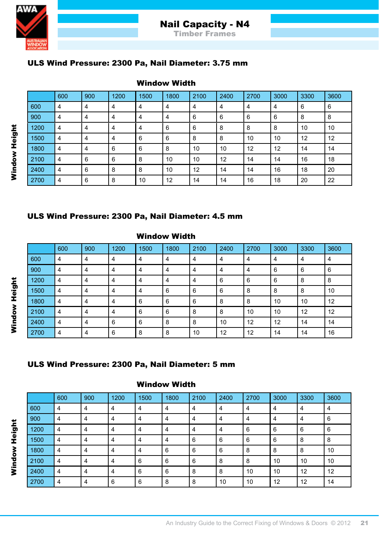

#### ULS Wind Pressure: 2300 Pa, Nail Diameter: 3.75 mm

|      | 600            | 900 | 1200 | 1500           | 1800 | 2100 | 2400 | 2700 | 3000 | 3300 | 3600 |
|------|----------------|-----|------|----------------|------|------|------|------|------|------|------|
| 600  | 4              | 4   | 4    | 4              | 4    | 4    | 4    | 4    | 4    | 6    | 6    |
| 900  | $\overline{4}$ | 4   | 4    | $\overline{4}$ | 4    | 6    | 6    | 6    | 6    | 8    | 8    |
| 1200 | 4              | 4   | 4    | 4              | 6    | 6    | 8    | 8    | 8    | 10   | 10   |
| 1500 | 4              | 4   | 4    | 6              | 6    | 8    | 8    | 10   | 10   | 12   | 12   |
| 1800 | $\overline{4}$ | 4   | 6    | 6              | 8    | 10   | 10   | 12   | 12   | 14   | 14   |
| 2100 | $\overline{4}$ | 6   | 6    | 8              | 10   | 10   | 12   | 14   | 14   | 16   | 18   |
| 2400 | 4              | 6   | 8    | 8              | 10   | 12   | 14   | 14   | 16   | 18   | 20   |
| 2700 | 4              | 6   | 8    | 10             | 12   | 14   | 14   | 16   | 18   | 20   | 22   |

#### Window Width

#### ULS Wind Pressure: 2300 Pa, Nail Diameter: 4.5 mm

|      |     |     |      |                | <b>Window Width</b> |      |      |      |      |      |      |
|------|-----|-----|------|----------------|---------------------|------|------|------|------|------|------|
|      | 600 | 900 | 1200 | 1500           | 1800                | 2100 | 2400 | 2700 | 3000 | 3300 | 3600 |
| 600  | 4   | 4   | 4    | 4              | 4                   | 4    | 4    | 4    | 4    | 4    | 4    |
| 900  | 4   | 4   | 4    | 4              | 4                   | 4    | 4    | 4    | 6    | 6    | 6    |
| 1200 | 4   | 4   | 4    | $\overline{4}$ | 4                   | 4    | 6    | 6    | 6    | 8    | 8    |
| 1500 | 4   | 4   | 4    | 4              | 6                   | 6    | 6    | 8    | 8    | 8    | 10   |
| 1800 | 4   | 4   | 4    | 6              | 6                   | 6    | 8    | 8    | 10   | 10   | 12   |
| 2100 | 4   | 4   | 4    | 6              | 6                   | 8    | 8    | 10   | 10   | 12   | 12   |
| 2400 | 4   | 4   | 6    | 6              | 8                   | 8    | 10   | 12   | 12   | 14   | 14   |
| 2700 | 4   | 4   | 6    | 8              | 8                   | 10   | 12   | 12   | 14   | 14   | 16   |

#### ULS Wind Pressure: 2300 Pa, Nail Diameter: 5 mm

|      | 600            | 900            | 1200 | 1500 | 1800 | 2100           | 2400 | 2700 | 3000 | 3300 | 3600 |
|------|----------------|----------------|------|------|------|----------------|------|------|------|------|------|
| 600  | $\overline{4}$ | 4              | 4    | 4    | 4    | 4              | 4    | 4    | 4    | 4    | 4    |
| 900  | $\overline{4}$ | 4              | -4   | 4    | 4    | $\overline{4}$ | 4    | 4    | 4    | 4    | 6    |
| 1200 | $\overline{4}$ | -4             | -4   | 4    | 4    | 4              | 4    | 6    | 6    | 6    | 6    |
| 1500 | $\overline{4}$ | 4              | 4    | 4    | 4    | 6              | 6    | 6    | 6    | 8    | 8    |
| 1800 | $\overline{4}$ | 4              | 4    | 4    | 6    | 6              | 6    | 8    | 8    | 8    | 10   |
| 2100 | $\overline{4}$ | 4              | 4    | 6    | 6    | 6              | 8    | 8    | 10   | 10   | 10   |
| 2400 | $\overline{4}$ | $\overline{4}$ | 4    | 6    | 6    | 8              | 8    | 10   | 10   | 12   | 12   |
| 2700 | $\overline{4}$ | 4              | 6    | 6    | 8    | 8              | 10   | 10   | 12   | 12   | 14   |

#### Window Width

Window Height Window Height

Window Height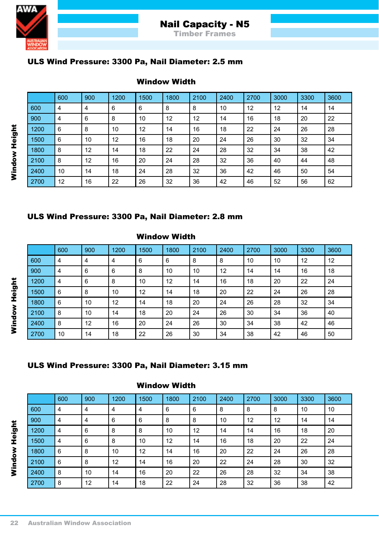

#### ULS Wind Pressure: 3300 Pa, Nail Diameter: 2.5 mm

|      | 600            | 900 | 1200 | 1500 | 1800 | 2100 | 2400 | 2700 | 3000 | 3300 | 3600 |
|------|----------------|-----|------|------|------|------|------|------|------|------|------|
| 600  | $\overline{4}$ | 4   | 6    | 6    | 8    | 8    | 10   | 12   | 12   | 14   | 14   |
| 900  | 4              | 6   | 8    | 10   | 12   | 12   | 14   | 16   | 18   | 20   | 22   |
| 1200 | 6              | 8   | 10   | 12   | 14   | 16   | 18   | 22   | 24   | 26   | 28   |
| 1500 | 6              | 10  | 12   | 16   | 18   | 20   | 24   | 26   | 30   | 32   | 34   |
| 1800 | 8              | 12  | 14   | 18   | 22   | 24   | 28   | 32   | 34   | 38   | 42   |
| 2100 | 8              | 12  | 16   | 20   | 24   | 28   | 32   | 36   | 40   | 44   | 48   |
| 2400 | 10             | 14  | 18   | 24   | 28   | 32   | 36   | 42   | 46   | 50   | 54   |
| 2700 | 12             | 16  | 22   | 26   | 32   | 36   | 42   | 46   | 52   | 56   | 62   |

#### Window Width

#### ULS Wind Pressure: 3300 Pa, Nail Diameter: 2.8 mm

|      | 600 | 900 | 1200 | 1500 | 1800 | 2100 | 2400 | 2700 | 3000 | 3300 | 3600 |
|------|-----|-----|------|------|------|------|------|------|------|------|------|
| 600  | 4   | 4   | 4    | 6    | 6    | 8    | 8    | 10   | 10   | 12   | 12   |
| 900  | 4   | 6   | 6    | 8    | 10   | 10   | 12   | 14   | 14   | 16   | 18   |
| 1200 | 4   | 6   | 8    | 10   | 12   | 14   | 16   | 18   | 20   | 22   | 24   |
| 1500 | 6   | 8   | 10   | 12   | 14   | 18   | 20   | 22   | 24   | 26   | 28   |
| 1800 | 6   | 10  | 12   | 14   | 18   | 20   | 24   | 26   | 28   | 32   | 34   |
| 2100 | 8   | 10  | 14   | 18   | 20   | 24   | 26   | 30   | 34   | 36   | 40   |
| 2400 | 8   | 12  | 16   | 20   | 24   | 26   | 30   | 34   | 38   | 42   | 46   |
| 2700 | 10  | 14  | 18   | 22   | 26   | 30   | 34   | 38   | 42   | 46   | 50   |

#### ULS Wind Pressure: 3300 Pa, Nail Diameter: 3.15 mm

|      | 600            | 900            | 1200 | 1500 | 1800 | 2100 | 2400 | 2700 | 3000 | 3300 | 3600 |
|------|----------------|----------------|------|------|------|------|------|------|------|------|------|
| 600  | $\overline{4}$ | $\overline{4}$ | 4    | 4    | 6    | 6    | 8    | 8    | 8    | 10   | 10   |
| 900  | 4              | $\overline{4}$ | 6    | 6    | 8    | 8    | 10   | 12   | 12   | 14   | 14   |
| 1200 | 4              | 6              | 8    | 8    | 10   | 12   | 14   | 14   | 16   | 18   | 20   |
| 1500 | 4              | 6              | 8    | 10   | 12   | 14   | 16   | 18   | 20   | 22   | 24   |
| 1800 | 6              | 8              | 10   | 12   | 14   | 16   | 20   | 22   | 24   | 26   | 28   |
| 2100 | 6              | 8              | 12   | 14   | 16   | 20   | 22   | 24   | 28   | 30   | 32   |
| 2400 | 8              | 10             | 14   | 16   | 20   | 22   | 26   | 28   | 32   | 34   | 38   |
| 2700 | 8              | 12             | 14   | 18   | 22   | 24   | 28   | 32   | 36   | 38   | 42   |

#### Window Width

Window Width

Window Height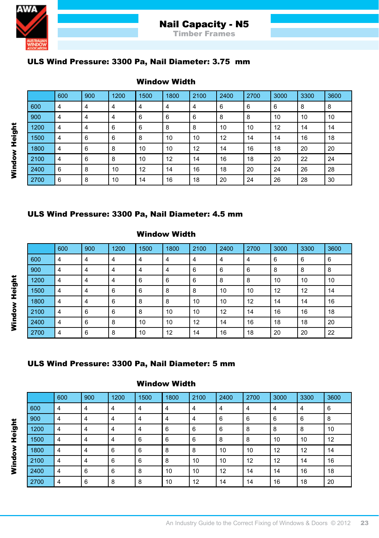

#### ULS Wind Pressure: 3300 Pa, Nail Diameter: 3.75 mm

|      | 600            | 900            | 1200 | 1500           | 1800 | 2100 | 2400 | 2700 | 3000 | 3300 | 3600 |
|------|----------------|----------------|------|----------------|------|------|------|------|------|------|------|
| 600  | $\overline{4}$ | 4              | 4    | $\overline{4}$ | 4    | 4    | 6    | 6    | 6    | 8    | 8    |
| 900  | $\overline{4}$ | $\overline{4}$ | 4    | 6              | 6    | 6    | 8    | 8    | 10   | 10   | 10   |
| 1200 | $\overline{4}$ | 4              | 6    | 6              | 8    | 8    | 10   | 10   | 12   | 14   | 14   |
| 1500 | 4              | 6              | 6    | 8              | 10   | 10   | 12   | 14   | 14   | 16   | 18   |
| 1800 | 4              | 6              | 8    | 10             | 10   | 12   | 14   | 16   | 18   | 20   | 20   |
| 2100 | $\overline{4}$ | 6              | 8    | 10             | 12   | 14   | 16   | 18   | 20   | 22   | 24   |
| 2400 | 6              | 8              | 10   | 12             | 14   | 16   | 18   | 20   | 24   | 26   | 28   |
| 2700 | 6              | 8              | 10   | 14             | 16   | 18   | 20   | 24   | 26   | 28   | 30   |

#### Window Width

#### ULS Wind Pressure: 3300 Pa, Nail Diameter: 4.5 mm

| <b>Window Width</b> |  |
|---------------------|--|
|                     |  |

|      | 600 | 900 | 1200 | 1500 | 1800 | 2100 | 2400 | 2700 | 3000 | 3300 | 3600 |
|------|-----|-----|------|------|------|------|------|------|------|------|------|
| 600  | 4   | 4   | 4    | 4    | 4    | 4    | 4    | 4    | 6    | 6    | 6    |
| 900  | 4   | 4   | 4    | 4    | 4    | 6    | 6    | 6    | 8    | 8    | 8    |
| 1200 | 4   | 4   | 4    | 6    | 6    | 6    | 8    | 8    | 10   | 10   | 10   |
| 1500 | 4   | 4   | 6    | 6    | 8    | 8    | 10   | 10   | 12   | 12   | 14   |
| 1800 | 4   | 4   | 6    | 8    | 8    | 10   | 10   | 12   | 14   | 14   | 16   |
| 2100 | 4   | 6   | 6    | 8    | 10   | 10   | 12   | 14   | 16   | 16   | 18   |
| 2400 | 4   | 6   | 8    | 10   | 10   | 12   | 14   | 16   | 18   | 18   | 20   |
| 2700 | 4   | 6   | 8    | 10   | 12   | 14   | 16   | 18   | 20   | 20   | 22   |

#### ULS Wind Pressure: 3300 Pa, Nail Diameter: 5 mm

|  |  | <b>Window Width</b> |  |
|--|--|---------------------|--|
|  |  |                     |  |

|      | 600            | 900            | 1200 | 1500 | 1800 | 2100           | 2400           | 2700 | 3000 | 3300 | 3600 |
|------|----------------|----------------|------|------|------|----------------|----------------|------|------|------|------|
| 600  | $\overline{4}$ | 4              | 4    | 4    | 4    | $\overline{4}$ | $\overline{4}$ | 4    | 4    | 4    | 6    |
| 900  | 4              | 4              | 4    | 4    | 4    | $\overline{4}$ | 6              | 6    | 6    | 6    | 8    |
| 1200 | 4              | $\overline{4}$ | 4    | 4    | 6    | 6              | 6              | 8    | 8    | 8    | 10   |
| 1500 | 4              | 4              | 4    | 6    | 6    | 6              | 8              | 8    | 10   | 10   | 12   |
| 1800 | 4              | 4              | 6    | 6    | 8    | 8              | 10             | 10   | 12   | 12   | 14   |
| 2100 | $\overline{4}$ | $\overline{4}$ | 6    | 6    | 8    | 10             | 10             | 12   | 12   | 14   | 16   |
| 2400 | 4              | 6              | 6    | 8    | 10   | 10             | 12             | 14   | 14   | 16   | 18   |
| 2700 | 4              | 6              | 8    | 8    | 10   | 12             | 14             | 14   | 16   | 18   | 20   |

Window Height Window Height

Window Height Window Height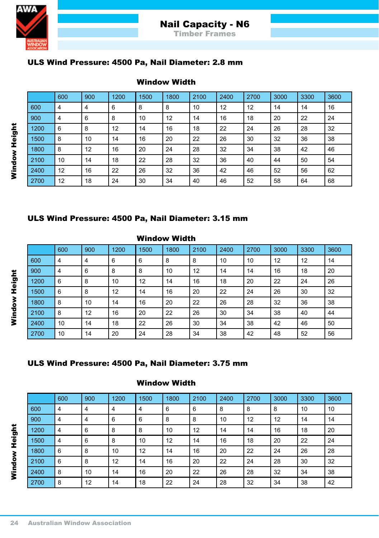

#### ULS Wind Pressure: 4500 Pa, Nail Diameter: 2.8 mm

|      | 600 | 900 | 1200 | 1500 | 1800 | 2100 | 2400 | 2700 | 3000 | 3300 | 3600 |
|------|-----|-----|------|------|------|------|------|------|------|------|------|
| 600  | 4   | 4   | 6    | 8    | 8    | 10   | 12   | 12   | 14   | 14   | 16   |
| 900  | 4   | 6   | 8    | 10   | 12   | 14   | 16   | 18   | 20   | 22   | 24   |
| 1200 | 6   | 8   | 12   | 14   | 16   | 18   | 22   | 24   | 26   | 28   | 32   |
| 1500 | 8   | 10  | 14   | 16   | 20   | 22   | 26   | 30   | 32   | 36   | 38   |
| 1800 | 8   | 12  | 16   | 20   | 24   | 28   | 32   | 34   | 38   | 42   | 46   |
| 2100 | 10  | 14  | 18   | 22   | 28   | 32   | 36   | 40   | 44   | 50   | 54   |
| 2400 | 12  | 16  | 22   | 26   | 32   | 36   | 42   | 46   | 52   | 56   | 62   |
| 2700 | 12  | 18  | 24   | 30   | 34   | 40   | 46   | 52   | 58   | 64   | 68   |

#### Window Width

#### ULS Wind Pressure: 4500 Pa, Nail Diameter: 3.15 mm

| <b>Window Width</b> |     |                |      |      |      |      |      |      |      |      |      |
|---------------------|-----|----------------|------|------|------|------|------|------|------|------|------|
|                     | 600 | 900            | 1200 | 1500 | 1800 | 2100 | 2400 | 2700 | 3000 | 3300 | 3600 |
| 600                 | 4   | $\overline{4}$ | 6    | 6    | 8    | 8    | 10   | 10   | 12   | 12   | 14   |
| 900                 | 4   | 6              | 8    | 8    | 10   | 12   | 14   | 14   | 16   | 18   | 20   |
| 1200                | 6   | 8              | 10   | 12   | 14   | 16   | 18   | 20   | 22   | 24   | 26   |
| 1500                | 6   | 8              | 12   | 14   | 16   | 20   | 22   | 24   | 26   | 30   | 32   |
| 1800                | 8   | 10             | 14   | 16   | 20   | 22   | 26   | 28   | 32   | 36   | 38   |
| 2100                | 8   | 12             | 16   | 20   | 22   | 26   | 30   | 34   | 38   | 40   | 44   |
| 2400                | 10  | 14             | 18   | 22   | 26   | 30   | 34   | 38   | 42   | 46   | 50   |
| 2700                | 10  | 14             | 20   | 24   | 28   | 34   | 38   | 42   | 48   | 52   | 56   |

#### ULS Wind Pressure: 4500 Pa, Nail Diameter: 3.75 mm

#### Window Width

|      | 600            | 900 | 1200 | 1500 | 1800 | 2100 | 2400 | 2700 | 3000 | 3300 | 3600 |
|------|----------------|-----|------|------|------|------|------|------|------|------|------|
| 600  | $\overline{4}$ | 4   | 4    | 4    | 6    | 6    | 8    | 8    | 8    | 10   | 10   |
| 900  | $\overline{4}$ | 4   | 6    | 6    | 8    | 8    | 10   | 12   | 12   | 14   | 14   |
| 1200 | 4              | 6   | 8    | 8    | 10   | 12   | 14   | 14   | 16   | 18   | 20   |
| 1500 | $\overline{4}$ | 6   | 8    | 10   | 12   | 14   | 16   | 18   | 20   | 22   | 24   |
| 1800 | 6              | 8   | 10   | 12   | 14   | 16   | 20   | 22   | 24   | 26   | 28   |
| 2100 | 6              | 8   | 12   | 14   | 16   | 20   | 22   | 24   | 28   | 30   | 32   |
| 2400 | 8              | 10  | 14   | 16   | 20   | 22   | 26   | 28   | 32   | 34   | 38   |
| 2700 | 8              | 12  | 14   | 18   | 22   | 24   | 28   | 32   | 34   | 38   | 42   |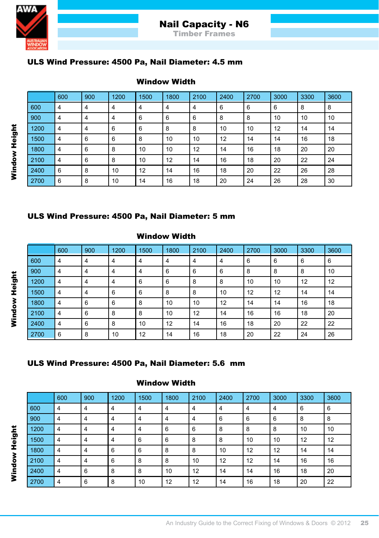

#### ULS Wind Pressure: 4500 Pa, Nail Diameter: 4.5 mm

|      | 600 | 900 | 1200 | 1500 | 1800 | 2100 | 2400 | 2700 | 3000 | 3300 | 3600 |
|------|-----|-----|------|------|------|------|------|------|------|------|------|
| 600  | 4   | 4   | 4    | 4    | 4    | 4    | 6    | 6    | 6    | 8    | 8    |
| 900  | 4   | 4   | 4    | 6    | 6    | 6    | 8    | 8    | 10   | 10   | 10   |
| 1200 | 4   | 4   | 6    | 6    | 8    | 8    | 10   | 10   | 12   | 14   | 14   |
| 1500 | 4   | 6   | 6    | 8    | 10   | 10   | 12   | 14   | 14   | 16   | 18   |
| 1800 | 4   | 6   | 8    | 10   | 10   | 12   | 14   | 16   | 18   | 20   | 20   |
| 2100 | 4   | 6   | 8    | 10   | 12   | 14   | 16   | 18   | 20   | 22   | 24   |
| 2400 | 6   | 8   | 10   | 12   | 14   | 16   | 18   | 20   | 22   | 26   | 28   |
| 2700 | 6   | 8   | 10   | 14   | 16   | 18   | 20   | 24   | 26   | 28   | 30   |

#### Window Width

#### ULS Wind Pressure: 4500 Pa, Nail Diameter: 5 mm

| <b>Window Width</b> |  |
|---------------------|--|
|                     |  |

|      | 600            | 900 | 1200           | 1500           | 1800           | 2100 | 2400 | 2700 | 3000 | 3300 | 3600 |
|------|----------------|-----|----------------|----------------|----------------|------|------|------|------|------|------|
| 600  | 4              | 4   | 4              | 4              | $\overline{4}$ | 4    | 4    | 6    | 6    | 6    | 6    |
| 900  | $\overline{4}$ | 4   | 4              | $\overline{4}$ | 6              | 6    | 6    | 8    | 8    | 8    | 10   |
| 1200 | 4              | 4   | $\overline{4}$ | 6              | 6              | 8    | 8    | 10   | 10   | 12   | 12   |
| 1500 | 4              | 4   | 6              | 6              | 8              | 8    | 10   | 12   | 12   | 14   | 14   |
| 1800 | 4              | 6   | 6              | 8              | 10             | 10   | 12   | 14   | 14   | 16   | 18   |
| 2100 | 4              | 6   | 8              | 8              | 10             | 12   | 14   | 16   | 16   | 18   | 20   |
| 2400 | $\overline{4}$ | 6   | 8              | 10             | 12             | 14   | 16   | 18   | 20   | 22   | 22   |
| 2700 | 6              | 8   | 10             | 12             | 14             | 16   | 18   | 20   | 22   | 24   | 26   |

#### ULS Wind Pressure: 4500 Pa, Nail Diameter: 5.6 mm

| <b>Window Width</b> |  |
|---------------------|--|
|                     |  |

|      | 600            | 900 | 1200 | 1500 | 1800 | 2100           | 2400 | 2700 | 3000 | 3300 | 3600 |
|------|----------------|-----|------|------|------|----------------|------|------|------|------|------|
| 600  | $\overline{4}$ | 4   | 4    | 4    | 4    | $\overline{4}$ | 4    | 4    | -4   | 6    | 6    |
| 900  | $\overline{4}$ | 4   | 4    | 4    | 4    | $\overline{4}$ | 6    | 6    | 6    | 8    | 8    |
| 1200 | $\overline{4}$ | 4   | 4    | 4    | 6    | 6              | 8    | 8    | 8    | 10   | 10   |
| 1500 | $\overline{4}$ | 4   | 4    | 6    | 6    | 8              | 8    | 10   | 10   | 12   | 12   |
| 1800 | $\overline{4}$ | 4   | 6    | 6    | 8    | 8              | 10   | 12   | 12   | 14   | 14   |
| 2100 | $\overline{4}$ | 4   | 6    | 8    | 8    | 10             | 12   | 12   | 14   | 16   | 16   |
| 2400 | $\overline{4}$ | 6   | 8    | 8    | 10   | 12             | 14   | 14   | 16   | 18   | 20   |
| 2700 | $\overline{4}$ | 6   | 8    | 10   | 12   | 12             | 14   | 16   | 18   | 20   | 22   |

Window Height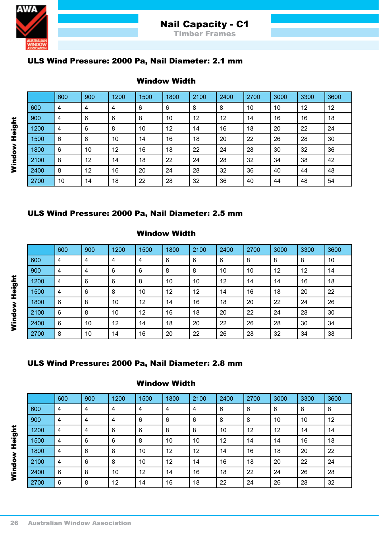

#### ULS Wind Pressure: 2000 Pa, Nail Diameter: 2.1 mm

|      | 600 | 900 | 1200 | 1500 | 1800 | 2100 | 2400 | 2700 | 3000 | 3300 | 3600 |
|------|-----|-----|------|------|------|------|------|------|------|------|------|
| 600  | 4   | 4   | 4    | 6    | 6    | 8    | 8    | 10   | 10   | 12   | 12   |
| 900  | 4   | 6   | 6    | 8    | 10   | 12   | 12   | 14   | 16   | 16   | 18   |
| 1200 | 4   | 6   | 8    | 10   | 12   | 14   | 16   | 18   | 20   | 22   | 24   |
| 1500 | 6   | 8   | 10   | 14   | 16   | 18   | 20   | 22   | 26   | 28   | 30   |
| 1800 | 6   | 10  | 12   | 16   | 18   | 22   | 24   | 28   | 30   | 32   | 36   |
| 2100 | 8   | 12  | 14   | 18   | 22   | 24   | 28   | 32   | 34   | 38   | 42   |
| 2400 | 8   | 12  | 16   | 20   | 24   | 28   | 32   | 36   | 40   | 44   | 48   |
| 2700 | 10  | 14  | 18   | 22   | 28   | 32   | 36   | 40   | 44   | 48   | 54   |

#### Window Width

#### ULS Wind Pressure: 2000 Pa, Nail Diameter: 2.5 mm

| <b>Window Width</b> |  |
|---------------------|--|
|                     |  |

|      | 600            | 900 | 1200           | 1500           | 1800 | 2100 | 2400 | 2700 | 3000 | 3300 | 3600 |
|------|----------------|-----|----------------|----------------|------|------|------|------|------|------|------|
| 600  | $\overline{4}$ | 4   | $\overline{4}$ | $\overline{4}$ | 6    | 6    | 6    | 8    | 8    | 8    | 10   |
| 900  | 4              | 4   | 6              | 6              | 8    | 8    | 10   | 10   | 12   | 12   | 14   |
| 1200 | 4              | 6   | 6              | 8              | 10   | 10   | 12   | 14   | 14   | 16   | 18   |
| 1500 | 4              | 6   | 8              | 10             | 12   | 12   | 14   | 16   | 18   | 20   | 22   |
| 1800 | 6              | 8   | 10             | 12             | 14   | 16   | 18   | 20   | 22   | 24   | 26   |
| 2100 | 6              | 8   | 10             | 12             | 16   | 18   | 20   | 22   | 24   | 28   | 30   |
| 2400 | 6              | 10  | 12             | 14             | 18   | 20   | 22   | 26   | 28   | 30   | 34   |
| 2700 | 8              | 10  | 14             | 16             | 20   | 22   | 26   | 28   | 32   | 34   | 38   |

#### ULS Wind Pressure: 2000 Pa, Nail Diameter: 2.8 mm

#### Window Width

|      | 600 | 900 | 1200 | 1500 | 1800 | 2100           | 2400 | 2700 | 3000 | 3300 | 3600 |
|------|-----|-----|------|------|------|----------------|------|------|------|------|------|
| 600  | 4   | 4   | 4    | 4    | 4    | $\overline{4}$ | 6    | 6    | 6    | 8    | 8    |
| 900  | -4  | 4   | 4    | 6    | 6    | 6              | 8    | 8    | 10   | 10   | 12   |
| 1200 | 4   | 4   | 6    | 6    | 8    | 8              | 10   | 12   | 12   | 14   | 14   |
| 1500 | 4   | 6   | 6    | 8    | 10   | 10             | 12   | 14   | 14   | 16   | 18   |
| 1800 | -4  | 6   | 8    | 10   | 12   | 12             | 14   | 16   | 18   | 20   | 22   |
| 2100 | -4  | 6   | 8    | 10   | 12   | 14             | 16   | 18   | 20   | 22   | 24   |
| 2400 | 6   | 8   | 10   | 12   | 14   | 16             | 18   | 22   | 24   | 26   | 28   |
| 2700 | 6   | 8   | 12   | 14   | 16   | 18             | 22   | 24   | 26   | 28   | 32   |

Window Height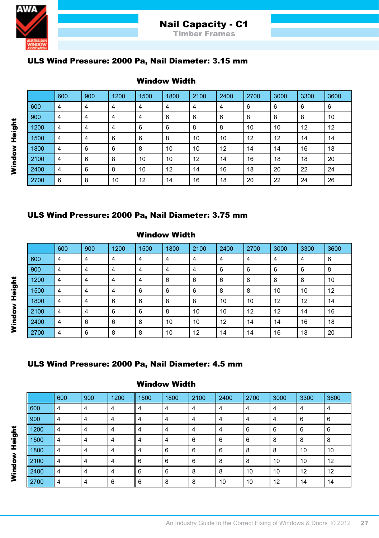

#### ULS Wind Pressure: 2000 Pa, Nail Diameter: 3.15 mm

|      | 600 | 900 | 1200 | 1500 | 1800 | 2100 | 2400 | 2700 | 3000 | 3300 | 3600 |
|------|-----|-----|------|------|------|------|------|------|------|------|------|
| 600  | 4   | 4   | 4    | 4    | 4    | 4    | 4    | 6    | 6    | 6    | 6    |
| 900  | 4   | 4   | 4    | 4    | 6    | 6    | 6    | 8    | 8    | 8    | 10   |
| 1200 | 4   | 4   | 4    | 6    | 6    | 8    | 8    | 10   | 10   | 12   | 12   |
| 1500 | 4   | 4   | 6    | 6    | 8    | 10   | 10   | 12   | 12   | 14   | 14   |
| 1800 | 4   | 6   | 6    | 8    | 10   | 10   | 12   | 14   | 14   | 16   | 18   |
| 2100 | 4   | 6   | 8    | 10   | 10   | 12   | 14   | 16   | 18   | 18   | 20   |
| 2400 | 4   | 6   | 8    | 10   | 12   | 14   | 16   | 18   | 20   | 22   | 24   |
| 2700 | 6   | 8   | 10   | 12   | 14   | 16   | 18   | 20   | 22   | 24   | 26   |

#### Window Width

#### ULS Wind Pressure: 2000 Pa, Nail Diameter: 3.75 mm

|      | 600            | 900 | 1200 | 1500 | 1800 | 2100 | 2400 | 2700 | 3000 | 3300 | 3600 |
|------|----------------|-----|------|------|------|------|------|------|------|------|------|
| 600  | 4              | 4   | 4    | 4    | 4    | 4    | -4   | 4    | 4    | 4    | 6    |
| 900  | 4              | 4   | 4    | 4    | 4    | 4    | 6    | 6    | 6    | 6    | 8    |
| 1200 | 4              | 4   | 4    | 4    | 6    | 6    | 6    | 8    | 8    | 8    | 10   |
| 1500 | 4              | 4   | 4    | 6    | 6    | 6    | 8    | 8    | 10   | 10   | 12   |
| 1800 | 4              | 4   | 6    | 6    | 8    | 8    | 10   | 10   | 12   | 12   | 14   |
| 2100 | $\overline{4}$ | 4   | 6    | 6    | 8    | 10   | 10   | 12   | 12   | 14   | 16   |
| 2400 | 4              | 6   | 6    | 8    | 10   | 10   | 12   | 14   | 14   | 16   | 18   |
| 2700 | 4              | 6   | 8    | 8    | 10   | 12   | 14   | 14   | 16   | 18   | 20   |

#### ULS Wind Pressure: 2000 Pa, Nail Diameter: 4.5 mm

#### Window Width

|      | 600            | 900 | 1200           | 1500           | 1800 | 2100           | 2400 | 2700           | 3000 | 3300           | 3600           |
|------|----------------|-----|----------------|----------------|------|----------------|------|----------------|------|----------------|----------------|
| 600  | $\overline{4}$ | 4   | $\overline{4}$ | $\overline{4}$ | 4    | $\overline{4}$ | 4    | $\overline{4}$ | 4    | $\overline{4}$ | $\overline{4}$ |
| 900  | $\overline{4}$ | 4   | $\overline{4}$ | 4              | 4    | 4              | 4    | $\overline{4}$ | 4    | 6              | 6              |
| 1200 | $\overline{4}$ | 4   | $\overline{4}$ | $\overline{4}$ | 4    | 4              | 4    | 6              | 6    | 6              | 6              |
| 1500 | $\overline{4}$ | 4   | $\overline{4}$ | $\overline{4}$ | 4    | 6              | 6    | 6              | 8    | 8              | 8              |
| 1800 | $\overline{4}$ | 4   | 4              | 4              | 6    | 6              | 6    | 8              | 8    | 10             | 10             |
| 2100 | $\overline{4}$ | 4   | 4              | 6              | 6    | 6              | 8    | 8              | 10   | 10             | 12             |
| 2400 | $\overline{4}$ | 4   | 4              | 6              | 6    | 8              | 8    | 10             | 10   | 12             | 12             |
| 2700 | $\overline{4}$ | 4   | 6              | 6              | 8    | 8              | 10   | 10             | 12   | 14             | 14             |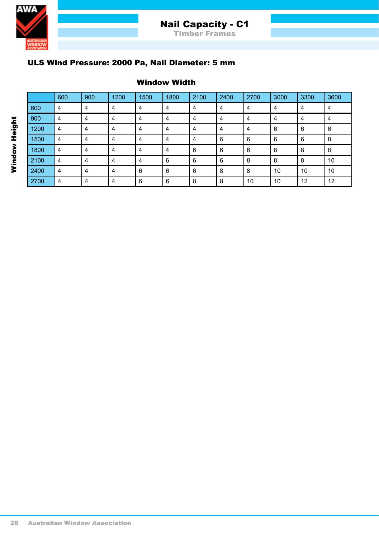

#### Nail Capacity - C1 Timber Frames

#### ULS Wind Pressure: 2000 Pa, Nail Diameter: 5 mm

|      | 600            | 900 | 1200 | 1500 | 1800 | 2100 | 2400 | 2700 | 3000 | 3300 | 3600           |
|------|----------------|-----|------|------|------|------|------|------|------|------|----------------|
| 600  | $\overline{4}$ | 4   | 4    | 4    | 4    | 4    | 4    | 4    | 4    | 4    | $\overline{4}$ |
| 900  | $\overline{4}$ | 4   | 4    | 4    | 4    | 4    | -4   | 4    | 4    | 4    | 4              |
| 1200 | $\overline{4}$ | 4   | 4    | 4    | 4    | 4    | 4    | 4    | 6    | 6    | 6              |
| 1500 | 4              | 4   | 4    | 4    | 4    | 4    | 6    | 6    | 6    | 6    | 8              |
| 1800 | $\overline{4}$ | 4   | 4    | 4    | 4    | 6    | 6    | 6    | 8    | 8    | 8              |
| 2100 | $\overline{4}$ | 4   | 4    | 4    | 6    | 6    | 6    | 8    | 8    | 8    | 10             |
| 2400 | 4              | 4   | 4    | 6    | 6    | 6    | 8    | 8    | 10   | 10   | 10             |
| 2700 | 4              | 4   | 4    | 6    | 6    | 8    | 8    | 10   | 10   | 12   | 12             |

#### Window Width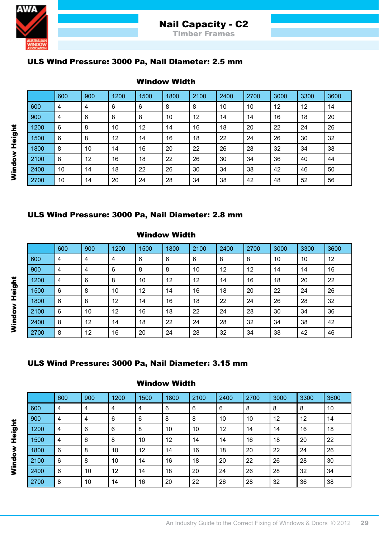

#### ULS Wind Pressure: 3000 Pa, Nail Diameter: 2.5 mm

|      | 600            | 900 | 1200 | 1500 | 1800 | 2100 | 2400 | 2700 | 3000 | 3300 | 3600 |
|------|----------------|-----|------|------|------|------|------|------|------|------|------|
| 600  | $\overline{4}$ | 4   | 6    | 6    | 8    | 8    | 10   | 10   | 12   | 12   | 14   |
| 900  | 4              | 6   | 8    | 8    | 10   | 12   | 14   | 14   | 16   | 18   | 20   |
| 1200 | 6              | 8   | 10   | 12   | 14   | 16   | 18   | 20   | 22   | 24   | 26   |
| 1500 | 6              | 8   | 12   | 14   | 16   | 18   | 22   | 24   | 26   | 30   | 32   |
| 1800 | 8              | 10  | 14   | 16   | 20   | 22   | 26   | 28   | 32   | 34   | 38   |
| 2100 | 8              | 12  | 16   | 18   | 22   | 26   | 30   | 34   | 36   | 40   | 44   |
| 2400 | 10             | 14  | 18   | 22   | 26   | 30   | 34   | 38   | 42   | 46   | 50   |
| 2700 | 10             | 14  | 20   | 24   | 28   | 34   | 38   | 42   | 48   | 52   | 56   |

#### Window Width

#### ULS Wind Pressure: 3000 Pa, Nail Diameter: 2.8 mm

#### Window Width

|      | 600 | 900 | 1200 | 1500 | 1800 | 2100 | 2400 | 2700 | 3000 | 3300 | 3600 |
|------|-----|-----|------|------|------|------|------|------|------|------|------|
| 600  | 4   | 4   | 4    | 6    | 6    | 6    | 8    | 8    | 10   | 10   | 12   |
| 900  | 4   | 4   | 6    | 8    | 8    | 10   | 12   | 12   | 14   | 14   | 16   |
| 1200 | 4   | 6   | 8    | 10   | 12   | 12   | 14   | 16   | 18   | 20   | 22   |
| 1500 | 6   | 8   | 10   | 12   | 14   | 16   | 18   | 20   | 22   | 24   | 26   |
| 1800 | 6   | 8   | 12   | 14   | 16   | 18   | 22   | 24   | 26   | 28   | 32   |
| 2100 | 6   | 10  | 12   | 16   | 18   | 22   | 24   | 28   | 30   | 34   | 36   |
| 2400 | 8   | 12  | 14   | 18   | 22   | 24   | 28   | 32   | 34   | 38   | 42   |
| 2700 | 8   | 12  | 16   | 20   | 24   | 28   | 32   | 34   | 38   | 42   | 46   |

#### ULS Wind Pressure: 3000 Pa, Nail Diameter: 3.15 mm

#### Window Width

|      | 600            | 900            | 1200 | 1500 | 1800 | 2100 | 2400 | 2700 | 3000 | 3300 | 3600 |
|------|----------------|----------------|------|------|------|------|------|------|------|------|------|
| 600  | $\overline{4}$ | $\overline{4}$ | 4    | 4    | 6    | 6    | 6    | 8    | 8    | 8    | 10   |
| 900  | 4              | $\overline{4}$ | 6    | 6    | 8    | 8    | 10   | 10   | 12   | 12   | 14   |
| 1200 | 4              | 6              | 6    | 8    | 10   | 10   | 12   | 14   | 14   | 16   | 18   |
| 1500 | 4              | 6              | 8    | 10   | 12   | 14   | 14   | 16   | 18   | 20   | 22   |
| 1800 | 6              | 8              | 10   | 12   | 14   | 16   | 18   | 20   | 22   | 24   | 26   |
| 2100 | 6              | 8              | 10   | 14   | 16   | 18   | 20   | 22   | 26   | 28   | 30   |
| 2400 | 6              | 10             | 12   | 14   | 18   | 20   | 24   | 26   | 28   | 32   | 34   |
| 2700 | 8              | 10             | 14   | 16   | 20   | 22   | 26   | 28   | 32   | 36   | 38   |

Window Height

Window Height

**Window Height** Window Height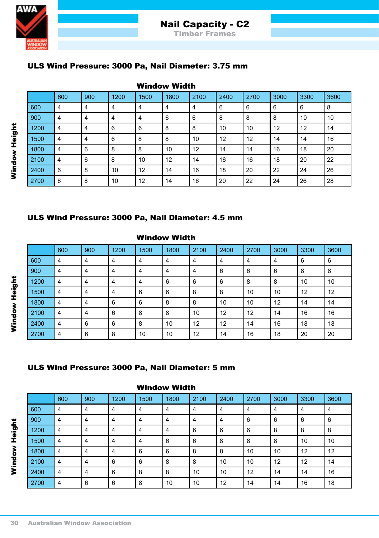

## Window Height Window Height

#### ULS Wind Pressure: 3000 Pa, Nail Diameter: 3.75 mm

Window Width

|      |                |     |      |                | TTIILWYT TTIWLII |      |      |      |      |      |      |
|------|----------------|-----|------|----------------|------------------|------|------|------|------|------|------|
|      | 600            | 900 | 1200 | 1500           | 1800             | 2100 | 2400 | 2700 | 3000 | 3300 | 3600 |
| 600  | 4              | 4   | 4    | 4              | 4                | 4    | 6    | 6    | 6    | 6    | 8    |
| 900  | $\overline{4}$ | 4   | 4    | $\overline{4}$ | 6                | 6    | 8    | 8    | 8    | 10   | 10   |
| 1200 | $\overline{4}$ | 4   | 6    | 6              | 8                | 8    | 10   | 10   | 12   | 12   | 14   |
| 1500 | $\overline{4}$ | 4   | 6    | 8              | 8                | 10   | 12   | 12   | 14   | 14   | 16   |
| 1800 | 4              | 6   | 8    | 8              | 10               | 12   | 14   | 14   | 16   | 18   | 20   |
| 2100 | 4              | 6   | 8    | 10             | 12               | 14   | 16   | 16   | 18   | 20   | 22   |
| 2400 | 6              | 8   | 10   | 12             | 14               | 16   | 18   | 20   | 22   | 24   | 26   |
| 2700 | 6              | 8   | 10   | 12             | 14               | 16   | 20   | 22   | 24   | 26   | 28   |

#### ULS Wind Pressure: 3000 Pa, Nail Diameter: 4.5 mm

|      |                |                |      |      | <b>Window Width</b> |      |                |      |      |      |      |
|------|----------------|----------------|------|------|---------------------|------|----------------|------|------|------|------|
|      | 600            | 900            | 1200 | 1500 | 1800                | 2100 | 2400           | 2700 | 3000 | 3300 | 3600 |
| 600  | 4              | 4              | 4    | 4    | 4                   | 4    | $\overline{4}$ | 4    | 4    | 6    | 6    |
| 900  | $\overline{4}$ | $\overline{4}$ | 4    | 4    | 4                   | 4    | 6              | 6    | 6    | 8    | 8    |
| 1200 | 4              | 4              | 4    | 4    | 6                   | 6    | 6              | 8    | 8    | 10   | 10   |
| 1500 | $\overline{4}$ | $\overline{4}$ | 4    | 6    | 6                   | 8    | 8              | 10   | 10   | 12   | 12   |
| 1800 | 4              | 4              | 6    | 6    | 8                   | 8    | 10             | 10   | 12   | 14   | 14   |
| 2100 | $\overline{4}$ | 4              | 6    | 8    | 8                   | 10   | 12             | 12   | 14   | 16   | 16   |
| 2400 | 4              | 6              | 6    | 8    | 10                  | 12   | 12             | 14   | 16   | 18   | 18   |
| 2700 | 4              | 6              | 8    | 10   | 10                  | 12   | 14             | 16   | 18   | 20   | 20   |

#### ULS Wind Pressure: 3000 Pa, Nail Diameter: 5 mm

| WHILMOW WHILLI |     |                |                |      |      |                |      |      |      |      |      |
|----------------|-----|----------------|----------------|------|------|----------------|------|------|------|------|------|
|                | 600 | 900            | 1200           | 1500 | 1800 | 2100           | 2400 | 2700 | 3000 | 3300 | 3600 |
| 600            | 4   | 4              | $\overline{4}$ | 4    | 4    | 4              | 4    | 4    | 4    | 4    | 4    |
| 900            | 4   | 4              | 4              | 4    | 4    | $\overline{4}$ | 4    | 6    | 6    | 6    | 6    |
| 1200           | 4   | $\overline{4}$ | 4              | 4    | 4    | 6              | 6    | 6    | 8    | 8    | 8    |
| 1500           | 4   | 4              | 4              | 4    | 6    | 6              | 8    | 8    | 8    | 10   | 10   |
| 1800           | 4   | 4              | 4              | 6    | 6    | 8              | 8    | 10   | 10   | 12   | 12   |
| 2100           | 4   | 4              | 6              | 6    | 8    | 8              | 10   | 10   | 12   | 12   | 14   |
| 2400           | 4   | 4              | 6              | 8    | 8    | 10             | 10   | 12   | 14   | 14   | 16   |
| 2700           | 4   | 6              | 6              | 8    | 10   | 10             | 12   | 14   | 14   | 16   | 18   |

#### Window Width

Window Height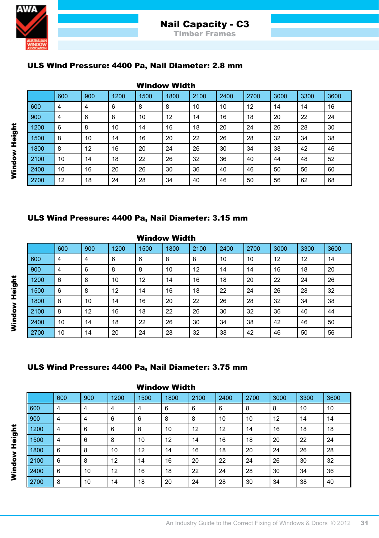

Window Height

Window Height

Window Height

Window Height

#### 600 900 1200 1500 1800 2100 2400 2700 3000 3300 3600 600 4 4 6 8 8 10 10 12 14 14 16 900 4 6 8 10 12 14 16 18 20 22 24 1200 6 8 10 14 16 18 20 24 26 28 30 1500 8 10 14 16 20 22 26 28 32 34 38 1800 8 12 16 20 24 26 30 34 38 42 46 2100 |10 |14 |18 |22 |26 |32 |36 |40 |44 |48 |52 2400 |10 |16 |20 |26 |30 |36 |40 |46 |50 |56 |60 2700 12 18 24 28 34 40 46 50 56 62 68

Window Width

#### ULS Wind Pressure: 4400 Pa, Nail Diameter: 2.8 mm

#### ULS Wind Pressure: 4400 Pa, Nail Diameter: 3.15 mm

|      | <b>Window Width</b> |     |      |      |      |      |      |      |      |      |      |  |  |
|------|---------------------|-----|------|------|------|------|------|------|------|------|------|--|--|
|      | 600                 | 900 | 1200 | 1500 | 1800 | 2100 | 2400 | 2700 | 3000 | 3300 | 3600 |  |  |
| 600  | 4                   | 4   | 6    | 6    | 8    | 8    | 10   | 10   | 12   | 12   | 14   |  |  |
| 900  | 4                   | 6   | 8    | 8    | 10   | 12   | 14   | 14   | 16   | 18   | 20   |  |  |
| 1200 | 6                   | 8   | 10   | 12   | 14   | 16   | 18   | 20   | 22   | 24   | 26   |  |  |
| 1500 | 6                   | 8   | 12   | 14   | 16   | 18   | 22   | 24   | 26   | 28   | 32   |  |  |
| 1800 | 8                   | 10  | 14   | 16   | 20   | 22   | 26   | 28   | 32   | 34   | 38   |  |  |
| 2100 | 8                   | 12  | 16   | 18   | 22   | 26   | 30   | 32   | 36   | 40   | 44   |  |  |
| 2400 | 10                  | 14  | 18   | 22   | 26   | 30   | 34   | 38   | 42   | 46   | 50   |  |  |
| 2700 | 10                  | 14  | 20   | 24   | 28   | 32   | 38   | 42   | 46   | 50   | 56   |  |  |

#### ULS Wind Pressure: 4400 Pa, Nail Diameter: 3.75 mm

| <b>Window Width</b> |                |     |      |      |      |      |      |      |      |      |      |
|---------------------|----------------|-----|------|------|------|------|------|------|------|------|------|
|                     | 600            | 900 | 1200 | 1500 | 1800 | 2100 | 2400 | 2700 | 3000 | 3300 | 3600 |
| 600                 | $\overline{4}$ | 4   | 4    | 4    | 6    | 6    | 6    | 8    | 8    | 10   | 10   |
| 900                 | $\overline{4}$ | 4   | 6    | 6    | 8    | 8    | 10   | 10   | 12   | 14   | 14   |
| 1200                | 4              | 6   | 6    | 8    | 10   | 12   | 12   | 14   | 16   | 18   | 18   |
| 1500                | 4              | 6   | 8    | 10   | 12   | 14   | 16   | 18   | 20   | 22   | 24   |
| 1800                | 6              | 8   | 10   | 12   | 14   | 16   | 18   | 20   | 24   | 26   | 28   |
| 2100                | 6              | 8   | 12   | 14   | 16   | 20   | 22   | 24   | 26   | 30   | 32   |
| 2400                | 6              | 10  | 12   | 16   | 18   | 22   | 24   | 28   | 30   | 34   | 36   |
| 2700                | 8              | 10  | 14   | 18   | 20   | 24   | 28   | 30   | 34   | 38   | 40   |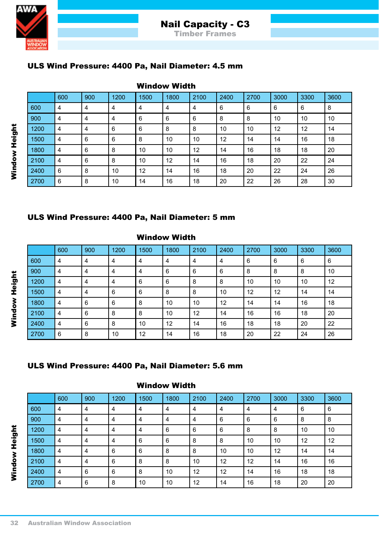

## Window Height Window Height

Window Height

**Window Height** 

#### ULS Wind Pressure: 4400 Pa, Nail Diameter: 4.5 mm

Window Width

|      | 600 | 900 | 1200 | 1500 | 1800           | 2100 | 2400 | 2700 | 3000 | 3300 | 3600 |
|------|-----|-----|------|------|----------------|------|------|------|------|------|------|
| 600  | 4   | 4   | 4    | 4    | $\overline{4}$ | 4    | 6    | 6    | 6    | 6    | 8    |
| 900  | 4   | 4   | 4    | 6    | 6              | 6    | 8    | 8    | 10   | 10   | 10   |
| 1200 | 4   | 4   | 6    | 6    | 8              | 8    | 10   | 10   | 12   | 12   | 14   |
| 1500 | 4   | 6   | 6    | 8    | 10             | 10   | 12   | 14   | 14   | 16   | 18   |
| 1800 | 4   | 6   | 8    | 10   | 10             | 12   | 14   | 16   | 18   | 18   | 20   |
| 2100 | 4   | 6   | 8    | 10   | 12             | 14   | 16   | 18   | 20   | 22   | 24   |
| 2400 | 6   | 8   | 10   | 12   | 14             | 16   | 18   | 20   | 22   | 24   | 26   |
| 2700 | 6   | 8   | 10   | 14   | 16             | 18   | 20   | 22   | 26   | 28   | 30   |

#### ULS Wind Pressure: 4400 Pa, Nail Diameter: 5 mm

|      |                |     |      |      | <b>Window Width</b> |      |      |      |      |      |      |
|------|----------------|-----|------|------|---------------------|------|------|------|------|------|------|
|      | 600            | 900 | 1200 | 1500 | 1800                | 2100 | 2400 | 2700 | 3000 | 3300 | 3600 |
| 600  | 4              | 4   | 4    | 4    | 4                   | 4    | 4    | 6    | 6    | 6    | 6    |
| 900  | $\overline{4}$ | 4   | 4    | 4    | 6                   | 6    | 6    | 8    | 8    | 8    | 10   |
| 1200 | 4              | 4   | 4    | 6    | 6                   | 8    | 8    | 10   | 10   | 10   | 12   |
| 1500 | 4              | 4   | 6    | 6    | 8                   | 8    | 10   | 12   | 12   | 14   | 14   |
| 1800 | 4              | 6   | 6    | 8    | 10                  | 10   | 12   | 14   | 14   | 16   | 18   |
| 2100 | 4              | 6   | 8    | 8    | 10                  | 12   | 14   | 16   | 16   | 18   | 20   |
| 2400 | 4              | 6   | 8    | 10   | 12                  | 14   | 16   | 18   | 18   | 20   | 22   |
| 2700 | 6              | 8   | 10   | 12   | 14                  | 16   | 18   | 20   | 22   | 24   | 26   |

#### ULS Wind Pressure: 4400 Pa, Nail Diameter: 5.6 mm

|      | 600            | 900 | 1200 | 1500 | 1800 | 2100 | 2400           | 2700 | 3000 | 3300 | 3600 |
|------|----------------|-----|------|------|------|------|----------------|------|------|------|------|
| 600  | 4              | 4   | 4    | 4    | 4    | 4    | $\overline{4}$ | 4    | 4    | 6    | 6    |
| 900  | $\overline{4}$ | 4   | 4    | 4    | 4    | 4    | 6              | 6    | 6    | 8    | 8    |
| 1200 | $\overline{4}$ | 4   | 4    | 4    | 6    | 6    | 6              | 8    | 8    | 10   | 10   |
| 1500 | $\overline{4}$ | 4   | 4    | 6    | 6    | 8    | 8              | 10   | 10   | 12   | 12   |
| 1800 | 4              | 4   | 6    | 6    | 8    | 8    | 10             | 10   | 12   | 14   | 14   |
| 2100 | $\overline{4}$ | 4   | 6    | 8    | 8    | 10   | 12             | 12   | 14   | 16   | 16   |
| 2400 | 4              | 6   | 6    | 8    | 10   | 12   | 12             | 14   | 16   | 18   | 18   |
| 2700 | 4              | 6   | 8    | 10   | 10   | 12   | 14             | 16   | 18   | 20   | 20   |

#### Window Width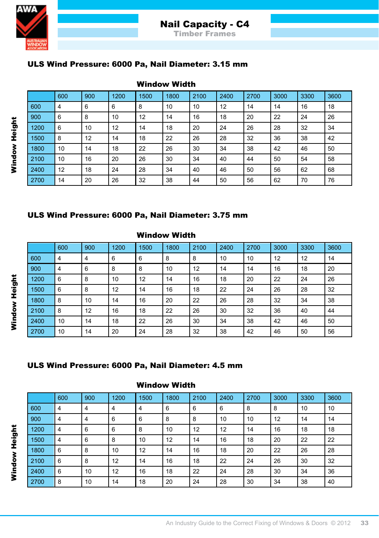

## Window Height Window Height

#### ULS Wind Pressure: 6000 Pa, Nail Diameter: 3.15 mm

Window Width

|      | 600            | 900 | 1200 | 1500 | 1800 | 2100 | 2400 | 2700 | 3000 | 3300 | 3600 |
|------|----------------|-----|------|------|------|------|------|------|------|------|------|
| 600  | $\overline{4}$ | 6   | 6    | 8    | 10   | 10   | 12   | 14   | 14   | 16   | 18   |
| 900  | 6              | 8   | 10   | 12   | 14   | 16   | 18   | 20   | 22   | 24   | 26   |
| 1200 | 6              | 10  | 12   | 14   | 18   | 20   | 24   | 26   | 28   | 32   | 34   |
| 1500 | 8              | 12  | 14   | 18   | 22   | 26   | 28   | 32   | 36   | 38   | 42   |
| 1800 | 10             | 14  | 18   | 22   | 26   | 30   | 34   | 38   | 42   | 46   | 50   |
| 2100 | 10             | 16  | 20   | 26   | 30   | 34   | 40   | 44   | 50   | 54   | 58   |
| 2400 | 12             | 18  | 24   | 28   | 34   | 40   | 46   | 50   | 56   | 62   | 68   |
| 2700 | 14             | 20  | 26   | 32   | 38   | 44   | 50   | 56   | 62   | 70   | 76   |

### ULS Wind Pressure: 6000 Pa, Nail Diameter: 3.75 mm

| <b>Window Width</b> |
|---------------------|
|                     |

|      | 600 | 900 | 1200 | 1500 | 1800 | 2100 | 2400 | 2700 | 3000 | 3300 | 3600 |
|------|-----|-----|------|------|------|------|------|------|------|------|------|
| 600  | 4   | 4   | 6    | 6    | 8    | 8    | 10   | 10   | 12   | 12   | 14   |
| 900  | 4   | 6   | 8    | 8    | 10   | 12   | 14   | 14   | 16   | 18   | 20   |
| 1200 | 6   | 8   | 10   | 12   | 14   | 16   | 18   | 20   | 22   | 24   | 26   |
| 1500 | 6   | 8   | 12   | 14   | 16   | 18   | 22   | 24   | 26   | 28   | 32   |
| 1800 | 8   | 10  | 14   | 16   | 20   | 22   | 26   | 28   | 32   | 34   | 38   |
| 2100 | 8   | 12  | 16   | 18   | 22   | 26   | 30   | 32   | 36   | 40   | 44   |
| 2400 | 10  | 14  | 18   | 22   | 26   | 30   | 34   | 38   | 42   | 46   | 50   |
| 2700 | 10  | 14  | 20   | 24   | 28   | 32   | 38   | 42   | 46   | 50   | 56   |

#### ULS Wind Pressure: 6000 Pa, Nail Diameter: 4.5 mm

|      | 600            | 900 | 1200 | 1500 | 1800 | 2100 | 2400 | 2700 | 3000 | 3300 | 3600 |
|------|----------------|-----|------|------|------|------|------|------|------|------|------|
| 600  | 4              | 4   | 4    | 4    | 6    | 6    | 6    | 8    | 8    | 10   | 10   |
| 900  | $\overline{4}$ | 4   | 6    | 6    | 8    | 8    | 10   | 10   | 12   | 14   | 14   |
| 1200 | $\overline{4}$ | 6   | 6    | 8    | 10   | 12   | 12   | 14   | 16   | 18   | 18   |
| 1500 | 4              | 6   | 8    | 10   | 12   | 14   | 16   | 18   | 20   | 22   | 22   |
| 1800 | 6              | 8   | 10   | 12   | 14   | 16   | 18   | 20   | 22   | 26   | 28   |
| 2100 | 6              | 8   | 12   | 14   | 16   | 18   | 22   | 24   | 26   | 30   | 32   |
| 2400 | 6              | 10  | 12   | 16   | 18   | 22   | 24   | 28   | 30   | 34   | 36   |
| 2700 | 8              | 10  | 14   | 18   | 20   | 24   | 28   | 30   | 34   | 38   | 40   |

#### Window Width

Window Height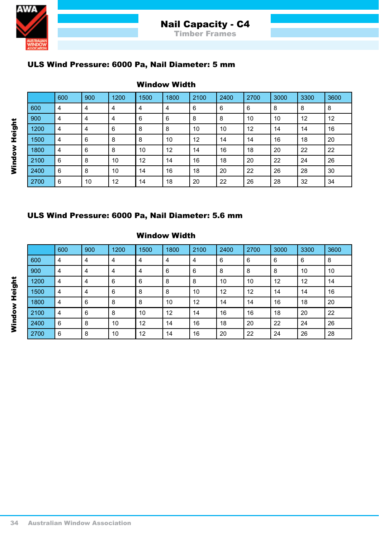

#### ULS Wind Pressure: 6000 Pa, Nail Diameter: 5 mm

|      | 600 | 900 | 1200 | 1500 | 1800 | 2100 | 2400 | 2700 | 3000 | 3300 | 3600 |
|------|-----|-----|------|------|------|------|------|------|------|------|------|
| 600  | 4   | 4   | 4    | 4    | 4    | 6    | 6    | 6    | 8    | 8    | 8    |
| 900  | 4   | 4   | 4    | 6    | 6    | 8    | 8    | 10   | 10   | 12   | 12   |
| 1200 | 4   | 4   | 6    | 8    | 8    | 10   | 10   | 12   | 14   | 14   | 16   |
| 1500 | 4   | 6   | 8    | 8    | 10   | 12   | 14   | 14   | 16   | 18   | 20   |
| 1800 | 4   | 6   | 8    | 10   | 12   | 14   | 16   | 18   | 20   | 22   | 22   |
| 2100 | 6   | 8   | 10   | 12   | 14   | 16   | 18   | 20   | 22   | 24   | 26   |
| 2400 | 6   | 8   | 10   | 14   | 16   | 18   | 20   | 22   | 26   | 28   | 30   |
| 2700 | 6   | 10  | 12   | 14   | 18   | 20   | 22   | 26   | 28   | 32   | 34   |

#### Window Width

#### ULS Wind Pressure: 6000 Pa, Nail Diameter: 5.6 mm

|      | 600            | 900 | 1200 | 1500 | 1800 | 2100 | 2400 | 2700 | 3000 | 3300 | 3600 |
|------|----------------|-----|------|------|------|------|------|------|------|------|------|
| 600  | $\overline{4}$ | 4   | 4    | 4    | 4    | 4    | 6    | 6    | 6    | 6    | 8    |
| 900  | $\overline{4}$ | 4   | 4    | 4    | 6    | 6    | 8    | 8    | 8    | 10   | 10   |
| 1200 | $\overline{4}$ | 4   | 6    | 6    | 8    | 8    | 10   | 10   | 12   | 12   | 14   |
| 1500 | 4              | 4   | 6    | 8    | 8    | 10   | 12   | 12   | 14   | 14   | 16   |
| 1800 | 4              | 6   | 8    | 8    | 10   | 12   | 14   | 14   | 16   | 18   | 20   |
| 2100 | 4              | 6   | 8    | 10   | 12   | 14   | 16   | 16   | 18   | 20   | 22   |
| 2400 | 6              | 8   | 10   | 12   | 14   | 16   | 18   | 20   | 22   | 24   | 26   |
| 2700 | 6              | 8   | 10   | 12   | 14   | 16   | 20   | 22   | 24   | 26   | 28   |

Window Height

Window Height

#### Window Width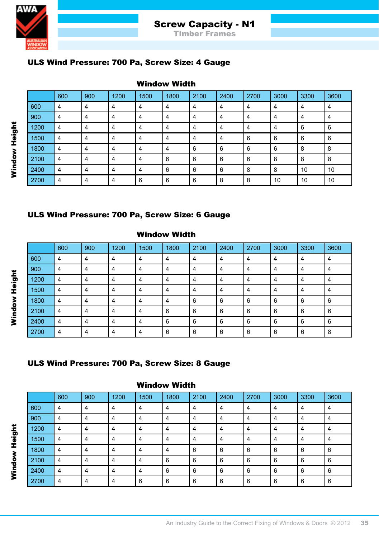

Window Height

**Window Height** 

#### ULS Wind Pressure: 700 Pa, Screw Size: 4 Gauge

|      |                |     |      |                | TTIILWYT TTIWLII |                |      |      |      |      |      |
|------|----------------|-----|------|----------------|------------------|----------------|------|------|------|------|------|
|      | 600            | 900 | 1200 | 1500           | 1800             | 2100           | 2400 | 2700 | 3000 | 3300 | 3600 |
| 600  | $\overline{4}$ | 4   | 4    | 4              | 4                | $\overline{4}$ | 4    | 4    | 4    | 4    | 4    |
| 900  | 4              | 4   | 4    | $\overline{4}$ | 4                | 4              | 4    | 4    | 4    | 4    | 4    |
| 1200 | 4              | 4   | 4    | 4              | 4                | 4              | 4    | 4    | 4    | 6    | 6    |
| 1500 | 4              | 4   | 4    | $\overline{4}$ | 4                | 4              | 4    | 6    | 6    | 6    | 6    |
| 1800 | 4              | 4   | 4    | 4              | 4                | 6              | 6    | 6    | 6    | 8    | 8    |
| 2100 | $\overline{4}$ | 4   | 4    | $\overline{4}$ | 6                | 6              | 6    | 6    | 8    | 8    | 8    |
| 2400 | 4              | 4   | 4    | $\overline{4}$ | 6                | 6              | 6    | 8    | 8    | 10   | 10   |
| 2700 | 4              | 4   | 4    | 6              | 6                | 6              | 8    | 8    | 10   | 10   | 10   |

#### Window Width

#### ULS Wind Pressure: 700 Pa, Screw Size: 6 Gauge

|      | 600 | 900 | 1200 | 1500 | 1800 | 2100 | 2400 | 2700 | 3000 | 3300 | 3600 |
|------|-----|-----|------|------|------|------|------|------|------|------|------|
| 600  | 4   | 4   | 4    | 4    | 4    | 4    | 4    | 4    |      | 4    | 4    |
| 900  | 4   | 4   | 4    | 4    | 4    | 4    | 4    | 4    | 4    | 4    | 4    |
| 1200 | 4   | 4   | 4    | 4    | 4    | 4    | 4    | 4    | 4    | 4    | 4    |
| 1500 | 4   | 4   | 4    | 4    | 4    | 4    | 4    | 4    | 4    | 4    | 4    |
| 1800 | 4   | 4   | 4    | 4    | 4    | 6    | 6    | 6    | 6    | 6    | 6    |
| 2100 | 4   | 4   | 4    | 4    | 6    | 6    | 6    | 6    | 6    | 6    | 6    |
| 2400 | 4   | 4   | 4    | 4    | 6    | 6    | 6    | 6    | 6    | 6    | 6    |
| 2700 | 4   | 4   | 4    | 4    | 6    | 6    | 6    | 6    | 6    | 6    | 8    |

#### ULS Wind Pressure: 700 Pa, Screw Size: 8 Gauge

|      |                |     |      |      | ----- <del>---</del> ----- <del>---</del> -- |                |      |      |      |                |      |
|------|----------------|-----|------|------|----------------------------------------------|----------------|------|------|------|----------------|------|
|      | 600            | 900 | 1200 | 1500 | 1800                                         | 2100           | 2400 | 2700 | 3000 | 3300           | 3600 |
| 600  | $\overline{4}$ | 4   | 4    | 4    | $\overline{4}$                               | 4              | 4    | 4    | 4    | $\overline{4}$ | 4    |
| 900  | 4              | 4   | 4    | 4    | 4                                            | 4              | 4    | 4    | 4    | $\overline{4}$ | 4    |
| 1200 | 4              | 4   | 4    | 4    | 4                                            | 4              | 4    | 4    | 4    | $\overline{4}$ | 4    |
| 1500 | 4              | 4   | 4    | 4    | 4                                            | $\overline{4}$ | 4    | 4    | 4    | 4              | 4    |
| 1800 | 4              | 4   | 4    | 4    | 4                                            | 6              | 6    | 6    | 6    | 6              | 6    |
| 2100 | 4              | 4   | 4    | 4    | 6                                            | 6              | 6    | 6    | 6    | 6              | 6    |
| 2400 | 4              | 4   | 4    | 4    | 6                                            | 6              | 6    | 6    | 6    | 6              | 6    |
| 2700 | 4              | 4   | 4    | 6    | 6                                            | 6              | 6    | 6    | 6    | 6              | 6    |

#### Window Width

Window Height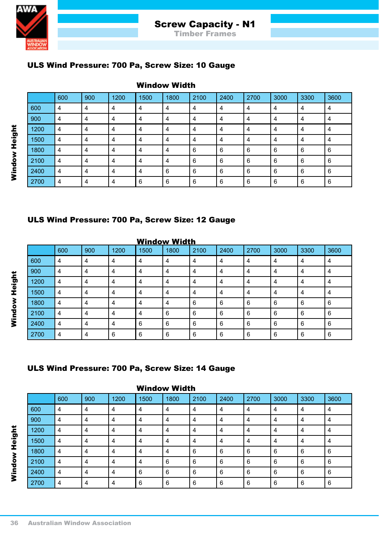

#### ULS Wind Pressure: 700 Pa, Screw Size: 10 Gauge

| <b>Window Width</b> |  |
|---------------------|--|
|                     |  |

|      | 600            | 900 | 1200 | 1500 | 1800 | 2100 | 2400           | 2700 | 3000 | 3300 | 3600 |
|------|----------------|-----|------|------|------|------|----------------|------|------|------|------|
| 600  | $\overline{4}$ | 4   | 4    | 4    | 4    | 4    | $\overline{4}$ | 4    | 4    | 4    | 4    |
| 900  | -4             | 4   | 4    | 4    | 4    | 4    | 4              | 4    | 4    | 4    | 4    |
| 1200 | 4              | 4   | 4    | 4    | 4    | 4    | 4              | 4    | 4    | 4    | 4    |
| 1500 | 4              | 4   | 4    | 4    | 4    | 4    | 4              | 4    | 4    | 4    | 4    |
| 1800 | -4             | 4   | 4    | 4    | 4    | 6    | 6              | 6    | 6    | 6    | 6    |
| 2100 | 4              | 4   | 4    | 4    | 4    | 6    | 6              | 6    | 6    | 6    | 6    |
| 2400 | 4              | 4   | 4    | 4    | 6    | 6    | 6              | 6    | 6    | 6    | 6    |
| 2700 | 4              | 4   | 4    | 6    | 6    | 6    | 6              | 6    | 6    | 6    | 6    |

#### ULS Wind Pressure: 700 Pa, Screw Size: 12 Gauge

| <b>Window Width</b> |  |                |     |      |      |      |      |      |      |      |      |      |
|---------------------|--|----------------|-----|------|------|------|------|------|------|------|------|------|
|                     |  | 600            | 900 | 1200 | 1500 | 1800 | 2100 | 2400 | 2700 | 3000 | 3300 | 3600 |
| 600                 |  | 4              | 4   | 4    | 4    | 4    | 4    | 4    | 4    | 4    | 4    | 4    |
| 900                 |  | $\overline{4}$ | 4   | 4    | 4    | 4    | 4    | 4    | 4    | 4    | 4    | 4    |
| 1200                |  | 4              | 4   | 4    | 4    | 4    | 4    | 4    | 4    | 4    | 4    | 4    |
| 1500                |  | 4              | 4   | 4    | 4    | 4    | 4    | 4    | 4    | 4    | 4    | 4    |
| 1800                |  | 4              | 4   | 4    | 4    | 4    | 6    | 6    | 6    | 6    | 6    | 6    |
| 2100                |  | 4              | 4   | 4    | 4    | 6    | 6    | 6    | 6    | 6    | 6    | 6    |
| 2400                |  | 4              | 4   | 4    | 6    | 6    | 6    | 6    | 6    | 6    | 6    | 6    |
| 2700                |  | 4              | 4   | 6    | 6    | 6    | 6    | 6    | 6    | 6    | 6    | 6    |

#### ULS Wind Pressure: 700 Pa, Screw Size: 14 Gauge

| <b>Window Width</b> |                |     |      |      |                |                |      |      |      |      |      |
|---------------------|----------------|-----|------|------|----------------|----------------|------|------|------|------|------|
|                     | 600            | 900 | 1200 | 1500 | 1800           | 2100           | 2400 | 2700 | 3000 | 3300 | 3600 |
| 600                 | 4              | 4   | 4    | 4    | 4              | 4              | 4    | -4   | 4    | 4    | 4    |
| 900                 | 4              | 4   | 4    | 4    | 4              | $\overline{4}$ | 4    | 4    | 4    | 4    | 4    |
| 1200                | 4              | 4   | 4    | 4    | 4              | 4              | 4    | 4    | 4    | 4    | 4    |
| 1500                | $\overline{4}$ | 4   | 4    | 4    | $\overline{4}$ | $\overline{4}$ | 4    | 4    | 4    | 4    | 4    |
| 1800                | 4              | 4   | 4    | 4    | 4              | 6              | 6    | 6    | 6    | 6    | 6    |
| 2100                | $\overline{4}$ | 4   | 4    | 4    | 6              | 6              | 6    | 6    | 6    | 6    | 6    |
| 2400                | $\overline{4}$ | 4   | 4    | 6    | 6              | 6              | 6    | 6    | 6    | 6    | 6    |
| 2700                | 4              | 4   | 4    | 6    | 6              | 6              | 6    | 6    | 6    | 6    | 6    |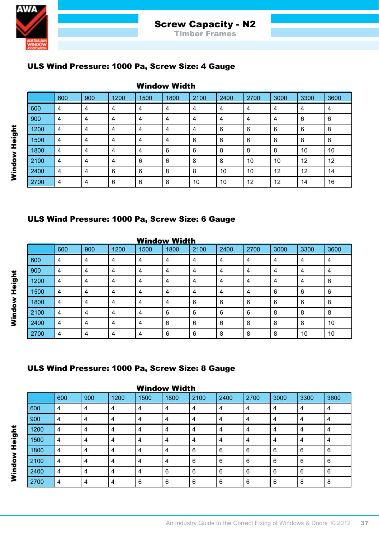

# Window Height Window Height

Window Height

Window Height

# ULS Wind Pressure: 1000 Pa, Screw Size: 4 Gauge

|      | <b>Window Width</b> |     |      |      |      |      |      |      |      |      |      |  |
|------|---------------------|-----|------|------|------|------|------|------|------|------|------|--|
|      | 600                 | 900 | 1200 | 1500 | 1800 | 2100 | 2400 | 2700 | 3000 | 3300 | 3600 |  |
| 600  | 4                   | 4   | 4    | 4    | 4    | 4    | 4    | 4    | 4    | 4    | 4    |  |
| 900  | $\overline{4}$      | 4   | 4    | 4    | 4    | 4    | 4    | 4    | 4    | 6    | 6    |  |
| 1200 | 4                   | 4   | 4    | 4    | 4    | 4    | 6    | 6    | 6    | 6    | 8    |  |
| 1500 | 4                   | 4   | 4    | 4    | 4    | 6    | 6    | 6    | 8    | 8    | 8    |  |
| 1800 | 4                   | 4   | 4    | 4    | 6    | 6    | 8    | 8    | 8    | 10   | 10   |  |
| 2100 | $\overline{4}$      | 4   | 4    | 6    | 6    | 8    | 8    | 10   | 10   | 12   | 12   |  |
| 2400 | $\overline{4}$      | 4   | 6    | 6    | 8    | 8    | 10   | 10   | 12   | 12   | 14   |  |
| 2700 | 4                   | 4   | 6    | 6    | 8    | 10   | 10   | 12   | 12   | 14   | 16   |  |

# ULS Wind Pressure: 1000 Pa, Screw Size: 6 Gauge

|      | <b>Window Width</b> |     |      |      |      |      |      |      |      |      |      |  |
|------|---------------------|-----|------|------|------|------|------|------|------|------|------|--|
|      | 600                 | 900 | 1200 | 1500 | 1800 | 2100 | 2400 | 2700 | 3000 | 3300 | 3600 |  |
| 600  | 4                   | 4   | 4    | 4    | 4    | 4    | 4    | 4    | 4    | 4    | 4    |  |
| 900  | 4                   | 4   | 4    | 4    | 4    | 4    | 4    | 4    | 4    | 4    | 4    |  |
| 1200 | 4                   | 4   | 4    | 4    | 4    | 4    | 4    | 4    | 4    | 4    | 6    |  |
| 1500 | 4                   | 4   | 4    | 4    | 4    | 4    | 4    | 4    | 6    | 6    | 6    |  |
| 1800 | 4                   | 4   | 4    | 4    | 4    | 6    | 6    | 6    | 6    | 6    | 8    |  |
| 2100 | 4                   | 4   | 4    | 4    | 6    | 6    | 6    | 6    | 8    | 8    | 8    |  |
| 2400 | 4                   | 4   | 4    | 4    | 6    | 6    | 6    | 8    | 8    | 8    | 10   |  |
| 2700 | 4                   | 4   | 4    | 4    | 6    | 6    | 8    | 8    | 8    | 10   | 10   |  |

# ULS Wind Pressure: 1000 Pa, Screw Size: 8 Gauge

|      |                |     |      |      | <b>Window Width</b> |      |      |      |      |                |                |
|------|----------------|-----|------|------|---------------------|------|------|------|------|----------------|----------------|
|      | 600            | 900 | 1200 | 1500 | 1800                | 2100 | 2400 | 2700 | 3000 | 3300           | 3600           |
| 600  | 4              | 4   | 4    | 4    | 4                   | 4    | 4    | 4    | 4    | 4              | 4              |
| 900  | $\overline{4}$ | 4   | 4    | 4    | 4                   | 4    | 4    | 4    | 4    | 4              | $\overline{4}$ |
| 1200 | 4              | 4   | 4    | 4    | 4                   | 4    | 4    | 4    | 4    | $\overline{4}$ | $\overline{4}$ |
| 1500 | 4              | 4   | 4    | 4    | 4                   | 4    | 4    | 4    | 4    | $\overline{4}$ | $\overline{4}$ |
| 1800 | $\overline{4}$ | 4   | 4    | 4    | 4                   | 6    | 6    | 6    | 6    | 6              | 6              |
| 2100 | $\overline{4}$ | 4   | 4    | 4    | 4                   | 6    | 6    | 6    | 6    | 6              | 6              |
| 2400 | 4              | 4   | 4    | 4    | 6                   | 6    | 6    | 6    | 6    | 6              | 6              |
| 2700 | $\overline{4}$ | 4   | 4    | 6    | 6                   | 6    | 6    | 6    | 6    | 8              | 8              |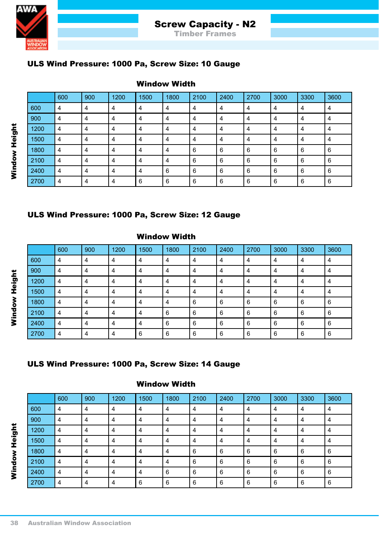

# ULS Wind Pressure: 1000 Pa, Screw Size: 10 Gauge

| <b>Window Width</b> |  |
|---------------------|--|
|                     |  |

|      | 600            | 900 | 1200 | 1500         | 1800 | 2100 | 2400 | 2700 | 3000 | 3300 | 3600 |
|------|----------------|-----|------|--------------|------|------|------|------|------|------|------|
| 600  | $\overline{4}$ | 4   | 4    | 4            | 4    | 4    | 4    | 4    | 4    | 4    | 4    |
| 900  | $\overline{4}$ | 4   | 4    | 4            | 4    | 4    | 4    | 4    | 4    | 4    | 4    |
| 1200 | 4              | 4   | 4    | 4            | 4    | 4    | 4    | 4    | 4    | 4    | 4    |
| 1500 | 4              | 4   | 4    | 4            | 4    | 4    | 4    | 4    | 4    | 4    | 4    |
| 1800 | 4              | 4   | 4    | 4            | 4    | 6    | 6    | 6    | 6    | 6    | 6    |
| 2100 | 4              | 4   | 4    | $^{\circ}$ 4 | 4    | 6    | 6    | 6    | 6    | 6    | 6    |
| 2400 | 4              | 4   | 4    | -4           | 6    | 6    | 6    | 6    | 6    | 6    | 6    |
| 2700 | 4              | 4   | 4    | 6            | 6    | 6    | 6    | 6    | 6    | 6    | 6    |

# ULS Wind Pressure: 1000 Pa, Screw Size: 12 Gauge

|      | 600            | 900 | 1200 | 1500           | 1800 | 2100 | 2400           | 2700 | 3000 | 3300 | 3600 |
|------|----------------|-----|------|----------------|------|------|----------------|------|------|------|------|
| 600  | 4              | 4   | 4    | 4              | 4    | 4    | $\overline{4}$ | 4    | 4    | 4    | 4    |
| 900  | 4              | 4   | 4    | 4              | 4    | 4    | 4              | 4    | 4    | 4    | 4    |
| 1200 | 4              | 4   | 4    | 4              | 4    | 4    | 4              | 4    | 4    | 4    | 4    |
| 1500 | 4              | 4   | 4    | 4              | 4    | 4    | 4              | 4    | 4    | 4    | 4    |
| 1800 | 4              | 4   | 4    | $\overline{4}$ | 4    | 6    | 6              | 6    | 6    | 6    | 6    |
| 2100 | $\overline{4}$ | 4   | 4    | $\overline{4}$ | 6    | 6    | 6              | 6    | 6    | 6    | 6    |
| 2400 | $\overline{4}$ | 4   | 4    | $\overline{4}$ | 6    | 6    | 6              | 6    | 6    | 6    | 6    |
| 2700 | 4              | 4   | 4    | 6              | 6    | 6    | 6              | 6    | 6    | 6    | 6    |

# Window Width

# ULS Wind Pressure: 1000 Pa, Screw Size: 14 Gauge

#### Window Width

|      | 600            | 900            | 1200 | 1500 | 1800 | 2100           | 2400 | 2700           | 3000 | 3300           | 3600 |
|------|----------------|----------------|------|------|------|----------------|------|----------------|------|----------------|------|
| 600  | $\overline{4}$ | $\overline{4}$ | 4    | 4    | 4    | $\overline{4}$ | 4    | 4              | 4    | 4              | 4    |
| 900  | $\overline{4}$ | 4              | 4    | 4    | 4    | 4              | 4    | 4              | 4    | 4              | 4    |
| 1200 | 4              | 4              | 4    | 4    | 4    | 4              | 4    | 4              | 4    | 4              | 4    |
| 1500 | 4              | 4              | 4    | 4    | 4    | 4              | 4    | $\overline{4}$ | 4    | $\overline{4}$ | 4    |
| 1800 | 4              | 4              | 4    | 4    | 4    | 6              | 6    | 6              | 6    | 6              | 6    |
| 2100 | 4              | 4              | 4    | 4    | 4    | 6              | 6    | 6              | 6    | 6              | 6    |
| 2400 | 4              | $\overline{4}$ | 4    | 4    | 6    | 6              | 6    | 6              | 6    | 6              | 6    |
| 2700 | 4              | 4              | 4    | 6    | 6    | 6              | 6    | 6              | 6    | 6              | 6    |

Window Height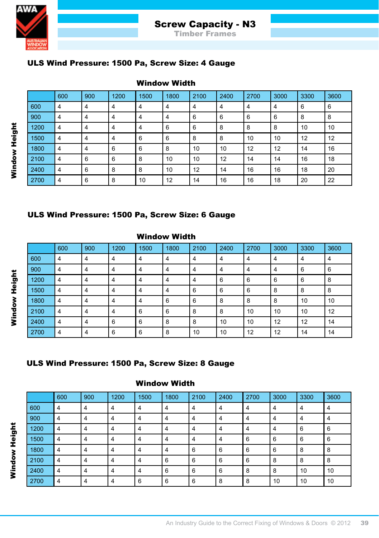

# ULS Wind Pressure: 1500 Pa, Screw Size: 4 Gauge

|      | 600            | 900 | 1200           | 1500           | 1800 | 2100 | 2400           | 2700 | 3000 | 3300 | 3600 |
|------|----------------|-----|----------------|----------------|------|------|----------------|------|------|------|------|
| 600  | $\overline{4}$ | 4   | $\overline{4}$ | $\overline{4}$ | 4    | 4    | $\overline{4}$ | 4    | 4    | 6    | 6    |
| 900  | $\overline{4}$ | 4   | 4              | 4              | 4    | 6    | 6              | 6    | 6    | 8    | 8    |
| 1200 | 4              | 4   | 4              | 4              | 6    | 6    | 8              | 8    | 8    | 10   | 10   |
| 1500 | 4              | 4   | 4              | 6              | 6    | 8    | 8              | 10   | 10   | 12   | 12   |
| 1800 | 4              | 4   | 6              | 6              | 8    | 10   | 10             | 12   | 12   | 14   | 16   |
| 2100 | $\overline{4}$ | 6   | 6              | 8              | 10   | 10   | 12             | 14   | 14   | 16   | 18   |
| 2400 | $\overline{4}$ | 6   | 8              | 8              | 10   | 12   | 14             | 16   | 16   | 18   | 20   |
| 2700 | 4              | 6   | 8              | 10             | 12   | 14   | 16             | 16   | 18   | 20   | 22   |

## Window Width

# ULS Wind Pressure: 1500 Pa, Screw Size: 6 Gauge

|      | <b>Window Width</b> |     |      |      |                |      |      |      |      |      |      |
|------|---------------------|-----|------|------|----------------|------|------|------|------|------|------|
|      | 600                 | 900 | 1200 | 1500 | 1800           | 2100 | 2400 | 2700 | 3000 | 3300 | 3600 |
| 600  | 4                   | 4   | 4    | 4    | 4              | 4    | 4    | 4    | 4    | 4    | 4    |
| 900  | 4                   | 4   | 4    | 4    | $\overline{4}$ | 4    | 4    | 4    | 4    | 6    | 6    |
| 1200 | 4                   | 4   | 4    | 4    | 4              | 4    | 6    | 6    | 6    | 6    | 8    |
| 1500 | 4                   | 4   | 4    | 4    | $\overline{4}$ | 6    | 6    | 6    | 8    | 8    | 8    |
| 1800 | 4                   | 4   | 4    | 4    | 6              | 6    | 8    | 8    | 8    | 10   | 10   |
| 2100 | 4                   | 4   | 4    | 6    | 6              | 8    | 8    | 10   | 10   | 10   | 12   |
| 2400 | 4                   | 4   | 6    | 6    | 8              | 8    | 10   | 10   | 12   | 12   | 14   |
| 2700 | 4                   | 4   | 6    | 6    | 8              | 10   | 10   | 12   | 12   | 14   | 14   |

# ULS Wind Pressure: 1500 Pa, Screw Size: 8 Gauge

#### Window Width

|      | 600            | 900 | 1200           | 1500           | 1800 | 2100           | 2400           | 2700           | 3000 | 3300           | 3600 |
|------|----------------|-----|----------------|----------------|------|----------------|----------------|----------------|------|----------------|------|
| 600  | $\overline{4}$ | 4   | 4              | 4              | 4    | $\overline{4}$ | $\overline{4}$ | $\overline{4}$ | 4    | 4              | 4    |
| 900  | $\overline{4}$ | 4   | 4              | $\overline{4}$ | 4    | $\overline{4}$ | 4              | 4              | 4    | $\overline{4}$ | 4    |
| 1200 | $\overline{4}$ | 4   | 4              | 4              | 4    | $\overline{4}$ | $\overline{4}$ | $\overline{4}$ | 4    | 6              | 6    |
| 1500 | $\overline{4}$ | 4   | 4              | $\overline{4}$ | 4    | 4              | $\overline{4}$ | 6              | 6    | 6              | 6    |
| 1800 | $\overline{4}$ | 4   | 4              | $\overline{4}$ | 4    | 6              | 6              | 6              | 6    | 8              | 8    |
| 2100 | $\overline{4}$ | 4   | $\overline{4}$ | 4              | 6    | 6              | 6              | 6              | 8    | 8              | 8    |
| 2400 | $\overline{4}$ | 4   | $\overline{4}$ | $\overline{4}$ | 6    | 6              | 6              | 8              | 8    | 10             | 10   |
| 2700 | $\overline{4}$ | 4   | $\overline{4}$ | 6              | 6    | 6              | 8              | 8              | 10   | 10             | 10   |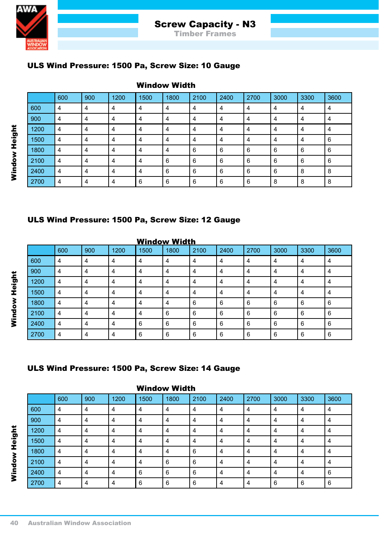

# ULS Wind Pressure: 1500 Pa, Screw Size: 10 Gauge

| <b>Window Width</b> |  |
|---------------------|--|
|                     |  |

|      | 600            | 900 | 1200 | 1500           | 1800 | 2100 | 2400           | 2700 | 3000           | 3300 | 3600 |
|------|----------------|-----|------|----------------|------|------|----------------|------|----------------|------|------|
| 600  | 4              | 4   | 4    | $\overline{4}$ | 4    | 4    | 4              | 4    | $\overline{4}$ | 4    | 4    |
| 900  | $\overline{4}$ | 4   | 4    | 4              | 4    | 4    | $\overline{4}$ | 4    | 4              | 4    | 4    |
| 1200 | 4              | 4   | 4    | $\overline{4}$ | 4    | 4    | $\overline{4}$ | 4    | 4              | 4    | 4    |
| 1500 | 4              | 4   | 4    | 4              | 4    | 4    | $\overline{4}$ | 4    | 4              | 4    | 6    |
| 1800 | 4              | 4   | 4    | 4              | 4    | 6    | 6              | 6    | 6              | 6    | 6    |
| 2100 | 4              | 4   | 4    | 4              | 6    | 6    | 6              | 6    | 6              | 6    | 6    |
| 2400 | 4              | 4   | 4    | 4              | 6    | 6    | 6              | 6    | 6              | 8    | 8    |
| 2700 | 4              | 4   | 4    | 6              | 6    | 6    | 6              | 6    | 8              | 8    | 8    |

# ULS Wind Pressure: 1500 Pa, Screw Size: 12 Gauge

|      | <b>Window Width</b> |                |                |      |      |      |      |      |      |      |      |      |
|------|---------------------|----------------|----------------|------|------|------|------|------|------|------|------|------|
|      |                     | 600            | 900            | 1200 | 1500 | 1800 | 2100 | 2400 | 2700 | 3000 | 3300 | 3600 |
| 600  |                     | $\overline{4}$ | 4              | 4    | 4    | 4    | 4    | 4    |      | 4    | 4    | 4    |
| 900  |                     | $\overline{4}$ | $\overline{4}$ | 4    | 4    | 4    | 4    | 4    | 4    | 4    | 4    | 4    |
| 1200 |                     | $\overline{4}$ | $\overline{4}$ | 4    | 4    | 4    | 4    | 4    | 4    | 4    | 4    | 4    |
| 1500 |                     | $\overline{4}$ | 4              | 4    | 4    | 4    | 4    | 4    | 4    | 4    | 4    | 4    |
| 1800 |                     | $\overline{4}$ | 4              | 4    | 4    | 4    | 6    | 6    | 6    | 6    | 6    | 6    |
| 2100 |                     | $\overline{4}$ | 4              | 4    | 4    | 6    | 6    | 6    | 6    | 6    | 6    | 6    |
| 2400 |                     | $\overline{4}$ | 4              | 4    | 6    | 6    | 6    | 6    | 6    | 6    | 6    | 6    |
| 2700 |                     | $\overline{4}$ | 4              | 4    | 6    | 6    | 6    | 6    | 6    | 6    | 6    | 6    |

# ULS Wind Pressure: 1500 Pa, Screw Size: 14 Gauge

| <b>Window Width</b><br>2100<br>2400<br>3000<br>3600<br>600<br>900<br>1200<br>2700<br>3300<br>1500<br>1800<br>600<br>4<br>4<br>4<br>4<br>4<br>4<br>4<br>4<br>4<br>4<br>4<br>900<br>4<br>4<br>4<br>4<br>4<br>4<br>4<br>4<br>4<br>4<br>4<br>1200<br>4<br>4<br>4<br>4<br>4<br>4<br>4<br>4<br>4<br>4<br>4<br>1500<br>4<br>4<br>4<br>4<br>$\overline{4}$<br>4<br>4<br>4<br>4<br>4<br>4<br>1800<br>6<br>4<br>4<br>4<br>4<br>4<br>4<br>4<br>4<br>4<br>4<br>2100<br>6<br>6<br>4<br>4<br>4<br>4<br>4<br>4<br>4<br>4<br>4<br>2400<br>6<br>6<br>6<br>6<br>4<br>4<br>4<br>4<br>4<br>4<br>4 |   |   |   |   |   |   |   |   |   |   |   |
|-------------------------------------------------------------------------------------------------------------------------------------------------------------------------------------------------------------------------------------------------------------------------------------------------------------------------------------------------------------------------------------------------------------------------------------------------------------------------------------------------------------------------------------------------------------------------------|---|---|---|---|---|---|---|---|---|---|---|
|                                                                                                                                                                                                                                                                                                                                                                                                                                                                                                                                                                               |   |   |   |   |   |   |   |   |   |   |   |
|                                                                                                                                                                                                                                                                                                                                                                                                                                                                                                                                                                               |   |   |   |   |   |   |   |   |   |   |   |
|                                                                                                                                                                                                                                                                                                                                                                                                                                                                                                                                                                               |   |   |   |   |   |   |   |   |   |   |   |
|                                                                                                                                                                                                                                                                                                                                                                                                                                                                                                                                                                               |   |   |   |   |   |   |   |   |   |   |   |
|                                                                                                                                                                                                                                                                                                                                                                                                                                                                                                                                                                               |   |   |   |   |   |   |   |   |   |   |   |
|                                                                                                                                                                                                                                                                                                                                                                                                                                                                                                                                                                               |   |   |   |   |   |   |   |   |   |   |   |
|                                                                                                                                                                                                                                                                                                                                                                                                                                                                                                                                                                               |   |   |   |   |   |   |   |   |   |   |   |
|                                                                                                                                                                                                                                                                                                                                                                                                                                                                                                                                                                               |   |   |   |   |   |   |   |   |   |   |   |
| 2700                                                                                                                                                                                                                                                                                                                                                                                                                                                                                                                                                                          | 4 | 4 | 4 | 6 | 6 | 6 | 4 | 4 | 6 | 6 | 6 |

Window Height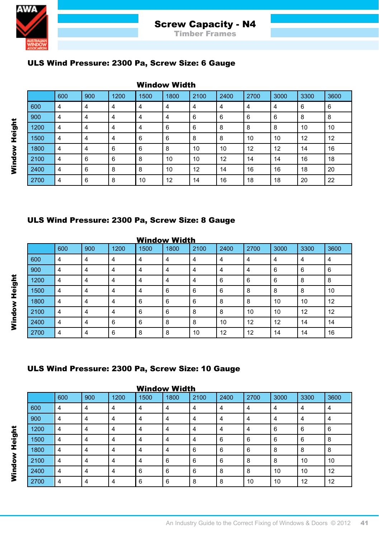

# ULS Wind Pressure: 2300 Pa, Screw Size: 6 Gauge

|      |     |     |      |      | <b>Window Width</b> |      |      |                   |      |      |      |
|------|-----|-----|------|------|---------------------|------|------|-------------------|------|------|------|
|      | 600 | 900 | 1200 | 1500 | 1800                | 2100 | 2400 | 2700              | 3000 | 3300 | 3600 |
| 600  | 4   | 4   | 4    | 4    | 4                   | 4    | 4    | 4                 | 4    | 6    | 6    |
| 900  | 4   | 4   | 4    | 4    | 4                   | 6    | 6    | 6                 | 6    | 8    | 8    |
| 1200 | 4   | 4   | 4    | 4    | 6                   | 6    | 8    | 8                 | 8    | 10   | 10   |
| 1500 | 4   | 4   | 4    | 6    | 6                   | 8    | 8    | 10                | 10   | 12   | 12   |
| 1800 | 4   | 4   | 6    | 6    | 8                   | 10   | 10   | $12 \overline{ }$ | 12   | 14   | 16   |
| 2100 | 4   | 6   | 6    | 8    | 10                  | 10   | 12   | 14                | 14   | 16   | 18   |
| 2400 | 4   | 6   | 8    | 8    | 10                  | 12   | 14   | 16                | 16   | 18   | 20   |
| 2700 | 4   | 6   | 8    | 10   | 12                  | 14   | 16   | 18                | 18   | 20   | 22   |

# ULS Wind Pressure: 2300 Pa, Screw Size: 8 Gauge

| <b>Window Width</b> |                |     |      |                |      |      |      |      |      |      |      |
|---------------------|----------------|-----|------|----------------|------|------|------|------|------|------|------|
|                     | 600            | 900 | 1200 | 1500           | 1800 | 2100 | 2400 | 2700 | 3000 | 3300 | 3600 |
| 600                 | 4              | 4   | 4    | 4              | 4    | 4    | 4    | 4    | 4    | 4    | 4    |
| 900                 | 4              | 4   | 4    | 4              | 4    | 4    | 4    | 4    | 6    | 6    | 6    |
| 1200                | 4              | 4   | 4    | $\overline{4}$ | 4    | 4    | 6    | 6    | 6    | 8    | 8    |
| 1500                | 4              | 4   | 4    | 4              | 6    | 6    | 6    | 8    | 8    | 8    | 10   |
| 1800                | 4              | 4   | 4    | 6              | 6    | 6    | 8    | 8    | 10   | 10   | 12   |
| 2100                | 4              | 4   | 4    | 6              | 6    | 8    | 8    | 10   | 10   | 12   | 12   |
| 2400                | 4              | 4   | 6    | 6              | 8    | 8    | 10   | 12   | 12   | 14   | 14   |
| 2700                | $\overline{4}$ | 4   | 6    | 8              | 8    | 10   | 12   | 12   | 14   | 14   | 16   |

# ULS Wind Pressure: 2300 Pa, Screw Size: 10 Gauge

|      | <b>Window Width</b><br>3300<br>3600<br>600<br>900<br>1200<br>2400<br>2700<br>3000<br>2100<br>1500<br>1800<br>4<br>4<br>4<br>4<br>4<br>4<br>4<br>4<br>4<br>4<br>4<br>4<br>4<br>4<br>4<br>4<br>4<br>4<br>4<br>4<br>4<br>4 |   |   |   |   |   |   |    |    |    |    |
|------|-------------------------------------------------------------------------------------------------------------------------------------------------------------------------------------------------------------------------|---|---|---|---|---|---|----|----|----|----|
|      |                                                                                                                                                                                                                         |   |   |   |   |   |   |    |    |    |    |
| 600  |                                                                                                                                                                                                                         |   |   |   |   |   |   |    |    |    |    |
| 900  |                                                                                                                                                                                                                         |   |   |   |   |   |   |    |    |    |    |
| 1200 | 4                                                                                                                                                                                                                       | 4 | 4 | 4 | 4 | 4 | 4 | 4  | 6  | 6  | 6  |
| 1500 | 4                                                                                                                                                                                                                       | 4 | 4 | 4 | 4 | 4 | 6 | 6  | 6  | 6  | 8  |
| 1800 | 4                                                                                                                                                                                                                       | 4 | 4 | 4 | 4 | 6 | 6 | 6  | 8  | 8  | 8  |
| 2100 | 4                                                                                                                                                                                                                       | 4 | 4 | 4 | 6 | 6 | 6 | 8  | 8  | 10 | 10 |
| 2400 | 4                                                                                                                                                                                                                       | 4 | 4 | 6 | 6 | 6 | 8 | 8  | 10 | 10 | 12 |
| 2700 | 4                                                                                                                                                                                                                       | 4 | 4 | 6 | 6 | 8 | 8 | 10 | 10 | 12 | 12 |

Window Height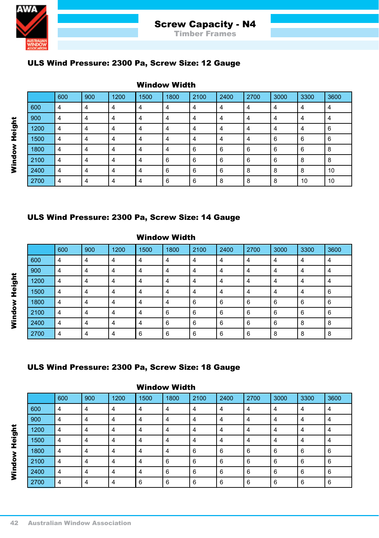

# ULS Wind Pressure: 2300 Pa, Screw Size: 12 Gauge

Window Width

|      | 600 | 900            | 1200           | 1500 | 1800           | 2100           | 2400           | 2700 | 3000           | 3300 | 3600 |
|------|-----|----------------|----------------|------|----------------|----------------|----------------|------|----------------|------|------|
| 600  | 4   | $\overline{4}$ | 4              | 4    | $\overline{4}$ | 4              | 4              | 4    | $\overline{4}$ | 4    | 4    |
| 900  | 4   | 4              | 4              | 4    | 4              | 4              | 4              | 4    | $\overline{4}$ | 4    | 4    |
| 1200 | 4   | 4              | 4              | 4    | 4              | $\overline{4}$ | $\overline{4}$ | 4    | $\overline{4}$ | 4    | 6    |
| 1500 | 4   | 4              | $\overline{4}$ | 4    | $\overline{4}$ | 4              | 4              | 4    | 6              | 6    | 6    |
| 1800 | 4   | 4              | 4              | 4    | $\overline{4}$ | 6              | 6              | 6    | 6              | 6    | 8    |
| 2100 | 4   | 4              | 4              | 4    | 6              | 6              | 6              | 6    | 6              | 8    | 8    |
| 2400 | 4   | 4              | -4             | 4    | 6              | 6              | 6              | 8    | 8              | 8    | 10   |
| 2700 | 4   | 4              | 4              | 4    | 6              | 6              | 8              | 8    | 8              | 10   | 10   |

# ULS Wind Pressure: 2300 Pa, Screw Size: 14 Gauge

|      |                |                |      |      | <b>Window Width</b> |      |      |      |      |      |      |
|------|----------------|----------------|------|------|---------------------|------|------|------|------|------|------|
|      | 600            | 900            | 1200 | 1500 | 1800                | 2100 | 2400 | 2700 | 3000 | 3300 | 3600 |
| 600  | 4              | $\overline{4}$ | 4    | 4    | 4                   | 4    | 4    | 4    | 4    | 4    | 4    |
| 900  | $\overline{4}$ | $\overline{4}$ | 4    | 4    | 4                   | 4    | 4    | 4    | 4    | 4    | 4    |
| 1200 | $\overline{4}$ | 4              | 4    | 4    | 4                   | 4    | 4    | 4    | 4    | 4    | 4    |
| 1500 | $\overline{4}$ | 4              | 4    | 4    | 4                   | 4    | 4    | 4    | 4    | 4    | 6    |
| 1800 | 4              | 4              | 4    | 4    | 4                   | 6    | 6    | 6    | 6    | 6    | 6    |
| 2100 | $\overline{4}$ | 4              | 4    | 4    | 6                   | 6    | 6    | 6    | 6    | 6    | 6    |
| 2400 | $\overline{4}$ | 4              | 4    | 4    | 6                   | 6    | 6    | 6    | 6    | 8    | 8    |
| 2700 | $\overline{4}$ | 4              | 4    | 6    | 6                   | 6    | 6    | 6    | 8    | 8    | 8    |

# ULS Wind Pressure: 2300 Pa, Screw Size: 18 Gauge

| <b>WHOOW WHILE</b> |     |     |                |      |                |      |      |      |      |                |      |  |
|--------------------|-----|-----|----------------|------|----------------|------|------|------|------|----------------|------|--|
|                    | 600 | 900 | 1200           | 1500 | 1800           | 2100 | 2400 | 2700 | 3000 | 3300           | 3600 |  |
| 600                | 4   | 4   | 4              | 4    | $\overline{4}$ | 4    | 4    | 4    | 4    | 4              | 4    |  |
| 900                | 4   | 4   | 4              | 4    | 4              | 4    | 4    | 4    | 4    | $\overline{4}$ | 4    |  |
| 1200               | 4   | 4   | $\overline{4}$ | 4    | 4              | 4    | 4    | 4    | 4    | $\overline{4}$ | 4    |  |
| 1500               | 4   | 4   | 4              | 4    | 4              | 4    | 4    | 4    | 4    | $\overline{4}$ | 4    |  |
| 1800               | 4   | 4   | 4              | 4    | 4              | 6    | 6    | 6    | 6    | 6              | 6    |  |
| 2100               | 4   | 4   | 4              | 4    | 6              | 6    | 6    | 6    | 6    | 6              | 6    |  |
| 2400               | 4   | 4   | 4              | 4    | 6              | 6    | 6    | 6    | 6    | 6              | 6    |  |
| 2700               | 4   | 4   | 4              | 6    | 6              | 6    | 6    | 6    | 6    | 6              | 6    |  |

# Window Width

Window Height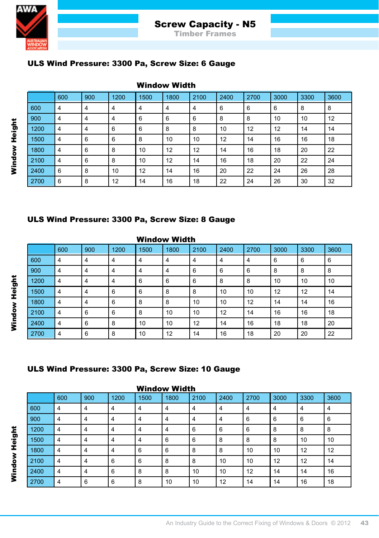

# ULS Wind Pressure: 3300 Pa, Screw Size: 6 Gauge

|      |                |     |      |      | TTIILWYT TTIWLII |      |      |      |      |      |      |
|------|----------------|-----|------|------|------------------|------|------|------|------|------|------|
|      | 600            | 900 | 1200 | 1500 | 1800             | 2100 | 2400 | 2700 | 3000 | 3300 | 3600 |
| 600  | $\overline{4}$ | 4   | 4    | 4    | 4                | 4    | 6    | 6    | 6    | 8    | 8    |
| 900  | $\overline{4}$ | 4   | 4    | 6    | 6                | 6    | 8    | 8    | 10   | 10   | 12   |
| 1200 | $\overline{4}$ | 4   | 6    | 6    | 8                | 8    | 10   | 12   | 12   | 14   | 14   |
| 1500 | 4              | 6   | 6    | 8    | 10               | 10   | 12   | 14   | 16   | 16   | 18   |
| 1800 | $\overline{4}$ | 6   | 8    | 10   | 12               | 12   | 14   | 16   | 18   | 20   | 22   |

 4 6 8 10 12 14 16 18 20 22 24 6 8 10 12 14 16 20 22 24 26 28 2700 6 8 12 14 16 18 22 24 26 30 32

Window Width

# ULS Wind Pressure: 3300 Pa, Screw Size: 8 Gauge

|      | <b>Window Width</b> |     |                |      |      |      |      |      |      |      |      |  |  |
|------|---------------------|-----|----------------|------|------|------|------|------|------|------|------|--|--|
|      | 600                 | 900 | 1200           | 1500 | 1800 | 2100 | 2400 | 2700 | 3000 | 3300 | 3600 |  |  |
| 600  | 4                   | 4   | 4              | 4    | 4    | 4    | 4    | 4    | 6    | 6    | 6    |  |  |
| 900  | 4                   | 4   | $\overline{4}$ | 4    | 4    | 6    | 6    | 6    | 8    | 8    | 8    |  |  |
| 1200 | 4                   | 4   | 4              | 6    | 6    | 6    | 8    | 8    | 10   | 10   | 10   |  |  |
| 1500 | 4                   | 4   | 6              | 6    | 8    | 8    | 10   | 10   | 12   | 12   | 14   |  |  |
| 1800 | 4                   | 4   | 6              | 8    | 8    | 10   | 10   | 12   | 14   | 14   | 16   |  |  |
| 2100 | 4                   | 6   | 6              | 8    | 10   | 10   | 12   | 14   | 16   | 16   | 18   |  |  |
| 2400 | 4                   | 6   | 8              | 10   | 10   | 12   | 14   | 16   | 18   | 18   | 20   |  |  |
| 2700 | 4                   | 6   | 8              | 10   | 12   | 14   | 16   | 18   | 20   | 20   | 22   |  |  |

## ULS Wind Pressure: 3300 Pa, Screw Size: 10 Gauge

| <b>Window Width</b><br>900<br>1200<br>2700<br>3600<br>600<br>2400<br>3000<br>3300<br>1800<br>2100<br>1500<br>600<br>4<br>4<br>4<br>4<br>4<br>4<br>4<br>4<br>4<br>4<br>4<br>900<br>6<br>6<br>6<br>4<br>6<br>4<br>4<br>4<br>4<br>4<br>4<br>1200<br>8<br>6<br>6<br>6<br>8<br>8<br>4<br>4<br>4<br>4<br>4<br>1500<br>6<br>8<br>10<br>6<br>8<br>8<br>10<br>4<br>4<br>4<br>4<br>1800<br>6<br>12<br>12<br>6<br>8<br>10<br>10<br>8<br>4<br>4<br>4<br>2100<br>8<br>12<br>12<br>6<br>6<br>8<br>10<br>10<br>14<br>4<br>4<br>2400<br>8<br>$12 \overline{ }$<br>6<br>8<br>10<br>10<br>14<br>16<br>14<br>4<br>4 |   |   |   |   |    |    |    |    |    |    |    |
|--------------------------------------------------------------------------------------------------------------------------------------------------------------------------------------------------------------------------------------------------------------------------------------------------------------------------------------------------------------------------------------------------------------------------------------------------------------------------------------------------------------------------------------------------------------------------------------------------|---|---|---|---|----|----|----|----|----|----|----|
|                                                                                                                                                                                                                                                                                                                                                                                                                                                                                                                                                                                                  |   |   |   |   |    |    |    |    |    |    |    |
|                                                                                                                                                                                                                                                                                                                                                                                                                                                                                                                                                                                                  |   |   |   |   |    |    |    |    |    |    |    |
|                                                                                                                                                                                                                                                                                                                                                                                                                                                                                                                                                                                                  |   |   |   |   |    |    |    |    |    |    |    |
|                                                                                                                                                                                                                                                                                                                                                                                                                                                                                                                                                                                                  |   |   |   |   |    |    |    |    |    |    |    |
|                                                                                                                                                                                                                                                                                                                                                                                                                                                                                                                                                                                                  |   |   |   |   |    |    |    |    |    |    |    |
|                                                                                                                                                                                                                                                                                                                                                                                                                                                                                                                                                                                                  |   |   |   |   |    |    |    |    |    |    |    |
|                                                                                                                                                                                                                                                                                                                                                                                                                                                                                                                                                                                                  |   |   |   |   |    |    |    |    |    |    |    |
|                                                                                                                                                                                                                                                                                                                                                                                                                                                                                                                                                                                                  |   |   |   |   |    |    |    |    |    |    |    |
| 2700                                                                                                                                                                                                                                                                                                                                                                                                                                                                                                                                                                                             | 4 | 6 | 6 | 8 | 10 | 10 | 12 | 14 | 14 | 16 | 18 |

Window Height Window Height

Window Height Window Height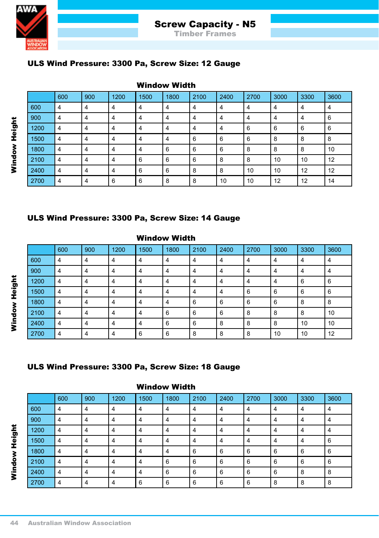

Window Height

Window Height

# ULS Wind Pressure: 3300 Pa, Screw Size: 12 Gauge

| <b>Window Width</b> |  |
|---------------------|--|
|                     |  |

|      | 600            | 900            | 1200           | 1500 | 1800           | 2100 | 2400 | 2700 | 3000 | 3300 | 3600 |
|------|----------------|----------------|----------------|------|----------------|------|------|------|------|------|------|
| 600  | 4              | $\overline{4}$ | $\overline{4}$ | 4    | 4              | 4    | 4    | 4    | 4    | 4    | 4    |
| 900  | $\overline{4}$ | 4              | 4              | 4    | $\overline{4}$ | 4    | 4    | 4    | 4    | 4    | 6    |
| 1200 | 4              | $\overline{4}$ | 4              | 4    | $\overline{4}$ | 4    | 4    | 6    | 6    | 6    | 6    |
| 1500 | 4              | $\overline{4}$ | 4              | 4    | 4              | 6    | 6    | 6    | 8    | 8    | 8    |
| 1800 | 4              | 4              | 4              | 4    | 6              | 6    | 6    | 8    | 8    | 8    | 10   |
| 2100 | 4              | $\overline{4}$ | 4              | 6    | 6              | 6    | 8    | 8    | 10   | 10   | 12   |
| 2400 | 4              | 4              | 4              | 6    | 6              | 8    | 8    | 10   | 10   | 12   | 12   |
| 2700 | 4              | 4              | 6              | 6    | 8              | 8    | 10   | 10   | 12   | 12   | 14   |

# ULS Wind Pressure: 3300 Pa, Screw Size: 14 Gauge

|      | <b>Window Width</b> |     |      |      |      |      |      |      |      |      |      |  |  |
|------|---------------------|-----|------|------|------|------|------|------|------|------|------|--|--|
|      | 600                 | 900 | 1200 | 1500 | 1800 | 2100 | 2400 | 2700 | 3000 | 3300 | 3600 |  |  |
| 600  | $\overline{4}$      | 4   | 4    | 4    | 4    | 4    | 4    | 4    | 4    | 4    | 4    |  |  |
| 900  | $\overline{4}$      | 4   | 4    | 4    | 4    | 4    | 4    | 4    | 4    | 4    | 4    |  |  |
| 1200 | 4                   | 4   | 4    | 4    | 4    | 4    | 4    | 4    | 4    | 6    | 6    |  |  |
| 1500 | $\overline{4}$      | 4   | 4    | 4    | 4    | 4    | 4    | 6    | 6    | 6    | 6    |  |  |
| 1800 | $\overline{4}$      | 4   | 4    | 4    | 4    | 6    | 6    | 6    | 6    | 8    | 8    |  |  |
| 2100 | 4                   | 4   | 4    | 4    | 6    | 6    | 6    | 8    | 8    | 8    | 10   |  |  |
| 2400 | $\overline{4}$      | 4   | 4    | 4    | 6    | 6    | 8    | 8    | 8    | 10   | 10   |  |  |
| 2700 | $\overline{4}$      | 4   | 4    | 6    | 6    | 8    | 8    | 8    | 10   | 10   | 12   |  |  |

# ULS Wind Pressure: 3300 Pa, Screw Size: 18 Gauge

|      |                |     |      |                | ,,,,,,,,,,,,,,,,, |      |      |      |                |      |      |
|------|----------------|-----|------|----------------|-------------------|------|------|------|----------------|------|------|
|      | 600            | 900 | 1200 | 1500           | 1800              | 2100 | 2400 | 2700 | 3000           | 3300 | 3600 |
| 600  | $\overline{4}$ | 4   | 4    | 4              | 4                 | 4    | 4    | 4    | 4              | 4    | 4    |
| 900  | $\overline{4}$ | 4   | 4    | 4              | 4                 | 4    | 4    | 4    | 4              | 4    | 4    |
| 1200 | 4              | 4   | 4    | 4              | 4                 | 4    | 4    | 4    | $\overline{4}$ | 4    | 4    |
| 1500 | 4              | 4   | 4    | 4              | 4                 | 4    | 4    | 4    | 4              | 4    | 6    |
| 1800 | 4              | 4   | 4    | 4              | 4                 | 6    | 6    | 6    | 6              | 6    | 6    |
| 2100 | $\overline{4}$ | 4   | 4    | $\overline{4}$ | 6                 | 6    | 6    | 6    | 6              | 6    | 6    |
| 2400 | $\overline{4}$ | 4   | 4    | $\overline{4}$ | 6                 | 6    | 6    | 6    | 6              | 8    | 8    |
| 2700 | $\overline{4}$ | 4   | 4    | 6              | 6                 | 6    | 6    | 6    | 8              | 8    | 8    |

# Window Width

Window Height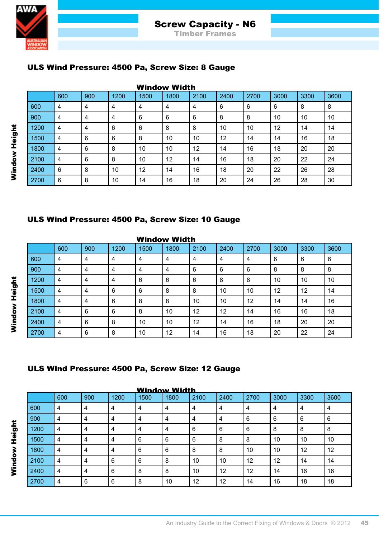

# Window Height Window Height

# ULS Wind Pressure: 4500 Pa, Screw Size: 8 Gauge

|      | <b>Window Width</b> |     |      |      |      |      |      |      |      |      |      |
|------|---------------------|-----|------|------|------|------|------|------|------|------|------|
|      | 600                 | 900 | 1200 | 1500 | 1800 | 2100 | 2400 | 2700 | 3000 | 3300 | 3600 |
| 600  | 4                   | 4   | 4    | 4    | 4    | 4    | 6    | 6    | 6    | 8    | 8    |
| 900  | 4                   | 4   | 4    | 6    | 6    | 6    | 8    | 8    | 10   | 10   | 10   |
| 1200 | 4                   | 4   | 6    | 6    | 8    | 8    | 10   | 10   | 12   | 14   | 14   |
| 1500 | 4                   | 6   | 6    | 8    | 10   | 10   | 12   | 14   | 14   | 16   | 18   |
| 1800 | 4                   | 6   | 8    | 10   | 10   | 12   | 14   | 16   | 18   | 20   | 20   |
| 2100 | 4                   | 6   | 8    | 10   | 12   | 14   | 16   | 18   | 20   | 22   | 24   |
| 2400 | 6                   | 8   | 10   | 12   | 14   | 16   | 18   | 20   | 22   | 26   | 28   |
| 2700 | 6                   | 8   | 10   | 14   | 16   | 18   | 20   | 24   | 26   | 28   | 30   |

# ULS Wind Pressure: 4500 Pa, Screw Size: 10 Gauge

|      | <b>Window Width</b> |     |                |      |      |      |      |      |      |      |      |
|------|---------------------|-----|----------------|------|------|------|------|------|------|------|------|
|      | 600                 | 900 | 1200           | 1500 | 1800 | 2100 | 2400 | 2700 | 3000 | 3300 | 3600 |
| 600  | 4                   | 4   | 4              | 4    | 4    | 4    | 4    | 4    | 6    | 6    | 6    |
| 900  | 4                   | 4   | $\overline{4}$ | 4    | 4    | 6    | 6    | 6    | 8    | 8    | 8    |
| 1200 | 4                   | 4   | $\overline{4}$ | 6    | 6    | 6    | 8    | 8    | 10   | 10   | 10   |
| 1500 | 4                   | 4   | 6              | 6    | 8    | 8    | 10   | 10   | 12   | 12   | 14   |
| 1800 | 4                   | 4   | 6              | 8    | 8    | 10   | 10   | 12   | 14   | 14   | 16   |
| 2100 | 4                   | 6   | 6              | 8    | 10   | 12   | 12   | 14   | 16   | 16   | 18   |
| 2400 | 4                   | 6   | 8              | 10   | 10   | 12   | 14   | 16   | 18   | 20   | 20   |
| 2700 | 4                   | 6   | 8              | 10   | 12   | 14   | 16   | 18   | 20   | 22   | 24   |

# ULS Wind Pressure: 4500 Pa, Screw Size: 12 Gauge

|      | Window Width |     |      |      |      |                |      |      |      |      |      |
|------|--------------|-----|------|------|------|----------------|------|------|------|------|------|
|      | 600          | 900 | 1200 | 1500 | 1800 | 2100           | 2400 | 2700 | 3000 | 3300 | 3600 |
| 600  | 4            | 4   | 4    | 4    | 4    | $\overline{4}$ | 4    | 4    | 4    | 4    | 4    |
| 900  | 4            | 4   | 4    | 4    | 4    | $\overline{4}$ | 4    | 6    | 6    | 6    | 6    |
| 1200 | 4            | 4   | 4    | 4    | 4    | 6              | 6    | 6    | 8    | 8    | 8    |
| 1500 | 4            | 4   | 4    | 6    | 6    | 6              | 8    | 8    | 10   | 10   | 10   |
| 1800 | 4            | 4   | 4    | 6    | 6    | 8              | 8    | 10   | 10   | 12   | 12   |
| 2100 | 4            | 4   | 6    | 6    | 8    | 10             | 10   | 12   | 12   | 14   | 14   |
| 2400 | 4            | 4   | 6    | 8    | 8    | 10             | 12   | 12   | 14   | 16   | 16   |
| 2700 | 4            | 6   | 6    | 8    | 10   | 12             | 12   | 14   | 16   | 18   | 18   |

Window Height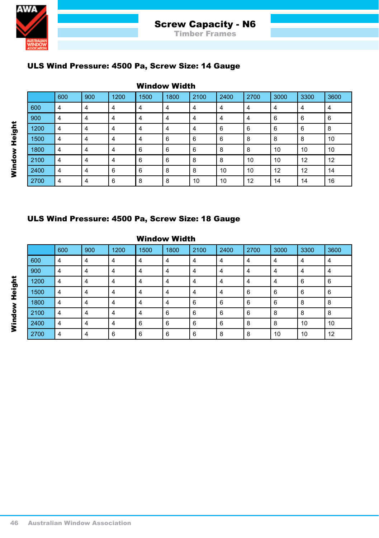

# ULS Wind Pressure: 4500 Pa, Screw Size: 14 Gauge

|      | <b>Window Width</b> |     |      |      |      |      |      |      |      |      |      |
|------|---------------------|-----|------|------|------|------|------|------|------|------|------|
|      | 600                 | 900 | 1200 | 1500 | 1800 | 2100 | 2400 | 2700 | 3000 | 3300 | 3600 |
| 600  | 4                   | 4   | 4    | 4    | 4    | 4    | 4    | 4    | 4    | 4    | 4    |
| 900  | 4                   | 4   | 4    | 4    | 4    | 4    | 4    | 4    | 6    | 6    | 6    |
| 1200 | 4                   | 4   | 4    | 4    | 4    | 4    | 6    | 6    | 6    | 6    | 8    |
| 1500 | 4                   | 4   | 4    | 4    | 6    | 6    | 6    | 8    | 8    | 8    | 10   |
| 1800 | 4                   | 4   | 4    | 6    | 6    | 6    | 8    | 8    | 10   | 10   | 10   |
| 2100 | 4                   | 4   | 4    | 6    | 6    | 8    | 8    | 10   | 10   | 12   | 12   |
| 2400 | 4                   | 4   | 6    | 6    | 8    | 8    | 10   | 10   | 12   | 12   | 14   |
| 2700 | 4                   | 4   | 6    | 8    | 8    | 10   | 10   | 12   | 14   | 14   | 16   |

# ULS Wind Pressure: 4500 Pa, Screw Size: 18 Gauge

|      | <b>Window Width</b> |     |                |      |      |      |      |      |      |      |      |  |
|------|---------------------|-----|----------------|------|------|------|------|------|------|------|------|--|
|      | 600                 | 900 | 1200           | 1500 | 1800 | 2100 | 2400 | 2700 | 3000 | 3300 | 3600 |  |
| 600  | 4                   | 4   | $\overline{4}$ | 4    | 4    | 4    | 4    | 4    | 4    | 4    | 4    |  |
| 900  | 4                   | 4   | 4              | 4    | 4    | 4    | 4    | 4    | 4    | 4    | 4    |  |
| 1200 | 4                   | 4   | 4              | 4    | 4    | 4    | 4    | 4    | 4    | 6    | 6    |  |
| 1500 | 4                   | 4   | 4              | 4    | 4    | 4    | 4    | 6    | 6    | 6    | 6    |  |
| 1800 | 4                   | 4   | 4              | 4    | 4    | 6    | 6    | 6    | 6    | 8    | 8    |  |
| 2100 | 4                   | 4   | 4              | 4    | 6    | 6    | 6    | 6    | 8    | 8    | 8    |  |
| 2400 | 4                   | 4   | 4              | 6    | 6    | 6    | 6    | 8    | 8    | 10   | 10   |  |
| 2700 | 4                   | 4   | 6              | 6    | 6    | 6    | 8    | 8    | 10   | 10   | 12   |  |

Window Height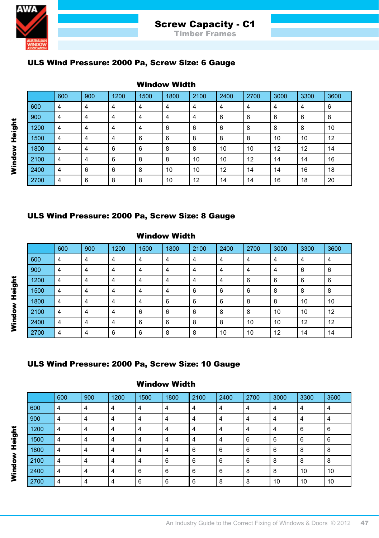

# ULS Wind Pressure: 2000 Pa, Screw Size: 6 Gauge

|      | <b>Window Width</b> |     |      |      |      |      |      |      |                |      |      |
|------|---------------------|-----|------|------|------|------|------|------|----------------|------|------|
|      | 600                 | 900 | 1200 | 1500 | 1800 | 2100 | 2400 | 2700 | 3000           | 3300 | 3600 |
| 600  | 4                   | 4   | 4    | 4    | 4    | 4    | 4    | 4    | $\overline{4}$ | 4    | 6    |
| 900  | 4                   | 4   | 4    | 4    | 4    | 4    | 6    | 6    | 6              | 6    | 8    |
| 1200 | 4                   | 4   | 4    | 4    | 6    | 6    | 6    | 8    | 8              | 8    | 10   |
| 1500 | 4                   | 4   | 4    | 6    | 6    | 8    | 8    | 8    | 10             | 10   | 12   |
| 1800 | 4                   | 4   | 6    | 6    | 8    | 8    | 10   | 10   | 12             | 12   | 14   |
| 2100 | 4                   | 4   | 6    | 8    | 8    | 10   | 10   | 12   | 14             | 14   | 16   |
| 2400 | 4                   | 6   | 6    | 8    | 10   | 10   | 12   | 14   | 14             | 16   | 18   |
| 2700 | 4                   | 6   | 8    | 8    | 10   | 12   | 14   | 14   | 16             | 18   | 20   |

# ULS Wind Pressure: 2000 Pa, Screw Size: 8 Gauge

| <b>Window Width</b> |  |
|---------------------|--|
|                     |  |

|      | 600            | 900 | 1200 | 1500 | 1800 | 2100 | 2400           | 2700 | 3000 | 3300 | 3600 |
|------|----------------|-----|------|------|------|------|----------------|------|------|------|------|
| 600  | 4              | 4   | 4    | 4    | 4    | 4    | 4              | 4    | 4    | 4    | 4    |
| 900  | 4              | 4   | 4    | 4    | 4    | 4    | 4              | 4    | 4    | 6    | 6    |
| 1200 | 4              | 4   | 4    | 4    | 4    | 4    | $\overline{4}$ | 6    | 6    | 6    | 6    |
| 1500 | 4              | 4   | 4    | 4    | 4    | 6    | 6              | 6    | 8    | 8    | 8    |
| 1800 | 4              | 4   | 4    | 4    | 6    | 6    | 6              | 8    | 8    | 10   | 10   |
| 2100 | $\overline{4}$ | 4   | 4    | 6    | 6    | 6    | 8              | 8    | 10   | 10   | 12   |
| 2400 | $\overline{4}$ | 4   | 4    | 6    | 6    | 8    | 8              | 10   | 10   | 12   | 12   |
| 2700 | 4              | 4   | 6    | 6    | 8    | 8    | 10             | 10   | 12   | 14   | 14   |

# ULS Wind Pressure: 2000 Pa, Screw Size: 10 Gauge

| <b>Window Width</b> |  |
|---------------------|--|
|                     |  |

|      | 600            | 900            | 1200           | 1500           | 1800           | 2100           | 2400           | 2700 | 3000 | 3300 | 3600 |
|------|----------------|----------------|----------------|----------------|----------------|----------------|----------------|------|------|------|------|
| 600  | $\overline{4}$ | 4              | $\overline{4}$ | 4              | $\overline{4}$ | $\overline{4}$ | 4              | 4    | 4    | 4    | 4    |
| 900  | $\overline{4}$ | 4              | $\overline{4}$ | 4              | 4              | 4              | 4              | 4    | 4    | 4    | 4    |
| 1200 | 4              | 4              | $\overline{4}$ | 4              | $\overline{4}$ | 4              | $\overline{4}$ | 4    | 4    | 6    | 6    |
| 1500 | $\overline{4}$ | 4              | $\overline{4}$ | 4              | $\overline{4}$ | $\overline{4}$ | -4             | 6    | 6    | 6    | 6    |
| 1800 | $\overline{4}$ | $\overline{4}$ | $\overline{4}$ | $\overline{4}$ | $\overline{4}$ | 6              | 6              | 6    | 6    | 8    | 8    |
| 2100 | 4              | $\overline{4}$ | $\overline{4}$ | $\overline{4}$ | 6              | 6              | 6              | 6    | 8    | 8    | 8    |
| 2400 | 4              | 4              | 4              | 6              | 6              | 6              | 6              | 8    | 8    | 10   | 10   |
| 2700 | 4              | 4              | $\overline{4}$ | 6              | 6              | 6              | 8              | 8    | 10   | 10   | 10   |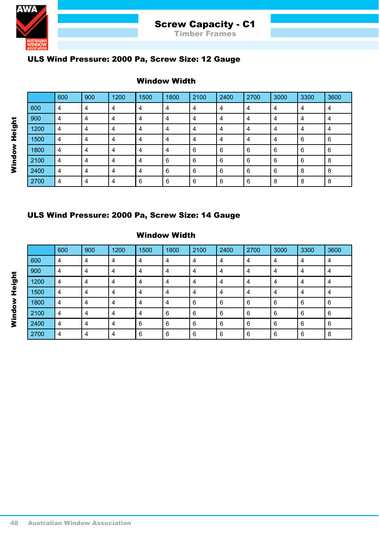

# ULS Wind Pressure: 2000 Pa, Screw Size: 12 Gauge

Window Width

Window Width

|      | 600            | 900 | 1200 | 1500           | 1800 | 2100 | 2400           | 2700 | 3000 | 3300 | 3600 |
|------|----------------|-----|------|----------------|------|------|----------------|------|------|------|------|
| 600  | 4              | 4   | 4    | 4              | 4    | 4    | $\overline{4}$ | 4    | 4    | 4    | 4    |
| 900  | 4              | 4   | 4    | 4              | 4    | 4    | -4             | 4    | 4    | 4    | 4    |
| 1200 | $\overline{4}$ | 4   | 4    | 4              | 4    | 4    | 4              | 4    | 4    | 4    | 4    |
| 1500 | $\overline{4}$ | 4   | 4    | $\overline{4}$ | 4    | 4    | 4              | 4    | 4    | 6    | 6    |
| 1800 | 4              | 4   | 4    | 4              | 4    | 6    | 6              | 6    | 6    | 6    | 6    |
| 2100 | 4              | 4   | 4    | 4              | 6    | 6    | 6              | 6    | 6    | 6    | 8    |
| 2400 | 4              | 4   | 4    | $\overline{4}$ | 6    | 6    | 6              | 6    | 6    | 8    | 8    |
| 2700 | 4              | 4   | 4    | 6              | 6    | 6    | 6              | 6    | 8    | 8    | 8    |

# ULS Wind Pressure: 2000 Pa, Screw Size: 14 Gauge

|      | 600 | 900 | 1200 | 1500 | 1800 | 2100 | 2400 | 2700 | 3000 | 3300 | 3600 |
|------|-----|-----|------|------|------|------|------|------|------|------|------|
| 600  | 4   | 4   | 4    | 4    | 4    | 4    | 4    | 4    | 4    | 4    | 4    |
| 900  | 4   | 4   | 4    | 4    | 4    | 4    | 4    | 4    | 4    | 4    | 4    |
| 1200 | 4   | 4   | 4    | 4    | 4    | 4    | 4    | 4    | 4    | 4    | 4    |
| 1500 | 4   | 4   | 4    | 4    | 4    | 4    | 4    | 4    | 4    | 4    | 4    |
| 1800 | 4   | 4   | 4    | 4    | 4    | 6    | 6    | 6    | 6    | 6    | 6    |
| 2100 | 4   | 4   | 4    | 4    | 6    | 6    | 6    | 6    | 6    | 6    | 6    |
| 2400 | 4   | 4   | 4    | 6    | 6    | 6    | 6    | 6    | 6    | 6    | 6    |
| 2700 | 4   | 4   | 4    | 6    | 6    | 6    | 6    | 6    | 6    | 6    | 8    |

Window Height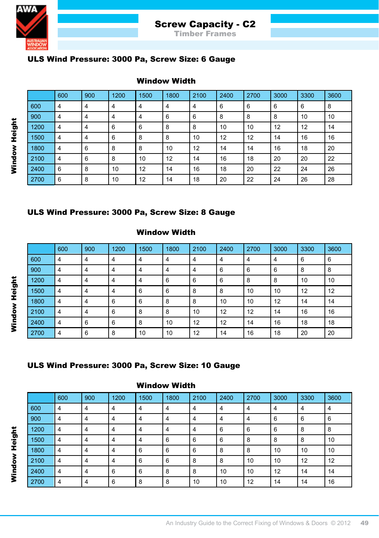

Window Height

Window Height

# ULS Wind Pressure: 3000 Pa, Screw Size: 6 Gauge

|      | 600 | 900 | 1200 | 1500           | 1800           | 2100 | 2400 | 2700 | 3000 | 3300 | 3600 |
|------|-----|-----|------|----------------|----------------|------|------|------|------|------|------|
| 600  | 4   | 4   | 4    | $\overline{4}$ | $\overline{4}$ | 4    | 6    | 6    | 6    | 6    | 8    |
| 900  | 4   | 4   | 4    | 4              | 6              | 6    | 8    | 8    | 8    | 10   | 10   |
| 1200 | 4   | 4   | 6    | 6              | 8              | 8    | 10   | 10   | 12   | 12   | 14   |
| 1500 | 4   | 4   | 6    | 8              | 8              | 10   | 12   | 12   | 14   | 16   | 16   |
| 1800 | 4   | 6   | 8    | 8              | 10             | 12   | 14   | 14   | 16   | 18   | 20   |
| 2100 | 4   | 6   | 8    | 10             | 12             | 14   | 16   | 18   | 20   | 20   | 22   |
| 2400 | 6   | 8   | 10   | 12             | 14             | 16   | 18   | 20   | 22   | 24   | 26   |
| 2700 | 6   | 8   | 10   | 12             | 14             | 18   | 20   | 22   | 24   | 26   | 28   |

# Window Width

# ULS Wind Pressure: 3000 Pa, Screw Size: 8 Gauge

# Window Width

|      | 600            | 900 | 1200 | 1500 | 1800 | 2100 | 2400 | 2700 | 3000 | 3300 | 3600 |
|------|----------------|-----|------|------|------|------|------|------|------|------|------|
| 600  | 4              | 4   | 4    | 4    | 4    | 4    | 4    | 4    | 4    | 6    | 6    |
| 900  | 4              | 4   | 4    | 4    | 4    | 4    | 6    | 6    | 6    | 8    | 8    |
| 1200 | 4              | 4   | 4    | 4    | 6    | 6    | 6    | 8    | 8    | 10   | 10   |
| 1500 | 4              | 4   | 4    | 6    | 6    | 8    | 8    | 10   | 10   | 12   | 12   |
| 1800 | 4              | 4   | 6    | 6    | 8    | 8    | 10   | 10   | 12   | 14   | 14   |
| 2100 | 4              | 4   | 6    | 8    | 8    | 10   | 12   | 12   | 14   | 16   | 16   |
| 2400 | $\overline{4}$ | 6   | 6    | 8    | 10   | 12   | 12   | 14   | 16   | 18   | 18   |
| 2700 | 4              | 6   | 8    | 10   | 10   | 12   | 14   | 16   | 18   | 20   | 20   |

# ULS Wind Pressure: 3000 Pa, Screw Size: 10 Gauge

|      | ---------------- |                |      |                |      |                |      |      |      |                |      |
|------|------------------|----------------|------|----------------|------|----------------|------|------|------|----------------|------|
|      | 600              | 900            | 1200 | 1500           | 1800 | 2100           | 2400 | 2700 | 3000 | 3300           | 3600 |
| 600  | $\overline{4}$   | 4              | 4    | 4              | 4    | 4              | 4    | 4    | 4    | $\overline{4}$ | 4    |
| 900  | $\overline{4}$   | 4              | 4    | 4              | 4    | 4              | 4    | 4    | 6    | 6              | 6    |
| 1200 | $\overline{4}$   | 4              | 4    | $\overline{4}$ | 4    | $\overline{4}$ | 6    | 6    | 6    | 8              | 8    |
| 1500 | $\overline{4}$   | 4              | 4    | 4              | 6    | 6              | 6    | 8    | 8    | 8              | 10   |
| 1800 | $\overline{4}$   | 4              | 4    | 6              | 6    | 6              | 8    | 8    | 10   | 10             | 10   |
| 2100 | $\overline{4}$   | 4              | 4    | 6              | 6    | 8              | 8    | 10   | 10   | 12             | 12   |
| 2400 | $\overline{4}$   | $\overline{4}$ | 6    | 6              | 8    | 8              | 10   | 10   | 12   | 14             | 14   |
| 2700 | $\overline{4}$   | $\overline{4}$ | 6    | 8              | 8    | 10             | 10   | 12   | 14   | 14             | 16   |

# Window Width

Window Height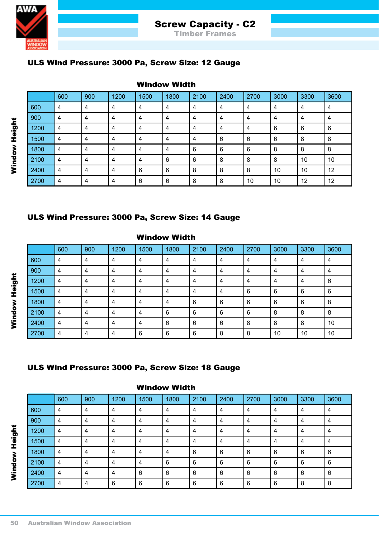

Window Height

Window Height

Window Height

Window Height

# ULS Wind Pressure: 3000 Pa, Screw Size: 12 Gauge

|      |  | 600 | 900 | 1200 | 1500 | 1800 | 2100 | 2400 | 2700 | 3000 | 3300 | 3600 |
|------|--|-----|-----|------|------|------|------|------|------|------|------|------|
| 600  |  | 4   | 4   | 4    | 4    | 4    | 4    | 4    | 4    | 4    | 4    | 4    |
| 900  |  | 4   | 4   | 4    | 4    | 4    | 4    | 4    | 4    | 4    | 4    | 4    |
| 1200 |  | 4   | 4   | 4    | 4    | 4    | 4    | 4    | 4    | 6    | 6    | 6    |
| 1500 |  | 4   | 4   | 4    | 4    | 4    | 4    | 6    | 6    | 6    | 8    | 8    |
| 1800 |  | 4   | 4   | 4    | 4    | 4    | 6    | 6    | 6    | 8    | 8    | 8    |
| 2100 |  | 4   | 4   | 4    | 4    | 6    | 6    | 8    | 8    | 8    | 10   | 10   |
| 2400 |  | 4   | 4   | 4    | 6    | 6    | 8    | 8    | 8    | 10   | 10   | 12   |
| 2700 |  | 4   | 4   | 4    | 6    | 6    | 8    | 8    | 10   | 10   | 12   | 12   |

# Window Width

# ULS Wind Pressure: 3000 Pa, Screw Size: 14 Gauge

|      | <b>Window Width</b> |                |      |      |      |                |      |      |      |      |      |  |  |
|------|---------------------|----------------|------|------|------|----------------|------|------|------|------|------|--|--|
|      | 600                 | 900            | 1200 | 1500 | 1800 | 2100           | 2400 | 2700 | 3000 | 3300 | 3600 |  |  |
| 600  | 4                   | 4              | 4    | 4    | 4    | 4              | 4    | 4    | 4    | 4    | 4    |  |  |
| 900  | 4                   | $\overline{4}$ | 4    | 4    | 4    | $\overline{4}$ | 4    | 4    | 4    | 4    | 4    |  |  |
| 1200 | 4                   | 4              | 4    | 4    | 4    | 4              | 4    | 4    | 4    | 4    | 6    |  |  |
| 1500 | 4                   | 4              | 4    | 4    | 4    | 4              | 4    | 6    | 6    | 6    | 6    |  |  |
| 1800 | 4                   | 4              | 4    | 4    | 4    | 6              | 6    | 6    | 6    | 6    | 8    |  |  |
| 2100 | $\overline{4}$      | 4              | 4    | 4    | 6    | 6              | 6    | 6    | 8    | 8    | 8    |  |  |
| 2400 | 4                   | 4              | 4    | 4    | 6    | 6              | 6    | 8    | 8    | 8    | 10   |  |  |
| 2700 | 4                   | 4              | 4    | 6    | 6    | 6              | 8    | 8    | 10   | 10   | 10   |  |  |

# ULS Wind Pressure: 3000 Pa, Screw Size: 18 Gauge

|      | ,,,,,,,,,,,,,,,,, |     |      |      |      |      |      |      |      |      |      |
|------|-------------------|-----|------|------|------|------|------|------|------|------|------|
|      | 600               | 900 | 1200 | 1500 | 1800 | 2100 | 2400 | 2700 | 3000 | 3300 | 3600 |
| 600  | 4                 | 4   | 4    | 4    | 4    | 4    | 4    | 4    | 4    | 4    | 4    |
| 900  | 4                 | 4   | 4    | 4    | 4    | 4    | 4    | 4    | 4    | 4    | 4    |
| 1200 | -4                | 4   | 4    | 4    | 4    | 4    | 4    | 4    | 4    | 4    | 4    |
| 1500 | 4                 | 4   | 4    | 4    | 4    | 4    | 4    | 4    | 4    | 4    | 4    |
| 1800 | 4                 | 4   | 4    | 4    | 4    | 6    | 6    | 6    | 6    | 6    | 6    |
| 2100 | $\overline{4}$    | 4   | 4    | 4    | 6    | 6    | 6    | 6    | 6    | 6    | 6    |
| 2400 | 4                 | 4   | 4    | 6    | 6    | 6    | 6    | 6    | 6    | 6    | 6    |
| 2700 | 4                 | 4   | 6    | 6    | 6    | 6    | 6    | 6    | 6    | 8    | 8    |

# Window Width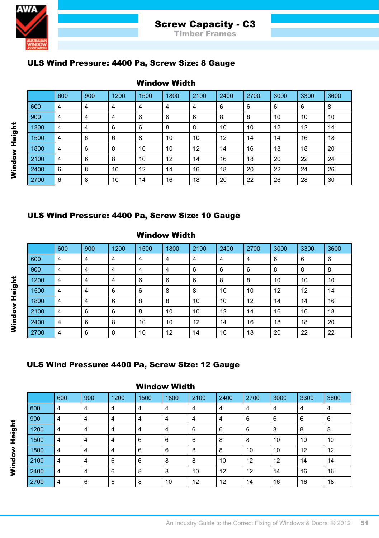

# ULS Wind Pressure: 4400 Pa, Screw Size: 8 Gauge

|      | ------------------ |     |      |                   |      |                |                   |      |      |      |      |  |
|------|--------------------|-----|------|-------------------|------|----------------|-------------------|------|------|------|------|--|
|      | 600                | 900 | 1200 | 1500              | 1800 | 2100           | 2400              | 2700 | 3000 | 3300 | 3600 |  |
| 600  | $\overline{4}$     | 4   | 4    | 4                 | 4    | $\overline{4}$ | 6                 | 6    | 6    | 6    | 8    |  |
| 900  | $\overline{4}$     | 4   | 4    | 6                 | 6    | 6              | 8                 | 8    | 10   | 10   | 10   |  |
| 1200 | $\overline{4}$     | 4   | 6    | 6                 | 8    | 8              | 10                | 10   | 12   | 12   | 14   |  |
| 1500 | $\overline{4}$     | 6   | 6    | 8                 | 10   | 10             | $12 \overline{ }$ | 14   | 14   | 16   | 18   |  |
| 1800 | $\overline{4}$     | 6   | 8    | 10                | 10   | 12             | 14                | 16   | 18   | 18   | 20   |  |
| 2100 | 4                  | 6   | 8    | 10                | 12   | 14             | 16                | 18   | 20   | 22   | 24   |  |
| 2400 | 6                  | 8   | 10   | $12 \overline{ }$ | 14   | 16             | 18                | 20   | 22   | 24   | 26   |  |
| 2700 | 6                  | 8   | 10   | 14                | 16   | 18             | 20                | 22   | 26   | 28   | 30   |  |

Window Width

Window Width

# ULS Wind Pressure: 4400 Pa, Screw Size: 10 Gauge

|      | 600 | 900 | 1200 | 1500 | 1800 | 2100 | 2400 | 2700 | 3000 | 3300 | 3600 |  |
|------|-----|-----|------|------|------|------|------|------|------|------|------|--|
| 600  | 4   | 4   | 4    | 4    | 4    | 4    | 4    | 4    | 6    | 6    | 6    |  |
| 900  | 4   | 4   | 4    | 4    | 4    | 6    | 6    | 6    | 8    | 8    | 8    |  |
| 1200 | 4   | 4   | 4    | 6    | 6    | 6    | 8    | 8    | 10   | 10   | 10   |  |
| 1500 | 4   | 4   | 6    | 6    | 8    | 8    | 10   | 10   | 12   | 12   | 14   |  |
| 1800 | 4   | 4   | 6    | 8    | 8    | 10   | 10   | 12   | 14   | 14   | 16   |  |
| 2100 | 4   | 6   | 6    | 8    | 10   | 10   | 12   | 14   | 16   | 16   | 18   |  |
| 2400 | 4   | 6   | 8    | 10   | 10   | 12   | 14   | 16   | 18   | 18   | 20   |  |
| 2700 | 4   | 6   | 8    | 10   | 12   | 14   | 16   | 18   | 20   | 22   | 22   |  |

# ULS Wind Pressure: 4400 Pa, Screw Size: 12 Gauge

|      | ,,,,,,,,,,,,,,,,,, |     |      |      |      |                |      |      |      |      |      |
|------|--------------------|-----|------|------|------|----------------|------|------|------|------|------|
|      | 600                | 900 | 1200 | 1500 | 1800 | 2100           | 2400 | 2700 | 3000 | 3300 | 3600 |
| 600  | 4                  | 4   | 4    | 4    | 4    | 4              | 4    | 4    | 4    | 4    | 4    |
| 900  | 4                  | 4   | 4    | 4    | 4    | $\overline{4}$ | 4    | 6    | 6    | 6    | 6    |
| 1200 | 4                  | 4   | 4    | 4    | 4    | 6              | 6    | 6    | 8    | 8    | 8    |
| 1500 | 4                  | 4   | 4    | 6    | 6    | 6              | 8    | 8    | 10   | 10   | 10   |
| 1800 | 4                  | 4   | 4    | 6    | 6    | 8              | 8    | 10   | 10   | 12   | 12   |
| 2100 | 4                  | 4   | 6    | 6    | 8    | 8              | 10   | 12   | 12   | 14   | 14   |
| 2400 | 4                  | 4   | 6    | 8    | 8    | 10             | 12   | 12   | 14   | 16   | 16   |
| 2700 | 4                  | 6   | 6    | 8    | 10   | 12             | 12   | 14   | 16   | 16   | 18   |

# Window Width

Window Height Window Height

Window Height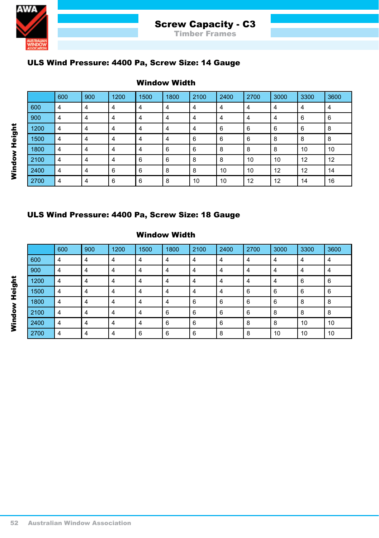

# ULS Wind Pressure: 4400 Pa, Screw Size: 14 Gauge

|      | 600            | 900 | 1200 | 1500 | 1800 | 2100 | 2400 | 2700 | 3000 | 3300 | 3600 |
|------|----------------|-----|------|------|------|------|------|------|------|------|------|
| 600  | $\overline{4}$ | 4   | 4    | 4    | 4    | 4    | 4    | 4    | 4    | 4    | 4    |
| 900  | 4              | 4   | 4    | -4   | 4    | 4    | 4    | 4    | 4    | 6    | 6    |
| 1200 | 4              | 4   | 4    | 4    | 4    | 4    | 6    | 6    | 6    | 6    | 8    |
| 1500 | 4              | 4   | 4    | 4    | 4    | 6    | 6    | 6    | 8    | 8    | 8    |
| 1800 | 4              | 4   | 4    | 4    | 6    | 6    | 8    | 8    | 8    | 10   | 10   |
| 2100 | 4              | 4   | 4    | 6    | 6    | 8    | 8    | 10   | 10   | 12   | 12   |
| 2400 | 4              | 4   | 6    | 6    | 8    | 8    | 10   | 10   | 12   | 12   | 14   |
| 2700 | 4              | 4   | 6    | 6    | 8    | 10   | 10   | 12   | 12   | 14   | 16   |

# Window Width

# ULS Wind Pressure: 4400 Pa, Screw Size: 18 Gauge

|      | 600            | 900 | 1200 | 1500 | 1800 | 2100 | 2400 | 2700 | 3000 | 3300 | 3600 |
|------|----------------|-----|------|------|------|------|------|------|------|------|------|
| 600  | 4              | 4   | 4    | 4    | 4    | 4    | 4    | 4    | 4    | 4    | 4    |
| 900  | 4              | 4   | 4    | 4    | 4    | 4    | 4    | 4    | 4    | 4    | 4    |
| 1200 | 4              | 4   | 4    | 4    | 4    | 4    | 4    | 4    | 4    | 6    | 6    |
| 1500 | 4              | 4   | 4    | 4    | 4    | 4    | 4    | 6    | 6    | 6    | 6    |
| 1800 | $\overline{4}$ | 4   | 4    | 4    | 4    | 6    | 6    | 6    | 6    | 8    | 8    |
| 2100 | 4              | 4   | 4    | 4    | 6    | 6    | 6    | 6    | 8    | 8    | 8    |
| 2400 | 4              | 4   | 4    | 4    | 6    | 6    | 6    | 8    | 8    | 10   | 10   |
| 2700 | 4              | 4   | 4    | 6    | 6    | 6    | 8    | 8    | 10   | 10   | 10   |

# Window Width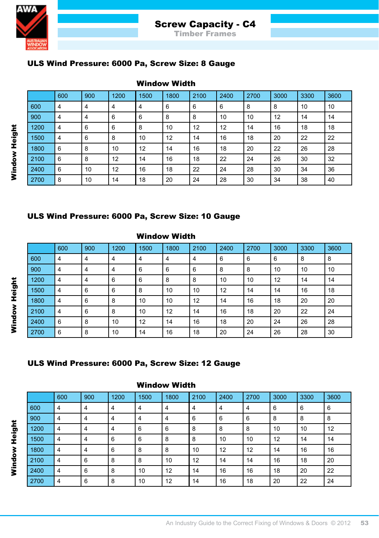

Window Height

Window Height

# ULS Wind Pressure: 6000 Pa, Screw Size: 8 Gauge

|      | 600            | 900 | 1200 | 1500           | 1800              | 2100 | 2400 | 2700 | 3000 | 3300 | 3600 |  |  |
|------|----------------|-----|------|----------------|-------------------|------|------|------|------|------|------|--|--|
| 600  | $\overline{4}$ | 4   | 4    | $\overline{4}$ | 6                 | 6    | 6    | 8    | 8    | 10   | 10   |  |  |
| 900  | $\overline{4}$ | 4   | 6    | 6              | 8                 | 8    | 10   | 10   | 12   | 14   | 14   |  |  |
| 1200 | 4              | 6   | 6    | 8              | 10                | 12   | 12   | 14   | 16   | 18   | 18   |  |  |
| 1500 | 4              | 6   | 8    | 10             | $12 \overline{ }$ | 14   | 16   | 18   | 20   | 22   | 22   |  |  |
| 1800 | 6              | 8   | 10   | 12             | 14                | 16   | 18   | 20   | 22   | 26   | 28   |  |  |
| 2100 | 6              | 8   | 12   | 14             | 16                | 18   | 22   | 24   | 26   | 30   | 32   |  |  |
| 2400 | 6              | 10  | 12   | 16             | 18                | 22   | 24   | 28   | 30   | 34   | 36   |  |  |
| 2700 | 8              | 10  | 14   | 18             | 20                | 24   | 28   | 30   | 34   | 38   | 40   |  |  |

## Window Width

# ULS Wind Pressure: 6000 Pa, Screw Size: 10 Gauge

|      | <b>Window Width</b> |     |      |      |      |      |      |      |      |      |      |  |
|------|---------------------|-----|------|------|------|------|------|------|------|------|------|--|
|      | 600                 | 900 | 1200 | 1500 | 1800 | 2100 | 2400 | 2700 | 3000 | 3300 | 3600 |  |
| 600  | 4                   | 4   | 4    | 4    | 4    | 4    | 6    | 6    | 6    | 8    | 8    |  |
| 900  | 4                   | 4   | 4    | 6    | 6    | 6    | 8    | 8    | 10   | 10   | 10   |  |
| 1200 | 4                   | 4   | 6    | 6    | 8    | 8    | 10   | 10   | 12   | 14   | 14   |  |
| 1500 | $\overline{4}$      | 6   | 6    | 8    | 10   | 10   | 12   | 14   | 14   | 16   | 18   |  |
| 1800 | 4                   | 6   | 8    | 10   | 10   | 12   | 14   | 16   | 18   | 20   | 20   |  |
| 2100 | 4                   | 6   | 8    | 10   | 12   | 14   | 16   | 18   | 20   | 22   | 24   |  |
| 2400 | 6                   | 8   | 10   | 12   | 14   | 16   | 18   | 20   | 24   | 26   | 28   |  |
| 2700 | 6                   | 8   | 10   | 14   | 16   | 18   | 20   | 24   | 26   | 28   | 30   |  |

# ULS Wind Pressure: 6000 Pa, Screw Size: 12 Gauge

|      |                |     |      |                | ----- <del>---</del> ----- <del>---</del> -- |      |      |      |      |      |      |
|------|----------------|-----|------|----------------|----------------------------------------------|------|------|------|------|------|------|
|      | 600            | 900 | 1200 | 1500           | 1800                                         | 2100 | 2400 | 2700 | 3000 | 3300 | 3600 |
| 600  | $\overline{4}$ | 4   | 4    | $\overline{4}$ | 4                                            | 4    | 4    | -4   | 6    | 6    | 6    |
| 900  | 4              | 4   | 4    | 4              | 4                                            | 6    | 6    | 6    | 8    | 8    | 8    |
| 1200 | 4              | 4   | 4    | 6              | 6                                            | 8    | 8    | 8    | 10   | 10   | 12   |
| 1500 | 4              | 4   | 6    | 6              | 8                                            | 8    | 10   | 10   | 12   | 14   | 14   |
| 1800 | 4              | 4   | 6    | 8              | 8                                            | 10   | 12   | 12   | 14   | 16   | 16   |
| 2100 | 4              | 6   | 8    | 8              | 10                                           | 12   | 14   | 14   | 16   | 18   | 20   |
| 2400 | 4              | 6   | 8    | 10             | 12                                           | 14   | 16   | 16   | 18   | 20   | 22   |
| 2700 | 4              | 6   | 8    | 10             | 12                                           | 14   | 16   | 18   | 20   | 22   | 24   |

# Window Width

Window Height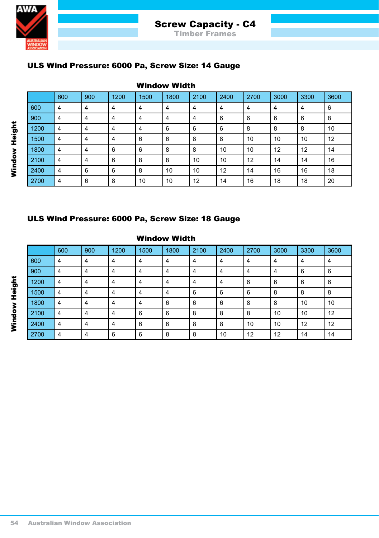

# Window Height Window Height

# ULS Wind Pressure: 6000 Pa, Screw Size: 14 Gauge

|      | <b>Window Width</b> |     |                |      |      |      |      |      |      |      |      |  |
|------|---------------------|-----|----------------|------|------|------|------|------|------|------|------|--|
|      | 600                 | 900 | 1200           | 1500 | 1800 | 2100 | 2400 | 2700 | 3000 | 3300 | 3600 |  |
| 600  | 4                   | 4   | 4              | 4    | 4    | 4    | 4    | 4    | 4    | 4    | 6    |  |
| 900  | 4                   | 4   | 4              | 4    | 4    | 4    | 6    | 6    | 6    | 6    | 8    |  |
| 1200 | 4                   | 4   | 4              | 4    | 6    | 6    | 6    | 8    | 8    | 8    | 10   |  |
| 1500 | 4                   | 4   | $\overline{4}$ | 6    | 6    | 8    | 8    | 10   | 10   | 10   | 12   |  |
| 1800 | 4                   | 4   | 6              | 6    | 8    | 8    | 10   | 10   | 12   | 12   | 14   |  |
| 2100 | 4                   | 4   | 6              | 8    | 8    | 10   | 10   | 12   | 14   | 14   | 16   |  |
| 2400 | 4                   | 6   | 6              | 8    | 10   | 10   | 12   | 14   | 16   | 16   | 18   |  |
| 2700 | 4                   | 6   | 8              | 10   | 10   | 12   | 14   | 16   | 18   | 18   | 20   |  |

# ULS Wind Pressure: 6000 Pa, Screw Size: 18 Gauge

|      |     |     |      |      | <b>Window Width</b> |      |      |      |      |      |      |
|------|-----|-----|------|------|---------------------|------|------|------|------|------|------|
|      | 600 | 900 | 1200 | 1500 | 1800                | 2100 | 2400 | 2700 | 3000 | 3300 | 3600 |
| 600  | 4   | 4   | 4    | 4    | 4                   | 4    | 4    | 4    | 4    | 4    | 4    |
| 900  | 4   | 4   | 4    | 4    | 4                   | 4    | 4    | 4    | 4    | 6    | 6    |
| 1200 | 4   | 4   | 4    | 4    | 4                   | 4    | 4    | 6    | 6    | 6    | 6    |
| 1500 | 4   | 4   | 4    | 4    | 4                   | 6    | 6    | 6    | 8    | 8    | 8    |
| 1800 | 4   | 4   | 4    | 4    | 6                   | 6    | 6    | 8    | 8    | 10   | 10   |
| 2100 | 4   | 4   | 4    | 6    | 6                   | 8    | 8    | 8    | 10   | 10   | 12   |
| 2400 | 4   | 4   | 4    | 6    | 6                   | 8    | 8    | 10   | 10   | 12   | 12   |
| 2700 | 4   | 4   | 6    | 6    | 8                   | 8    | 10   | 12   | 12   | 14   | 14   |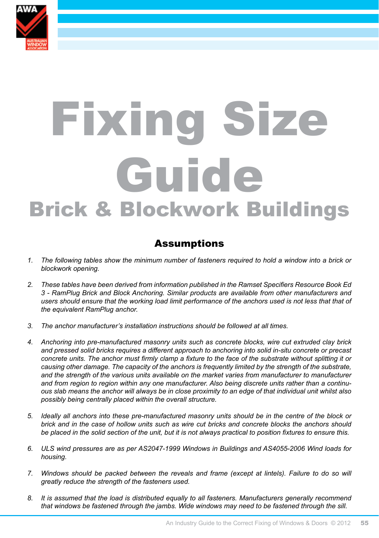

# Fixing Size Guide Brick & Blockwork Buildings

# Assumptions

- *1. The following tables show the minimum number of fasteners required to hold a window into a brick or blockwork opening.*
- *2. These tables have been derived from information published in the Ramset Specifiers Resource Book Ed 3 - RamPlug Brick and Block Anchoring. Similar products are available from other manufacturers and users should ensure that the working load limit performance of the anchors used is not less that that of the equivalent RamPlug anchor.*
- *3. The anchor manufacturer's installation instructions should be followed at all times.*
- *4. Anchoring into pre-manufactured masonry units such as concrete blocks, wire cut extruded clay brick and pressed solid bricks requires a different approach to anchoring into solid in-situ concrete or precast concrete units. The anchor must firmly clamp a fixture to the face of the substrate without splitting it or causing other damage. The capacity of the anchors is frequently limited by the strength of the substrate, and the strength of the various units available on the market varies from manufacturer to manufacturer and from region to region within any one manufacturer. Also being discrete units rather than a continuous slab means the anchor will always be in close proximity to an edge of that individual unit whilst also possibly being centrally placed within the overall structure.*
- *5. Ideally all anchors into these pre-manufactured masonry units should be in the centre of the block or brick and in the case of hollow units such as wire cut bricks and concrete blocks the anchors should be placed in the solid section of the unit, but it is not always practical to position fixtures to ensure this.*
- *6. ULS wind pressures are as per AS2047-1999 Windows in Buildings and AS4055-2006 Wind loads for housing.*
- *7. Windows should be packed between the reveals and frame (except at lintels). Failure to do so will greatly reduce the strength of the fasteners used.*
- *8. It is assumed that the load is distributed equally to all fasteners. Manufacturers generally recommend that windows be fastened through the jambs. Wide windows may need to be fastened through the sill.*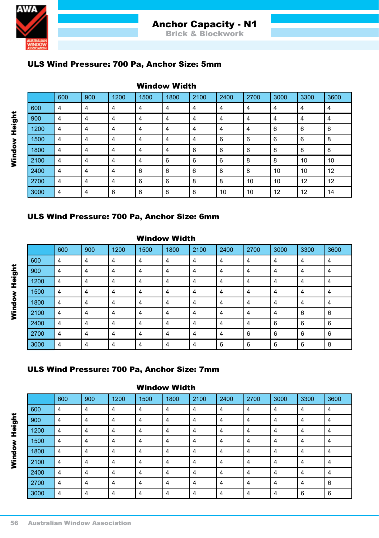

# ULS Wind Pressure: 700 Pa, Anchor Size: 5mm

|      | <b>Window Width</b> |     |      |                |                |      |      |      |      |      |                |  |  |
|------|---------------------|-----|------|----------------|----------------|------|------|------|------|------|----------------|--|--|
|      | 600                 | 900 | 1200 | 1500           | 1800           | 2100 | 2400 | 2700 | 3000 | 3300 | 3600           |  |  |
| 600  | 4                   | 4   | 4    | 4              | 4              | 4    | 4    | 4    | 4    | 4    | $\overline{4}$ |  |  |
| 900  | $\overline{4}$      | 4   | 4    | 4              | 4              | 4    | 4    | 4    | 4    | 4    | 4              |  |  |
| 1200 | $\overline{4}$      | 4   | 4    | 4              | $\overline{4}$ | 4    | 4    | 4    | 6    | 6    | 6              |  |  |
| 1500 | 4                   | 4   | 4    | 4              | 4              | 4    | 6    | 6    | 6    | 6    | 8              |  |  |
| 1800 | $\overline{4}$      | 4   | 4    | 4              | $\overline{4}$ | 6    | 6    | 6    | 8    | 8    | 8              |  |  |
| 2100 | $\overline{4}$      | 4   | 4    | $\overline{4}$ | 6              | 6    | 6    | 8    | 8    | 10   | 10             |  |  |
| 2400 | $\overline{4}$      | 4   | 4    | 6              | 6              | 6    | 8    | 8    | 10   | 10   | 12             |  |  |
| 2700 | $\overline{4}$      | 4   | 4    | 6              | 6              | 8    | 8    | 10   | 10   | 12   | 12             |  |  |
| 3000 | 4                   | 4   | 6    | 6              | 8              | 8    | 10   | 10   | 12   | 12   | 14             |  |  |
|      |                     |     |      |                |                |      |      |      |      |      |                |  |  |

# ULS Wind Pressure: 700 Pa, Anchor Size: 6mm

| 900  | $\overline{4}$          | $\overline{4}$                              | $\overline{4}$          | $\overline{4}$          | 4                       | $\overline{4}$          | $\overline{4}$          | 4                       | $\overline{\mathbf{4}}$ | $\overline{\mathbf{4}}$ | $\overline{4}$          |
|------|-------------------------|---------------------------------------------|-------------------------|-------------------------|-------------------------|-------------------------|-------------------------|-------------------------|-------------------------|-------------------------|-------------------------|
| 1200 | 4                       | 4                                           | 4                       | $\overline{4}$          | 4                       | 4                       | 4                       | 4                       | 6                       | 6                       | 6                       |
| 1500 | $\overline{\mathbf{4}}$ | $\overline{\mathbf{4}}$                     | 4                       | $\overline{4}$          | 4                       | $\overline{4}$          | $6\phantom{1}6$         | 6                       | 6                       | 6                       | 8                       |
| 1800 | $\overline{\mathbf{4}}$ | $\overline{\mathbf{4}}$                     | 4                       | $\overline{\mathbf{4}}$ | 4                       | 6                       | 6                       | 6                       | 8                       | 8                       | 8                       |
| 2100 | $\overline{4}$          | $\overline{4}$                              | 4                       | $\overline{4}$          | 6                       | $6\phantom{1}6$         | 6                       | 8                       | 8                       | 10                      | 10                      |
| 2400 | $\overline{4}$          | $\overline{4}$                              | 4                       | $\,6\,$                 | 6                       | 6                       | 8                       | 8                       | 10                      | 10                      | 12                      |
| 2700 | $\overline{\mathbf{4}}$ | $\overline{\mathbf{4}}$                     | 4                       | $\,6\,$                 | 6                       | 8                       | 8                       | 10                      | 10                      | 12                      | 12                      |
| 3000 | $\overline{4}$          | $\overline{4}$                              | 6                       | 6                       | 8                       | 8                       | 10                      | 10                      | 12                      | 12                      | 14                      |
|      |                         | ULS Wind Pressure: 700 Pa, Anchor Size: 6mm |                         |                         | <b>Window Width</b>     |                         |                         |                         |                         |                         |                         |
|      | 600                     | 900                                         | 1200                    | 1500                    | 1800                    | 2100                    | 2400                    | 2700                    | 3000                    | 3300                    | 3600                    |
| 600  | 4                       | $\overline{\mathbf{4}}$                     | 4                       | 4                       | 4                       | 4                       | 4                       | 4                       | 4                       | 4                       | 4                       |
| 900  | $\overline{\mathbf{4}}$ | $\overline{\mathbf{4}}$                     | 4                       | 4                       | 4                       | 4                       | $\overline{4}$          | $\overline{4}$          | $\overline{\mathbf{4}}$ | $\overline{4}$          | $\overline{4}$          |
| 1200 | $\overline{\mathbf{4}}$ | $\overline{\mathbf{4}}$                     | 4                       | 4                       | 4                       | 4                       | $\overline{\mathbf{4}}$ | $\overline{\mathbf{4}}$ | 4                       | $\overline{\mathbf{4}}$ | 4                       |
| 1500 | $\overline{\mathbf{4}}$ | $\overline{4}$                              | 4                       | $\overline{4}$          | 4                       | $\overline{\mathbf{4}}$ | 4                       | $\overline{4}$          | $\overline{\mathbf{4}}$ | $\overline{4}$          | 4                       |
|      |                         | 4                                           | 4                       | 4                       | 4                       | 4                       | 4                       | $\overline{4}$          | 4                       | $\overline{4}$          | $\overline{4}$          |
| 1800 | 4                       |                                             |                         |                         |                         |                         |                         |                         |                         |                         |                         |
| 2100 | $\overline{4}$          | $\overline{\mathbf{4}}$                     | 4                       | $\overline{\mathbf{4}}$ | 4                       | 4                       | $\overline{4}$          | $\overline{\mathbf{4}}$ | $\overline{\mathbf{4}}$ | 6                       | 6                       |
| 2400 | $\overline{\mathbf{4}}$ | $\overline{4}$                              | $\overline{4}$          | $\overline{\mathbf{4}}$ | 4                       | 4                       | $\overline{4}$          | $\overline{4}$          | 6                       | $\,6\,$                 | 6                       |
| 2700 | $\overline{4}$          | 4                                           | 4                       | $\overline{4}$          | 4                       | 4                       | $\overline{\mathbf{4}}$ | $\,6\,$                 | $\,6\,$                 | $\,6\,$                 | $\,6\,$                 |
| 3000 | 4                       | $\overline{\mathbf{4}}$                     | 4                       | $\overline{4}$          | 4                       | 4                       | 6                       | 6                       | 6                       | 6                       | 8                       |
|      |                         | ULS Wind Pressure: 700 Pa, Anchor Size: 7mm |                         |                         | <b>Window Width</b>     |                         |                         |                         |                         |                         |                         |
|      | 600                     | 900                                         | 1200                    | 1500                    | 1800                    | 2100                    | 2400                    | 2700                    | 3000                    | 3300                    |                         |
| 600  | $\overline{\mathbf{4}}$ | 4                                           | 4                       | 4                       | 4                       | 4                       | 4                       | 4                       | 4                       | 4                       | 3600<br>4               |
| 900  | $\overline{4}$          | 4                                           | 4                       | 4                       | 4                       | $\overline{\mathbf{4}}$ | 4                       | $\overline{4}$          | 4                       | $\overline{4}$          | $\overline{\mathbf{4}}$ |
| 1200 | $\overline{\mathbf{4}}$ | $\overline{\mathbf{4}}$                     | 4                       | $\overline{\mathbf{4}}$ | 4                       | $\overline{4}$          | $\overline{4}$          | $\overline{4}$          | 4                       | $\overline{4}$          | $\overline{\mathbf{4}}$ |
| 1500 | 4                       | 4                                           | 4                       | 4                       | 4                       | 4                       | $\overline{4}$          | 4                       | 4                       | $\overline{\mathbf{4}}$ | 4                       |
| 1800 | $\overline{4}$          | 4                                           | 4                       | 4                       | 4                       | 4                       | $\overline{4}$          | 4                       | 4                       | 4                       | 4                       |
| 2100 | 4                       | 4                                           | $\overline{4}$          | $\overline{4}$          | 4                       | $\overline{4}$          | 4                       | $\overline{4}$          | $\overline{4}$          | $\overline{4}$          | 4                       |
| 2400 | $\overline{4}$          | $\overline{\mathbf{4}}$                     | $\overline{\mathbf{4}}$ | $\overline{\mathbf{4}}$ | $\overline{\mathbf{4}}$ | $\overline{\mathbf{4}}$ | $\overline{\mathbf{4}}$ | $\overline{\mathbf{4}}$ | $\overline{\mathbf{4}}$ | $\overline{4}$          | $\overline{4}$          |
| 2700 | $\overline{\mathbf{4}}$ | $\overline{\mathbf{4}}$                     | 4                       | 4                       | $\overline{\mathbf{4}}$ | 4                       | $\overline{\mathbf{4}}$ | $\overline{\mathbf{4}}$ | 4                       | $\overline{\mathbf{4}}$ | 6                       |

# Window Width

# ULS Wind Pressure: 700 Pa, Anchor Size: 7mm

|      | <u>UUHUVV UUUUH</u> |     |      |      |                |      |      |                |      |      |                |  |  |
|------|---------------------|-----|------|------|----------------|------|------|----------------|------|------|----------------|--|--|
|      | 600                 | 900 | 1200 | 1500 | 1800           | 2100 | 2400 | 2700           | 3000 | 3300 | 3600           |  |  |
| 600  | 4                   | 4   | 4    | 4    | 4              | 4    | 4    | 4              | 4    | 4    | 4              |  |  |
| 900  | 4                   | 4   | 4    | 4    | 4              | 4    | 4    | 4              | 4    | 4    | 4              |  |  |
| 1200 | 4                   | 4   | 4    | 4    | $\overline{4}$ | 4    | 4    | $\overline{4}$ | 4    | 4    | 4              |  |  |
| 1500 | 4                   | 4   | 4    | 4    | 4              | 4    | 4    | 4              | 4    | 4    | $\overline{4}$ |  |  |
| 1800 | 4                   | 4   | 4    | 4    | 4              | 4    | 4    | 4              | 4    | 4    | 4              |  |  |
| 2100 | 4                   | 4   | 4    | 4    | 4              | 4    | 4    | 4              | 4    | 4    | 4              |  |  |
| 2400 | 4                   | 4   | 4    | 4    | 4              | 4    | 4    | $\overline{4}$ | 4    | 4    | 4              |  |  |
| 2700 | 4                   | 4   | 4    | 4    | $\overline{4}$ | 4    | 4    | 4              | 4    | 4    | 6              |  |  |
| 3000 | 4                   | 4   | 4    | 4    | 4              | 4    | 4    | 4              | 4    | 6    | 6              |  |  |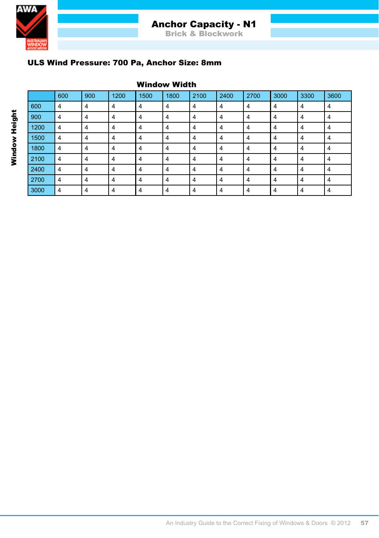

Brick & Blockwork

# ULS Wind Pressure: 700 Pa, Anchor Size: 8mm

|      | <b>Window Width</b> |     |      |      |                |      |      |      |      |      |      |  |
|------|---------------------|-----|------|------|----------------|------|------|------|------|------|------|--|
|      | 600                 | 900 | 1200 | 1500 | 1800           | 2100 | 2400 | 2700 | 3000 | 3300 | 3600 |  |
| 600  | 4                   | 4   | 4    | 4    | 4              | 4    | 4    | 4    | 4    | 4    | 4    |  |
| 900  | 4                   | 4   | 4    | 4    | 4              | 4    | 4    | 4    | 4    | 4    | 4    |  |
| 1200 | 4                   | 4   | 4    | 4    | $\overline{4}$ | 4    | 4    | 4    | 4    | 4    | 4    |  |
| 1500 | 4                   | 4   | 4    | 4    | $\overline{4}$ | 4    | 4    | 4    | 4    | 4    | 4    |  |
| 1800 | 4                   | 4   | 4    | 4    | $\overline{4}$ | 4    | 4    | 4    | 4    | 4    | 4    |  |
| 2100 | 4                   | 4   | 4    | 4    | $\overline{4}$ | 4    | 4    | 4    | 4    | 4    | 4    |  |
| 2400 | 4                   | 4   | 4    | 4    | 4              | 4    | 4    | 4    | 4    | 4    | 4    |  |
| 2700 | 4                   | 4   | 4    | 4    | 4              | 4    | 4    | 4    | 4    | 4    | 4    |  |
| 3000 | 4                   | 4   | 4    | 4    | 4              | 4    | 4    | 4    | 4    | 4    | 4    |  |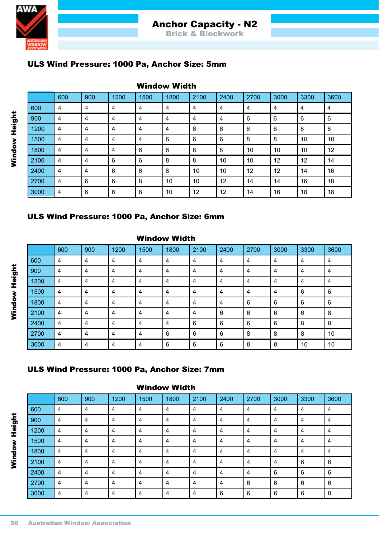

# ULS Wind Pressure: 1000 Pa, Anchor Size: 5mm

| <b>Window Width</b> |  |
|---------------------|--|
|                     |  |

|      | 600            | 900 | 1200 | 1500           | 1800 | 2100 | 2400           | 2700           | 3000              | 3300 | 3600 |
|------|----------------|-----|------|----------------|------|------|----------------|----------------|-------------------|------|------|
| 600  | 4              | 4   | 4    | 4              | 4    | 4    | 4              | $\overline{4}$ | $\overline{4}$    | 4    | 4    |
| 900  | $\overline{4}$ | 4   | 4    | 4              | 4    | 4    | $\overline{4}$ | 6              | 6                 | 6    | 6    |
| 1200 | 4              | 4   | 4    | $\overline{4}$ | 4    | 6    | 6              | 6              | 6                 | 8    | 8    |
| 1500 | $\overline{4}$ | 4   | 4    | $\overline{4}$ | 6    | 6    | 6              | 8              | 8                 | 10   | 10   |
| 1800 | $\overline{4}$ | 4   | 4    | 6              | 6    | 8    | 8              | 10             | 10                | 10   | 12   |
| 2100 | $\overline{4}$ | 4   | 6    | 6              | 8    | 8    | 10             | 10             | 12                | 12   | 14   |
| 2400 | 4              | 4   | 6    | 6              | 8    | 10   | 10             | 12             | $12 \overline{ }$ | 14   | 16   |
| 2700 | $\overline{4}$ | 6   | 6    | 8              | 10   | 10   | 12             | 14             | 14                | 16   | 18   |
| 3000 | 4              | 6   | 6    | 8              | 10   | 12   | 12             | 14             | 16                | 18   | 18   |

# ULS Wind Pressure: 1000 Pa, Anchor Size: 6mm

|      | <b>Window Width</b> |     |                |                |                |      |                |      |      |      |      |  |  |  |
|------|---------------------|-----|----------------|----------------|----------------|------|----------------|------|------|------|------|--|--|--|
|      | 600                 | 900 | 1200           | 1500           | 1800           | 2100 | 2400           | 2700 | 3000 | 3300 | 3600 |  |  |  |
| 600  | 4                   | 4   | 4              | 4              | $\overline{4}$ | 4    | 4              | 4    | 4    | 4    | 4    |  |  |  |
| 900  | 4                   | 4   | 4              | $\overline{4}$ | $\overline{4}$ | 4    | 4              | 4    | 4    | 4    | 4    |  |  |  |
| 1200 | 4                   | 4   | 4              | 4              | $\overline{4}$ | 4    | 4              | 4    | 4    | 4    | 4    |  |  |  |
| 1500 | 4                   | 4   | 4              | 4              | $\overline{4}$ | 4    | $\overline{4}$ | 4    | 4    | 6    | 6    |  |  |  |
| 1800 | 4                   | 4   | $\overline{4}$ | 4              | $\overline{4}$ | 4    | 4              | 6    | 6    | 6    | 6    |  |  |  |
| 2100 | 4                   | 4   | 4              | 4              | $\overline{4}$ | 4    | 6              | 6    | 6    | 6    | 8    |  |  |  |
| 2400 | 4                   | 4   | 4              | 4              | $\overline{4}$ | 6    | 6              | 6    | 6    | 8    | 8    |  |  |  |
| 2700 | 4                   | 4   | 4              | 4              | 6              | 6    | 6              | 8    | 8    | 8    | 10   |  |  |  |
| 3000 | 4                   | 4   | 4              | 4              | 6              | 6    | 6              | 8    | 8    | 10   | 10   |  |  |  |

# ULS Wind Pressure: 1000 Pa, Anchor Size: 7mm

| 900  | $\overline{4}$                                     | $\overline{4}$                               | $\overline{4}$          | $\overline{4}$          | 4                       | $\overline{4}$          | $\overline{4}$          | 6                       | $\,6\,$                 | $\,6\,$                 | $\,6$                   |
|------|----------------------------------------------------|----------------------------------------------|-------------------------|-------------------------|-------------------------|-------------------------|-------------------------|-------------------------|-------------------------|-------------------------|-------------------------|
| 1200 | 4                                                  | 4                                            | 4                       | $\overline{4}$          | 4                       | $6\phantom{1}6$         | $6\phantom{1}6$         | 6                       | 6                       | 8                       | 8                       |
| 1500 | 4                                                  | $\overline{4}$                               | 4                       | $\overline{4}$          | 6                       | 6                       | 6                       | 8                       | 8                       | 10                      | 10                      |
| 1800 | $\overline{\mathbf{4}}$                            | $\overline{\mathbf{4}}$                      | $\overline{4}$          | 6                       | 6                       | 8                       | 8                       | 10                      | 10                      | 10                      | 12                      |
| 2100 | $\overline{4}$                                     | $\overline{4}$                               | 6                       | 6                       | 8                       | 8                       | 10                      | 10                      | 12                      | 12                      | 14                      |
| 2400 | $\overline{\mathbf{4}}$                            | $\overline{\mathbf{4}}$                      | 6                       | $\,6\,$                 | 8                       | 10                      | 10                      | 12                      | 12                      | 14                      | 16                      |
| 2700 | $\overline{\mathbf{4}}$                            | $6\phantom{1}6$                              | 6                       | 8                       | 10                      | 10                      | 12                      | 14                      | 14                      | 16                      | 18                      |
| 3000 | 4                                                  | 6                                            | 6                       | 8                       | 10                      | 12                      | 12                      | 14                      | 16                      | 18                      | 18                      |
|      |                                                    | ULS Wind Pressure: 1000 Pa, Anchor Size: 6mm |                         |                         | <b>Window Width</b>     |                         |                         |                         |                         |                         |                         |
|      | 600                                                | 900                                          | 1200                    | 1500                    | 1800                    | 2100                    | 2400                    | 2700                    | 3000                    | 3300                    | 3600                    |
| 600  | 4                                                  | 4                                            | 4                       | 4                       | 4                       | 4                       | 4                       | 4                       | 4                       | 4                       | 4                       |
| 900  | $\overline{\mathbf{4}}$                            | $\overline{\mathbf{4}}$                      | 4                       | 4                       | 4                       | 4                       | $\overline{4}$          | $\overline{4}$          | $\overline{\mathbf{4}}$ | $\overline{4}$          | $\overline{4}$          |
| 1200 | $\overline{\mathbf{4}}$                            | $\overline{\mathbf{4}}$                      | 4                       | 4                       | 4                       | 4                       | $\overline{\mathbf{4}}$ | $\overline{\mathbf{4}}$ | 4                       | $\overline{\mathbf{4}}$ | 4                       |
| 1500 | 4                                                  | $\overline{\mathbf{4}}$                      | 4                       | $\overline{4}$          | 4                       | $\overline{\mathbf{4}}$ | 4                       | $\overline{4}$          | $\overline{\mathbf{4}}$ | 6                       | 6                       |
| 1800 | 4                                                  | 4                                            | 4                       | 4                       | 4                       | 4                       | 4                       | 6                       | 6                       | 6                       | 6                       |
|      |                                                    |                                              |                         |                         |                         |                         |                         |                         |                         |                         |                         |
| 2100 | $\overline{4}$                                     | $\overline{\mathbf{4}}$                      | 4                       | 4                       | 4                       | 4                       | $\,6$                   | 6                       | 6                       | 6                       | 8                       |
| 2400 | $\overline{\mathbf{4}}$                            | $\overline{4}$                               | $\overline{4}$          | $\overline{\mathbf{4}}$ | 4                       | 6                       | $\,6\,$                 | 6                       | 6                       | 8                       | 8                       |
| 2700 | 4                                                  | 4                                            | 4                       | $\overline{4}$          | 6                       | 6                       | $\,6\,$                 | 8                       | 8                       | 8                       |                         |
| 3000 | 4                                                  | $\overline{\mathbf{4}}$                      | 4                       | $\overline{4}$          | 6                       | 6                       | 6                       | 8                       | 8                       | 10                      |                         |
|      |                                                    | ULS Wind Pressure: 1000 Pa, Anchor Size: 7mm |                         |                         | <b>Window Width</b>     |                         |                         |                         |                         |                         |                         |
|      | 600                                                | 900                                          | 1200                    | 1500                    | 1800                    | 2100                    | 2400                    | 2700                    | 3000                    | 3300                    |                         |
| 600  | 4                                                  | 4                                            | 4                       | 4                       | 4                       | 4                       | 4                       | 4                       | 4                       | 4                       | 4                       |
| 900  | 4                                                  | 4                                            | 4                       | 4                       | 4                       | $\overline{4}$          | 4                       | $\overline{4}$          | 4                       | $\overline{4}$          | $\overline{\mathbf{4}}$ |
| 1200 | $\overline{\mathbf{4}}$                            | $\overline{\mathbf{4}}$                      | 4                       | $\overline{\mathbf{4}}$ | 4                       | $\overline{4}$          | $\overline{4}$          | $\overline{4}$          | 4                       | $\overline{4}$          | $\overline{\mathbf{4}}$ |
| 1500 | $\overline{\mathbf{4}}$                            | 4                                            | 4                       | 4                       | 4                       | 4                       | $\overline{4}$          | 4                       | 4                       | $\overline{\mathbf{4}}$ | 10<br>10<br>3600<br>4   |
| 1800 | $\overline{4}$                                     | 4                                            | 4                       | 4                       | 4                       | 4                       | $\overline{4}$          | 4                       | 4                       | 4                       | 4                       |
| 2100 | 4                                                  | 4                                            | $\overline{4}$          | $\overline{4}$          | 4                       | $\overline{4}$          | 4                       | $\overline{4}$          | $\overline{4}$          | 6                       | 6                       |
| 2400 | $\overline{4}$                                     | $\overline{\mathbf{4}}$                      | $\overline{\mathbf{4}}$ | $\overline{\mathbf{4}}$ | $\overline{\mathbf{4}}$ | $\overline{\mathbf{4}}$ | $\overline{\mathbf{4}}$ | $\overline{\mathbf{4}}$ | 6                       | $\,6\,$                 | 6                       |
| 2700 | $\overline{\mathbf{4}}$<br>$\overline{\mathbf{4}}$ | $\overline{\mathbf{4}}$                      | 4                       | 4                       | $\overline{\mathbf{4}}$ | 4                       | $\overline{\mathbf{4}}$ | 6<br>$\,6\,$            | 6                       | $\,6\,$                 | 6                       |

# Window Width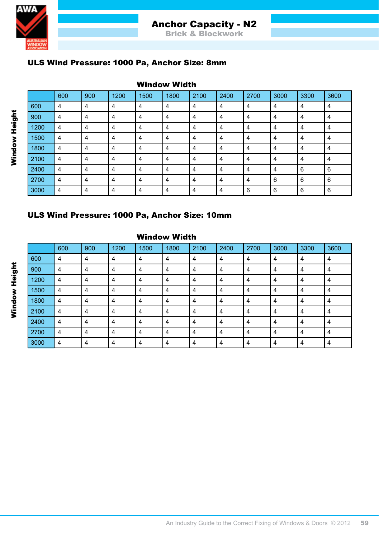

Brick & Blockwork

# ULS Wind Pressure: 1000 Pa, Anchor Size: 8mm

|      | <b>Window Width</b> |     |      |                |      |                |      |      |      |      |      |  |  |  |
|------|---------------------|-----|------|----------------|------|----------------|------|------|------|------|------|--|--|--|
|      | 600                 | 900 | 1200 | 1500           | 1800 | 2100           | 2400 | 2700 | 3000 | 3300 | 3600 |  |  |  |
| 600  | 4                   | 4   | 4    | 4              | 4    | $\overline{4}$ | 4    | 4    | 4    | 4    | 4    |  |  |  |
| 900  | 4                   | 4   | 4    | 4              | 4    | $\overline{4}$ | 4    | 4    | 4    | 4    | 4    |  |  |  |
| 1200 | 4                   | 4   | 4    | 4              | 4    | 4              | 4    | 4    | 4    | 4    | 4    |  |  |  |
| 1500 | 4                   | 4   | 4    | 4              | 4    | 4              | 4    | 4    | 4    | 4    | 4    |  |  |  |
| 1800 | 4                   | 4   | 4    | $\overline{4}$ | 4    | 4              | 4    | 4    | 4    | 4    | 4    |  |  |  |
| 2100 | 4                   | 4   | 4    | 4              | 4    | 4              | 4    | 4    | 4    | 4    | 4    |  |  |  |
| 2400 | 4                   | 4   | 4    | 4              | 4    | $\overline{4}$ | 4    | 4    | 4    | 6    | 6    |  |  |  |
| 2700 | 4                   | 4   | 4    | 4              | 4    | 4              | 4    | 4    | 6    | 6    | 6    |  |  |  |
| 3000 | 4                   | 4   | 4    | 4              | 4    | 4              | 4    | 6    | 6    | 6    | 6    |  |  |  |

# ULS Wind Pressure: 1000 Pa, Anchor Size: 10mm

|      | 600 | 900 | 1200 | 1500 | 1800           | 2100 | 2400 | 2700 | 3000 | 3300 | 3600 |
|------|-----|-----|------|------|----------------|------|------|------|------|------|------|
| 600  | 4   | 4   | 4    | 4    | $\overline{4}$ | 4    | 4    | 4    | 4    | 4    | 4    |
| 900  | 4   | 4   | 4    | 4    | 4              | 4    | 4    | 4    | 4    | 4    | 4    |
| 1200 | 4   | 4   | 4    | 4    | 4              | 4    | 4    | 4    | 4    | 4    | 4    |
| 1500 | 4   | 4   | 4    | 4    | $\overline{4}$ | 4    | 4    | 4    | 4    | 4    | 4    |
| 1800 | 4   | 4   | 4    | 4    | 4              | 4    | 4    | 4    | 4    | 4    | 4    |
| 2100 | 4   | 4   | 4    | 4    | 4              | 4    | 4    | 4    | 4    | 4    | 4    |
| 2400 | 4   | 4   | 4    | 4    | 4              | 4    | 4    | 4    | 4    | 4    | 4    |
| 2700 | 4   | 4   | 4    | 4    | 4              | 4    | 4    | 4    | 4    | 4    | 4    |
| 3000 | 4   | 4   | 4    | 4    | 4              | 4    | 4    | 4    | 4    | 4    | 4    |

# Window Width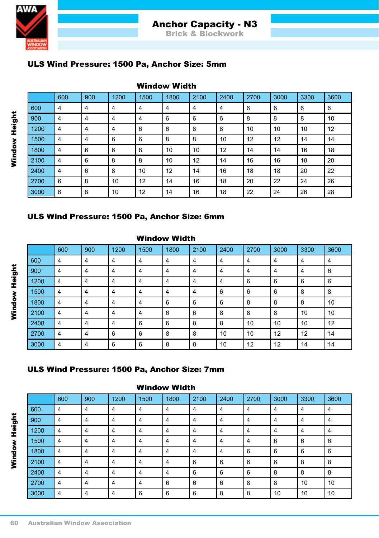

# ULS Wind Pressure: 1500 Pa, Anchor Size: 5mm

| <b>Window Width</b> |     |     |      |      |      |      |      |      |      |      |      |  |  |
|---------------------|-----|-----|------|------|------|------|------|------|------|------|------|--|--|
|                     | 600 | 900 | 1200 | 1500 | 1800 | 2100 | 2400 | 2700 | 3000 | 3300 | 3600 |  |  |
| 600                 | 4   | 4   | 4    | 4    | 4    | 4    | 4    | 6    | 6    | 6    | 6    |  |  |
| 900                 | 4   | 4   | 4    | 4    | 6    | 6    | 6    | 8    | 8    | 8    | 10   |  |  |
| 1200                | 4   | 4   | 4    | 6    | 6    | 8    | 8    | 10   | 10   | 10   | 12   |  |  |
| 1500                | 4   | 4   | 6    | 6    | 8    | 8    | 10   | 12   | 12   | 14   | 14   |  |  |
| 1800                | 4   | 6   | 6    | 8    | 10   | 10   | 12   | 14   | 14   | 16   | 18   |  |  |
| 2100                | 4   | 6   | 8    | 8    | 10   | 12   | 14   | 16   | 16   | 18   | 20   |  |  |
| 2400                | 4   | 6   | 8    | 10   | 12   | 14   | 16   | 18   | 18   | 20   | 22   |  |  |
| 2700                | 6   | 8   | 10   | 12   | 14   | 16   | 18   | 20   | 22   | 24   | 26   |  |  |
| 3000                | 6   | 8   | 10   | 12   | 14   | 16   | 18   | 22   | 24   | 26   | 28   |  |  |

# ULS Wind Pressure: 1500 Pa, Anchor Size: 6mm

|                      | 900          | $\overline{4}$                   | $\overline{4}$                               | $\overline{4}$                            | $\overline{4}$      | $\,6\,$             | $\,6$                   | $\,6$                   | 8                       | 8                       | 8                       | 10       |
|----------------------|--------------|----------------------------------|----------------------------------------------|-------------------------------------------|---------------------|---------------------|-------------------------|-------------------------|-------------------------|-------------------------|-------------------------|----------|
| Window Height        | 1200         | $\overline{4}$                   | $\overline{4}$                               | $\overline{4}$                            | $\,6$               | $\,6\,$             | 8                       | 8                       | 10                      | 10                      | 10                      | 12       |
|                      | 1500         | $\overline{4}$                   | $\overline{4}$                               | $\,6$                                     | $\,6$               | 8                   | 8                       | 10                      | 12                      | 12                      | 14                      | 14       |
|                      | 1800         | 4                                | 6                                            | 6                                         | 8                   | 10                  | 10                      | 12                      | 14                      | 14                      | 16                      | 18       |
|                      | 2100         | $\overline{4}$                   | 6                                            | 8                                         | 8                   | 10                  | 12                      | 14                      | 16                      | 16                      | 18                      | 20       |
|                      | 2400         | $\overline{4}$                   | 6                                            | 8                                         | 10                  | 12                  | 14                      | 16                      | 18                      | 18                      | 20                      | 22       |
|                      | 2700         | $6\phantom{1}6$                  | 8                                            | 10                                        | 12                  | 14                  | 16                      | 18                      | 20                      | 22                      | 24                      | 26       |
|                      | 3000         | 6                                | 8                                            | 10                                        | 12                  | 14                  | 16                      | 18                      | 22                      | 24                      | 26                      | 28       |
|                      |              |                                  | ULS Wind Pressure: 1500 Pa, Anchor Size: 6mm |                                           |                     | <b>Window Width</b> |                         |                         |                         |                         |                         |          |
|                      |              | 600                              | 900                                          | 1200                                      | 1500                | 1800                | 2100                    | 2400                    | 2700                    | 3000                    | 3300                    | 3600     |
|                      | 600          | $\overline{\mathbf{4}}$          | $\overline{\mathbf{4}}$                      | 4                                         | 4                   | $\overline{4}$      | $\overline{4}$          | 4                       | 4                       | 4                       | 4                       | 4        |
|                      | 900          | $\overline{\mathbf{4}}$          | $\overline{4}$                               | $\overline{4}$                            | $\overline{4}$      | $\overline{4}$      | $\overline{4}$          | $\overline{\mathbf{4}}$ | $\overline{\mathbf{4}}$ | $\overline{\mathbf{4}}$ | $\overline{\mathbf{4}}$ | 6        |
|                      | 1200         | 4                                | $\overline{\mathbf{4}}$                      | 4                                         | 4                   | 4                   | $\overline{\mathbf{4}}$ | 4                       | 6                       | 6                       | $6\phantom{1}6$         | 6        |
|                      | 1500         | $\overline{\mathbf{4}}$          | $\overline{4}$                               | 4                                         | 4                   | 4                   | $\overline{\mathbf{4}}$ | 6                       | 6                       | 6                       | 8                       | 8        |
|                      |              |                                  | 4                                            | 4                                         | 4                   | 6                   | 6                       | 6                       | 8                       | 8                       | 8                       | 10       |
|                      | 1800         | $\overline{\mathbf{4}}$          |                                              |                                           |                     |                     |                         |                         |                         |                         |                         |          |
|                      | 2100         | $\overline{4}$                   | $\overline{\mathbf{4}}$                      | $\overline{\mathbf{4}}$                   | 4                   | 6                   | 6                       | 8                       | 8                       | 8                       | 10                      | 10       |
| <b>Window Height</b> | 2400         | $\overline{4}$                   | 4                                            | $\overline{4}$                            | 6                   | $\,6$               | 8                       | 8                       | 10                      | 10                      | 10                      | 12       |
|                      | 2700         | 4                                | 4                                            | 6                                         | 6                   | 8                   | 8                       | 10                      | 10                      | 12                      | 12                      | 14       |
|                      | 3000         | 4                                | $\overline{\mathbf{4}}$                      | 6                                         | 6                   | 8                   | 8                       | 10                      | 12                      | 12                      | 14                      | 14       |
|                      |              |                                  | ULS Wind Pressure: 1500 Pa, Anchor Size: 7mm |                                           |                     | <b>Window Width</b> |                         |                         |                         |                         |                         |          |
|                      |              | 600                              | 900                                          | 1200                                      | 1500                | 1800                | 2100                    | 2400                    | 2700                    | 3000                    | 3300                    | 3600     |
|                      | 600          | 4                                | 4                                            | 4                                         | 4                   | 4                   | 4                       | 4                       | 4                       | 4                       | 4                       | 4        |
|                      | 900          | $\overline{\mathbf{4}}$          | $\overline{4}$                               | $\overline{\mathbf{4}}$                   | 4                   | $\overline{4}$      | $\overline{4}$          | 4                       | $\overline{\mathbf{4}}$ | $\overline{\mathbf{4}}$ | 4                       | 4        |
|                      | 1200         | $\overline{4}$                   | $\overline{4}$                               | $\overline{4}$                            | $\overline{4}$      | $\overline{4}$      | $\overline{4}$          | 4                       | $\overline{\mathbf{4}}$ | $\overline{4}$          | $\overline{4}$          | 4        |
|                      | 1500         | $\overline{\mathbf{4}}$          | 4                                            | 4                                         | 4                   | 4                   | $\overline{\mathbf{4}}$ | 4                       | 4                       | 6                       | 6                       | 6        |
| dow Height           | 1800         | 4                                | 4                                            | 4                                         | 4                   | 4                   | 4                       | 4                       | 6                       | 6                       | 6                       | 6        |
| <b>Nin</b>           | 2100         | 4                                | $\overline{4}$                               | 4                                         | 4                   | $\overline{4}$      | 6                       | 6                       | 6                       | 6                       | 8                       | 8        |
|                      | 2400         | $\overline{4}$                   | $\overline{4}$                               | $\overline{4}$                            | $\overline{4}$      | $\overline{4}$      | 6                       | 6                       | 6                       | 8                       | 8                       | 8        |
|                      | 2700<br>3000 | $\overline{4}$<br>$\overline{4}$ | $\overline{4}$<br>$\overline{4}$             | $\overline{4}$<br>$\overline{\mathbf{4}}$ | $\overline{4}$<br>6 | 6<br>6              | 6<br>6                  | 6<br>8                  | 8<br>8                  | 8<br>10                 | 10<br>10                | 10<br>10 |

# Window Width

# ULS Wind Pressure: 1500 Pa, Anchor Size: 7mm

|      |                |     |      |      | ********* ******* |      |      |                |      |      |                |
|------|----------------|-----|------|------|-------------------|------|------|----------------|------|------|----------------|
|      | 600            | 900 | 1200 | 1500 | 1800              | 2100 | 2400 | 2700           | 3000 | 3300 | 3600           |
| 600  | $\overline{4}$ | 4   | 4    | 4    | 4                 | 4    | 4    | 4              | 4    | 4    | $\overline{4}$ |
| 900  | 4              | 4   | 4    | 4    | 4                 | 4    | 4    | 4              | 4    | 4    | 4              |
| 1200 | 4              | 4   | 4    | 4    | 4                 | 4    | 4    | $\overline{4}$ | 4    | 4    | 4              |
| 1500 | 4              | 4   | 4    | 4    | 4                 | 4    | 4    | 4              | 6    | 6    | 6              |
| 1800 | 4              | 4   | 4    | 4    | 4                 | 4    | 4    | 6              | 6    | 6    | 6              |
| 2100 | 4              | 4   | 4    | 4    | 4                 | 6    | 6    | 6              | 6    | 8    | 8              |
| 2400 | 4              | 4   | 4    | 4    | 4                 | 6    | 6    | 6              | 8    | 8    | 8              |
| 2700 | 4              | 4   | 4    | 4    | 6                 | 6    | 6    | 8              | 8    | 10   | 10             |
| 3000 | 4              | 4   | 4    | 6    | 6                 | 6    | 8    | 8              | 10   | 10   | 10             |

# Window Width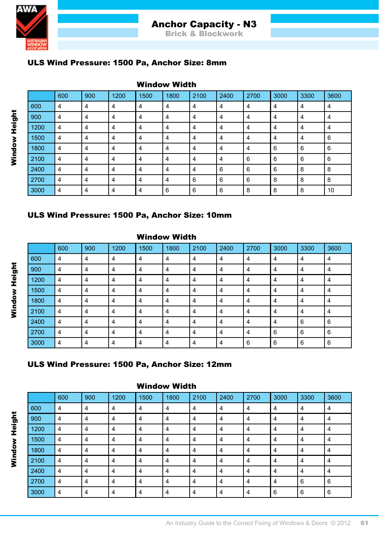

Brick & Blockwork

# ULS Wind Pressure: 1500 Pa, Anchor Size: 8mm

|      | <b>Window Width</b> |                |      |      |      |      |      |      |      |      |      |  |  |  |
|------|---------------------|----------------|------|------|------|------|------|------|------|------|------|--|--|--|
|      | 600                 | 900            | 1200 | 1500 | 1800 | 2100 | 2400 | 2700 | 3000 | 3300 | 3600 |  |  |  |
| 600  | 4                   | 4              | 4    | 4    | 4    | 4    | 4    | 4    | 4    | 4    | 4    |  |  |  |
| 900  | 4                   | 4              | 4    | 4    | 4    | 4    | 4    | 4    | 4    | 4    | 4    |  |  |  |
| 1200 | 4                   | $\overline{4}$ | 4    | 4    | 4    | 4    | 4    | 4    | 4    | 4    | 4    |  |  |  |
| 1500 | 4                   | 4              | 4    | 4    | 4    | 4    | 4    | 4    | 4    | 4    | 6    |  |  |  |
| 1800 | 4                   | 4              | 4    | 4    | 4    | 4    | 4    | 4    | 6    | 6    | 6    |  |  |  |
| 2100 | 4                   | 4              | 4    | 4    | 4    | 4    | 4    | 6    | 6    | 6    | 6    |  |  |  |
| 2400 | 4                   | 4              | 4    | 4    | 4    | 4    | 6    | 6    | 6    | 8    | 8    |  |  |  |
| 2700 | 4                   | 4              | 4    | 4    | 4    | 6    | 6    | 6    | 8    | 8    | 8    |  |  |  |
| 3000 | 4                   | 4              | 4    | 4    | 6    | 6    | 6    | 8    | 8    | 8    | 10   |  |  |  |

# ULS Wind Pressure: 1500 Pa, Anchor Size: 10mm

Window Width

|      | 600 | 900 | 1200 | 1500           | 1800           | 2100 | 2400 | 2700 | 3000 | 3300 | 3600 |
|------|-----|-----|------|----------------|----------------|------|------|------|------|------|------|
| 600  | 4   | 4   | 4    | 4              | 4              | 4    | 4    | 4    | 4    | 4    | 4    |
| 900  | 4   | 4   | 4    | 4              | 4              | 4    | 4    | 4    | 4    | 4    | 4    |
| 1200 | 4   | 4   | 4    | 4              | 4              | 4    | 4    | 4    | 4    | 4    | 4    |
| 1500 | 4   | 4   | 4    | 4              | $\overline{4}$ | 4    | 4    | 4    | 4    | 4    | 4    |
| 1800 | 4   | 4   | 4    | 4              | 4              | 4    | 4    | 4    | 4    | 4    | 4    |
| 2100 | 4   | 4   | 4    | 4              | 4              | 4    | 4    | 4    | 4    | 4    | 4    |
| 2400 | 4   | 4   | 4    | 4              | 4              | 4    | 4    | 4    | 4    | 6    | 6    |
| 2700 | 4   | 4   | 4    | 4              | 4              | 4    | 4    | 4    | 6    | 6    | 6    |
| 3000 | 4   | 4   | 4    | $\overline{4}$ | 4              | 4    | 4    | 6    | 6    | 6    | 6    |

# ULS Wind Pressure: 1500 Pa, Anchor Size: 12mm

|      | 600 | 900            | 1200 | 1500 | 1800           | 2100 | 2400           | 2700 | 3000 | 3300 | 3600           |
|------|-----|----------------|------|------|----------------|------|----------------|------|------|------|----------------|
| 600  | 4   | 4              | 4    | 4    | 4              | 4    | 4              | 4    | 4    | 4    | 4              |
| 900  | 4   | $\overline{4}$ | 4    | 4    | 4              | 4    | $\overline{4}$ | 4    | 4    | 4    | 4              |
| 1200 | 4   | 4              | 4    | 4    | 4              | 4    | 4              | 4    | 4    | 4    | $\overline{4}$ |
| 1500 | 4   | 4              | 4    | 4    | 4              | 4    | $\overline{4}$ | 4    | 4    | 4    | $\overline{4}$ |
| 1800 | 4   | $\overline{4}$ | 4    | 4    | 4              | 4    | $\overline{4}$ | 4    | 4    | 4    | 4              |
| 2100 | 4   | 4              | 4    | 4    | $\overline{4}$ | 4    | $\overline{4}$ | 4    | 4    | 4    | $\overline{4}$ |
| 2400 | 4   | 4              | 4    | 4    | 4              | 4    | 4              | 4    | 4    | 4    | 4              |
| 2700 | 4   | 4              | 4    | 4    | 4              | 4    | 4              | 4    | 4    | 6    | 6              |
| 3000 | 4   | 4              | 4    | 4    | 4              | 4    | $\overline{4}$ | 4    | 6    | 6    | 6              |

# Window Width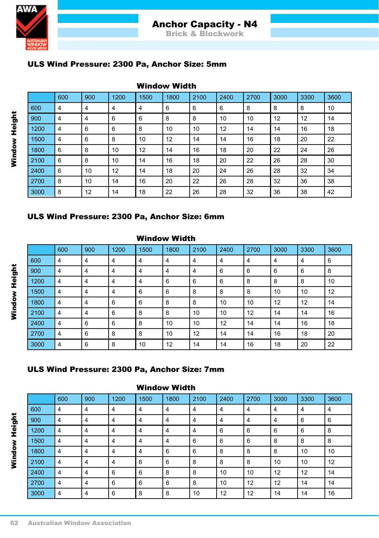

# ULS Wind Pressure: 2300 Pa, Anchor Size: 5mm

| <b>Window Width</b> |                |     |                |                |      |      |      |      |      |      |      |  |  |
|---------------------|----------------|-----|----------------|----------------|------|------|------|------|------|------|------|--|--|
|                     | 600            | 900 | 1200           | 1500           | 1800 | 2100 | 2400 | 2700 | 3000 | 3300 | 3600 |  |  |
| 600                 | $\overline{4}$ | 4   | $\overline{4}$ | $\overline{4}$ | 6    | 6    | 6    | 8    | 8    | 8    | 10   |  |  |
| 900                 | 4              | 4   | 6              | 6              | 8    | 8    | 10   | 10   | 12   | 12   | 14   |  |  |
| 1200                | $\overline{4}$ | 6   | 6              | 8              | 10   | 10   | 12   | 14   | 14   | 16   | 18   |  |  |
| 1500                | $\overline{4}$ | 6   | 8              | 10             | 12   | 14   | 14   | 16   | 18   | 20   | 22   |  |  |
| 1800                | 6              | 8   | 10             | 12             | 14   | 16   | 18   | 20   | 22   | 24   | 26   |  |  |
| 2100                | 6              | 8   | 10             | 14             | 16   | 18   | 20   | 22   | 26   | 28   | 30   |  |  |
| 2400                | 6              | 10  | 12             | 14             | 18   | 20   | 24   | 26   | 28   | 32   | 34   |  |  |
| 2700                | 8              | 10  | 14             | 16             | 20   | 22   | 26   | 28   | 32   | 36   | 38   |  |  |
| 3000                | 8              | 12  | 14             | 18             | 22   | 26   | 28   | 32   | 36   | 38   | 42   |  |  |

# ULS Wind Pressure: 2300 Pa, Anchor Size: 6mm

|   | 600  |
|---|------|
|   | 900  |
|   | 1200 |
|   | 1500 |
| š | 1800 |
|   | 2100 |
|   |      |

# Window Width

|      | 600 | 900            | 1200 | 1500 | 1800 | 2100           | 2400 | 2700 | 3000 | 3300 | 3600 |
|------|-----|----------------|------|------|------|----------------|------|------|------|------|------|
| 600  | 4   | $\overline{4}$ | 4    | 4    | 4    | $\overline{4}$ | 4    | 4    | 4    | 4    | 6    |
| 900  | 4   | 4              | 4    | 4    | 4    | $\overline{4}$ | 6    | 6    | 6    | 6    | 8    |
| 1200 | 4   | 4              | 4    | 4    | 6    | 6              | -6   | 8    | 8    | 8    | 10   |
| 1500 | 4   | 4              | 4    | 6    | 6    | 8              | 8    | 8    | 10   | 10   | 12   |
| 1800 | 4   | 4              | 6    | 6    | 8    | 8              | 10   | 10   | 12   | 12   | 14   |
| 2100 | 4   | 4              | 6    | 8    | 8    | 10             | 10   | 12   | 14   | 14   | 16   |
| 2400 | 4   | 6              | 6    | 8    | 10   | 10             | 12   | 14   | 14   | 16   | 18   |
| 2700 | 4   | 6              | 8    | 8    | 10   | 12             | 14   | 14   | 16   | 18   | 20   |
| 3000 | 4   | 6              | 8    | 10   | 12   | 14             | 14   | 16   | 18   | 20   | 22   |

# ULS Wind Pressure: 2300 Pa, Anchor Size: 7mm

| 900  | $\overline{4}$          | $\overline{4}$                               | 6                       | 6                       | 8                   | 8               | 10             | 10                      | 12             | 12   | 14        |
|------|-------------------------|----------------------------------------------|-------------------------|-------------------------|---------------------|-----------------|----------------|-------------------------|----------------|------|-----------|
| 1200 | 4                       | 6                                            | 6                       | 8                       | 10                  | 10              | 12             | 14                      | 14             | 16   | 18        |
| 1500 | $\overline{\mathbf{4}}$ | 6                                            | 8                       | 10                      | 12                  | 14              | 14             | 16                      | 18             | 20   | 22        |
| 1800 | 6                       | 8                                            | 10                      | 12                      | 14                  | 16              | 18             | 20                      | 22             | 24   | 26        |
| 2100 | $6\phantom{1}6$         | 8                                            | 10                      | 14                      | 16                  | 18              | 20             | 22                      | 26             | 28   | 30        |
| 2400 | $6\phantom{1}6$         | 10                                           | 12                      | 14                      | 18                  | 20              | 24             | 26                      | 28             | 32   | 34        |
| 2700 | 8                       | 10                                           | 14                      | 16                      | 20                  | 22              | 26             | 28                      | 32             | 36   | 38        |
| 3000 | 8                       | 12                                           | 14                      | 18                      | 22                  | 26              | 28             | 32                      | 36             | 38   | 42        |
|      |                         | ULS Wind Pressure: 2300 Pa, Anchor Size: 6mm |                         |                         | <b>Window Width</b> |                 |                |                         |                |      |           |
|      | 600                     | 900                                          | 1200                    | 1500                    | 1800                | 2100            | 2400           | 2700                    | 3000           | 3300 | 3600      |
| 600  | 4                       | 4                                            | 4                       | 4                       | 4                   | 4               | 4              | 4                       | 4              | 4    | 6         |
| 900  | $\overline{\mathbf{4}}$ | 4                                            | $\overline{4}$          | $\overline{\mathbf{4}}$ | 4                   | $\overline{4}$  | 6              | 6                       | $\,6\,$        | 6    | 8         |
| 1200 | $\overline{\mathbf{4}}$ | 4                                            | $\overline{\mathbf{4}}$ | $\overline{\mathbf{4}}$ | 6                   | 6               | 6              | 8                       | 8              | 8    | 10        |
| 1500 | 4                       | $\overline{\mathbf{4}}$                      | $\overline{\mathbf{4}}$ | 6                       | 6                   | 8               | 8              | 8                       | 10             | 10   | 12        |
| 1800 | 4                       | 4                                            | 6                       | 6                       | 8                   | 8               | 10             | 10                      | 12             | 12   | 14        |
|      |                         |                                              |                         |                         |                     |                 |                |                         |                |      |           |
| 2100 | $\overline{\mathbf{4}}$ | $\overline{\mathbf{4}}$                      | 6                       | 8                       | 8                   | 10              | 10             | 12                      | 14             | 14   | 16        |
| 2400 | $\overline{\mathbf{4}}$ | 6                                            | $6\phantom{1}6$         | 8                       | 10                  | 10              | 12             | 14                      | 14             | 16   | 18        |
| 2700 | 4                       | 6                                            | 8                       | 8                       | 10                  | 12              | 14             | 14                      | 16             | 18   | 20        |
| 3000 | 4                       | 6                                            | 8                       | 10                      | 12                  | 14              | 14             | 16                      | 18             | 20   | 22        |
|      |                         | ULS Wind Pressure: 2300 Pa, Anchor Size: 7mm |                         |                         | <b>Window Width</b> |                 |                |                         |                |      |           |
|      | 600                     | 900                                          | 1200                    | 1500                    | 1800                | 2100            | 2400           | 2700                    | 3000           | 3300 |           |
| 600  | 4                       | 4                                            | 4                       | 4                       | 4                   | 4               | 4              | 4                       | 4              | 4    | 3600<br>4 |
| 900  | $\overline{4}$          | 4                                            | 4                       | 4                       | 4                   | 4               | $\overline{4}$ | $\overline{\mathbf{4}}$ | $\overline{4}$ | 6    | 6         |
| 1200 | $\overline{\mathbf{4}}$ | 4                                            | $\overline{4}$          | $\overline{4}$          | 4                   | $\overline{4}$  | 6              | 6                       | 6              | 6    | 8         |
| 1500 | $\overline{\mathbf{4}}$ | 4                                            | $\overline{\mathbf{4}}$ | $\overline{\mathbf{4}}$ | 4                   | $6\phantom{1}6$ | 6              | 6                       | 8              | 8    | 8         |
| 1800 | $\overline{\mathbf{4}}$ | 4                                            | 4                       | 4                       | 6                   | $\,6$           | 8              | 8                       | 8              | 10   | 10        |
| 2100 | 4                       | 4                                            | 4                       | 6                       | 6                   | 8               | 8              | 8                       | 10             | 10   | 12        |
| 2400 | $\overline{\mathbf{4}}$ | $\overline{\mathbf{4}}$                      | 6                       | $\,6\,$                 | 8                   | $\bf 8$         | 10             | 10                      | 12             | 12   |           |
| 2700 | $\overline{\mathbf{4}}$ | $\overline{\mathbf{4}}$                      | 6                       | 6                       | 8                   | 8               | 10             | 12                      | 12             | 14   | 14<br>14  |

# Window Width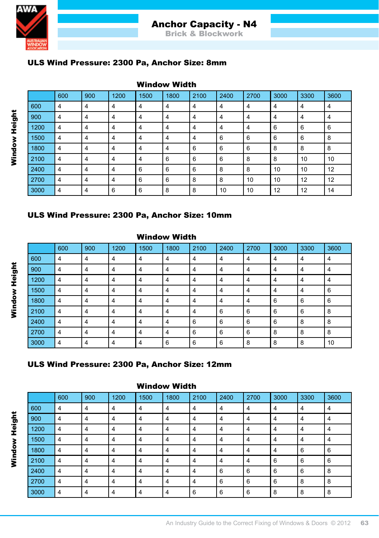

Window Height

**Window Height** 

# ULS Wind Pressure: 2300 Pa, Anchor Size: 8mm

|      | <b>Window Width</b> |     |      |                |                |      |      |      |      |      |      |  |  |  |
|------|---------------------|-----|------|----------------|----------------|------|------|------|------|------|------|--|--|--|
|      | 600                 | 900 | 1200 | 1500           | 1800           | 2100 | 2400 | 2700 | 3000 | 3300 | 3600 |  |  |  |
| 600  | 4                   | 4   | 4    | $\overline{4}$ | 4              | 4    | 4    | 4    | 4    | 4    | 4    |  |  |  |
| 900  | $\overline{4}$      | 4   | 4    | $\overline{4}$ | 4              | 4    | 4    | 4    | 4    | 4    | 4    |  |  |  |
| 1200 | 4                   | 4   | 4    | 4              | $\overline{4}$ | 4    | 4    | 4    | 6    | 6    | 6    |  |  |  |
| 1500 | 4                   | 4   | 4    | $\overline{4}$ | 4              | 4    | 6    | 6    | 6    | 6    | 8    |  |  |  |
| 1800 | $\overline{4}$      | 4   | 4    | 4              | 4              | 6    | 6    | 6    | 8    | 8    | 8    |  |  |  |
| 2100 | 4                   | 4   | 4    | 4              | 6              | 6    | 6    | 8    | 8    | 10   | 10   |  |  |  |
| 2400 | 4                   | 4   | 4    | 6              | 6              | 6    | 8    | 8    | 10   | 10   | 12   |  |  |  |
| 2700 | 4                   | 4   | 4    | 6              | 6              | 8    | 8    | 10   | 10   | 12   | 12   |  |  |  |
| 3000 | 4                   | 4   | 6    | 6              | 8              | 8    | 10   | 10   | 12   | 12   | 14   |  |  |  |

# ULS Wind Pressure: 2300 Pa, Anchor Size: 10mm

Window Width

|      | 600 | 900 | 1200 | 1500 | 1800 | 2100 | 2400 | 2700 | 3000 | 3300 | 3600 |
|------|-----|-----|------|------|------|------|------|------|------|------|------|
| 600  | 4   | 4   | 4    | 4    | 4    | 4    | 4    | 4    | 4    | 4    | 4    |
| 900  | 4   | 4   | 4    | 4    | 4    | 4    | 4    | 4    | 4    | 4    | 4    |
| 1200 | 4   | 4   | 4    | 4    | 4    | 4    | 4    | 4    | 4    | 4    | 4    |
| 1500 | 4   | 4   | 4    | 4    | 4    | 4    | 4    | 4    | 4    | 4    | 6    |
| 1800 | 4   | 4   | 4    | 4    | 4    | 4    | 4    | 4    | 6    | 6    | 6    |
| 2100 | 4   | 4   | 4    | 4    | 4    | 4    | 6    | 6    | 6    | 6    | 8    |
| 2400 | 4   | 4   | 4    | 4    | 4    | 6    | 6    | 6    | 6    | 8    | 8    |
| 2700 | 4   | 4   | 4    | 4    | 4    | 6    | 6    | 6    | 8    | 8    | 8    |
| 3000 | 4   | 4   | 4    | 4    | 6    | 6    | 6    | 8    | 8    | 8    | 10   |

# ULS Wind Pressure: 2300 Pa, Anchor Size: 12mm

|      |     |                |      |      | ********* ******* |      |                |      |      |      |                |
|------|-----|----------------|------|------|-------------------|------|----------------|------|------|------|----------------|
|      | 600 | 900            | 1200 | 1500 | 1800              | 2100 | 2400           | 2700 | 3000 | 3300 | 3600           |
| 600  | 4   | $\overline{4}$ | 4    | 4    | $\overline{4}$    | 4    | $\overline{4}$ | 4    | 4    | 4    | $\overline{4}$ |
| 900  | 4   | 4              | 4    | 4    | 4                 | 4    | $\overline{4}$ | 4    | 4    | 4    | 4              |
| 1200 | 4   | 4              | 4    | 4    | 4                 | 4    | 4              | 4    | 4    | 4    | 4              |
| 1500 | 4   | 4              | 4    | 4    | 4                 | 4    | $\overline{4}$ | 4    | 4    | 4    | $\overline{4}$ |
| 1800 | 4   | $\overline{4}$ | 4    | 4    | 4                 | 4    | $\overline{4}$ | 4    | 4    | 6    | 6              |
| 2100 | 4   | 4              | 4    | 4    | 4                 | 4    | $\overline{4}$ | 4    | 6    | 6    | 6              |
| 2400 | 4   | $\overline{4}$ | 4    | 4    | 4                 | 4    | 6              | 6    | 6    | 6    | 8              |
| 2700 | 4   | 4              | 4    | 4    | 4                 | 4    | 6              | 6    | 6    | 8    | 8              |
| 3000 | 4   | 4              | 4    | 4    | 4                 | 6    | 6              | 6    | 8    | 8    | 8              |

# Window Width

Window Height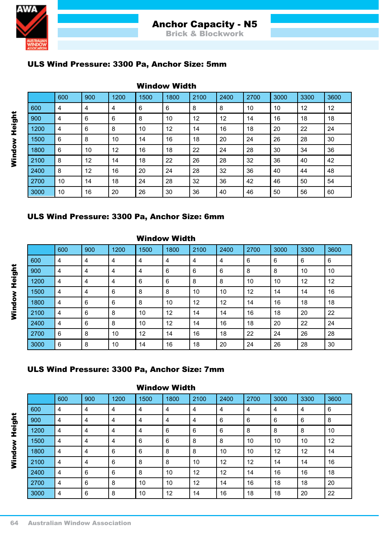

# ULS Wind Pressure: 3300 Pa, Anchor Size: 5mm

|      | <b>Window Width</b> |     |      |      |      |      |      |      |      |      |      |  |  |
|------|---------------------|-----|------|------|------|------|------|------|------|------|------|--|--|
|      | 600                 | 900 | 1200 | 1500 | 1800 | 2100 | 2400 | 2700 | 3000 | 3300 | 3600 |  |  |
| 600  | 4                   | 4   | 4    | 6    | 6    | 8    | 8    | 10   | 10   | 12   | 12   |  |  |
| 900  | 4                   | 6   | 6    | 8    | 10   | 12   | 12   | 14   | 16   | 18   | 18   |  |  |
| 1200 | $\overline{4}$      | 6   | 8    | 10   | 12   | 14   | 16   | 18   | 20   | 22   | 24   |  |  |
| 1500 | 6                   | 8   | 10   | 14   | 16   | 18   | 20   | 24   | 26   | 28   | 30   |  |  |
| 1800 | 6                   | 10  | 12   | 16   | 18   | 22   | 24   | 28   | 30   | 34   | 36   |  |  |
| 2100 | 8                   | 12  | 14   | 18   | 22   | 26   | 28   | 32   | 36   | 40   | 42   |  |  |
| 2400 | 8                   | 12  | 16   | 20   | 24   | 28   | 32   | 36   | 40   | 44   | 48   |  |  |
| 2700 | 10                  | 14  | 18   | 24   | 28   | 32   | 36   | 42   | 46   | 50   | 54   |  |  |
| 3000 | 10                  | 16  | 20   | 26   | 30   | 36   | 40   | 46   | 50   | 56   | 60   |  |  |

# ULS Wind Pressure: 3300 Pa, Anchor Size: 6mm

| 900  | $\overline{4}$          | $6\phantom{1}6$                              | 6    | 8              | 10                  | 12   | 12   | 14   | 16   | 18   | 18                   |
|------|-------------------------|----------------------------------------------|------|----------------|---------------------|------|------|------|------|------|----------------------|
| 1200 | 4                       | $6\phantom{1}6$                              | 8    | 10             | 12                  | 14   | 16   | 18   | 20   | 22   | 24                   |
| 1500 | 6                       | 8                                            | 10   | 14             | 16                  | 18   | 20   | 24   | 26   | 28   | 30                   |
| 1800 | 6                       | 10                                           | 12   | 16             | 18                  | 22   | 24   | 28   | 30   | 34   | 36                   |
| 2100 | 8                       | 12                                           | 14   | 18             | 22                  | 26   | 28   | 32   | 36   | 40   | 42                   |
| 2400 | 8                       | 12                                           | 16   | 20             | 24                  | 28   | 32   | 36   | 40   | 44   | 48                   |
| 2700 | 10                      | 14                                           | 18   | 24             | 28                  | 32   | 36   | 42   | 46   | 50   | 54                   |
| 3000 | 10                      | 16                                           | 20   | 26             | 30                  | 36   | 40   | 46   | 50   | 56   | 60                   |
|      |                         | ULS Wind Pressure: 3300 Pa, Anchor Size: 6mm |      |                | <b>Window Width</b> |      |      |      |      |      |                      |
|      | 600                     | 900                                          | 1200 | 1500           | 1800                | 2100 | 2400 | 2700 | 3000 | 3300 | 3600                 |
| 600  | 4                       | 4                                            | 4    | 4              | 4                   | 4    | 4    | 6    | 6    | 6    | 6                    |
| 900  | 4                       | 4                                            | 4    | $\overline{4}$ | 6                   | 6    | 6    | 8    | 8    | 10   | 10                   |
| 1200 | 4                       | 4                                            | 4    | 6              | 6                   | 8    | 8    | 10   | 10   | 12   | 12                   |
| 1500 | 4                       | $\overline{4}$                               | 6    | 8              | 8                   | 10   | 10   | 12   | 14   | 14   | 16                   |
| 1800 | 4                       | 6                                            | 6    | 8              | 10                  | 12   | 12   | 14   | 16   | 18   | 18                   |
|      |                         |                                              |      |                |                     |      |      |      |      |      |                      |
| 2100 | $\overline{\mathbf{4}}$ | 6                                            | 8    | 10             | 12                  | 14   | 14   | 16   | 18   | 20   |                      |
| 2400 | $\overline{\mathbf{4}}$ | $6\phantom{1}$                               | 8    | 10             | 12                  | 14   | 16   | 18   | 20   | 22   | 22<br>24             |
| 2700 | $6\phantom{1}$          | 8                                            | 10   | 12             | 14                  | 16   | 18   | 22   | 24   | 26   |                      |
| 3000 | 6                       | 8                                            | 10   | 14             | 16                  | 18   | 20   | 24   | 26   | 28   |                      |
|      |                         | ULS Wind Pressure: 3300 Pa, Anchor Size: 7mm |      |                | <b>Window Width</b> |      |      |      |      |      |                      |
|      | 600                     | 900                                          | 1200 | 1500           | 1800                | 2100 | 2400 | 2700 | 3000 | 3300 | 28<br>30<br>3600     |
| 600  | 4                       | 4                                            | 4    | 4              | 4                   | 4    | 4    | 4    | 4    | 4    | 6                    |
| 900  | 4                       | 4                                            | 4    | 4              | 4                   | 4    | 6    | 6    | 6    | 6    | 8                    |
| 1200 | $\overline{\mathbf{4}}$ | 4                                            | 4    | $\overline{4}$ | 6                   | 6    | 6    | 8    | 8    | 8    |                      |
| 1500 | $\overline{\mathbf{4}}$ | 4                                            | 4    | 6              | 6                   | 8    | 8    | 10   | 10   | 10   |                      |
| 1800 | $\overline{\mathbf{4}}$ | 4                                            | 6    | 6              | 8                   | 8    | $10$ | $10$ | 12   | 12   |                      |
| 2100 | 4                       | 4                                            | 6    | 8              | 8                   | 10   | 12   | 12   | 14   | 14   | 10<br>12<br>14<br>16 |
| 2400 | $\overline{4}$          | 6                                            | 6    | 8              | 10                  | 12   | 12   | 14   | 16   | 16   |                      |
| 2700 | $\overline{\mathbf{4}}$ | 6                                            | 8    | 10             | 10                  | 12   | 14   | 16   | 18   | 18   | 18<br>20             |

# ULS Wind Pressure: 3300 Pa, Anchor Size: 7mm

|      | WINGOW WIGUN |     |      |      |      |      |                   |      |      |                |      |
|------|--------------|-----|------|------|------|------|-------------------|------|------|----------------|------|
|      | 600          | 900 | 1200 | 1500 | 1800 | 2100 | 2400              | 2700 | 3000 | 3300           | 3600 |
| 600  | 4            | 4   | 4    | 4    | 4    | 4    | $\overline{4}$    | 4    | 4    | $\overline{4}$ | 6    |
| 900  | 4            | 4   | 4    | 4    | 4    | 4    | 6                 | 6    | 6    | 6              | 8    |
| 1200 | 4            | 4   | 4    | 4    | 6    | 6    | 6                 | 8    | 8    | 8              | 10   |
| 1500 | 4            | 4   | 4    | 6    | 6    | 8    | 8                 | 10   | 10   | 10             | 12   |
| 1800 | 4            | 4   | 6    | 6    | 8    | 8    | 10                | 10   | 12   | 12             | 14   |
| 2100 | 4            | 4   | 6    | 8    | 8    | 10   | 12                | 12   | 14   | 14             | 16   |
| 2400 | 4            | 6   | 6    | 8    | 10   | 12   | $12 \overline{ }$ | 14   | 16   | 16             | 18   |
| 2700 | 4            | 6   | 8    | 10   | 10   | 12   | 14                | 16   | 18   | 18             | 20   |
| 3000 | 4            | 6   | 8    | 10   | 12   | 14   | 16                | 18   | 18   | 20             | 22   |

# Window Width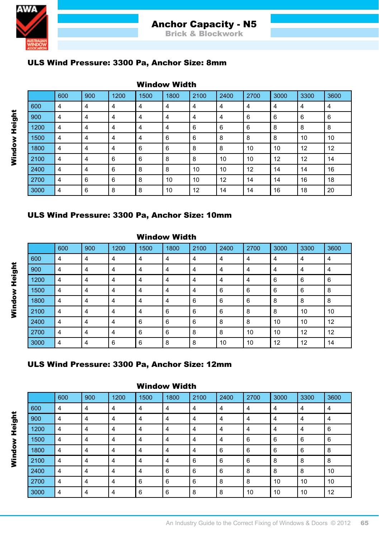

# ULS Wind Pressure: 3300 Pa, Anchor Size: 8mm

|      | <b>Window Width</b> |                |      |      |      |                |      |      |      |      |      |  |  |
|------|---------------------|----------------|------|------|------|----------------|------|------|------|------|------|--|--|
|      | 600                 | 900            | 1200 | 1500 | 1800 | 2100           | 2400 | 2700 | 3000 | 3300 | 3600 |  |  |
| 600  | 4                   | $\overline{4}$ | 4    | 4    | 4    | $\overline{4}$ | 4    | 4    | 4    | 4    | 4    |  |  |
| 900  | 4                   | $\overline{4}$ | 4    | 4    | 4    | $\overline{4}$ | 4    | 6    | 6    | 6    | 6    |  |  |
| 1200 | 4                   | 4              | 4    | 4    | 4    | 6              | 6    | 6    | 8    | 8    | 8    |  |  |
| 1500 | 4                   | $\overline{4}$ | 4    | 4    | 6    | 6              | 8    | 8    | 8    | 10   | 10   |  |  |
| 1800 | $\overline{4}$      | $\overline{4}$ | 4    | 6    | 6    | 8              | 8    | 10   | 10   | 12   | 12   |  |  |
| 2100 | 4                   | 4              | 6    | 6    | 8    | 8              | 10   | 10   | 12   | 12   | 14   |  |  |
| 2400 | 4                   | 4              | 6    | 8    | 8    | 10             | 10   | 12   | 14   | 14   | 16   |  |  |
| 2700 | 4                   | 6              | 6    | 8    | 10   | 10             | 12   | 14   | 14   | 16   | 18   |  |  |
| 3000 | 4                   | 6              | 8    | 8    | 10   | 12             | 14   | 14   | 16   | 18   | 20   |  |  |

# ULS Wind Pressure: 3300 Pa, Anchor Size: 10mm

Window Width

|      | 600            | 900 | 1200 | 1500           | 1800 | 2100 | 2400 | 2700 | 3000 | 3300 | 3600 |
|------|----------------|-----|------|----------------|------|------|------|------|------|------|------|
| 600  | 4              | 4   | 4    | 4              | 4    | 4    | 4    | 4    | 4    | 4    | 4    |
| 900  | 4              | 4   | 4    | $\overline{4}$ | 4    | 4    | 4    | 4    | 4    | 4    | 4    |
| 1200 | $\overline{4}$ | 4   | 4    | 4              | 4    | 4    | 4    | 4    | 6    | 6    | 6    |
| 1500 | 4              | 4   | 4    | $\overline{4}$ | 4    | 4    | 6    | 6    | 6    | 6    | 8    |
| 1800 | 4              | 4   | 4    | 4              | 4    | 6    | 6    | 6    | 8    | 8    | 8    |
| 2100 | 4              | 4   | 4    | 4              | 6    | 6    | 6    | 8    | 8    | 10   | 10   |
| 2400 | 4              | 4   | 4    | 6              | 6    | 6    | 8    | 8    | 10   | 10   | 12   |
| 2700 | 4              | 4   | 4    | 6              | 6    | 8    | 8    | 10   | 10   | 12   | 12   |
| 3000 | 4              | 4   | 6    | 6              | 8    | 8    | 10   | 10   | 12   | 12   | 14   |

## ULS Wind Pressure: 3300 Pa, Anchor Size: 12mm

|      |                |                |      | -------        | ------- |      |                |      |      |      |                |
|------|----------------|----------------|------|----------------|---------|------|----------------|------|------|------|----------------|
|      | 600            | 900            | 1200 | 1500           | 1800    | 2100 | 2400           | 2700 | 3000 | 3300 | 3600           |
| 600  | 4              | $\overline{4}$ | 4    | 4              | 4       | 4    | $\overline{4}$ | 4    | 4    | 4    | 4              |
| 900  | $\overline{4}$ | $\overline{4}$ | 4    | 4              | 4       | 4    | 4              | 4    | 4    | 4    | $\overline{4}$ |
| 1200 | 4              | $\overline{4}$ | 4    | 4              | 4       | 4    | $\overline{4}$ | 4    | 4    | 4    | 6              |
| 1500 | 4              | 4              | 4    | 4              | 4       | 4    | 4              | 6    | 6    | 6    | 6              |
| 1800 | 4              | $\overline{4}$ | 4    | 4              | 4       | 4    | 6              | 6    | 6    | 6    | 8              |
| 2100 | 4              | 4              | 4    | 4              | 4       | 6    | 6              | 6    | 8    | 8    | 8              |
| 2400 | 4              | $\overline{4}$ | 4    | $\overline{4}$ | 6       | 6    | 6              | 8    | 8    | 8    | 10             |
| 2700 | 4              | $\overline{4}$ | 4    | 6              | 6       | 6    | 8              | 8    | 10   | 10   | 10             |
| 3000 | 4              | $\overline{4}$ | 4    | 6              | 6       | 8    | 8              | 10   | 10   | 10   | 12             |

# Window Width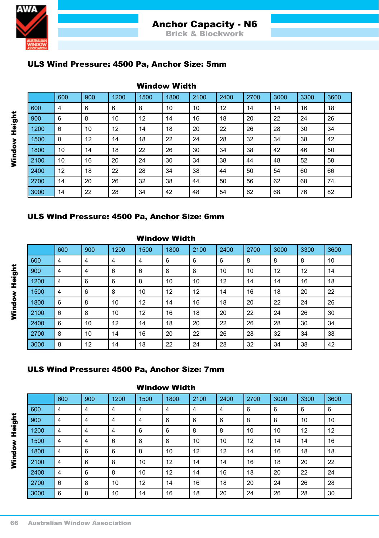

# ULS Wind Pressure: 4500 Pa, Anchor Size: 5mm

|      | <b>Window Width</b> |     |      |      |      |      |      |      |      |      |      |  |  |  |  |
|------|---------------------|-----|------|------|------|------|------|------|------|------|------|--|--|--|--|
|      | 600                 | 900 | 1200 | 1500 | 1800 | 2100 | 2400 | 2700 | 3000 | 3300 | 3600 |  |  |  |  |
| 600  | 4                   | 6   | 6    | 8    | 10   | 10   | 12   | 14   | 14   | 16   | 18   |  |  |  |  |
| 900  | 6                   | 8   | 10   | 12   | 14   | 16   | 18   | 20   | 22   | 24   | 26   |  |  |  |  |
| 1200 | 6                   | 10  | 12   | 14   | 18   | 20   | 22   | 26   | 28   | 30   | 34   |  |  |  |  |
| 1500 | 8                   | 12  | 14   | 18   | 22   | 24   | 28   | 32   | 34   | 38   | 42   |  |  |  |  |
| 1800 | 10                  | 14  | 18   | 22   | 26   | 30   | 34   | 38   | 42   | 46   | 50   |  |  |  |  |
| 2100 | 10                  | 16  | 20   | 24   | 30   | 34   | 38   | 44   | 48   | 52   | 58   |  |  |  |  |
| 2400 | 12                  | 18  | 22   | 28   | 34   | 38   | 44   | 50   | 54   | 60   | 66   |  |  |  |  |
| 2700 | 14                  | 20  | 26   | 32   | 38   | 44   | 50   | 56   | 62   | 68   | 74   |  |  |  |  |
| 3000 | 14                  | 22  | 28   | 34   | 42   | 48   | 54   | 62   | 68   | 76   | 82   |  |  |  |  |

# ULS Wind Pressure: 4500 Pa, Anchor Size: 6mm

| 900                                                | 6                       | 8      | 10                                           | 12       | 14                  | 16       | 18       | 20       | 22       | 24       | 26       |
|----------------------------------------------------|-------------------------|--------|----------------------------------------------|----------|---------------------|----------|----------|----------|----------|----------|----------|
| 1200                                               | 6                       | 10     | 12                                           | 14       | 18                  | 20       | 22       | 26       | 28       | 30       | 34       |
| 1500                                               | 8                       | 12     | 14                                           | 18       | 22                  | 24       | 28       | 32       | 34       | 38       | 42       |
| 1800                                               | 10                      | 14     | 18                                           | 22       | 26                  | 30       | 34       | 38       | 42       | 46       | 50       |
| 2100                                               | 10                      | 16     | 20                                           | 24       | 30                  | 34       | 38       | 44       | 48       | 52       | 58       |
| 2400                                               | 12                      | 18     | 22                                           | 28       | 34                  | 38       | 44       | 50       | 54       | 60       | 66       |
| 2700                                               | 14                      | 20     | 26                                           | 32       | 38                  | 44       | 50       | 56       | 62       | 68       | 74       |
| 3000                                               | 14                      | 22     | 28                                           | 34       | 42                  | 48       | 54       | 62       | 68       | 76       | 82       |
|                                                    |                         |        | ULS Wind Pressure: 4500 Pa, Anchor Size: 6mm |          | <b>Window Width</b> |          |          |          |          |          |          |
|                                                    | 600                     | 900    | 1200                                         | 1500     | 1800                | 2100     | 2400     | 2700     | 3000     | 3300     | 3600     |
| 600                                                | 4                       | 4      | 4                                            | 4        | 6                   | 6        | 6        | 8        | 8        | 8        | 10       |
| 900                                                | 4                       | 4      | 6                                            | 6        | 8                   | 8        | 10       | 10       | 12       | 12       | 14       |
| 1200                                               | 4                       | 6      | 6                                            | 8        | 10                  | 10       | 12       | 14       | 14       | 16       | 18       |
| 1500                                               | 4                       | 6      | 8                                            | 10       | 12                  | 12       | 14       | 16       | 18       | 20       | 22       |
| 1800                                               | 6                       | 8      | 10                                           | 12       | 14                  | 16       | 18       | 20       | 22       | 24       | 26       |
|                                                    |                         |        |                                              |          |                     |          | 20       |          |          |          | 30       |
|                                                    | 6                       | 8      | 10                                           | 12       | 16                  | 18       |          | 22       | 24       | 26       |          |
|                                                    | 6                       | 10     | 12                                           | 14       | 18                  | 20       | 22       | 26       | 28       | 30       | 34       |
|                                                    | 8                       | 10     | 14                                           | 16       | 20                  | 22       | 26       | 28       | 32       | 34       | 38       |
|                                                    | 8                       | 12     | 14                                           | 18       | 22                  | 24       | 28       | 32       | 34       | 38       | 42       |
| 2100<br>2400<br>2700<br>3000                       |                         |        | ULS Wind Pressure: 4500 Pa, Anchor Size: 7mm |          | <b>Window Width</b> |          |          |          |          |          |          |
|                                                    | 600                     | 900    | 1200                                         | 1500     | 1800                | 2100     | 2400     | 2700     | 3000     | 3300     | 3600     |
|                                                    | 4                       | 4      | 4                                            | 4        | 4                   | 4        | 4        | 6        | 6        | 6        | 6        |
|                                                    | 4                       | 4      | 4                                            | 4        | 6                   | 6        | 6        | 8        | 8        | 10       | 10       |
|                                                    | $\overline{4}$          | 4      | 4                                            | 6        | 6                   | 8        | 8        | 10       | 10       | 12       | 12       |
|                                                    | $\overline{\mathbf{4}}$ | 4      | 6                                            | 8        | 8                   | 10       | 10       | 12       | 14       | 14       | 16       |
|                                                    | $\overline{\mathbf{4}}$ | 6      | 6                                            | 8        | 10                  | 12       | 12       | 14       | 16       | 18       | 18       |
|                                                    | 4                       | 6      | 8                                            | 10       | 12                  | 14       | 14       | 16       | 18       | 20       | 22       |
| 1200<br>1500                                       | $\overline{4}$          | 6      | 8                                            | 10       | 12                  | 14       | 16       | 18       | 20       | 22       | 24       |
| 600<br>900<br>1800<br>2100<br>2400<br>2700<br>3000 | 6<br>$\,6\,$            | 8<br>8 | 10<br>10                                     | 12<br>14 | 14<br>16            | 16<br>18 | 18<br>20 | 20<br>24 | 24<br>26 | 26<br>28 | 28<br>30 |

# ULS Wind Pressure: 4500 Pa, Anchor Size: 7mm

|      | WHIQOW WHILI   |     |      |                |                |      |                 |      |      |      |      |  |  |  |
|------|----------------|-----|------|----------------|----------------|------|-----------------|------|------|------|------|--|--|--|
|      | 600            | 900 | 1200 | 1500           | 1800           | 2100 | 2400            | 2700 | 3000 | 3300 | 3600 |  |  |  |
| 600  | $\overline{4}$ | 4   | 4    | $\overline{4}$ | $\overline{4}$ | 4    | 4               | 6    | 6    | 6    | 6    |  |  |  |
| 900  | $\overline{4}$ | 4   | 4    | 4              | 6              | 6    | 6               | 8    | 8    | 10   | 10   |  |  |  |
| 1200 | $\overline{4}$ | 4   | 4    | 6              | 6              | 8    | 8               | 10   | 10   | 12   | 12   |  |  |  |
| 1500 | $\overline{4}$ | 4   | 6    | 8              | 8              | 10   | 10              | 12   | 14   | 14   | 16   |  |  |  |
| 1800 | 4              | 6   | 6    | 8              | 10             | 12   | 12 <sup>2</sup> | 14   | 16   | 18   | 18   |  |  |  |
| 2100 | 4              | 6   | 8    | 10             | 12             | 14   | 14              | 16   | 18   | 20   | 22   |  |  |  |
| 2400 | 4              | 6   | 8    | 10             | 12             | 14   | 16              | 18   | 20   | 22   | 24   |  |  |  |
| 2700 | 6              | 8   | 10   | 12             | 14             | 16   | 18              | 20   | 24   | 26   | 28   |  |  |  |
| 3000 | 6              | 8   | 10   | 14             | 16             | 18   | 20              | 24   | 26   | 28   | 30   |  |  |  |

# Window Width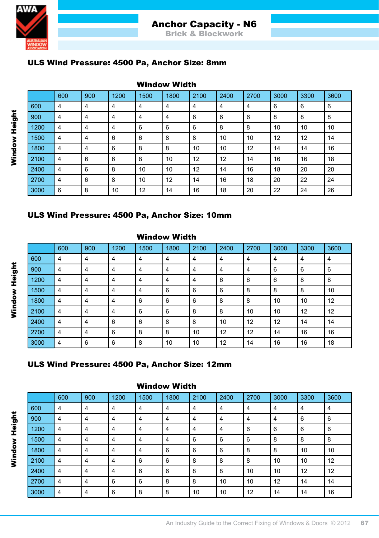

Brick & Blockwork

# ULS Wind Pressure: 4500 Pa, Anchor Size: 8mm

|      | <b>Window Width</b> |                |      |      |      |      |      |      |      |      |      |  |  |  |  |
|------|---------------------|----------------|------|------|------|------|------|------|------|------|------|--|--|--|--|
|      | 600                 | 900            | 1200 | 1500 | 1800 | 2100 | 2400 | 2700 | 3000 | 3300 | 3600 |  |  |  |  |
| 600  | $\overline{4}$      | 4              | 4    | 4    | 4    | 4    | 4    | 4    | 6    | 6    | 6    |  |  |  |  |
| 900  | 4                   | 4              | 4    | 4    | 4    | 6    | 6    | 6    | 8    | 8    | 8    |  |  |  |  |
| 1200 | $\overline{4}$      | 4              | 4    | 6    | 6    | 6    | 8    | 8    | 10   | 10   | 10   |  |  |  |  |
| 1500 | 4                   | $\overline{4}$ | 6    | 6    | 8    | 8    | 10   | 10   | 12   | 12   | 14   |  |  |  |  |
| 1800 | 4                   | 4              | 6    | 8    | 8    | 10   | 10   | 12   | 14   | 14   | 16   |  |  |  |  |
| 2100 | 4                   | 6              | 6    | 8    | 10   | 12   | 12   | 14   | 16   | 16   | 18   |  |  |  |  |
| 2400 | 4                   | 6              | 8    | 10   | 10   | 12   | 14   | 16   | 18   | 20   | 20   |  |  |  |  |
| 2700 | 4                   | 6              | 8    | 10   | 12   | 14   | 16   | 18   | 20   | 22   | 24   |  |  |  |  |
| 3000 | 6                   | 8              | 10   | 12   | 14   | 16   | 18   | 20   | 22   | 24   | 26   |  |  |  |  |

# ULS Wind Pressure: 4500 Pa, Anchor Size: 10mm

Window Width

|      | 600 | 900 | 1200 | 1500 | 1800 | 2100           | 2400 | 2700 | 3000 | 3300 | 3600           |
|------|-----|-----|------|------|------|----------------|------|------|------|------|----------------|
| 600  | 4   | 4   | 4    | 4    | 4    | 4              | 4    | 4    | 4    | 4    | $\overline{4}$ |
| 900  | 4   | 4   | 4    | 4    | 4    | $\overline{4}$ | 4    | 4    | 6    | 6    | 6              |
| 1200 | 4   | 4   | 4    | 4    | 4    | 4              | 6    | 6    | 6    | 8    | 8              |
| 1500 | 4   | 4   | 4    | 4    | 6    | 6              | 6    | 8    | 8    | 8    | 10             |
| 1800 | 4   | 4   | 4    | 6    | 6    | 6              | 8    | 8    | 10   | 10   | 12             |
| 2100 | 4   | 4   | 4    | 6    | 6    | 8              | 8    | 10   | 10   | 12   | 12             |
| 2400 | 4   | 4   | 6    | 6    | 8    | 8              | 10   | 12   | 12   | 14   | 14             |
| 2700 | 4   | 4   | 6    | 8    | 8    | 10             | 12   | 12   | 14   | 16   | 16             |
| 3000 | 4   | 6   | 6    | 8    | 10   | 10             | 12   | 14   | 16   | 16   | 18             |

# ULS Wind Pressure: 4500 Pa, Anchor Size: 12mm

| ********* ******* |                |                |      |      |      |      |      |      |      |      |                |  |  |
|-------------------|----------------|----------------|------|------|------|------|------|------|------|------|----------------|--|--|
|                   | 600            | 900            | 1200 | 1500 | 1800 | 2100 | 2400 | 2700 | 3000 | 3300 | 3600           |  |  |
| 600               | $\overline{4}$ | $\overline{4}$ | 4    | 4    | 4    | 4    | 4    | 4    | 4    | 4    | $\overline{4}$ |  |  |
| 900               | 4              | 4              | 4    | 4    | 4    | 4    | 4    | 4    | 4    | 6    | 6              |  |  |
| 1200              | 4              | $\overline{4}$ | 4    | 4    | 4    | 4    | 4    | 6    | 6    | 6    | 6              |  |  |
| 1500              | 4              | 4              | 4    | 4    | 4    | 6    | 6    | 6    | 8    | 8    | 8              |  |  |
| 1800              | 4              | $\overline{4}$ | 4    | 4    | 6    | 6    | 6    | 8    | 8    | 10   | 10             |  |  |
| 2100              | 4              | 4              | 4    | 6    | 6    | 8    | 8    | 8    | 10   | 10   | 12             |  |  |
| 2400              | 4              | 4              | 4    | 6    | 6    | 8    | 8    | 10   | 10   | 12   | 12             |  |  |
| 2700              | 4              | $\overline{4}$ | 6    | 6    | 8    | 8    | 10   | 10   | 12   | 14   | 14             |  |  |
| 3000              | 4              | $\overline{4}$ | 6    | 8    | 8    | 10   | 10   | 12   | 14   | 14   | 16             |  |  |

# Window Width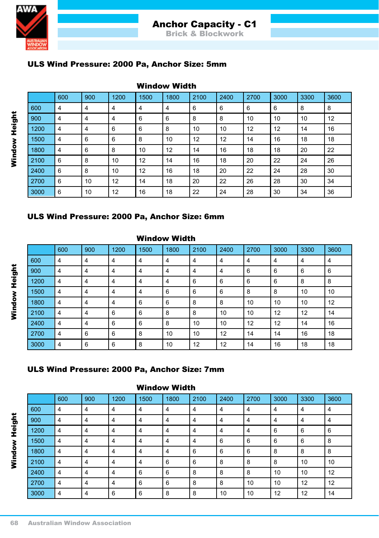

# ULS Wind Pressure: 2000 Pa, Anchor Size: 5mm

|      | <b>Window Width</b> |     |      |      |      |      |      |      |      |      |      |  |  |  |  |
|------|---------------------|-----|------|------|------|------|------|------|------|------|------|--|--|--|--|
|      | 600                 | 900 | 1200 | 1500 | 1800 | 2100 | 2400 | 2700 | 3000 | 3300 | 3600 |  |  |  |  |
| 600  | 4                   | 4   | 4    | 4    | 4    | 6    | 6    | 6    | 6    | 8    | 8    |  |  |  |  |
| 900  | 4                   | 4   | 4    | 6    | 6    | 8    | 8    | 10   | 10   | 10   | 12   |  |  |  |  |
| 1200 | $\overline{4}$      | 4   | 6    | 6    | 8    | 10   | 10   | 12   | 12   | 14   | 16   |  |  |  |  |
| 1500 | 4                   | 6   | 6    | 8    | 10   | 12   | 12   | 14   | 16   | 18   | 18   |  |  |  |  |
| 1800 | $\overline{4}$      | 6   | 8    | 10   | 12   | 14   | 16   | 18   | 18   | 20   | 22   |  |  |  |  |
| 2100 | 6                   | 8   | 10   | 12   | 14   | 16   | 18   | 20   | 22   | 24   | 26   |  |  |  |  |
| 2400 | 6                   | 8   | 10   | 12   | 16   | 18   | 20   | 22   | 24   | 28   | 30   |  |  |  |  |
| 2700 | 6                   | 10  | 12   | 14   | 18   | 20   | 22   | 26   | 28   | 30   | 34   |  |  |  |  |
| 3000 | 6                   | 10  | 12   | 16   | 18   | 22   | 24   | 28   | 30   | 34   | 36   |  |  |  |  |

# ULS Wind Pressure: 2000 Pa, Anchor Size: 6mm

|                                    | 900          | $\overline{4}$                   | $\overline{4}$                               | $\overline{4}$          | $\,6\,$                 | $\,6$                   | 8                       | 8                       | 10                      | 10             | 10              | 12                      |
|------------------------------------|--------------|----------------------------------|----------------------------------------------|-------------------------|-------------------------|-------------------------|-------------------------|-------------------------|-------------------------|----------------|-----------------|-------------------------|
| Window Height                      | 1200         | 4                                | $\overline{4}$                               | 6                       | $\,6\,$                 | 8                       | 10                      | 10                      | 12                      | 12             | 14              | 16                      |
|                                    | 1500         | 4                                | 6                                            | 6                       | 8                       | 10                      | 12                      | 12                      | 14                      | 16             | 18              | 18                      |
|                                    | 1800         | 4                                | 6                                            | 8                       | 10                      | 12                      | 14                      | 16                      | 18                      | 18             | 20              | 22                      |
|                                    | 2100         | 6                                | 8                                            | 10                      | 12                      | 14                      | 16                      | 18                      | 20                      | 22             | 24              | 26                      |
|                                    | 2400         | 6                                | 8                                            | 10                      | 12                      | 16                      | 18                      | 20                      | 22                      | 24             | 28              | 30                      |
|                                    | 2700         | 6                                | 10                                           | 12                      | 14                      | 18                      | 20                      | 22                      | 26                      | 28             | 30              | 34                      |
|                                    | 3000         | 6                                | 10                                           | 12                      | 16                      | 18                      | 22                      | 24                      | 28                      | 30             | 34              | 36                      |
|                                    |              |                                  | ULS Wind Pressure: 2000 Pa, Anchor Size: 6mm |                         |                         | <b>Window Width</b>     |                         |                         |                         |                |                 |                         |
|                                    |              | 600                              | 900                                          | 1200                    | 1500                    | 1800                    | 2100                    | 2400                    | 2700                    | 3000           | 3300            | 3600                    |
|                                    | 600          | $\overline{\mathbf{4}}$          | $\overline{4}$                               | 4                       | 4                       | $\overline{4}$          | $\overline{4}$          | 4                       | 4                       | 4              | 4               | 4                       |
|                                    | 900          | $\overline{4}$                   | $\overline{4}$                               | $\overline{\mathbf{4}}$ | $\overline{4}$          | $\overline{4}$          | $\overline{\mathbf{4}}$ | $\overline{\mathbf{4}}$ | $\,6\,$                 | 6              | $6\phantom{1}6$ | 6                       |
|                                    | 1200         | 4                                | $\overline{4}$                               | $\overline{4}$          | 4                       | 4                       | 6                       | 6                       | $\,6\,$                 | 6              | 8               | 8                       |
|                                    | 1500         | $\overline{4}$                   | 4                                            | 4                       | $\overline{4}$          | $\,6\,$                 | $\,6\,$                 | 6                       | 8                       | 8              | 10              | 10                      |
|                                    |              |                                  | $\overline{4}$                               | 4                       | 6                       | 6                       | 8                       | 8                       | 10                      | 10             | 10              | 12                      |
|                                    | 1800         | 4                                |                                              |                         |                         |                         |                         |                         |                         |                |                 |                         |
|                                    | 2100         | 4                                | $\overline{4}$                               | 6                       | 6                       | 8                       | 8                       | 10                      | 10                      | 12             | 12              | 14                      |
|                                    | 2400         | $\overline{4}$                   | $\overline{4}$                               | 6                       | $\,6\,$                 | 8                       | 10                      | 10                      | 12                      | 12             | 14              | 16                      |
|                                    | 2700         | $\overline{\mathbf{4}}$          | 6                                            | 6                       | 8                       | 10                      | 10                      | 12                      | 14                      | 14             | 16              | 18                      |
|                                    | 3000         | $\overline{4}$                   | 6                                            | 6                       | 8                       | 10                      | 12                      | 12                      | 14                      | 16             | 18              | 18                      |
| Window Height                      |              |                                  | ULS Wind Pressure: 2000 Pa, Anchor Size: 7mm |                         |                         | <b>Window Width</b>     |                         |                         |                         |                |                 |                         |
|                                    |              | 600                              | 900                                          | 1200                    | 1500                    | 1800                    | 2100                    | 2400                    | 2700                    | 3000           | 3300            | 3600                    |
|                                    | 600          | 4                                | 4                                            | 4                       | 4                       | $\overline{4}$          | 4                       | 4                       | 4                       | 4              | 4               | 4                       |
|                                    | 900          | $\overline{4}$                   | $\overline{4}$                               | $\overline{4}$          | $\overline{4}$          | $\overline{4}$          | $\overline{4}$          | $\overline{4}$          | $\overline{4}$          | $\overline{4}$ | $\overline{4}$  | 4                       |
|                                    | 1200         | 4                                | $\overline{4}$                               | $\overline{4}$          | $\overline{4}$          | $\overline{4}$          | $\overline{\mathbf{4}}$ | $\overline{\mathbf{4}}$ | $\overline{\mathbf{4}}$ | 6              | $6\phantom{1}6$ | 6                       |
|                                    | 1500         | 4                                | 4                                            | 4                       | $\overline{\mathbf{4}}$ | $\overline{\mathbf{4}}$ | 4                       | 6                       | 6                       | 6              | $6\phantom{1}6$ | 8                       |
|                                    | 1800         | 4                                | 4                                            | 4                       | 4                       | 4                       | 6                       | 6                       | 6                       | 8              | 8               | 8                       |
|                                    | 2100         | 4                                | $\overline{4}$                               | 4                       | $\overline{4}$          | 6                       | 6                       | 8                       | 8                       | 8              | 10              | 10                      |
| <b>Height</b><br>Now Height<br>Win | 2400         | $\overline{4}$                   | $\overline{4}$                               | $\overline{4}$          | 6                       | 6                       | 8                       | 8                       | 8                       | 10             | 10              | 12 <sup>°</sup>         |
|                                    | 2700<br>3000 | $\overline{4}$<br>$\overline{4}$ | $\overline{4}$<br>$\overline{4}$             | $\overline{4}$<br>6     | 6<br>6                  | 6<br>8                  | 8<br>8                  | 8<br>10                 | 10<br>10                | 10<br>12       | 12<br>12        | $12 \overline{ }$<br>14 |

# Window Width

# ULS Wind Pressure: 2000 Pa, Anchor Size: 7mm

|      | TIIIWVW TIULII |     |      |      |      |      |                |      |      |      |      |  |  |  |
|------|----------------|-----|------|------|------|------|----------------|------|------|------|------|--|--|--|
|      | 600            | 900 | 1200 | 1500 | 1800 | 2100 | 2400           | 2700 | 3000 | 3300 | 3600 |  |  |  |
| 600  | 4              | 4   | 4    | 4    | 4    | 4    | 4              | 4    | 4    | 4    | 4    |  |  |  |
| 900  | 4              | 4   | 4    | 4    | 4    | 4    | 4              | 4    | 4    | 4    | 4    |  |  |  |
| 1200 | 4              | 4   | 4    | 4    | 4    | 4    | $\overline{4}$ | 4    | 6    | 6    | 6    |  |  |  |
| 1500 | 4              | 4   | 4    | 4    | 4    | 4    | 6              | 6    | 6    | 6    | 8    |  |  |  |
| 1800 | 4              | 4   | 4    | 4    | 4    | 6    | 6              | 6    | 8    | 8    | 8    |  |  |  |
| 2100 | 4              | 4   | 4    | 4    | 6    | 6    | 8              | 8    | 8    | 10   | 10   |  |  |  |
| 2400 | 4              | 4   | 4    | 6    | 6    | 8    | 8              | 8    | 10   | 10   | 12   |  |  |  |
| 2700 | 4              | 4   | 4    | 6    | 6    | 8    | 8              | 10   | 10   | 12   | 12   |  |  |  |
| 3000 | 4              | 4   | 6    | 6    | 8    | 8    | 10             | 10   | 12   | 12   | 14   |  |  |  |

# Window Width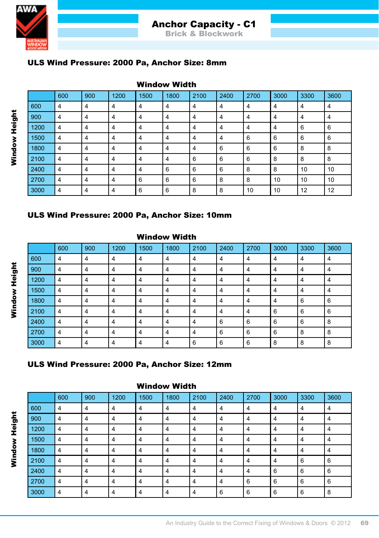

# ULS Wind Pressure: 2000 Pa, Anchor Size: 8mm

|      | <b>Window Width</b> |     |                |                |                |      |      |      |      |      |      |  |  |  |  |
|------|---------------------|-----|----------------|----------------|----------------|------|------|------|------|------|------|--|--|--|--|
|      | 600                 | 900 | 1200           | 1500           | 1800           | 2100 | 2400 | 2700 | 3000 | 3300 | 3600 |  |  |  |  |
| 600  | 4                   | 4   | 4              | $\overline{4}$ | 4              | 4    | 4    | 4    | 4    | 4    | 4    |  |  |  |  |
| 900  | $\overline{4}$      | 4   | 4              | $\overline{4}$ | 4              | 4    | 4    | 4    | 4    | 4    | 4    |  |  |  |  |
| 1200 | 4                   | 4   | 4              | 4              | $\overline{4}$ | 4    | 4    | 4    | 4    | 6    | 6    |  |  |  |  |
| 1500 | 4                   | 4   | 4              | $\overline{4}$ | 4              | 4    | 4    | 6    | 6    | 6    | 6    |  |  |  |  |
| 1800 | $\overline{4}$      | 4   | 4              | 4              | 4              | 4    | 6    | 6    | 6    | 8    | 8    |  |  |  |  |
| 2100 | 4                   | 4   | 4              | 4              | 4              | 6    | 6    | 6    | 8    | 8    | 8    |  |  |  |  |
| 2400 | 4                   | 4   | 4              | 4              | 6              | 6    | 6    | 8    | 8    | 10   | 10   |  |  |  |  |
| 2700 | 4                   | 4   | $\overline{4}$ | 6              | 6              | 6    | 8    | 8    | 10   | 10   | 10   |  |  |  |  |
| 3000 | 4                   | 4   | 4              | 6              | 6              | 8    | 8    | 10   | 10   | 12   | 12   |  |  |  |  |

# ULS Wind Pressure: 2000 Pa, Anchor Size: 10mm

Window Width

|      | 600            | 900 | 1200 | 1500 | 1800           | 2100 | 2400 | 2700 | 3000 | 3300 | 3600 |
|------|----------------|-----|------|------|----------------|------|------|------|------|------|------|
| 600  | 4              | 4   | 4    | 4    | 4              | 4    | 4    | 4    | 4    | 4    | 4    |
| 900  | 4              | 4   | 4    | 4    | 4              | 4    | 4    | 4    | 4    | 4    | 4    |
| 1200 | $\overline{4}$ | 4   | 4    | 4    | 4              | 4    | 4    | 4    | 4    | 4    | 4    |
| 1500 | 4              | 4   | 4    | 4    | 4              | 4    | 4    | 4    | 4    | 4    | 4    |
| 1800 | $\overline{4}$ | 4   | 4    | 4    | 4              | 4    | 4    | 4    | 4    | 6    | 6    |
| 2100 | 4              | 4   | 4    | 4    | 4              | 4    | 4    | 4    | 6    | 6    | 6    |
| 2400 | 4              | 4   | 4    | 4    | 4              | 4    | 6    | 6    | 6    | 6    | 8    |
| 2700 | 4              | 4   | 4    | 4    | 4              | 4    | 6    | 6    | 6    | 8    | 8    |
| 3000 | 4              | 4   | 4    | 4    | $\overline{4}$ | 6    | 6    | 6    | 8    | 8    | 8    |

# ULS Wind Pressure: 2000 Pa, Anchor Size: 12mm

|      | 600            | 900            | 1200 | 1500 | 1800           | 2100 | 2400           | 2700 | 3000 | 3300 | 3600           |  |
|------|----------------|----------------|------|------|----------------|------|----------------|------|------|------|----------------|--|
| 600  | 4              | 4              | 4    | 4    | $\overline{4}$ | 4    | 4              | 4    | 4    | 4    | 4              |  |
| 900  | $\overline{4}$ | $\overline{4}$ | 4    | 4    | $\overline{4}$ | 4    | $\overline{4}$ | 4    | 4    | 4    | 4              |  |
| 1200 | 4              | 4              | 4    | 4    | 4              | 4    | 4              | 4    | 4    | 4    | $\overline{4}$ |  |
| 1500 | 4              | 4              | 4    | 4    | 4              | 4    | $\overline{4}$ | 4    | 4    | 4    | $\overline{4}$ |  |
| 1800 | 4              | $\overline{4}$ | 4    | 4    | 4              | 4    | $\overline{4}$ | 4    | 4    | 4    | 4              |  |
| 2100 | 4              | 4              | 4    | 4    | $\overline{4}$ | 4    | $\overline{4}$ | 4    | 4    | 6    | 6              |  |
| 2400 | 4              | 4              | 4    | 4    | 4              | 4    | 4              | 4    | 6    | 6    | 6              |  |
| 2700 | 4              | 4              | 4    | 4    | 4              | 4    | 4              | 6    | 6    | 6    | 6              |  |
| 3000 | 4              | 4              | 4    | 4    | 4              | 4    | 6              | 6    | 6    | 6    | 8              |  |

# Window Width

Window Height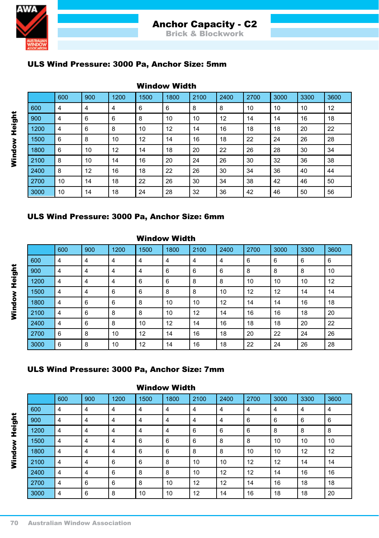

# ULS Wind Pressure: 3000 Pa, Anchor Size: 5mm

|      |                |     |      |      | <b>Window Width</b> |      |      |      |      |      |      |
|------|----------------|-----|------|------|---------------------|------|------|------|------|------|------|
|      | 600            | 900 | 1200 | 1500 | 1800                | 2100 | 2400 | 2700 | 3000 | 3300 | 3600 |
| 600  | 4              | 4   | 4    | 6    | 6                   | 8    | 8    | 10   | 10   | 10   | 12   |
| 900  | 4              | 6   | 6    | 8    | 10                  | 10   | 12   | 14   | 14   | 16   | 18   |
| 1200 | $\overline{4}$ | 6   | 8    | 10   | 12                  | 14   | 16   | 18   | 18   | 20   | 22   |
| 1500 | 6              | 8   | 10   | 12   | 14                  | 16   | 18   | 22   | 24   | 26   | 28   |
| 1800 | 6              | 10  | 12   | 14   | 18                  | 20   | 22   | 26   | 28   | 30   | 34   |
| 2100 | 8              | 10  | 14   | 16   | 20                  | 24   | 26   | 30   | 32   | 36   | 38   |
| 2400 | 8              | 12  | 16   | 18   | 22                  | 26   | 30   | 34   | 36   | 40   | 44   |
| 2700 | 10             | 14  | 18   | 22   | 26                  | 30   | 34   | 38   | 42   | 46   | 50   |
| 3000 | 10             | 14  | 18   | 24   | 28                  | 32   | 36   | 42   | 46   | 50   | 56   |

# ULS Wind Pressure: 3000 Pa, Anchor Size: 6mm

| 900                                                        | $\overline{4}$                   | 6                       | 6                                            | 8                       | 10                  | 10   | 12   | 14   | 14   | 16   | 18       |
|------------------------------------------------------------|----------------------------------|-------------------------|----------------------------------------------|-------------------------|---------------------|------|------|------|------|------|----------|
| 1200                                                       | 4                                | 6                       | 8                                            | 10                      | 12                  | 14   | 16   | 18   | 18   | 20   | 22       |
| 1500                                                       | 6                                | 8                       | 10                                           | 12                      | 14                  | 16   | 18   | 22   | 24   | 26   | 28       |
| 1800                                                       | 6                                | 10                      | 12                                           | 14                      | 18                  | 20   | 22   | 26   | 28   | 30   | 34       |
| 2100                                                       | 8                                | 10                      | 14                                           | 16                      | 20                  | 24   | 26   | 30   | 32   | 36   | 38       |
| 2400                                                       | 8                                | 12                      | 16                                           | 18                      | 22                  | 26   | 30   | 34   | 36   | 40   | 44       |
| 2700                                                       | 10                               | 14                      | 18                                           | 22                      | 26                  | 30   | 34   | 38   | 42   | 46   | 50       |
| 3000                                                       | 10                               | 14                      | 18                                           | 24                      | 28                  | 32   | 36   | 42   | 46   | 50   | 56       |
|                                                            |                                  |                         | ULS Wind Pressure: 3000 Pa, Anchor Size: 6mm |                         | <b>Window Width</b> |      |      |      |      |      |          |
|                                                            | 600                              | 900                     | 1200                                         | 1500                    | 1800                | 2100 | 2400 | 2700 | 3000 | 3300 | 3600     |
| 600                                                        | 4                                | $\overline{\mathbf{4}}$ | 4                                            | 4                       | 4                   | 4    | 4    | 6    | 6    | 6    | 6        |
| 900                                                        | 4                                | 4                       | 4                                            | 4                       | 6                   | 6    | 6    | 8    | 8    | 8    | 10       |
| 1200                                                       | 4                                | 4                       | 4                                            | 6                       | 6                   | 8    | 8    | 10   | 10   | 10   | 12       |
| 1500                                                       | 4                                | 4                       | 6                                            | 6                       | 8                   | 8    | 10   | 12   | 12   | 14   | 14       |
| 1800                                                       | 4                                | 6                       | 6                                            | 8                       | 10                  | 10   | 12   | 14   | 14   | 16   | 18       |
| 2100                                                       | 4                                | 6                       | 8                                            | 8                       | 10                  | 12   | 14   | 16   | 16   | 18   | 20       |
|                                                            |                                  |                         |                                              |                         |                     |      |      |      |      |      |          |
|                                                            | $\overline{4}$                   | 6                       | 8                                            | 10                      | 12                  | 14   | 16   | 18   | 18   | 20   | 22       |
|                                                            | 6                                | 8                       | 10                                           | 12                      | 14                  | 16   | 18   | 20   | 22   | 24   | 26       |
|                                                            | 6                                | 8                       | 10                                           | 12                      | 14                  | 16   | 18   | 22   | 24   | 26   | 28       |
| 2400<br>2700<br>3000                                       |                                  |                         | ULS Wind Pressure: 3000 Pa, Anchor Size: 7mm |                         | <b>Window Width</b> |      |      |      |      |      |          |
|                                                            | 600                              | 900                     | 1200                                         | 1500                    | 1800                | 2100 | 2400 | 2700 | 3000 | 3300 | 3600     |
|                                                            | 4                                | 4                       | 4                                            | 4                       | 4                   | 4    | 4    | 4    | 4    | 4    | 4        |
|                                                            | 4                                | 4                       | 4                                            | 4                       | 4                   | 4    | 4    | 6    | 6    | 6    | 6        |
|                                                            | $\overline{4}$                   | 4                       | 4                                            | $\overline{\mathbf{4}}$ | $\overline{4}$      | 6    | 6    | 6    | 8    | 8    | 8        |
|                                                            | $\overline{\mathbf{4}}$          | 4                       | 4                                            | 6                       | 6                   | 6    | 8    | 8    | 10   | 10   | 10       |
|                                                            | 4                                | 4                       | 4                                            | 6                       | 6                   | 8    | 8    | 10   | 10   | 12   | 12       |
|                                                            | 4                                | 4                       | 6                                            | 6                       | 8                   | 10   | 10   | 12   | 12   | 14   | 14       |
|                                                            | $\overline{4}$                   | $\overline{\mathbf{4}}$ | 6                                            | 8                       | 8                   | 10   | 12   | 12   | 14   | 16   | 16       |
| 600<br>900<br>1200<br>1500<br>1800<br>2100<br>2400<br>2700 | $\overline{4}$<br>$\overline{4}$ | 6<br>6                  | 6<br>8                                       | 8                       | 10                  | 12   | 12   | 14   | 16   | 18   | 18<br>20 |

# ULS Wind Pressure: 3000 Pa, Anchor Size: 7mm

|      |     |     |                |      | WHIQVW WHILII  |      |                   |      |      |      |                |
|------|-----|-----|----------------|------|----------------|------|-------------------|------|------|------|----------------|
|      | 600 | 900 | 1200           | 1500 | 1800           | 2100 | 2400              | 2700 | 3000 | 3300 | 3600           |
| 600  | 4   | 4   | $\overline{4}$ | 4    | 4              | 4    | 4                 | 4    | 4    | 4    | $\overline{4}$ |
| 900  | 4   | 4   | 4              | 4    | 4              | 4    | $\overline{4}$    | 6    | 6    | 6    | 6              |
| 1200 | 4   | 4   | 4              | 4    | $\overline{4}$ | 6    | 6                 | 6    | 8    | 8    | 8              |
| 1500 | 4   | 4   | 4              | 6    | 6              | 6    | 8                 | 8    | 10   | 10   | 10             |
| 1800 | 4   | 4   | 4              | 6    | 6              | 8    | 8                 | 10   | 10   | 12   | 12             |
| 2100 | 4   | 4   | 6              | 6    | 8              | 10   | 10                | 12   | 12   | 14   | 14             |
| 2400 | 4   | 4   | 6              | 8    | 8              | 10   | $12 \overline{ }$ | 12   | 14   | 16   | 16             |
| 2700 | 4   | 6   | 6              | 8    | 10             | 12   | 12 <sup>2</sup>   | 14   | 16   | 18   | 18             |
| 3000 | 4   | 6   | 8              | 10   | 10             | 12   | 14                | 16   | 18   | 18   | 20             |

# Window Width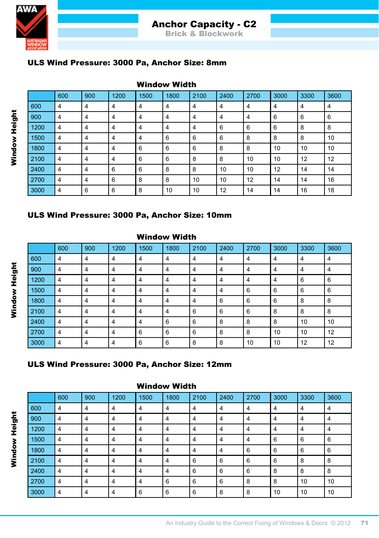

Window Height

**Window Height** 

# ULS Wind Pressure: 3000 Pa, Anchor Size: 8mm

|      |                |     |      |                | <b>Window Width</b> |                |      |      |      |      |      |
|------|----------------|-----|------|----------------|---------------------|----------------|------|------|------|------|------|
|      | 600            | 900 | 1200 | 1500           | 1800                | 2100           | 2400 | 2700 | 3000 | 3300 | 3600 |
| 600  | 4              | 4   | 4    | $\overline{4}$ | 4                   | $\overline{4}$ | 4    | 4    | 4    | 4    | 4    |
| 900  | 4              | 4   | 4    | $\overline{4}$ | 4                   | $\overline{4}$ | 4    | 4    | 6    | 6    | 6    |
| 1200 | 4              | 4   | 4    | $\overline{4}$ | 4                   | $\overline{4}$ | 6    | 6    | 6    | 8    | 8    |
| 1500 | 4              | 4   | 4    | $\overline{4}$ | 6                   | 6              | 6    | 8    | 8    | 8    | 10   |
| 1800 | $\overline{4}$ | 4   | 4    | 6              | 6                   | 6              | 8    | 8    | 10   | 10   | 10   |
| 2100 | 4              | 4   | 4    | 6              | 6                   | 8              | 8    | 10   | 10   | 12   | 12   |
| 2400 | 4              | 4   | 6    | 6              | 8                   | 8              | 10   | 10   | 12   | 14   | 14   |
| 2700 | 4              | 4   | 6    | 8              | 8                   | 10             | 10   | 12   | 14   | 14   | 16   |
| 3000 | 4              | 6   | 6    | 8              | 10                  | 10             | 12   | 14   | 14   | 16   | 18   |

# ULS Wind Pressure: 3000 Pa, Anchor Size: 10mm

Window Width

|      | 600            | 900 | 1200 | 1500 | 1800 | 2100 | 2400 | 2700 | 3000 | 3300 | 3600 |
|------|----------------|-----|------|------|------|------|------|------|------|------|------|
| 600  | 4              | 4   | 4    | 4    | 4    | 4    | 4    | 4    | 4    | 4    | 4    |
| 900  | 4              | 4   | 4    | 4    | 4    | 4    | 4    | 4    | 4    | 4    | 4    |
| 1200 | $\overline{4}$ | 4   | 4    | 4    | 4    | 4    | 4    | 4    | 4    | 6    | 6    |
| 1500 | 4              | 4   | 4    | 4    | 4    | 4    | 4    | 6    | 6    | 6    | 6    |
| 1800 | $\overline{4}$ | 4   | 4    | 4    | 4    | 4    | 6    | 6    | 6    | 8    | 8    |
| 2100 | 4              | 4   | 4    | 4    | 4    | 6    | 6    | 6    | 8    | 8    | 8    |
| 2400 | 4              | 4   | 4    | 4    | 6    | 6    | 8    | 8    | 8    | 10   | 10   |
| 2700 | 4              | 4   | 4    | 6    | 6    | 6    | 8    | 8    | 10   | 10   | 12   |
| 3000 | 4              | 4   | 4    | 6    | 6    | 8    | 8    | 10   | 10   | 12   | 12   |

# ULS Wind Pressure: 3000 Pa, Anchor Size: 12mm

|      | 600 | 900            | 1200 | 1500 | 1800 | 2100 | 2400           | 2700 | 3000 | 3300 | 3600           |
|------|-----|----------------|------|------|------|------|----------------|------|------|------|----------------|
| 600  | 4   | 4              | 4    | 4    | 4    | 4    | 4              | 4    | 4    | 4    | 4              |
| 900  | 4   | $\overline{4}$ | 4    | 4    | 4    | 4    | $\overline{4}$ | 4    | 4    | 4    | 4              |
| 1200 | 4   | 4              | 4    | 4    | 4    | 4    | 4              | 4    | 4    | 4    | $\overline{4}$ |
| 1500 | 4   | 4              | 4    | 4    | 4    | 4    | $\overline{4}$ | 4    | 6    | 6    | 6              |
| 1800 | 4   | $\overline{4}$ | 4    | 4    | 4    | 4    | $\overline{4}$ | 6    | 6    | 6    | 6              |
| 2100 | 4   | 4              | 4    | 4    | 4    | 6    | 6              | 6    | 6    | 8    | 8              |
| 2400 | 4   | 4              | 4    | 4    | 4    | 6    | 6              | 6    | 8    | 8    | 8              |
| 2700 | 4   | 4              | 4    | 4    | 6    | 6    | 6              | 8    | 8    | 10   | 10             |
| 3000 | 4   | 4              | 4    | 6    | 6    | 6    | 8              | 8    | 10   | 10   | 10             |

# Window Width

Window Height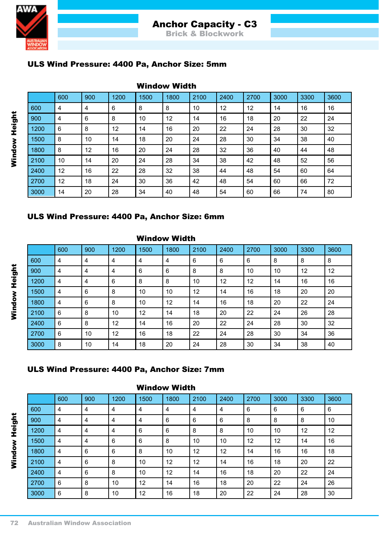

# ULS Wind Pressure: 4400 Pa, Anchor Size: 5mm

|      |     |     |      |      | <b>Window Width</b> |      |      |      |      |      |      |
|------|-----|-----|------|------|---------------------|------|------|------|------|------|------|
|      | 600 | 900 | 1200 | 1500 | 1800                | 2100 | 2400 | 2700 | 3000 | 3300 | 3600 |
| 600  | 4   | 4   | 6    | 8    | 8                   | 10   | 12   | 12   | 14   | 16   | 16   |
| 900  | 4   | 6   | 8    | 10   | 12                  | 14   | 16   | 18   | 20   | 22   | 24   |
| 1200 | 6   | 8   | 12   | 14   | 16                  | 20   | 22   | 24   | 28   | 30   | 32   |
| 1500 | 8   | 10  | 14   | 18   | 20                  | 24   | 28   | 30   | 34   | 38   | 40   |
| 1800 | 8   | 12  | 16   | 20   | 24                  | 28   | 32   | 36   | 40   | 44   | 48   |
| 2100 | 10  | 14  | 20   | 24   | 28                  | 34   | 38   | 42   | 48   | 52   | 56   |
| 2400 | 12  | 16  | 22   | 28   | 32                  | 38   | 44   | 48   | 54   | 60   | 64   |
| 2700 | 12  | 18  | 24   | 30   | 36                  | 42   | 48   | 54   | 60   | 66   | 72   |
| 3000 | 14  | 20  | 28   | 34   | 40                  | 48   | 54   | 60   | 66   | 74   | 80   |

# ULS Wind Pressure: 4400 Pa, Anchor Size: 6mm

| 900  | $\overline{4}$          | 6   | 8                                            | 10   | 12                  | 14   | 16   | 18   | 20   | 22   | 24   |
|------|-------------------------|-----|----------------------------------------------|------|---------------------|------|------|------|------|------|------|
| 1200 | 6                       | 8   | 12                                           | 14   | 16                  | 20   | 22   | 24   | 28   | 30   | 32   |
| 1500 | 8                       | 10  | 14                                           | 18   | 20                  | 24   | 28   | 30   | 34   | 38   | 40   |
| 1800 | 8                       | 12  | 16                                           | 20   | 24                  | 28   | 32   | 36   | 40   | 44   | 48   |
| 2100 | 10                      | 14  | 20                                           | 24   | 28                  | 34   | 38   | 42   | 48   | 52   | 56   |
| 2400 | 12                      | 16  | 22                                           | 28   | 32                  | 38   | 44   | 48   | 54   | 60   | 64   |
| 2700 | 12                      | 18  | 24                                           | 30   | 36                  | 42   | 48   | 54   | 60   | 66   | 72   |
| 3000 | 14                      | 20  | 28                                           | 34   | 40                  | 48   | 54   | 60   | 66   | 74   | 80   |
|      |                         |     | ULS Wind Pressure: 4400 Pa, Anchor Size: 6mm |      | <b>Window Width</b> |      |      |      |      |      |      |
|      | 600                     | 900 | 1200                                         | 1500 | 1800                | 2100 | 2400 | 2700 | 3000 | 3300 | 3600 |
| 600  | 4                       | 4   | 4                                            | 4    | 4                   | 6    | 6    | 6    | 8    | 8    | 8    |
| 900  | $\overline{\mathbf{4}}$ | 4   | 4                                            | 6    | 6                   | 8    | 8    | 10   | 10   | 12   | 12   |
| 1200 | 4                       | 4   | 6                                            | 8    | 8                   | 10   | 12   | 12   | 14   | 16   | 16   |
| 1500 | 4                       | 6   | 8                                            | 10   | 10                  | 12   | 14   | 16   | 18   | 20   | 20   |
| 1800 | 4                       | 6   | 8                                            | 10   | 12                  | 14   | 16   | 18   | 20   | 22   | 24   |
|      |                         |     |                                              |      |                     |      |      |      |      |      | 28   |
| 2100 | 6                       | 8   | 10                                           | 12   | 14                  | 18   | 20   | 22   | 24   | 26   |      |
| 2400 | 6                       | 8   | 12                                           | 14   | 16                  | 20   | 22   | 24   | 28   | 30   | 32   |
| 2700 | 6                       | 10  | 12                                           | 16   | 18                  | 22   | 24   | 28   | 30   | 34   | 36   |
|      | 8                       | 10  | 14                                           | 18   | 20                  | 24   | 28   | 30   | 34   | 38   | 40   |
| 3000 |                         |     | ULS Wind Pressure: 4400 Pa, Anchor Size: 7mm |      | <b>Window Width</b> |      |      |      |      |      |      |
|      | 600                     | 900 | 1200                                         | 1500 | 1800                | 2100 | 2400 | 2700 | 3000 | 3300 | 3600 |
| 600  | 4                       | 4   | 4                                            | 4    | 4                   | 4    | 4    | 6    | 6    | 6    | 6    |
| 900  | 4                       | 4   | 4                                            | 4    | 6                   | 6    | 6    | 8    | 8    | 8    | 10   |
| 1200 | $\overline{4}$          | 4   | 4                                            | 6    | 6                   | 8    | 8    | 10   | 10   | 12   | 12   |
| 1500 | $\overline{\mathbf{4}}$ | 4   | 6                                            | 6    | 8                   | 10   | 10   | 12   | 12   | 14   | 16   |
| 1800 | $\overline{\mathbf{4}}$ | 6   | 6                                            | 8    | 10                  | 12   | 12   | 14   | 16   | 16   | 18   |
| 2100 | 4                       | 6   | 8                                            | 10   | 12                  | 12   | 14   | 16   | 18   | 20   | 22   |
| 2400 | $\overline{4}$          | 6   | 8                                            | 10   | 12                  | 14   | 16   | 18   | 20   | 22   | 24   |
| 2700 | 6                       | 8   | 10                                           | 12   | $14$                | 16   | 18   | 20   | 22   | 24   | 26   |

# ULS Wind Pressure: 4400 Pa, Anchor Size: 7mm

|      |                |     |      |                | WHIVYW WHILI |      |      |      |      |      |      |
|------|----------------|-----|------|----------------|--------------|------|------|------|------|------|------|
|      | 600            | 900 | 1200 | 1500           | 1800         | 2100 | 2400 | 2700 | 3000 | 3300 | 3600 |
| 600  | 4              | 4   | 4    | 4              | 4            | 4    | 4    | 6    | 6    | 6    | 6    |
| 900  | 4              | 4   | 4    | $\overline{4}$ | 6            | 6    | 6    | 8    | 8    | 8    | 10   |
| 1200 | $\overline{4}$ | 4   | 4    | 6              | 6            | 8    | 8    | 10   | 10   | 12   | 12   |
| 1500 | 4              | 4   | 6    | 6              | 8            | 10   | 10   | 12   | 12   | 14   | 16   |
| 1800 | 4              | 6   | 6    | 8              | 10           | 12   | 12   | 14   | 16   | 16   | 18   |
| 2100 | 4              | 6   | 8    | 10             | 12           | 12   | 14   | 16   | 18   | 20   | 22   |
| 2400 | 4              | 6   | 8    | 10             | 12           | 14   | 16   | 18   | 20   | 22   | 24   |
| 2700 | 6              | 8   | 10   | 12             | 14           | 16   | 18   | 20   | 22   | 24   | 26   |
| 3000 | 6              | 8   | 10   | 12             | 16           | 18   | 20   | 22   | 24   | 28   | 30   |

# Window Width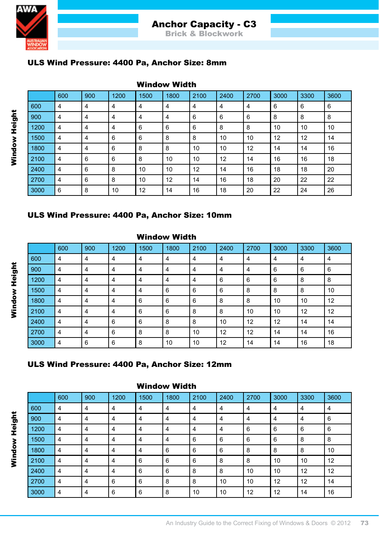

Window Height

**Window Height** 

#### ULS Wind Pressure: 4400 Pa, Anchor Size: 8mm

|      | <b>Window Width</b> |                |      |      |      |                |      |      |      |      |      |  |  |  |
|------|---------------------|----------------|------|------|------|----------------|------|------|------|------|------|--|--|--|
|      | 600                 | 900            | 1200 | 1500 | 1800 | 2100           | 2400 | 2700 | 3000 | 3300 | 3600 |  |  |  |
| 600  | $\overline{4}$      | $\overline{4}$ | 4    | 4    | 4    | $\overline{4}$ | 4    | 4    | 6    | 6    | 6    |  |  |  |
| 900  | 4                   | $\overline{4}$ | 4    | 4    | 4    | 6              | 6    | 6    | 8    | 8    | 8    |  |  |  |
| 1200 | 4                   | 4              | 4    | 6    | 6    | 6              | 8    | 8    | 10   | 10   | 10   |  |  |  |
| 1500 | 4                   | 4              | 6    | 6    | 8    | 8              | 10   | 10   | 12   | 12   | 14   |  |  |  |
| 1800 | $\overline{4}$      | 4              | 6    | 8    | 8    | 10             | 10   | 12   | 14   | 14   | 16   |  |  |  |
| 2100 | 4                   | 6              | 6    | 8    | 10   | 10             | 12   | 14   | 16   | 16   | 18   |  |  |  |
| 2400 | 4                   | 6              | 8    | 10   | 10   | 12             | 14   | 16   | 18   | 18   | 20   |  |  |  |
| 2700 | $\overline{4}$      | 6              | 8    | 10   | 12   | 14             | 16   | 18   | 20   | 22   | 22   |  |  |  |
| 3000 | 6                   | 8              | 10   | 12   | 14   | 16             | 18   | 20   | 22   | 24   | 26   |  |  |  |

#### ULS Wind Pressure: 4400 Pa, Anchor Size: 10mm

Window Width

|      | 600 | 900 | 1200 | 1500 | 1800 | 2100 | 2400 | 2700 | 3000 | 3300 | 3600 |
|------|-----|-----|------|------|------|------|------|------|------|------|------|
| 600  | 4   | 4   | 4    | 4    | 4    | 4    | 4    | 4    | 4    | 4    | 4    |
| 900  | 4   | 4   | 4    | 4    | 4    | 4    | 4    | 4    | 6    | 6    | 6    |
| 1200 | 4   | 4   | 4    | 4    | 4    | 4    | 6    | 6    | 6    | 8    | 8    |
| 1500 | 4   | 4   | 4    | 4    | 6    | 6    | 6    | 8    | 8    | 8    | 10   |
| 1800 | 4   | 4   | 4    | 6    | 6    | 6    | 8    | 8    | 10   | 10   | 12   |
| 2100 | 4   | 4   | 4    | 6    | 6    | 8    | 8    | 10   | 10   | 12   | 12   |
| 2400 | 4   | 4   | 6    | 6    | 8    | 8    | 10   | 12   | 12   | 14   | 14   |
| 2700 | 4   | 4   | 6    | 8    | 8    | 10   | 12   | 12   | 14   | 14   | 16   |
| 3000 | 4   | 6   | 6    | 8    | 10   | 10   | 12   | 14   | 14   | 16   | 18   |

#### ULS Wind Pressure: 4400 Pa, Anchor Size: 12mm

| ********* ******* |                |                |      |      |      |      |      |      |      |      |                |  |  |
|-------------------|----------------|----------------|------|------|------|------|------|------|------|------|----------------|--|--|
|                   | 600            | 900            | 1200 | 1500 | 1800 | 2100 | 2400 | 2700 | 3000 | 3300 | 3600           |  |  |
| 600               | $\overline{4}$ | $\overline{4}$ | 4    | 4    | 4    | 4    | 4    | 4    | 4    | 4    | $\overline{4}$ |  |  |
| 900               | 4              | 4              | 4    | 4    | 4    | 4    | 4    | 4    | 4    | 4    | 6              |  |  |
| 1200              | 4              | $\overline{4}$ | 4    | 4    | 4    | 4    | 4    | 6    | 6    | 6    | 6              |  |  |
| 1500              | 4              | 4              | 4    | 4    | 4    | 6    | 6    | 6    | 6    | 8    | 8              |  |  |
| 1800              | 4              | $\overline{4}$ | 4    | 4    | 6    | 6    | 6    | 8    | 8    | 8    | 10             |  |  |
| 2100              | 4              | 4              | 4    | 6    | 6    | 6    | 8    | 8    | 10   | 10   | 12             |  |  |
| 2400              | 4              | 4              | 4    | 6    | 6    | 8    | 8    | 10   | 10   | 12   | 12             |  |  |
| 2700              | 4              | $\overline{4}$ | 6    | 6    | 8    | 8    | 10   | 10   | 12   | 12   | 14             |  |  |
| 3000              | 4              | $\overline{4}$ | 6    | 6    | 8    | 10   | 10   | 12   | 12   | 14   | 16             |  |  |

#### Window Width

Window Height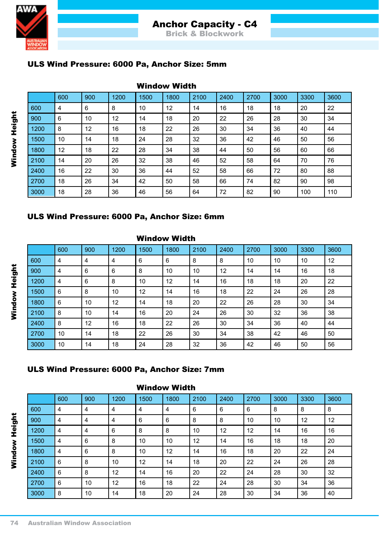

#### ULS Wind Pressure: 6000 Pa, Anchor Size: 5mm

|      | <b>Window Width</b> |     |      |      |      |      |      |      |      |      |      |  |  |  |
|------|---------------------|-----|------|------|------|------|------|------|------|------|------|--|--|--|
|      | 600                 | 900 | 1200 | 1500 | 1800 | 2100 | 2400 | 2700 | 3000 | 3300 | 3600 |  |  |  |
| 600  | 4                   | 6   | 8    | 10   | 12   | 14   | 16   | 18   | 18   | 20   | 22   |  |  |  |
| 900  | 6                   | 10  | 12   | 14   | 18   | 20   | 22   | 26   | 28   | 30   | 34   |  |  |  |
| 1200 | 8                   | 12  | 16   | 18   | 22   | 26   | 30   | 34   | 36   | 40   | 44   |  |  |  |
| 1500 | 10                  | 14  | 18   | 24   | 28   | 32   | 36   | 42   | 46   | 50   | 56   |  |  |  |
| 1800 | 12                  | 18  | 22   | 28   | 34   | 38   | 44   | 50   | 56   | 60   | 66   |  |  |  |
| 2100 | 14                  | 20  | 26   | 32   | 38   | 46   | 52   | 58   | 64   | 70   | 76   |  |  |  |
| 2400 | 16                  | 22  | 30   | 36   | 44   | 52   | 58   | 66   | 72   | 80   | 88   |  |  |  |
| 2700 | 18                  | 26  | 34   | 42   | 50   | 58   | 66   | 74   | 82   | 90   | 98   |  |  |  |
| 3000 | 18                  | 28  | 36   | 46   | 56   | 64   | 72   | 82   | 90   | 100  | 110  |  |  |  |

#### ULS Wind Pressure: 6000 Pa, Anchor Size: 6mm

| 900  | 6                       | 10                                           | 12   | 14   | 18                  | 20   | 22   | 26   | 28     | 30   | 34        |
|------|-------------------------|----------------------------------------------|------|------|---------------------|------|------|------|--------|------|-----------|
| 1200 | 8                       | 12                                           | 16   | 18   | 22                  | 26   | 30   | 34   | 36     | 40   | 44        |
| 1500 | 10                      | 14                                           | 18   | 24   | 28                  | 32   | 36   | 42   | 46     | 50   | 56        |
| 1800 | 12                      | 18                                           | 22   | 28   | 34                  | 38   | 44   | 50   | 56     | 60   | 66        |
| 2100 | 14                      | 20                                           | 26   | 32   | 38                  | 46   | 52   | 58   | 64     | 70   | 76        |
| 2400 | 16                      | 22                                           | 30   | 36   | 44                  | 52   | 58   | 66   | 72     | 80   | 88        |
| 2700 | 18                      | 26                                           | 34   | 42   | 50                  | 58   | 66   | 74   | 82     | 90   | 98        |
| 3000 | 18                      | 28                                           | 36   | 46   | 56                  | 64   | 72   | 82   | 90     | 100  | 110       |
|      |                         | ULS Wind Pressure: 6000 Pa, Anchor Size: 6mm |      |      | <b>Window Width</b> |      |      |      |        |      |           |
|      | 600                     | 900                                          | 1200 | 1500 | 1800                | 2100 | 2400 | 2700 | 3000   | 3300 | 3600      |
| 600  | $\overline{\mathbf{4}}$ | 4                                            | 4    | 6    | 6                   | 8    | 8    | 10   | 10     | 10   | 12        |
| 900  | 4                       | 6                                            | 6    | 8    | 10                  | 10   | 12   | 14   | 14     | 16   | 18        |
| 1200 | 4                       | 6                                            | 8    | 10   | 12                  | 14   | 16   | 18   | 18     | 20   | 22        |
| 1500 | 6                       | 8                                            | 10   | 12   | 14                  | 16   | 18   | 22   | 24     | 26   | 28        |
| 1800 | 6                       | 10                                           | 12   | 14   | 18                  | 20   | 22   | 26   | 28     | 30   | 34        |
|      |                         |                                              |      |      |                     |      |      |      |        |      |           |
| 2100 | 8                       | 10                                           | 14   | 16   | 20                  | 24   | 26   | 30   | 32     | 36   | 38        |
| 2400 | 8                       | 12                                           | 16   | 18   | 22                  | 26   | 30   | 34   | 36     | 40   | 44        |
| 2700 | 10                      | 14                                           | 18   | 22   | 26                  | 30   | 34   | 38   | 42     | 46   | 50        |
| 3000 | 10                      | 14                                           | 18   | 24   | 28                  | 32   | 36   | 42   | 46     | 50   | 56        |
|      |                         | ULS Wind Pressure: 6000 Pa, Anchor Size: 7mm |      |      | <b>Window Width</b> |      |      |      |        |      |           |
|      | 600                     | 900                                          | 1200 | 1500 | 1800                | 2100 | 2400 | 2700 | 3000   | 3300 |           |
| 600  | 4                       | 4                                            | 4    | 4    | 4                   | 6    | 6    | 6    | 8      | 8    | 3600<br>8 |
| 900  | 4                       | 4                                            | 4    | 6    | 6                   | 8    | 8    | 10   | 10     | 12   | 12        |
| 1200 | $\overline{\mathbf{4}}$ | 4                                            | 6    | 8    | 8                   | 10   | 12   | 12   | 14     | 16   | 16        |
| 1500 | $\overline{\mathbf{4}}$ | 6                                            | 8    | 10   | 10                  | 12   | 14   | 16   | 18     | 18   | 20        |
| 1800 | $\overline{\mathbf{4}}$ | 6                                            | 8    | 10   | 12                  | 14   | 16   | 18   | $20\,$ | 22   | 24        |
| 2100 | 6                       | 8                                            | 10   | 12   | 14                  | 18   | 20   | 22   | 24     | 26   | 28        |
| 2400 | 6                       | 8                                            | 12   | 14   | 16                  | 20   | 22   | 24   | 28     | 30   |           |
| 2700 | 6                       | 10                                           | 12   | 16   | 18                  | 22   | 24   | 28   | 30     | 34   | 32<br>36  |

#### ULS Wind Pressure: 6000 Pa, Anchor Size: 7mm

| WHIUVW WHILI |                |     |      |                |      |      |      |      |      |      |      |  |  |
|--------------|----------------|-----|------|----------------|------|------|------|------|------|------|------|--|--|
|              | 600            | 900 | 1200 | 1500           | 1800 | 2100 | 2400 | 2700 | 3000 | 3300 | 3600 |  |  |
| 600          | $\overline{4}$ | 4   | 4    | $\overline{4}$ | 4    | 6    | 6    | 6    | 8    | 8    | 8    |  |  |
| 900          | 4              | 4   | 4    | 6              | 6    | 8    | 8    | 10   | 10   | 12   | 12   |  |  |
| 1200         | 4              | 4   | 6    | 8              | 8    | 10   | 12   | 12   | 14   | 16   | 16   |  |  |
| 1500         | 4              | 6   | 8    | 10             | 10   | 12   | 14   | 16   | 18   | 18   | 20   |  |  |
| 1800         | 4              | 6   | 8    | 10             | 12   | 14   | 16   | 18   | 20   | 22   | 24   |  |  |
| 2100         | 6              | 8   | 10   | 12             | 14   | 18   | 20   | 22   | 24   | 26   | 28   |  |  |
| 2400         | 6              | 8   | 12   | 14             | 16   | 20   | 22   | 24   | 28   | 30   | 32   |  |  |
| 2700         | 6              | 10  | 12   | 16             | 18   | 22   | 24   | 28   | 30   | 34   | 36   |  |  |
| 3000         | 8              | 10  | 14   | 18             | 20   | 24   | 28   | 30   | 34   | 36   | 40   |  |  |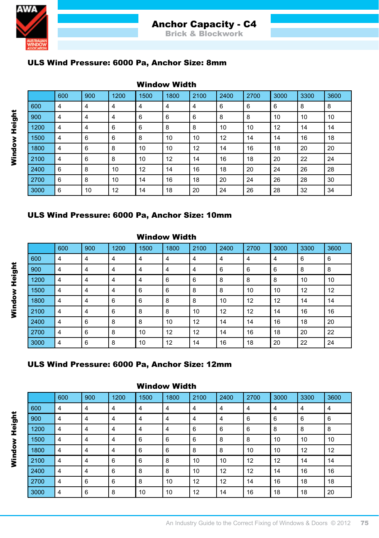

#### ULS Wind Pressure: 6000 Pa, Anchor Size: 8mm

|      | <b>Window Width</b> |                |      |      |      |                |      |      |      |      |      |  |  |  |
|------|---------------------|----------------|------|------|------|----------------|------|------|------|------|------|--|--|--|
|      | 600                 | 900            | 1200 | 1500 | 1800 | 2100           | 2400 | 2700 | 3000 | 3300 | 3600 |  |  |  |
| 600  | $\overline{4}$      | 4              | 4    | 4    | 4    | $\overline{4}$ | 6    | 6    | 6    | 8    | 8    |  |  |  |
| 900  | 4                   | $\overline{4}$ | 4    | 6    | 6    | 6              | 8    | 8    | 10   | 10   | 10   |  |  |  |
| 1200 | 4                   | $\overline{4}$ | 6    | 6    | 8    | 8              | 10   | 10   | 12   | 14   | 14   |  |  |  |
| 1500 | 4                   | 6              | 6    | 8    | 10   | 10             | 12   | 14   | 14   | 16   | 18   |  |  |  |
| 1800 | $\overline{4}$      | 6              | 8    | 10   | 10   | 12             | 14   | 16   | 18   | 20   | 20   |  |  |  |
| 2100 | 4                   | 6              | 8    | 10   | 12   | 14             | 16   | 18   | 20   | 22   | 24   |  |  |  |
| 2400 | 6                   | 8              | 10   | 12   | 14   | 16             | 18   | 20   | 24   | 26   | 28   |  |  |  |
| 2700 | 6                   | 8              | 10   | 14   | 16   | 18             | 20   | 24   | 26   | 28   | 30   |  |  |  |
| 3000 | 6                   | 10             | 12   | 14   | 18   | 20             | 24   | 26   | 28   | 32   | 34   |  |  |  |

#### ULS Wind Pressure: 6000 Pa, Anchor Size: 10mm

Window Width

|      | 600 | 900 | 1200 | 1500 | 1800 | 2100 | 2400 | 2700 | 3000 | 3300 | 3600 |
|------|-----|-----|------|------|------|------|------|------|------|------|------|
| 600  | 4   | 4   | 4    | 4    | 4    | 4    | 4    | 4    | 4    | 6    | 6    |
| 900  | 4   | 4   | 4    | 4    | 4    | 4    | 6    | 6    | 6    | 8    | 8    |
| 1200 | 4   | 4   | 4    | 4    | 6    | 6    | 8    | 8    | 8    | 10   | 10   |
| 1500 | 4   | 4   | 4    | 6    | 6    | 8    | 8    | 10   | 10   | 12   | 12   |
| 1800 | 4   | 4   | 6    | 6    | 8    | 8    | 10   | 12   | 12   | 14   | 14   |
| 2100 | 4   | 4   | 6    | 8    | 8    | 10   | 12   | 12   | 14   | 16   | 16   |
| 2400 | 4   | 6   | 8    | 8    | 10   | 12   | 14   | 14   | 16   | 18   | 20   |
| 2700 | 4   | 6   | 8    | 10   | 12   | 12   | 14   | 16   | 18   | 20   | 22   |
| 3000 | 4   | 6   | 8    | 10   | 12   | 14   | 16   | 18   | 20   | 22   | 24   |

#### ULS Wind Pressure: 6000 Pa, Anchor Size: 12mm

| ********* ******* |                |                |      |      |      |      |      |      |      |      |                |  |  |
|-------------------|----------------|----------------|------|------|------|------|------|------|------|------|----------------|--|--|
|                   | 600            | 900            | 1200 | 1500 | 1800 | 2100 | 2400 | 2700 | 3000 | 3300 | 3600           |  |  |
| 600               | $\overline{4}$ | $\overline{4}$ | 4    | 4    | 4    | 4    | 4    | 4    | 4    | 4    | $\overline{4}$ |  |  |
| 900               | 4              | 4              | 4    | 4    | 4    | 4    | 4    | 6    | 6    | 6    | 6              |  |  |
| 1200              | 4              | $\overline{4}$ | 4    | 4    | 4    | 6    | 6    | 6    | 8    | 8    | 8              |  |  |
| 1500              | 4              | 4              | 4    | 6    | 6    | 6    | 8    | 8    | 10   | 10   | 10             |  |  |
| 1800              | 4              | $\overline{4}$ | 4    | 6    | 6    | 8    | 8    | 10   | 10   | 12   | 12             |  |  |
| 2100              | 4              | 4              | 6    | 6    | 8    | 10   | 10   | 12   | 12   | 14   | 14             |  |  |
| 2400              | 4              | 4              | 6    | 8    | 8    | 10   | 12   | 12   | 14   | 16   | 16             |  |  |
| 2700              | 4              | 6              | 6    | 8    | 10   | 12   | 12   | 14   | 16   | 18   | 18             |  |  |
| 3000              | 4              | 6              | 8    | 10   | 10   | 12   | 14   | 16   | 18   | 18   | 20             |  |  |

#### Window Width

Window Height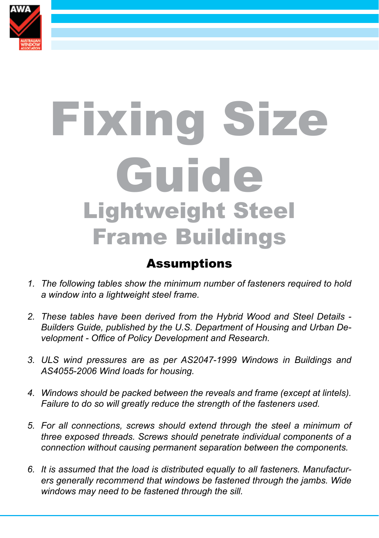

# Fixing Size Guide Lightweight Steel Frame Buildings

# Assumptions

- *1. The following tables show the minimum number of fasteners required to hold a window into a lightweight steel frame.*
- *2. These tables have been derived from the Hybrid Wood and Steel Details Builders Guide, published by the U.S. Department of Housing and Urban Development - Office of Policy Development and Research.*
- *3. ULS wind pressures are as per AS2047-1999 Windows in Buildings and AS4055-2006 Wind loads for housing.*
- *4. Windows should be packed between the reveals and frame (except at lintels). Failure to do so will greatly reduce the strength of the fasteners used.*
- *5. For all connections, screws should extend through the steel a minimum of three exposed threads. Screws should penetrate individual components of a connection without causing permanent separation between the components.*
- *6. It is assumed that the load is distributed equally to all fasteners. Manufacturers generally recommend that windows be fastened through the jambs. Wide windows may need to be fastened through the sill.*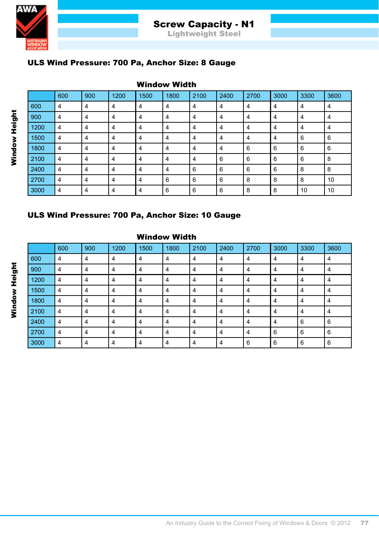

### ULS Wind Pressure: 700 Pa, Anchor Size: 8 Gauge

|      | <b>Window Width</b> |     |      |      |                |                |      |      |      |      |      |  |  |  |
|------|---------------------|-----|------|------|----------------|----------------|------|------|------|------|------|--|--|--|
|      | 600                 | 900 | 1200 | 1500 | 1800           | 2100           | 2400 | 2700 | 3000 | 3300 | 3600 |  |  |  |
| 600  | 4                   | 4   | 4    | 4    | 4              | $\overline{4}$ | 4    | 4    | 4    | 4    | 4    |  |  |  |
| 900  | $\overline{4}$      | 4   | 4    | 4    | 4              | $\overline{4}$ | 4    | 4    | 4    | 4    | 4    |  |  |  |
| 1200 | 4                   | 4   | 4    | 4    | 4              | 4              | 4    | 4    | 4    | 4    | 4    |  |  |  |
| 1500 | 4                   | 4   | 4    | 4    | $\overline{4}$ | 4              | 4    | 4    | 4    | 6    | 6    |  |  |  |
| 1800 | 4                   | 4   | 4    | 4    | $\overline{4}$ | 4              | 4    | 6    | 6    | 6    | 6    |  |  |  |
| 2100 | 4                   | 4   | 4    | 4    | 4              | 4              | 6    | 6    | 6    | 6    | 8    |  |  |  |
| 2400 | $\overline{4}$      | 4   | 4    | 4    | $\overline{4}$ | 6              | 6    | 6    | 6    | 8    | 8    |  |  |  |
| 2700 | $\overline{4}$      | 4   | 4    | 4    | 6              | 6              | 6    | 8    | 8    | 8    | 10   |  |  |  |
| 3000 | 4                   | 4   | 4    | 4    | 6              | 6              | 6    | 8    | 8    | 10   | 10   |  |  |  |

#### ULS Wind Pressure: 700 Pa, Anchor Size: 10 Gauge

|      | 600            | 900 | 1200           | 1500 | 1800 | 2100 | 2400 | 2700 | 3000 | 3300           | 3600 |  |  |  |
|------|----------------|-----|----------------|------|------|------|------|------|------|----------------|------|--|--|--|
| 600  | 4              | 4   | $\overline{4}$ | 4    | 4    | 4    | 4    | 4    | 4    | $\overline{4}$ | 4    |  |  |  |
| 900  | 4              | 4   | 4              | 4    | 4    | 4    | 4    | 4    | 4    | 4              | 4    |  |  |  |
| 1200 | 4              | 4   | 4              | 4    | 4    | 4    | 4    | 4    | 4    | 4              | 4    |  |  |  |
| 1500 | 4              | 4   | 4              | 4    | 4    | 4    | 4    | 4    | 4    | 4              | 4    |  |  |  |
| 1800 | $\overline{4}$ | 4   | 4              | 4    | 4    | 4    | 4    | 4    | 4    | 4              | 4    |  |  |  |
| 2100 | 4              | 4   | 4              | 4    | 4    | 4    | 4    | 4    | 4    | 4              | 4    |  |  |  |
| 2400 | 4              | 4   | 4              | 4    | 4    | 4    | 4    | 4    | 4    | 6              | 6    |  |  |  |
| 2700 | 4              | 4   | 4              | 4    | 4    | 4    | 4    | 4    | 6    | 6              | 6    |  |  |  |
| 3000 | 4              | 4   | 4              | 4    | 4    | 4    | 4    | 6    | 6    | 6              | 6    |  |  |  |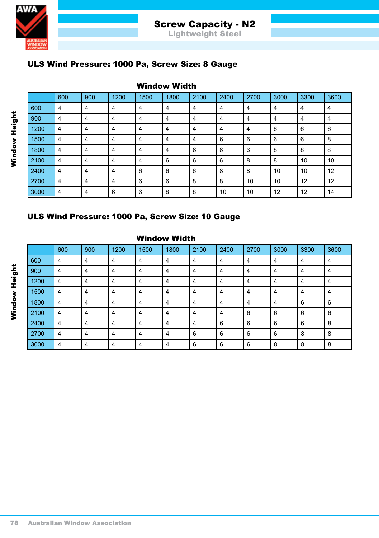

#### ULS Wind Pressure: 1000 Pa, Screw Size: 8 Gauge

Window Width

|      | 600 | 900            | 1200           | 1500 | 1800 | 2100 | 2400 | 2700 | 3000 | 3300 | 3600 |
|------|-----|----------------|----------------|------|------|------|------|------|------|------|------|
| 600  | 4   | 4              | $\overline{4}$ | 4    | 4    | 4    | 4    | 4    | 4    | 4    | 4    |
| 900  | 4   | 4              | 4              | 4    | 4    | 4    | 4    | 4    | 4    | 4    | 4    |
| 1200 | 4   | 4              | $\overline{4}$ | 4    | 4    | 4    | 4    | 4    | 6    | 6    | 6    |
| 1500 | 4   | 4              | 4              | 4    | 4    | 4    | 6    | 6    | 6    | 6    | 8    |
| 1800 | 4   | 4              | $\overline{4}$ | 4    | 4    | 6    | 6    | 6    | 8    | 8    | 8    |
| 2100 | 4   | 4              | $\overline{4}$ | 4    | 6    | 6    | 6    | 8    | 8    | 10   | 10   |
| 2400 | 4   | $\overline{4}$ | $\overline{4}$ | 6    | 6    | 6    | 8    | 8    | 10   | 10   | 12   |
| 2700 | 4   | 4              | $\overline{4}$ | 6    | 6    | 8    | 8    | 10   | 10   | 12   | 12   |
| 3000 | 4   | 4              | 6              | 6    | 8    | 8    | 10   | 10   | 12   | 12   | 14   |

#### ULS Wind Pressure: 1000 Pa, Screw Size: 10 Gauge

| 900<br>1200  |                                                    |                                                    |                                                    |                                                    |                                                    |                                                    |                                                    |                                                    |                                                    |                                                    |                                           |
|--------------|----------------------------------------------------|----------------------------------------------------|----------------------------------------------------|----------------------------------------------------|----------------------------------------------------|----------------------------------------------------|----------------------------------------------------|----------------------------------------------------|----------------------------------------------------|----------------------------------------------------|-------------------------------------------|
|              | $\overline{\mathbf{4}}$                            | $\overline{\mathbf{4}}$                            | $\overline{\mathbf{4}}$                            | $\overline{\mathbf{4}}$                            | $\overline{\mathbf{4}}$                            | $\overline{\mathbf{4}}$                            | $\overline{\mathbf{4}}$                            | $\overline{\mathbf{4}}$                            | $\overline{\mathbf{4}}$                            | $\overline{\mathbf{4}}$                            | $\overline{\mathbf{4}}$                   |
|              | $\overline{4}$                                     | $\overline{\mathbf{4}}$                            | $\overline{\mathbf{4}}$                            | $\overline{\mathbf{4}}$                            | $\overline{\mathbf{4}}$                            | $\overline{\mathbf{4}}$                            | $\overline{\mathbf{4}}$                            | $\overline{\mathbf{4}}$                            | $\,6\,$                                            | $\,6$                                              | $\,6$                                     |
| 1500         | $\overline{4}$                                     | $\overline{\mathbf{4}}$                            | $\overline{\mathbf{4}}$                            | $\overline{\mathbf{4}}$                            | $\overline{\mathbf{4}}$                            | $\overline{\mathbf{4}}$                            | $\,6\,$                                            | $\,6\,$                                            | $\,6\,$                                            | $\,6\,$                                            | $\bf 8$                                   |
| 1800         | $\overline{\mathbf{4}}$                            | $\overline{\mathbf{4}}$                            | $\overline{\mathbf{4}}$                            | $\overline{\mathbf{4}}$                            | $\overline{\mathbf{4}}$                            | 6                                                  | 6                                                  | 6                                                  | 8                                                  | 8                                                  | 8                                         |
| 2100         | $\overline{\mathbf{4}}$                            | $\overline{\mathbf{4}}$                            | $\overline{\mathbf{4}}$                            | $\overline{\mathbf{4}}$                            | 6                                                  | $\,6\,$                                            | $\,6\,$                                            | $\bf 8$                                            | $\bf 8$                                            | 10                                                 | 10                                        |
| 2400         | $\overline{\mathbf{4}}$                            | $\overline{\mathbf{4}}$                            | $\overline{\mathbf{4}}$                            | $\,6\,$                                            | $\,6\,$                                            | $\,6\,$                                            | $\bf 8$                                            | $\bf 8$                                            | 10                                                 | 10                                                 | 12                                        |
| 2700         | $\overline{\mathbf{4}}$                            | $\overline{\mathbf{4}}$                            | $\overline{\mathbf{4}}$                            | $\,6$                                              | $\,6\,$                                            | $\bf8$                                             | 8                                                  | 10                                                 | $10$                                               | 12                                                 | 12                                        |
| 3000         | $\overline{\mathbf{4}}$                            | $\overline{\mathbf{4}}$                            | $\,6\,$                                            | 6                                                  | 8                                                  | $\bf 8$                                            | 10                                                 | 10                                                 | 12                                                 | 12                                                 | 14                                        |
|              |                                                    | ULS Wind Pressure: 1000 Pa, Screw Size: 10 Gauge   |                                                    |                                                    | <b>Window Width</b>                                |                                                    |                                                    |                                                    |                                                    |                                                    |                                           |
|              | 600                                                | 900                                                | 1200                                               | 1500                                               | 1800                                               | 2100                                               | 2400                                               | 2700                                               | 3000                                               | 3300                                               | 3600                                      |
| 600          | $\overline{\mathbf{4}}$                            | $\overline{\mathbf{4}}$                            | $\overline{\mathbf{4}}$                            | $\overline{\mathbf{4}}$                            | $\overline{\mathbf{4}}$                            | $\overline{\mathbf{4}}$                            | $\overline{\mathbf{4}}$                            | $\overline{\mathbf{4}}$                            | $\overline{\mathbf{4}}$<br>$\overline{\mathbf{4}}$ | $\overline{\mathbf{4}}$                            | $\overline{4}$<br>$\overline{\mathbf{4}}$ |
| 900          | $\overline{\mathbf{4}}$                            | $\overline{\mathbf{4}}$<br>$\overline{\mathbf{4}}$ | $\overline{\mathbf{4}}$<br>$\overline{\mathbf{4}}$ | $\overline{\mathbf{4}}$<br>$\overline{\mathbf{4}}$ | $\overline{\mathbf{4}}$<br>$\overline{\mathbf{4}}$ | $\overline{\mathbf{4}}$<br>$\overline{\mathbf{4}}$ | $\overline{\mathbf{4}}$<br>$\overline{\mathbf{4}}$ | $\overline{\mathbf{4}}$<br>$\overline{\mathbf{4}}$ | $\overline{\mathbf{4}}$                            | $\overline{\mathbf{4}}$                            | $\overline{\mathbf{4}}$                   |
| 1200         | $\overline{\mathbf{4}}$                            | $\overline{\mathbf{4}}$                            | $\overline{4}$                                     | $\overline{\mathbf{4}}$                            |                                                    | $\overline{4}$                                     |                                                    | $\overline{\mathbf{4}}$                            | $\overline{4}$                                     | $\overline{\mathbf{4}}$<br>$\overline{\mathbf{4}}$ | $\overline{\mathbf{4}}$                   |
| 1500<br>1800 | $\overline{\mathbf{4}}$<br>$\overline{\mathbf{4}}$ | $\overline{\mathbf{4}}$                            | $\overline{\mathbf{4}}$                            | $\overline{4}$                                     | $\overline{\mathbf{4}}$<br>$\overline{\mathbf{4}}$ | $\overline{4}$                                     | $\overline{\mathbf{4}}$<br>$\overline{\mathbf{4}}$ | $\overline{\mathbf{4}}$                            | $\overline{\mathbf{4}}$                            | $\,6\,$                                            | 6                                         |
| 2100         | $\overline{\mathbf{4}}$                            | $\overline{\mathbf{4}}$                            | $\overline{\mathbf{4}}$                            | $\overline{\mathbf{4}}$                            | $\overline{\mathbf{4}}$                            | $\overline{\mathbf{4}}$                            | $\overline{\mathbf{4}}$                            | $\,6$                                              | $\,6\,$                                            | $\,6\,$                                            | $\,6\,$                                   |
| 2400         | $\overline{\mathbf{4}}$                            | $\overline{\mathbf{4}}$                            | $\overline{\mathbf{4}}$                            | $\overline{\mathbf{4}}$                            | $\overline{\mathbf{4}}$                            | $\overline{4}$                                     | $\,6\,$                                            | $\,6\,$                                            | $\,6\,$                                            | $\,6\,$                                            | $\bf 8$                                   |
| 2700         | $\overline{\mathbf{4}}$                            | $\overline{\mathbf{4}}$                            | $\overline{\mathbf{4}}$                            | $\overline{\mathbf{4}}$                            | $\overline{\mathbf{4}}$                            | $\,6\,$                                            | $\,6\,$                                            | $\,6\,$                                            | $\,6\,$                                            | $\bf 8$                                            | $\bf 8$                                   |
| 3000         | $\overline{\mathbf{4}}$                            | $\overline{\mathbf{4}}$                            | $\overline{\mathbf{4}}$                            | $\overline{\mathbf{4}}$                            | $\overline{\mathbf{4}}$                            | $\,6\,$                                            | $\,6\,$                                            | $\,6\,$                                            | $\bf 8$                                            | $\bf8$                                             | $\bf8$                                    |
|              |                                                    |                                                    |                                                    |                                                    |                                                    |                                                    |                                                    |                                                    |                                                    |                                                    |                                           |

#### Window Width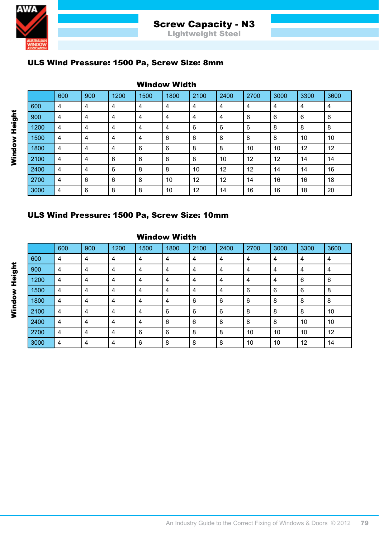

#### ULS Wind Pressure: 1500 Pa, Screw Size: 8mm

|      |                |     |      |      | <b>Window Width</b> |                |      |      |      |      |      |
|------|----------------|-----|------|------|---------------------|----------------|------|------|------|------|------|
|      | 600            | 900 | 1200 | 1500 | 1800                | 2100           | 2400 | 2700 | 3000 | 3300 | 3600 |
| 600  | 4              | 4   | 4    | 4    | 4                   | $\overline{4}$ | 4    | 4    | 4    | 4    | 4    |
| 900  | $\overline{4}$ | 4   | 4    | 4    | 4                   | $\overline{4}$ | 4    | 6    | 6    | 6    | 6    |
| 1200 | 4              | 4   | 4    | 4    | 4                   | 6              | 6    | 6    | 8    | 8    | 8    |
| 1500 | 4              | 4   | 4    | 4    | 6                   | 6              | 8    | 8    | 8    | 10   | 10   |
| 1800 | 4              | 4   | 4    | 6    | 6                   | 8              | 8    | 10   | 10   | 12   | 12   |
| 2100 | 4              | 4   | 6    | 6    | 8                   | 8              | 10   | 12   | 12   | 14   | 14   |
| 2400 | 4              | 4   | 6    | 8    | 8                   | 10             | 12   | 12   | 14   | 14   | 16   |
| 2700 | $\overline{4}$ | 6   | 6    | 8    | 10                  | 12             | 12   | 14   | 16   | 16   | 18   |
| 3000 | 4              | 6   | 8    | 8    | 10                  | 12             | 14   | 16   | 16   | 18   | 20   |

#### ULS Wind Pressure: 1500 Pa, Screw Size: 10mm

|      | 600 | 900 | 1200           | 1500 | 1800           | 2100 | 2400 | 2700 | 3000 | 3300 | 3600           |
|------|-----|-----|----------------|------|----------------|------|------|------|------|------|----------------|
| 600  | 4   | 4   | $\overline{4}$ | 4    | 4              | 4    | 4    | 4    | 4    | 4    | 4              |
| 900  | 4   | 4   | $\overline{4}$ | 4    | 4              | 4    | 4    | 4    | 4    | 4    | $\overline{4}$ |
| 1200 | 4   | 4   | 4              | 4    | 4              | 4    | 4    | 4    | 4    | 6    | 6              |
| 1500 | 4   | 4   | $\overline{4}$ | 4    | $\overline{4}$ | 4    | 4    | 6    | 6    | 6    | 8              |
| 1800 | 4   | 4   | 4              | 4    | 4              | 6    | 6    | 6    | 8    | 8    | 8              |
| 2100 | 4   | 4   | 4              | 4    | 6              | 6    | 6    | 8    | 8    | 8    | 10             |
| 2400 | 4   | 4   | $\overline{4}$ | 4    | 6              | 6    | 8    | 8    | 8    | 10   | 10             |
| 2700 | 4   | 4   | 4              | 6    | 6              | 8    | 8    | 10   | 10   | 10   | 12             |
| 3000 | 4   | 4   | $\overline{4}$ | 6    | 8              | 8    | 8    | 10   | 10   | 12   | 14             |

#### Window Width

Window Height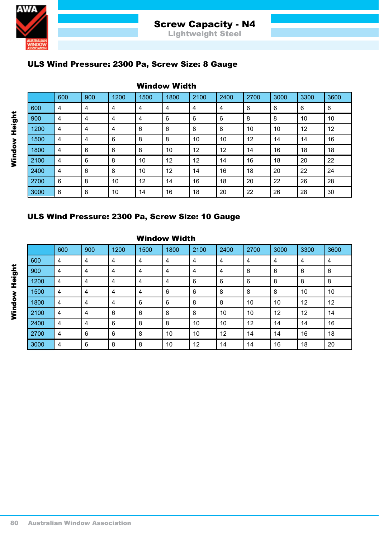

#### ULS Wind Pressure: 2300 Pa, Screw Size: 8 Gauge

| <b>Window Width</b> |  |
|---------------------|--|
|                     |  |

|      | 600            | 900            | 1200           | 1500 | 1800 | 2100 | 2400 | 2700 | 3000 | 3300 | 3600 |
|------|----------------|----------------|----------------|------|------|------|------|------|------|------|------|
| 600  | 4              | 4              | 4              | 4    | 4    | 4    | 4    | 6    | 6    | 6    | 6    |
| 900  | $\overline{4}$ | $\overline{4}$ | $\overline{4}$ | 4    | 6    | 6    | 6    | 8    | 8    | 10   | 10   |
| 1200 | 4              | $\overline{4}$ | $\overline{4}$ | 6    | 6    | 8    | 8    | 10   | 10   | 12   | 12   |
| 1500 | $\overline{4}$ | 4              | 6              | 8    | 8    | 10   | 10   | 12   | 14   | 14   | 16   |
| 1800 | $\overline{4}$ | 6              | 6              | 8    | 10   | 12   | 12   | 14   | 16   | 18   | 18   |
| 2100 | $\overline{4}$ | 6              | 8              | 10   | 12   | 12   | 14   | 16   | 18   | 20   | 22   |
| 2400 | $\overline{4}$ | 6              | 8              | 10   | 12   | 14   | 16   | 18   | 20   | 22   | 24   |
| 2700 | 6              | 8              | 10             | 12   | 14   | 16   | 18   | 20   | 22   | 26   | 28   |
| 3000 | 6              | 8              | 10             | 14   | 16   | 18   | 20   | 22   | 26   | 28   | 30   |

#### ULS Wind Pressure: 2300 Pa, Screw Size: 10 Gauge

| 8<br>$\bf 8$<br>$\overline{\mathbf{4}}$<br>$\overline{4}$<br>$\overline{\mathbf{4}}$<br>$\,6$<br>$\,6\,$<br>10<br>900<br>$\overline{4}$<br>6<br>8<br>$\bf 8$<br>1200<br>$\overline{4}$<br>$\overline{4}$<br>$\overline{\mathbf{4}}$<br>6<br>6<br>10<br>10<br>12<br>$\overline{\mathbf{4}}$<br>$\,6$<br>$\bf8$<br>8<br>12<br>14<br>14<br>$\overline{4}$<br>10<br>10<br>1500<br>8<br>$\overline{4}$<br>6<br>6<br>12<br>12<br>14<br>16<br>1800<br>10<br>18<br>$\overline{\mathbf{4}}$<br>$\bf 8$<br>10<br>12<br>20<br>2100<br>6<br>12<br>14<br>16<br>18<br>$\overline{\mathbf{4}}$<br>$\,6\,$<br>8<br>12<br>14<br>16<br>18<br>20<br>22<br>2400<br>10<br>$\,6\,$<br>$\bf 8$<br>2700<br>10<br>12<br>14<br>$20\,$<br>22<br>26<br>16<br>18<br>26<br>3000<br>$\,6\,$<br>8<br>10<br>14<br>20<br>22<br>28<br>16<br>18<br><b>Window Width</b> | 10<br>12<br>16<br>18<br>22<br>24<br>28<br>30 |
|------------------------------------------------------------------------------------------------------------------------------------------------------------------------------------------------------------------------------------------------------------------------------------------------------------------------------------------------------------------------------------------------------------------------------------------------------------------------------------------------------------------------------------------------------------------------------------------------------------------------------------------------------------------------------------------------------------------------------------------------------------------------------------------------------------------------------------|----------------------------------------------|
| ULS Wind Pressure: 2300 Pa, Screw Size: 10 Gauge                                                                                                                                                                                                                                                                                                                                                                                                                                                                                                                                                                                                                                                                                                                                                                                   |                                              |
|                                                                                                                                                                                                                                                                                                                                                                                                                                                                                                                                                                                                                                                                                                                                                                                                                                    |                                              |
|                                                                                                                                                                                                                                                                                                                                                                                                                                                                                                                                                                                                                                                                                                                                                                                                                                    |                                              |
|                                                                                                                                                                                                                                                                                                                                                                                                                                                                                                                                                                                                                                                                                                                                                                                                                                    |                                              |
|                                                                                                                                                                                                                                                                                                                                                                                                                                                                                                                                                                                                                                                                                                                                                                                                                                    |                                              |
|                                                                                                                                                                                                                                                                                                                                                                                                                                                                                                                                                                                                                                                                                                                                                                                                                                    |                                              |
|                                                                                                                                                                                                                                                                                                                                                                                                                                                                                                                                                                                                                                                                                                                                                                                                                                    |                                              |
|                                                                                                                                                                                                                                                                                                                                                                                                                                                                                                                                                                                                                                                                                                                                                                                                                                    |                                              |
|                                                                                                                                                                                                                                                                                                                                                                                                                                                                                                                                                                                                                                                                                                                                                                                                                                    |                                              |
| 600<br>900<br>1200<br>1500<br>1800<br>2100<br>2400<br>2700<br>3000<br>3300                                                                                                                                                                                                                                                                                                                                                                                                                                                                                                                                                                                                                                                                                                                                                         | 3600                                         |
| 600<br>$\overline{\mathbf{4}}$<br>$\overline{\mathbf{4}}$<br>$\overline{\mathbf{4}}$<br>$\overline{\mathbf{4}}$<br>$\overline{\mathbf{4}}$<br>$\overline{4}$<br>$\overline{\mathbf{4}}$<br>$\overline{\mathbf{4}}$<br>$\overline{\mathbf{4}}$<br>$\overline{\mathbf{4}}$                                                                                                                                                                                                                                                                                                                                                                                                                                                                                                                                                           | $\overline{\mathbf{4}}$                      |
| $\,6\,$<br>$\,6\,$<br>$\overline{\mathbf{4}}$<br>$\overline{\mathbf{4}}$<br>$\overline{\mathbf{4}}$<br>6<br>900<br>$\overline{\mathbf{4}}$<br>$\overline{\mathbf{4}}$<br>4<br>4                                                                                                                                                                                                                                                                                                                                                                                                                                                                                                                                                                                                                                                    | $\,6\,$                                      |
| $\overline{\mathbf{4}}$<br>4<br>$\overline{\mathbf{4}}$<br>$\overline{\mathbf{4}}$<br>$\,6$<br>$\,6\,$<br>6<br>8<br>$\bf 8$<br>1200<br>$\overline{\mathbf{4}}$                                                                                                                                                                                                                                                                                                                                                                                                                                                                                                                                                                                                                                                                     | $\bf 8$                                      |
| $\overline{\mathbf{4}}$<br>$\bf 8$<br>8<br>$\overline{\mathbf{4}}$<br>$\overline{\mathbf{4}}$<br>$\overline{\mathbf{4}}$<br>6<br>6<br>8<br>10<br>1500                                                                                                                                                                                                                                                                                                                                                                                                                                                                                                                                                                                                                                                                              | 10                                           |
| 8<br>$\overline{\mathbf{4}}$<br>$\overline{4}$<br>$\overline{\mathbf{4}}$<br>6<br>6<br>8<br>10<br>10<br>12<br>1800                                                                                                                                                                                                                                                                                                                                                                                                                                                                                                                                                                                                                                                                                                                 | 12                                           |
| $\,6$<br>$\bf8$<br>$\bf 8$<br>2100<br>$\overline{\mathbf{4}}$<br>$\overline{\mathbf{4}}$<br>6<br>10<br>10<br>12<br>12                                                                                                                                                                                                                                                                                                                                                                                                                                                                                                                                                                                                                                                                                                              | 14                                           |
| $\overline{\mathbf{4}}$<br>$\,6\,$<br>$\bf8$<br>8<br>12<br>14<br>14<br>$\overline{\mathbf{4}}$<br>10<br>10<br>2400                                                                                                                                                                                                                                                                                                                                                                                                                                                                                                                                                                                                                                                                                                                 | 16                                           |
| $\bf 8$<br>2700<br>$\overline{\mathbf{4}}$<br>6<br>6<br>10<br>12<br>14<br>14<br>16<br>10                                                                                                                                                                                                                                                                                                                                                                                                                                                                                                                                                                                                                                                                                                                                           | 18                                           |
| 8<br>$\overline{\mathbf{4}}$<br>6<br>8<br>12<br>14<br>14<br>18<br>3000<br>10<br>16                                                                                                                                                                                                                                                                                                                                                                                                                                                                                                                                                                                                                                                                                                                                                 | 20                                           |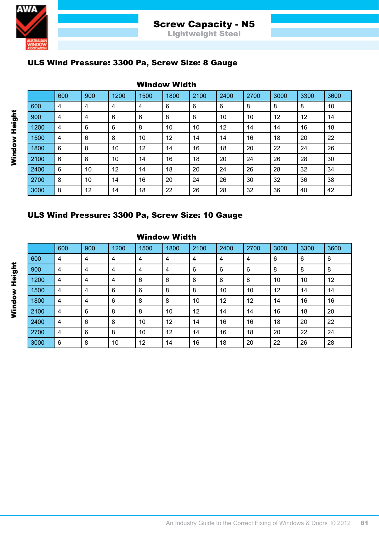

#### ULS Wind Pressure: 3300 Pa, Screw Size: 8 Gauge

|      |                |     |      |      | <b>Window Width</b> |      |      |      |      |      |      |
|------|----------------|-----|------|------|---------------------|------|------|------|------|------|------|
|      | 600            | 900 | 1200 | 1500 | 1800                | 2100 | 2400 | 2700 | 3000 | 3300 | 3600 |
| 600  | 4              | 4   | 4    | 4    | 6                   | 6    | 6    | 8    | 8    | 8    | 10   |
| 900  | $\overline{4}$ | 4   | 6    | 6    | 8                   | 8    | 10   | 10   | 12   | 12   | 14   |
| 1200 | 4              | 6   | 6    | 8    | 10                  | 10   | 12   | 14   | 14   | 16   | 18   |
| 1500 | 4              | 6   | 8    | 10   | 12                  | 14   | 14   | 16   | 18   | 20   | 22   |
| 1800 | 6              | 8   | 10   | 12   | 14                  | 16   | 18   | 20   | 22   | 24   | 26   |
| 2100 | 6              | 8   | 10   | 14   | 16                  | 18   | 20   | 24   | 26   | 28   | 30   |
| 2400 | 6              | 10  | 12   | 14   | 18                  | 20   | 24   | 26   | 28   | 32   | 34   |
| 2700 | 8              | 10  | 14   | 16   | 20                  | 24   | 26   | 30   | 32   | 36   | 38   |
| 3000 | 8              | 12  | 14   | 18   | 22                  | 26   | 28   | 32   | 36   | 40   | 42   |

#### ULS Wind Pressure: 3300 Pa, Screw Size: 10 Gauge

|      |     |     |      |      | <b>Window Width</b> |      |      |      |      |      |      |
|------|-----|-----|------|------|---------------------|------|------|------|------|------|------|
|      | 600 | 900 | 1200 | 1500 | 1800                | 2100 | 2400 | 2700 | 3000 | 3300 | 3600 |
| 600  | 4   | 4   | 4    | 4    | 4                   | 4    | 4    | 4    | 6    | 6    | 6    |
| 900  | 4   | 4   | 4    | 4    | 4                   | 6    | 6    | 6    | 8    | 8    | 8    |
| 1200 | 4   | 4   | 4    | 6    | 6                   | 8    | 8    | 8    | 10   | 10   | 12   |
| 1500 | 4   | 4   | 6    | 6    | 8                   | 8    | 10   | 10   | 12   | 14   | 14   |
| 1800 | 4   | 4   | 6    | 8    | 8                   | 10   | 12   | 12   | 14   | 16   | 16   |
| 2100 | 4   | 6   | 8    | 8    | 10                  | 12   | 14   | 14   | 16   | 18   | 20   |
| 2400 | 4   | 6   | 8    | 10   | 12                  | 14   | 16   | 16   | 18   | 20   | 22   |
| 2700 | 4   | 6   | 8    | 10   | 12                  | 14   | 16   | 18   | 20   | 22   | 24   |
| 3000 | 6   | 8   | 10   | 12   | 14                  | 16   | 18   | 20   | 22   | 26   | 28   |

Window Height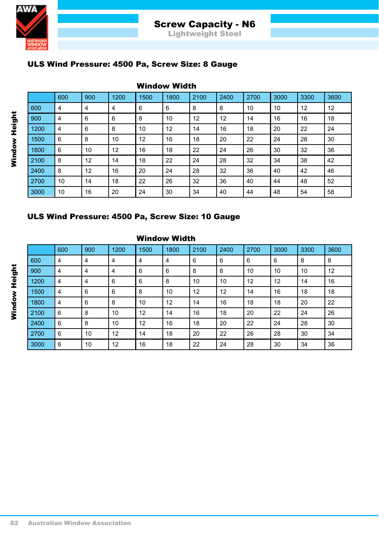

#### ULS Wind Pressure: 4500 Pa, Screw Size: 8 Gauge

|      |     |     |      |      | <b>Window Width</b> |      |      |      |      |      |      |
|------|-----|-----|------|------|---------------------|------|------|------|------|------|------|
|      | 600 | 900 | 1200 | 1500 | 1800                | 2100 | 2400 | 2700 | 3000 | 3300 | 3600 |
| 600  | 4   | 4   | 4    | 6    | 6                   | 8    | 8    | 10   | 10   | 12   | 12   |
| 900  | 4   | 6   | 6    | 8    | 10                  | 12   | 12   | 14   | 16   | 16   | 18   |
| 1200 | 4   | 6   | 8    | 10   | 12                  | 14   | 16   | 18   | 20   | 22   | 24   |
| 1500 | 6   | 8   | 10   | 12   | 16                  | 18   | 20   | 22   | 24   | 28   | 30   |
| 1800 | 6   | 10  | 12   | 16   | 18                  | 22   | 24   | 26   | 30   | 32   | 36   |
| 2100 | 8   | 12  | 14   | 18   | 22                  | 24   | 28   | 32   | 34   | 38   | 42   |
| 2400 | 8   | 12  | 16   | 20   | 24                  | 28   | 32   | 36   | 40   | 42   | 46   |
| 2700 | 10  | 14  | 18   | 22   | 26                  | 32   | 36   | 40   | 44   | 48   | 52   |
| 3000 | 10  | 16  | 20   | 24   | 30                  | 34   | 40   | 44   | 48   | 54   | 58   |

#### ULS Wind Pressure: 4500 Pa, Screw Size: 10 Gauge

| $\,6\,$<br>6<br>8<br>900<br>$\overline{4}$<br>10<br>$\,6\,$<br>8<br>1200<br>10<br>12<br>4<br>6<br>8<br>10<br>12<br>16<br>1500<br>6<br>12<br>1800<br>10<br>16<br>18<br>$\bf 8$<br>2100<br>12<br>14<br>18<br>22<br>$\bf 8$<br>12<br>20<br>24<br>16<br>2400<br>22<br>26<br>2700<br>10<br>14<br>18<br>3000<br>20<br>10<br>16<br>24<br>30 | 12<br>14<br>18<br>22<br>24 | 12<br>16<br>20<br>24 | 14<br>18<br>22 | 16<br>20 | 16<br>22 | 18       |
|--------------------------------------------------------------------------------------------------------------------------------------------------------------------------------------------------------------------------------------------------------------------------------------------------------------------------------------|----------------------------|----------------------|----------------|----------|----------|----------|
|                                                                                                                                                                                                                                                                                                                                      |                            |                      |                |          |          |          |
|                                                                                                                                                                                                                                                                                                                                      |                            |                      |                |          |          | 24       |
|                                                                                                                                                                                                                                                                                                                                      |                            |                      |                | 24       | 28       | 30       |
|                                                                                                                                                                                                                                                                                                                                      |                            |                      | 26             | 30       | 32       | 36       |
|                                                                                                                                                                                                                                                                                                                                      |                            | 28                   | 32             | 34       | 38       | 42       |
|                                                                                                                                                                                                                                                                                                                                      | 28                         | 32                   | 36             | 40       | 42       | 46       |
|                                                                                                                                                                                                                                                                                                                                      | 32                         | 36                   | 40             | 44       | 48       | 52       |
|                                                                                                                                                                                                                                                                                                                                      | 34                         | 40                   | 44             | 48       | 54       | 58       |
| <b>Window Width</b>                                                                                                                                                                                                                                                                                                                  |                            |                      |                |          |          |          |
| 600<br>900<br>1200<br>1800<br>1500                                                                                                                                                                                                                                                                                                   | 2100                       | 2400                 | 2700           | 3000     | 3300     | 3600     |
| 600<br>$\overline{\mathbf{4}}$<br>$\overline{4}$<br>$\overline{\mathbf{4}}$<br>$\overline{\mathbf{4}}$<br>$\overline{\mathbf{4}}$                                                                                                                                                                                                    | 6                          | 6                    | 6              | 6        | 8        | $\bf 8$  |
| 900<br>$\overline{\mathbf{4}}$<br>$\overline{\mathbf{4}}$<br>$\overline{\mathbf{4}}$<br>6<br>6                                                                                                                                                                                                                                       | 8                          | $\bf 8$              | 10             | $10$     | 10       | 12       |
| $\,6$<br>8<br>$\overline{\mathbf{4}}$<br>$\overline{\mathbf{4}}$<br>6<br>1200                                                                                                                                                                                                                                                        | $10$                       | 10                   | 12             | 12       | 14       | 16       |
| $\overline{\mathbf{4}}$<br>$\,6\,$<br>8<br>1500<br>6<br>10                                                                                                                                                                                                                                                                           | 12                         | 12                   | 14             | 16       | 18       | 18       |
| $6\phantom{1}6$<br>8<br>1800<br>$\overline{\mathbf{4}}$<br>10<br>12                                                                                                                                                                                                                                                                  | 14                         | 16                   | 18             | 18       | 20       | 22       |
| 2100<br>6<br>8<br>10<br>12<br>14                                                                                                                                                                                                                                                                                                     | 16                         | 18                   | 20             | 22       | 24       | 26       |
| $\bf 8$<br>6<br>10<br>12<br>16<br>2400                                                                                                                                                                                                                                                                                               | 18                         | 20                   | 22             | 24       | 28       | 30       |
| 6<br>12<br>14<br>18<br>2700<br>10<br>$\,6\,$<br>10<br>12<br>3000<br>16<br>18                                                                                                                                                                                                                                                         | 20<br>22                   | 22<br>24             | 26<br>28       | 28<br>30 | 30<br>34 | 34<br>36 |
|                                                                                                                                                                                                                                                                                                                                      |                            |                      |                |          |          |          |

#### Window Width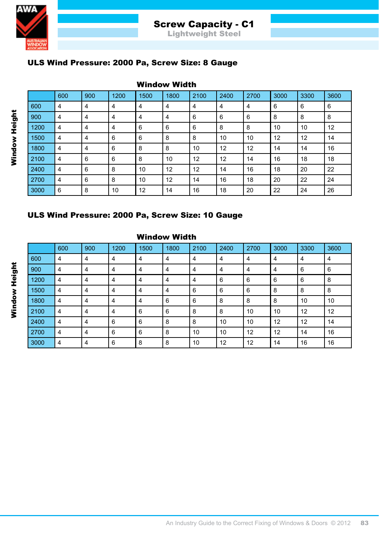

#### ULS Wind Pressure: 2000 Pa, Screw Size: 8 Gauge

|      |                |     |      |      | <b>Window Width</b> |                |      |      |      |      |      |
|------|----------------|-----|------|------|---------------------|----------------|------|------|------|------|------|
|      | 600            | 900 | 1200 | 1500 | 1800                | 2100           | 2400 | 2700 | 3000 | 3300 | 3600 |
| 600  | 4              | 4   | 4    | 4    | 4                   | $\overline{4}$ | 4    | 4    | 6    | 6    | 6    |
| 900  | $\overline{4}$ | 4   | 4    | 4    | 4                   | 6              | 6    | 6    | 8    | 8    | 8    |
| 1200 | 4              | 4   | 4    | 6    | 6                   | 6              | 8    | 8    | 10   | 10   | 12   |
| 1500 | 4              | 4   | 6    | 6    | 8                   | 8              | 10   | 10   | 12   | 12   | 14   |
| 1800 | $\overline{4}$ | 4   | 6    | 8    | 8                   | 10             | 12   | 12   | 14   | 14   | 16   |
| 2100 | 4              | 6   | 6    | 8    | 10                  | 12             | 12   | 14   | 16   | 18   | 18   |
| 2400 | 4              | 6   | 8    | 10   | 12                  | 12             | 14   | 16   | 18   | 20   | 22   |
| 2700 | $\overline{4}$ | 6   | 8    | 10   | 12                  | 14             | 16   | 18   | 20   | 22   | 24   |
| 3000 | 6              | 8   | 10   | 12   | 14                  | 16             | 18   | 20   | 22   | 24   | 26   |

#### ULS Wind Pressure: 2000 Pa, Screw Size: 10 Gauge

|      |     |                |      |                | ,,,,,,,,,,,,,,,,, |      |      |      |      |      |      |
|------|-----|----------------|------|----------------|-------------------|------|------|------|------|------|------|
|      | 600 | 900            | 1200 | 1500           | 1800              | 2100 | 2400 | 2700 | 3000 | 3300 | 3600 |
| 600  | 4   | 4              | 4    | 4              | 4                 | 4    | 4    | 4    | 4    | 4    | 4    |
| 900  | 4   | 4              | 4    | 4              | $\overline{4}$    | 4    | 4    | 4    | 4    | 6    | 6    |
| 1200 | 4   | 4              | 4    | 4              | 4                 | 4    | 6    | 6    | 6    | 6    | 8    |
| 1500 | 4   | 4              | 4    | $\overline{4}$ | 4                 | 6    | 6    | 6    | 8    | 8    | 8    |
| 1800 | 4   | 4              | 4    | 4              | 6                 | 6    | 8    | 8    | 8    | 10   | 10   |
| 2100 | 4   | 4              | 4    | 6              | 6                 | 8    | 8    | 10   | 10   | 12   | 12   |
| 2400 | 4   | 4              | 6    | 6              | 8                 | 8    | 10   | 10   | 12   | 12   | 14   |
| 2700 | 4   | 4              | 6    | 6              | 8                 | 10   | 10   | 12   | 12   | 14   | 16   |
| 3000 | 4   | $\overline{4}$ | 6    | 8              | 8                 | 10   | 12   | 12   | 14   | 16   | 16   |

## Window Width

Window Height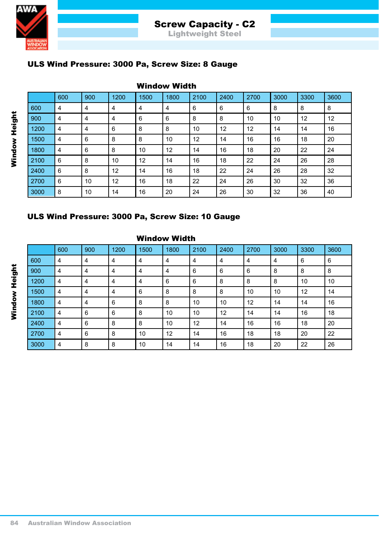

#### ULS Wind Pressure: 3000 Pa, Screw Size: 8 Gauge

| <b>Window Width</b> |  |
|---------------------|--|
|                     |  |

|      | 600            | 900 | 1200           | 1500           | 1800 | 2100 | 2400 | 2700 | 3000 | 3300 | 3600 |
|------|----------------|-----|----------------|----------------|------|------|------|------|------|------|------|
| 600  | 4              | 4   | $\overline{4}$ | $\overline{4}$ | 4    | 6    | 6    | 6    | 8    | 8    | 8    |
| 900  | $\overline{4}$ | 4   | 4              | 6              | 6    | 8    | 8    | 10   | 10   | 12   | 12   |
| 1200 | 4              | 4   | 6              | 8              | 8    | 10   | 12   | 12   | 14   | 14   | 16   |
| 1500 | $\overline{4}$ | 6   | 8              | 8              | 10   | 12   | 14   | 16   | 16   | 18   | 20   |
| 1800 | $\overline{4}$ | 6   | 8              | 10             | 12   | 14   | 16   | 18   | 20   | 22   | 24   |
| 2100 | 6              | 8   | 10             | 12             | 14   | 16   | 18   | 22   | 24   | 26   | 28   |
| 2400 | 6              | 8   | 12             | 14             | 16   | 18   | 22   | 24   | 26   | 28   | 32   |
| 2700 | 6              | 10  | 12             | 16             | 18   | 22   | 24   | 26   | 30   | 32   | 36   |
| 3000 | 8              | 10  | 14             | 16             | 20   | 24   | 26   | 30   | 32   | 36   | 40   |

#### ULS Wind Pressure: 3000 Pa, Screw Size: 10 Gauge

| 900<br>1200<br>1500<br>1800<br>2100 | $\overline{\mathbf{4}}$<br>$\overline{4}$<br>$\overline{\mathbf{4}}$ | $\overline{4}$<br>$\overline{4}$ | $\overline{4}$          |                         |                     |                         |                         |         |                         |         |      |
|-------------------------------------|----------------------------------------------------------------------|----------------------------------|-------------------------|-------------------------|---------------------|-------------------------|-------------------------|---------|-------------------------|---------|------|
|                                     |                                                                      |                                  |                         | $\,6\,$                 | 6                   | 8                       | 8                       | 10      | 10                      | 12      | 12   |
|                                     |                                                                      |                                  | 6                       | 8                       | 8                   | 10                      | 12                      | 12      | 14                      | 14      | 16   |
|                                     |                                                                      | 6                                | $\bf8$                  | $\bf8$                  | 10                  | 12                      | 14                      | 16      | 16                      | 18      | 20   |
|                                     | $\overline{4}$                                                       | 6                                | 8                       | 10                      | 12                  | 14                      | 16                      | 18      | 20                      | 22      | 24   |
|                                     | $\,6\,$                                                              | 8                                | 10                      | 12                      | 14                  | 16                      | 18                      | 22      | 24                      | 26      | 28   |
| 2400                                | $\,6\,$                                                              | $\bf 8$                          | 12                      | 14                      | 16                  | 18                      | 22                      | 24      | 26                      | 28      | 32   |
| 2700                                | $\,6\,$                                                              | 10                               | 12                      | 16                      | 18                  | 22                      | 24                      | 26      | 30                      | 32      | 36   |
| 3000                                | 8                                                                    | 10                               | 14                      | 16                      | 20                  | 24                      | 26                      | $30\,$  | 32                      | 36      | 40   |
|                                     |                                                                      |                                  |                         |                         | <b>Window Width</b> |                         |                         |         |                         |         |      |
|                                     | 600                                                                  | 900                              | 1200                    | 1500                    | 1800                | 2100                    | 2400                    | 2700    | 3000                    | 3300    | 3600 |
| 600                                 | $\overline{\mathbf{4}}$                                              | $\overline{\mathbf{4}}$          | $\overline{\mathbf{4}}$ | $\overline{\mathbf{4}}$ | 4                   | $\overline{\mathbf{4}}$ | $\overline{\mathbf{4}}$ | 4       | $\overline{\mathbf{4}}$ | 6       | 6    |
| 900                                 | $\overline{\mathbf{4}}$                                              | $\overline{\mathbf{4}}$          | 4                       | $\overline{\mathbf{4}}$ | 4                   | 6                       | $\,6\,$                 | $\,6\,$ | 8                       | $\bf 8$ | 8    |
| 1200                                | $\overline{\mathbf{4}}$                                              | $\overline{\mathbf{4}}$          | 4                       | $\overline{\mathbf{4}}$ | $\,6\,$             | $\,6\,$                 | $\bf8$                  | 8       | 8                       | 10      | 10   |
| 1500                                | $\overline{\mathbf{4}}$                                              | $\overline{\mathbf{4}}$          | $\overline{\mathbf{4}}$ | $\,6\,$                 | 8                   | 8                       | $\bf 8$                 | 10      | 10                      | 12      | 14   |
| 1800                                | $\overline{\mathbf{4}}$                                              | $\overline{\mathbf{4}}$          | 6                       | 8                       | 8                   | 10                      | 10                      | 12      | 14                      | 14      | 16   |
| 2100                                | $\overline{\mathbf{4}}$                                              | 6                                | 6                       | $\bf8$                  | 10                  | 10                      | 12                      | 14      | 14                      | 16      | 18   |
| 2400                                | $\overline{\mathbf{4}}$                                              | 6                                | 8                       | $\bf8$                  | 10                  | 12                      | 14                      | 16      | 16                      | 18      | 20   |
| 2700                                | $\overline{\mathbf{4}}$                                              | 6                                | 8                       | 10                      | 12                  | 14                      | 16                      | 18      | 18                      | 20      | 22   |
| 3000                                | $\overline{\mathbf{4}}$                                              | $\bf 8$                          | 8                       | 10                      | 14                  | 14                      | 16                      | 18      | 20                      | 22      | 26   |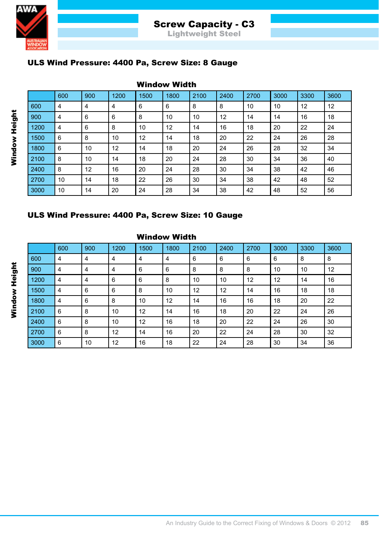

#### ULS Wind Pressure: 4400 Pa, Screw Size: 8 Gauge

|      |     |     |      |      | Window Width |      |      |      |      |      |      |
|------|-----|-----|------|------|--------------|------|------|------|------|------|------|
|      | 600 | 900 | 1200 | 1500 | 1800         | 2100 | 2400 | 2700 | 3000 | 3300 | 3600 |
| 600  | 4   | 4   | 4    | 6    | 6            | 8    | 8    | 10   | 10   | 12   | 12   |
| 900  | 4   | 6   | 6    | 8    | 10           | 10   | 12   | 14   | 14   | 16   | 18   |
| 1200 | 4   | 6   | 8    | 10   | 12           | 14   | 16   | 18   | 20   | 22   | 24   |
| 1500 | 6   | 8   | 10   | 12   | 14           | 18   | 20   | 22   | 24   | 26   | 28   |
| 1800 | 6   | 10  | 12   | 14   | 18           | 20   | 24   | 26   | 28   | 32   | 34   |
| 2100 | 8   | 10  | 14   | 18   | 20           | 24   | 28   | 30   | 34   | 36   | 40   |
| 2400 | 8   | 12  | 16   | 20   | 24           | 28   | 30   | 34   | 38   | 42   | 46   |
| 2700 | 10  | 14  | 18   | 22   | 26           | 30   | 34   | 38   | 42   | 48   | 52   |
| 3000 | 10  | 14  | 20   | 24   | 28           | 34   | 38   | 42   | 48   | 52   | 56   |

#### ULS Wind Pressure: 4400 Pa, Screw Size: 10 Gauge

|      |                |     |      |      | THIRVY THRU    |      |      |      |      |      |      |
|------|----------------|-----|------|------|----------------|------|------|------|------|------|------|
|      | 600            | 900 | 1200 | 1500 | 1800           | 2100 | 2400 | 2700 | 3000 | 3300 | 3600 |
| 600  | $\overline{4}$ | 4   | 4    | 4    | $\overline{4}$ | 6    | 6    | 6    | 6    | 8    | 8    |
| 900  | $\overline{4}$ | 4   | 4    | 6    | 6              | 8    | 8    | 8    | 10   | 10   | 12   |
| 1200 | $\overline{4}$ | 4   | 6    | 6    | 8              | 10   | 10   | 12   | 12   | 14   | 16   |
| 1500 | $\overline{4}$ | 6   | 6    | 8    | 10             | 12   | 12   | 14   | 16   | 18   | 18   |
| 1800 | 4              | 6   | 8    | 10   | 12             | 14   | 16   | 16   | 18   | 20   | 22   |
| 2100 | 6              | 8   | 10   | 12   | 14             | 16   | 18   | 20   | 22   | 24   | 26   |
| 2400 | 6              | 8   | 10   | 12   | 16             | 18   | 20   | 22   | 24   | 26   | 30   |
| 2700 | 6              | 8   | 12   | 14   | 16             | 20   | 22   | 24   | 28   | 30   | 32   |
| 3000 | 6              | 10  | 12   | 16   | 18             | 22   | 24   | 28   | 30   | 34   | 36   |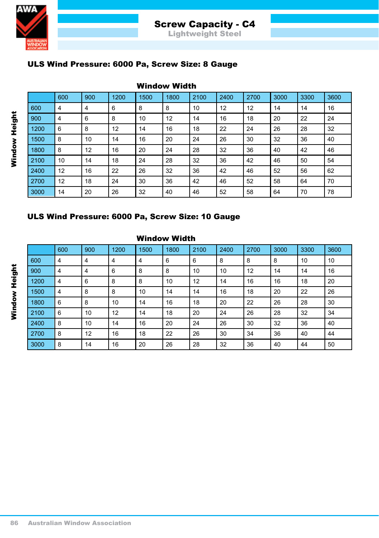

#### ULS Wind Pressure: 6000 Pa, Screw Size: 8 Gauge

|      |     |     |      |      | <b>Window Width</b> |      |      |      |      |      |      |
|------|-----|-----|------|------|---------------------|------|------|------|------|------|------|
|      | 600 | 900 | 1200 | 1500 | 1800                | 2100 | 2400 | 2700 | 3000 | 3300 | 3600 |
| 600  | 4   | 4   | 6    | 8    | 8                   | 10   | 12   | 12   | 14   | 14   | 16   |
| 900  | 4   | 6   | 8    | 10   | 12                  | 14   | 16   | 18   | 20   | 22   | 24   |
| 1200 | 6   | 8   | 12   | 14   | 16                  | 18   | 22   | 24   | 26   | 28   | 32   |
| 1500 | 8   | 10  | 14   | 16   | 20                  | 24   | 26   | 30   | 32   | 36   | 40   |
| 1800 | 8   | 12  | 16   | 20   | 24                  | 28   | 32   | 36   | 40   | 42   | 46   |
| 2100 | 10  | 14  | 18   | 24   | 28                  | 32   | 36   | 42   | 46   | 50   | 54   |
| 2400 | 12  | 16  | 22   | 26   | 32                  | 36   | 42   | 46   | 52   | 56   | 62   |
| 2700 | 12  | 18  | 24   | 30   | 36                  | 42   | 46   | 52   | 58   | 64   | 70   |
| 3000 | 14  | 20  | 26   | 32   | 40                  | 46   | 52   | 58   | 64   | 70   | 78   |
|      |     |     |      |      |                     |      |      |      |      |      |      |

#### ULS Wind Pressure: 6000 Pa, Screw Size: 10 Gauge

| 8<br>12<br>22<br>900<br>$\overline{4}$<br>6<br>10<br>14<br>16<br>18<br>20<br>1200<br>6<br>8<br>12<br>14<br>16<br>22<br>24<br>26<br>18<br>28<br>8<br>10<br>14<br>20<br>24<br>26<br>30<br>32<br>36<br>16<br>1500<br>8<br>20<br>24<br>28<br>32<br>1800<br>12<br>16<br>36<br>40<br>42<br>2100<br>10<br>14<br>18<br>24<br>28<br>32<br>36<br>42<br>46<br>50<br>12<br>32<br>42<br>52<br>16<br>22<br>26<br>36<br>46<br>56<br>2400<br>24<br>30<br>52<br>58<br>2700<br>12<br>18<br>36<br>42<br>46<br>64<br>3000<br>14<br>26<br>58<br>64<br>70<br>20<br>32<br>40<br>46<br>52<br>ULS Wind Pressure: 6000 Pa, Screw Size: 10 Gauge | 24<br>32<br>40<br>46<br>54<br>62<br>70<br>78 |
|-----------------------------------------------------------------------------------------------------------------------------------------------------------------------------------------------------------------------------------------------------------------------------------------------------------------------------------------------------------------------------------------------------------------------------------------------------------------------------------------------------------------------------------------------------------------------------------------------------------------------|----------------------------------------------|
|                                                                                                                                                                                                                                                                                                                                                                                                                                                                                                                                                                                                                       |                                              |
|                                                                                                                                                                                                                                                                                                                                                                                                                                                                                                                                                                                                                       |                                              |
|                                                                                                                                                                                                                                                                                                                                                                                                                                                                                                                                                                                                                       |                                              |
|                                                                                                                                                                                                                                                                                                                                                                                                                                                                                                                                                                                                                       |                                              |
|                                                                                                                                                                                                                                                                                                                                                                                                                                                                                                                                                                                                                       |                                              |
|                                                                                                                                                                                                                                                                                                                                                                                                                                                                                                                                                                                                                       |                                              |
|                                                                                                                                                                                                                                                                                                                                                                                                                                                                                                                                                                                                                       |                                              |
|                                                                                                                                                                                                                                                                                                                                                                                                                                                                                                                                                                                                                       |                                              |
| <b>Window Width</b>                                                                                                                                                                                                                                                                                                                                                                                                                                                                                                                                                                                                   |                                              |
| 600<br>900<br>1200<br>1800<br>2100<br>1500<br>2400<br>2700<br>3000<br>3300                                                                                                                                                                                                                                                                                                                                                                                                                                                                                                                                            | 3600                                         |
| 600<br>$\overline{\mathbf{4}}$<br>6<br>8<br>8<br>8<br>10<br>$\overline{\mathbf{4}}$<br>$\overline{\mathbf{4}}$<br>$\overline{\mathbf{4}}$<br>6                                                                                                                                                                                                                                                                                                                                                                                                                                                                        | 10                                           |
| 8<br>12<br>900<br>$\overline{\mathbf{4}}$<br>$\overline{\mathbf{4}}$<br>6<br>8<br>10<br>10<br>14<br>14                                                                                                                                                                                                                                                                                                                                                                                                                                                                                                                | 16                                           |
| 8<br>8<br>$\overline{\mathbf{4}}$<br>6<br>10<br>12<br>14<br>16<br>16<br>18<br>1200                                                                                                                                                                                                                                                                                                                                                                                                                                                                                                                                    | 20                                           |
| $\bf8$<br>$\overline{\mathbf{4}}$<br>8<br>10<br>14<br>18<br>20<br>22<br>1500<br>14<br>16                                                                                                                                                                                                                                                                                                                                                                                                                                                                                                                              | 26                                           |
| 8<br>22<br>26<br>28<br>1800<br>6<br>10<br>14<br>16<br>18<br>20                                                                                                                                                                                                                                                                                                                                                                                                                                                                                                                                                        | 30                                           |
| 2100<br>6<br>10<br>12<br>14<br>18<br>20<br>24<br>26<br>28<br>32                                                                                                                                                                                                                                                                                                                                                                                                                                                                                                                                                       | 34                                           |
| 8<br>10<br>14<br>16<br>20<br>24<br>26<br>30<br>32<br>36<br>2400                                                                                                                                                                                                                                                                                                                                                                                                                                                                                                                                                       | 40                                           |
| 8<br>12<br>16<br>22<br>26<br>34<br>36<br>40<br>2700<br>18<br>30                                                                                                                                                                                                                                                                                                                                                                                                                                                                                                                                                       | 44                                           |
| $\bf 8$<br>3000<br>14<br>16<br>20<br>26<br>28<br>32<br>36<br>40<br>44                                                                                                                                                                                                                                                                                                                                                                                                                                                                                                                                                 | 50                                           |

#### Window Width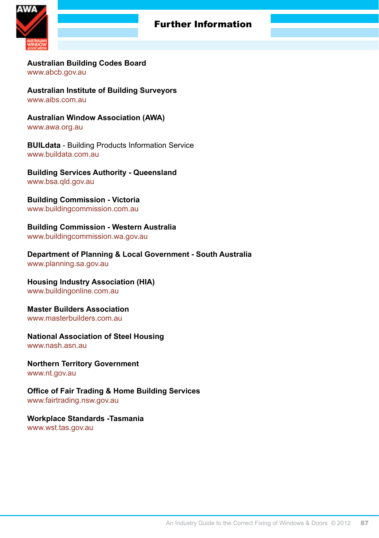

#### **Australian Building Codes Board** www.abcb.gov.au

**Australian Institute of Building Surveyors** www.aibs.com.au

**Australian Window Association (AWA)** www.awa.org.au

**BUILdata** - Building Products Information Service www.buildata.com.au

**Building Services Authority - Queensland** www.bsa.qld.gov.au

**Building Commission - Victoria** www.buildingcommission.com.au

**Building Commission - Western Australia** www.buildingcommission.wa.gov.au

**Department of Planning & Local Government - South Australia** www.planning.sa.gov.au

**Housing Industry Association (HIA)** www.buildingonline.com.au

**Master Builders Association** www.masterbuilders.com.au

**National Association of Steel Housing** www.nash.asn.au

**Northern Territory Government** www.nt.gov.au

**Office of Fair Trading & Home Building Services** www.fairtrading.nsw.gov.au

**Workplace Standards -Tasmania**

www.wst.tas.gov.au